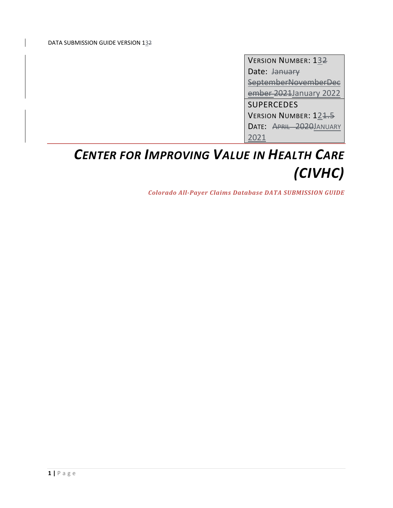VERSION NUMBER: 132 Date: <del>January</del> SeptemberNovemberDec ember 2021January 2022 SUPERCEDES VERSION NUMBER: 121.5 DATE: APRIL 2020JANUARY 2021

# *CENTER FOR IMPROVING VALUE IN HEALTH CARE (CIVHC)*

*Colorado All‐Payer Claims Database DATA SUBMISSION GUIDE*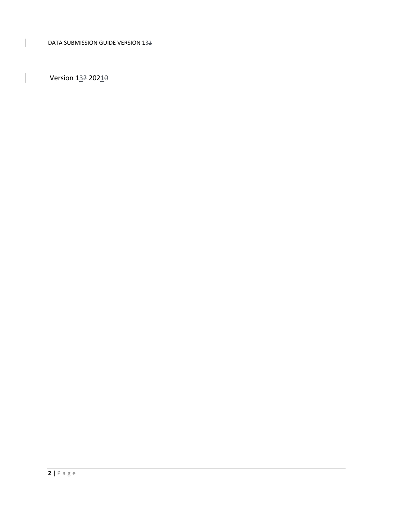Version  $1\underline{3}2$  202 $\underline{1}\theta$ 

 $\overline{1}$ 

 $\overline{\phantom{a}}$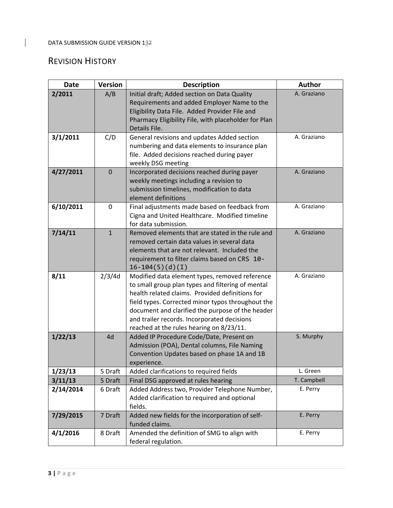# REVISION HISTORY

 $\overline{1}$ 

| <b>Date</b> | <b>Version</b> | <b>Description</b>                                                                                                                                                                                                                                                                                                                                         | <b>Author</b> |
|-------------|----------------|------------------------------------------------------------------------------------------------------------------------------------------------------------------------------------------------------------------------------------------------------------------------------------------------------------------------------------------------------------|---------------|
| 2/2011      | A/B            | Initial draft; Added section on Data Quality<br>Requirements and added Employer Name to the<br>Eligibility Data File. Added Provider File and<br>Pharmacy Eligibility File, with placeholder for Plan<br>Details File.                                                                                                                                     | A. Graziano   |
| 3/1/2011    | C/D            | General revisions and updates Added section<br>numbering and data elements to insurance plan<br>file. Added decisions reached during payer<br>weekly DSG meeting                                                                                                                                                                                           | A. Graziano   |
| 4/27/2011   | $\mathbf 0$    | Incorporated decisions reached during payer<br>weekly meetings including a revision to<br>submission timelines, modification to data<br>element definitions                                                                                                                                                                                                | A. Graziano   |
| 6/10/2011   | 0              | Final adjustments made based on feedback from<br>Cigna and United Healthcare. Modified timeline<br>for data submission.                                                                                                                                                                                                                                    | A. Graziano   |
| 7/14/11     | $\mathbf{1}$   | Removed elements that are stated in the rule and<br>removed certain data values in several data<br>elements that are not relevant. Included the<br>requirement to filter claims based on CRS 10-<br>$16-104(5)(d)(I)$                                                                                                                                      | A. Graziano   |
| 8/11        | 2/3/4d         | Modified data element types, removed reference<br>to small group plan types and filtering of mental<br>health related claims. Provided definitions for<br>field types. Corrected minor typos throughout the<br>document and clarified the purpose of the header<br>and trailer records. Incorporated decisions<br>reached at the rules hearing on 8/23/11. | A. Graziano   |
| 1/22/13     | 4d             | Added IP Procedure Code/Date, Present on<br>Admission (POA), Dental columns, File Naming<br>Convention Updates based on phase 1A and 1B<br>experience.                                                                                                                                                                                                     | S. Murphy     |
| 1/23/13     | 5 Draft        | Added clarifications to required fields                                                                                                                                                                                                                                                                                                                    | L. Green      |
| 3/11/13     | 5 Draft        | Final DSG approved at rules hearing                                                                                                                                                                                                                                                                                                                        | T. Campbell   |
| 2/14/2014   | 6 Draft        | Added Address two, Provider Telephone Number,<br>Added clarification to required and optional<br>fields.                                                                                                                                                                                                                                                   | E. Perry      |
| 7/29/2015   | 7 Draft        | Added new fields for the incorporation of self-<br>funded claims.                                                                                                                                                                                                                                                                                          | E. Perry      |
| 4/1/2016    | 8 Draft        | Amended the definition of SMG to align with<br>federal regulation.                                                                                                                                                                                                                                                                                         | E. Perry      |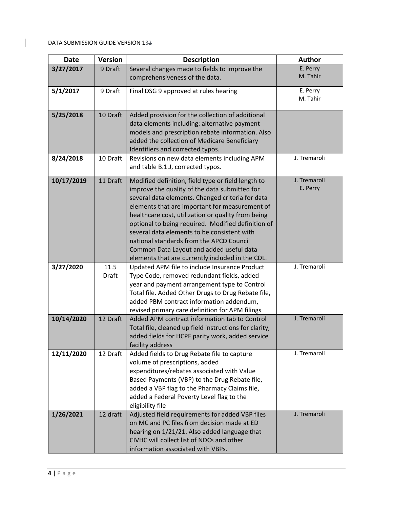$\begin{array}{c} \hline \end{array}$ 

| <b>Date</b> | <b>Version</b>       | <b>Description</b>                                                                                                                                                                                                                                                                                                                                                                                                                                                                                               | <b>Author</b>            |
|-------------|----------------------|------------------------------------------------------------------------------------------------------------------------------------------------------------------------------------------------------------------------------------------------------------------------------------------------------------------------------------------------------------------------------------------------------------------------------------------------------------------------------------------------------------------|--------------------------|
| 3/27/2017   | 9 Draft              | Several changes made to fields to improve the                                                                                                                                                                                                                                                                                                                                                                                                                                                                    | E. Perry                 |
|             |                      | comprehensiveness of the data.                                                                                                                                                                                                                                                                                                                                                                                                                                                                                   | M. Tahir                 |
| 5/1/2017    | 9 Draft              | Final DSG 9 approved at rules hearing                                                                                                                                                                                                                                                                                                                                                                                                                                                                            | E. Perry<br>M. Tahir     |
| 5/25/2018   | 10 Draft             | Added provision for the collection of additional<br>data elements including: alternative payment<br>models and prescription rebate information. Also<br>added the collection of Medicare Beneficiary<br>Identifiers and corrected typos.                                                                                                                                                                                                                                                                         | J. Tremaroli             |
| 8/24/2018   | 10 Draft             | Revisions on new data elements including APM<br>and table B.1.J, corrected typos.                                                                                                                                                                                                                                                                                                                                                                                                                                |                          |
| 10/17/2019  | 11 Draft             | Modified definition, field type or field length to<br>improve the quality of the data submitted for<br>several data elements. Changed criteria for data<br>elements that are important for measurement of<br>healthcare cost, utilization or quality from being<br>optional to being required. Modified definition of<br>several data elements to be consistent with<br>national standards from the APCD Council<br>Common Data Layout and added useful data<br>elements that are currently included in the CDL. | J. Tremaroli<br>E. Perry |
| 3/27/2020   | 11.5<br><b>Draft</b> | Updated APM file to include Insurance Product<br>Type Code, removed redundant fields, added<br>year and payment arrangement type to Control<br>Total file. Added Other Drugs to Drug Rebate file,<br>added PBM contract information addendum,<br>revised primary care definition for APM filings                                                                                                                                                                                                                 | J. Tremaroli             |
| 10/14/2020  | 12 Draft             | Added APM contract information tab to Control<br>Total file, cleaned up field instructions for clarity,<br>added fields for HCPF parity work, added service<br>facility address                                                                                                                                                                                                                                                                                                                                  | J. Tremaroli             |
| 12/11/2020  | 12 Draft             | Added fields to Drug Rebate file to capture<br>volume of prescriptions, added<br>expenditures/rebates associated with Value<br>Based Payments (VBP) to the Drug Rebate file,<br>added a VBP flag to the Pharmacy Claims file,<br>added a Federal Poverty Level flag to the<br>eligibility file                                                                                                                                                                                                                   | J. Tremaroli             |
| 1/26/2021   | 12 draft             | Adjusted field requirements for added VBP files<br>on MC and PC files from decision made at ED<br>hearing on 1/21/21. Also added language that<br>CIVHC will collect list of NDCs and other<br>information associated with VBPs.                                                                                                                                                                                                                                                                                 | J. Tremaroli             |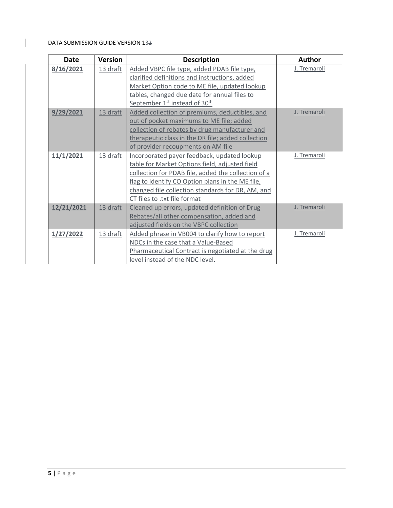$\overline{\phantom{a}}$ 

| <b>Date</b> | <b>Version</b> | <b>Description</b>                                    | <b>Author</b> |
|-------------|----------------|-------------------------------------------------------|---------------|
| 8/16/2021   | 13 draft       | Added VBPC file type, added PDAB file type,           | J. Tremaroli  |
|             |                | clarified definitions and instructions, added         |               |
|             |                | Market Option code to ME file, updated lookup         |               |
|             |                | tables, changed due date for annual files to          |               |
|             |                | September 1 <sup>st</sup> instead of 30 <sup>th</sup> |               |
| 9/29/2021   | 13 draft       | Added collection of premiums, deductibles, and        | J. Tremaroli  |
|             |                | out of pocket maximums to ME file; added              |               |
|             |                | collection of rebates by drug manufacturer and        |               |
|             |                | therapeutic class in the DR file; added collection    |               |
|             |                | of provider recoupments on AM file                    |               |
| 11/1/2021   | 13 draft       | Incorporated payer feedback, updated lookup           | J. Tremaroli  |
|             |                | table for Market Options field, adjusted field        |               |
|             |                | collection for PDAB file, added the collection of a   |               |
|             |                | flag to identify CO Option plans in the ME file,      |               |
|             |                | changed file collection standards for DR, AM, and     |               |
|             |                | CT files to .txt file format                          |               |
| 12/21/2021  | 13 draft       | Cleaned up errors, updated definition of Drug         | J. Tremaroli  |
|             |                | Rebates/all other compensation, added and             |               |
|             |                | adjusted fields on the VBPC collection                |               |
| 1/27/2022   | 13 draft       | Added phrase in VB004 to clarify how to report        | J. Tremaroli  |
|             |                | NDCs in the case that a Value-Based                   |               |
|             |                | Pharmaceutical Contract is negotiated at the drug     |               |
|             |                | level instead of the NDC level.                       |               |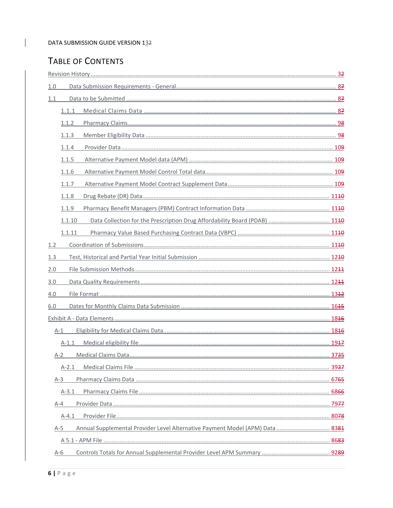# TABLE OF CONTENTS

 $\overline{1}$ 

| 1.0     |         |                                                                               |  |
|---------|---------|-------------------------------------------------------------------------------|--|
| 1.1     |         |                                                                               |  |
|         | 1.1.1   |                                                                               |  |
|         | 1.1.2   |                                                                               |  |
|         | 1.1.3   |                                                                               |  |
|         | 1.1.4   |                                                                               |  |
|         | 1.1.5   |                                                                               |  |
|         | 1.1.6   |                                                                               |  |
|         | 1.1.7   |                                                                               |  |
|         | 1.1.8   |                                                                               |  |
|         | 1.1.9   |                                                                               |  |
|         | 1.1.10  | Data Collection for the Prescription Drug Affordability Board (PDAB)  1140    |  |
|         | 1.1.11  |                                                                               |  |
| 1.2     |         |                                                                               |  |
| 1.3     |         |                                                                               |  |
| 2.0     |         |                                                                               |  |
| 3.0     |         |                                                                               |  |
| 4.0     |         |                                                                               |  |
| 6.0     |         |                                                                               |  |
|         |         |                                                                               |  |
| $A-1$   |         |                                                                               |  |
|         | $A-1.1$ |                                                                               |  |
| $A-2$   |         |                                                                               |  |
|         | $A-2.1$ |                                                                               |  |
| $A-3$   |         |                                                                               |  |
|         | $A-3.1$ |                                                                               |  |
| $A - 4$ |         |                                                                               |  |
|         | $A-4.1$ |                                                                               |  |
| $A-5$   |         | Annual Supplemental Provider Level Alternative Payment Model (APM) Data  8381 |  |
|         |         |                                                                               |  |
| $A-6$   |         |                                                                               |  |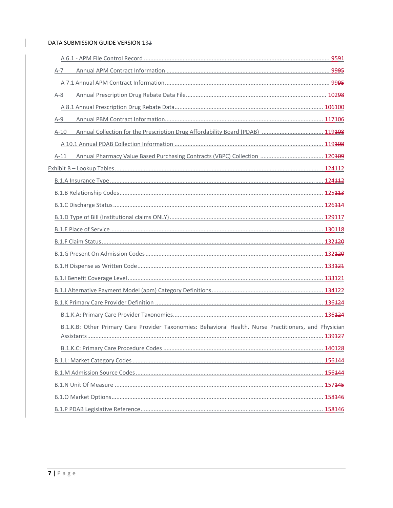$\overline{\phantom{a}}$ 

| $A-7$                                                                                                  |  |
|--------------------------------------------------------------------------------------------------------|--|
|                                                                                                        |  |
| $A-8$                                                                                                  |  |
|                                                                                                        |  |
| $A-9$                                                                                                  |  |
| Annual Collection for the Prescription Drug Affordability Board (PDAB)  119408<br>$A-10$               |  |
|                                                                                                        |  |
| $A-11$                                                                                                 |  |
|                                                                                                        |  |
|                                                                                                        |  |
|                                                                                                        |  |
|                                                                                                        |  |
|                                                                                                        |  |
|                                                                                                        |  |
|                                                                                                        |  |
|                                                                                                        |  |
|                                                                                                        |  |
|                                                                                                        |  |
|                                                                                                        |  |
|                                                                                                        |  |
|                                                                                                        |  |
| B.1.K.B: Other Primary Care Provider Taxonomies: Behavioral Health. Nurse Practitioners, and Physician |  |
|                                                                                                        |  |
|                                                                                                        |  |
|                                                                                                        |  |
|                                                                                                        |  |
|                                                                                                        |  |
|                                                                                                        |  |
|                                                                                                        |  |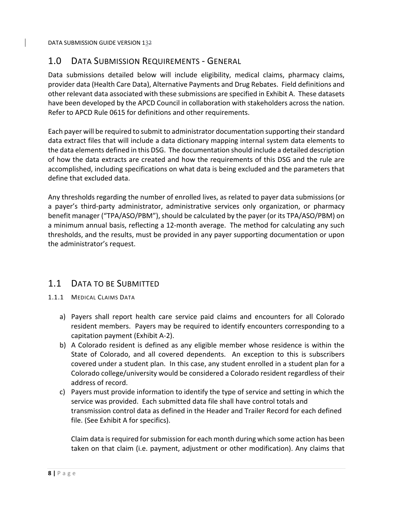# 1.0 DATA SUBMISSION REQUIREMENTS ‐ GENERAL

Data submissions detailed below will include eligibility, medical claims, pharmacy claims, provider data (Health Care Data), Alternative Payments and Drug Rebates. Field definitions and other relevant data associated with these submissions are specified in Exhibit A. These datasets have been developed by the APCD Council in collaboration with stakeholders across the nation. Refer to APCD Rule 0615 for definitions and other requirements.

Each payer will be required to submit to administrator documentation supporting theirstandard data extract files that will include a data dictionary mapping internal system data elements to the data elements defined in this DSG. The documentation should include a detailed description of how the data extracts are created and how the requirements of this DSG and the rule are accomplished, including specifications on what data is being excluded and the parameters that define that excluded data.

Any thresholds regarding the number of enrolled lives, as related to payer data submissions (or a payer's third‐party administrator, administrative services only organization, or pharmacy benefit manager ("TPA/ASO/PBM"), should be calculated by the payer (or its TPA/ASO/PBM) on a minimum annual basis, reflecting a 12‐month average. The method for calculating any such thresholds, and the results, must be provided in any payer supporting documentation or upon the administrator's request.

# 1.1 DATA TO BE SUBMITTED

- 1.1.1 MEDICAL CLAIMS DATA
	- a) Payers shall report health care service paid claims and encounters for all Colorado resident members. Payers may be required to identify encounters corresponding to a capitation payment (Exhibit A‐2).
	- b) A Colorado resident is defined as any eligible member whose residence is within the State of Colorado, and all covered dependents. An exception to this is subscribers covered under a student plan. In this case, any student enrolled in a student plan for a Colorado college/university would be considered a Colorado resident regardless of their address of record.
	- c) Payers must provide information to identify the type of service and setting in which the service was provided. Each submitted data file shall have control totals and transmission control data as defined in the Header and Trailer Record for each defined file. (See Exhibit A for specifics).

Claim data is required for submission for each month during which some action has been taken on that claim (i.e. payment, adjustment or other modification). Any claims that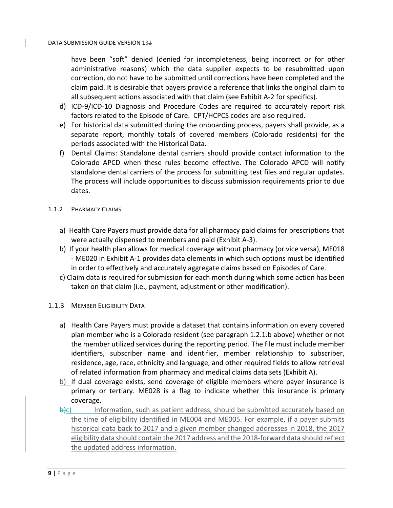have been "soft" denied (denied for incompleteness, being incorrect or for other administrative reasons) which the data supplier expects to be resubmitted upon correction, do not have to be submitted until corrections have been completed and the claim paid. It is desirable that payers provide a reference that links the original claim to all subsequent actions associated with that claim (see Exhibit A‐2 for specifics).

- d) ICD‐9/ICD‐10 Diagnosis and Procedure Codes are required to accurately report risk factors related to the Episode of Care. CPT/HCPCS codes are also required.
- e) For historical data submitted during the onboarding process, payers shall provide, as a separate report, monthly totals of covered members (Colorado residents) for the periods associated with the Historical Data.
- f) Dental Claims: Standalone dental carriers should provide contact information to the Colorado APCD when these rules become effective. The Colorado APCD will notify standalone dental carriers of the process for submitting test files and regular updates. The process will include opportunities to discuss submission requirements prior to due dates.
- 1.1.2 PHARMACY CLAIMS
	- a) Health Care Payers must provide data for all pharmacy paid claims for prescriptions that were actually dispensed to members and paid (Exhibit A‐3).
	- b) If your health plan allows for medical coverage without pharmacy (or vice versa), ME018 ‐ ME020 in Exhibit A‐1 provides data elements in which such options must be identified in order to effectively and accurately aggregate claims based on Episodes of Care.
	- c) Claim data is required for submission for each month during which some action has been taken on that claim (i.e., payment, adjustment or other modification).
- 1.1.3 MEMBER ELIGIBILITY DATA
	- a) Health Care Payers must provide a dataset that contains information on every covered plan member who is a Colorado resident (see paragraph 1.2.1.b above) whether or not the member utilized services during the reporting period. The file must include member identifiers, subscriber name and identifier, member relationship to subscriber, residence, age, race, ethnicity and language, and other required fields to allow retrieval of related information from pharmacy and medical claims data sets (Exhibit A).
	- b) If dual coverage exists, send coverage of eligible members where payer insurance is primary or tertiary. ME028 is a flag to indicate whether this insurance is primary coverage.
	- $\Theta(c)$  Information, such as patient address, should be submitted accurately based on the time of eligibility identified in ME004 and ME005. For example, if a payer submits historical data back to 2017 and a given member changed addresses in 2018, the 2017 eligibility data should contain the 2017 address and the 2018‐forward data should reflect the updated address information.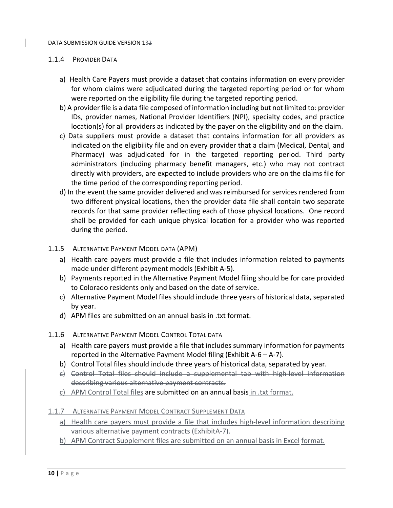## 1.1.4 PROVIDER DATA

- a) Health Care Payers must provide a dataset that contains information on every provider for whom claims were adjudicated during the targeted reporting period or for whom were reported on the eligibility file during the targeted reporting period.
- b) A provider file is a data file composed of information including but not limited to: provider IDs, provider names, National Provider Identifiers (NPI), specialty codes, and practice location(s) for all providers as indicated by the payer on the eligibility and on the claim.
- c) Data suppliers must provide a dataset that contains information for all providers as indicated on the eligibility file and on every provider that a claim (Medical, Dental, and Pharmacy) was adjudicated for in the targeted reporting period. Third party administrators (including pharmacy benefit managers, etc.) who may not contract directly with providers, are expected to include providers who are on the claims file for the time period of the corresponding reporting period.
- d) In the event the same provider delivered and was reimbursed for services rendered from two different physical locations, then the provider data file shall contain two separate records for that same provider reflecting each of those physical locations. One record shall be provided for each unique physical location for a provider who was reported during the period.
- 1.1.5 ALTERNATIVE PAYMENT MODEL DATA (APM)
	- a) Health care payers must provide a file that includes information related to payments made under different payment models (Exhibit A‐5).
	- b) Payments reported in the Alternative Payment Model filing should be for care provided to Colorado residents only and based on the date of service.
	- c) Alternative Payment Model files should include three years of historical data, separated by year.
	- d) APM files are submitted on an annual basis in .txt format.
- 1.1.6 ALTERNATIVE PAYMENT MODEL CONTROL TOTAL DATA
	- a) Health care payers must provide a file that includes summary information for payments reported in the Alternative Payment Model filing (Exhibit A-6 – A-7).
	- b) Control Total files should include three years of historical data, separated by year.
	- c) Control Total files should include a supplemental tab with high‐level information describing various alternative payment contracts.
	- c) APM Control Total files are submitted on an annual basis in .txt format.
- 1.1.7 ALTERNATIVE PAYMENT MODEL CONTRACT SUPPLEMENT DATA
	- a) Health care payers must provide a file that includes high‐level information describing various alternative payment contracts (ExhibitA‐7).
	- b) APM Contract Supplement files are submitted on an annual basis in Excel format.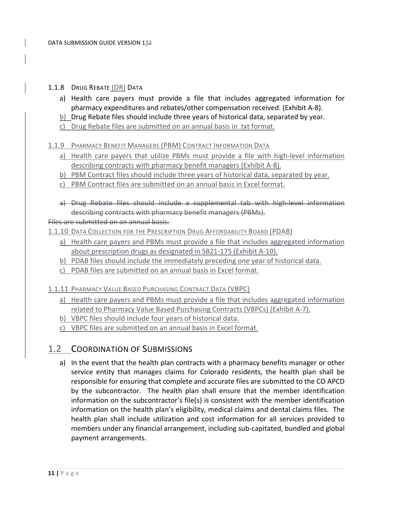## 1.1.8 DRUG REBATE (DR) DATA

- a) Health care payers must provide a file that includes aggregated information for pharmacy expenditures and rebates/other compensation received. (Exhibit A‐8).
- b) Drug Rebate files should include three years of historical data, separated by year.
- c) Drug Rebate files are submitted on an annual basis in .txt format.

## 1.1.9 PHARMACY BENEFIT MANAGERS (PBM) CONTRACT INFORMATION DATA

- a) Health care payers that utilize PBMs must provide a file with high-level information describing contracts with pharmacy benefit managers (Exhibit A‐8).
- b) PBM Contract files should include three years of historical data, separated by year.
- c) PBM Contract files are submitted on an annual basis in Excel format.
- a) Drug Rebate files should include a supplemental tab with high-level information describing contracts with pharmacy benefit managers (PBMs).

## Files are submitted on an annual basis.

1.1.10 DATA COLLECTION FOR THE PRESCRIPTION DRUG AFFORDABILITY BOARD (PDAB)

- a) Health care payers and PBMs must provide a file that includes aggregated information about prescription drugs as designated in SB21‐175 (Exhibit A‐10).
- b) PDAB files should include the immediately preceding one year of historical data.
- c) PDAB files are submitted on an annual basis in Excel format.

1.1.11 PHARMACY VALUE BASED PURCHASING CONTRACT DATA (VBPC)

- a) Health care payers and PBMs must provide a file that includes aggregated information related to Pharmacy Value Based Purchasing Contracts (VBPCs) (Exhibit A‐7).
- b) VBPC files should include four years of historical data.
- c) VBPC files are submitted on an annual basis in Excel format.

# 1.2 COORDINATION OF SUBMISSIONS

a) In the event that the health plan contracts with a pharmacy benefits manager or other service entity that manages claims for Colorado residents, the health plan shall be responsible for ensuring that complete and accurate files are submitted to the CO APCD by the subcontractor. The health plan shall ensure that the member identification information on the subcontractor's file(s) is consistent with the member identification information on the health plan's eligibility, medical claims and dental claims files. The health plan shall include utilization and cost information for all services provided to members under any financial arrangement, including sub‐capitated, bundled and global payment arrangements.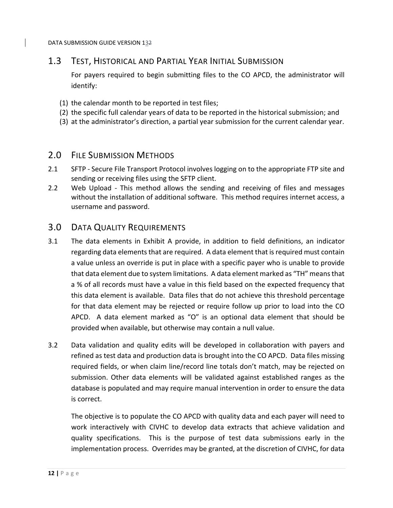# 1.3 TEST, HISTORICAL AND PARTIAL YEAR INITIAL SUBMISSION

For payers required to begin submitting files to the CO APCD, the administrator will identify:

- (1) the calendar month to be reported in test files;
- (2) the specific full calendar years of data to be reported in the historical submission; and
- (3) at the administrator's direction, a partial year submission for the current calendar year.

## 2.0 FILE SUBMISSION METHODS

- 2.1 SFTP Secure File Transport Protocol involves logging on to the appropriate FTP site and sending or receiving files using the SFTP client.
- 2.2 Web Upload This method allows the sending and receiving of files and messages without the installation of additional software. This method requires internet access, a username and password.

## 3.0 DATA QUALITY REQUIREMENTS

- 3.1 The data elements in Exhibit A provide, in addition to field definitions, an indicator regarding data elements that are required. A data element that is required must contain a value unless an override is put in place with a specific payer who is unable to provide that data element due to system limitations. A data element marked as "TH" meansthat a % of all records must have a value in this field based on the expected frequency that this data element is available. Data files that do not achieve this threshold percentage for that data element may be rejected or require follow up prior to load into the CO APCD. A data element marked as "O" is an optional data element that should be provided when available, but otherwise may contain a null value.
- 3.2 Data validation and quality edits will be developed in collaboration with payers and refined as test data and production data is brought into the CO APCD. Data files missing required fields, or when claim line/record line totals don't match, may be rejected on submission. Other data elements will be validated against established ranges as the database is populated and may require manual intervention in order to ensure the data is correct.

The objective is to populate the CO APCD with quality data and each payer will need to work interactively with CIVHC to develop data extracts that achieve validation and quality specifications. This is the purpose of test data submissions early in the implementation process. Overrides may be granted, at the discretion of CIVHC, for data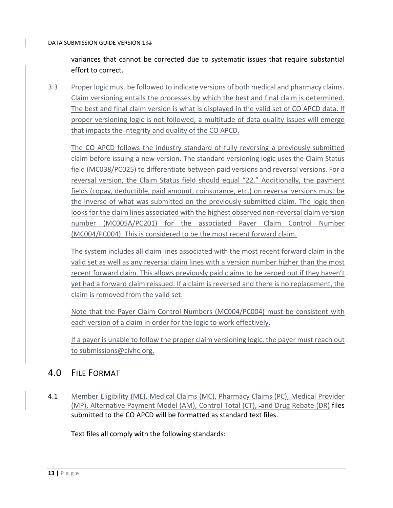variances that cannot be corrected due to systematic issues that require substantial effort to correct.

3.3 Proper logic must be followed to indicate versions of both medical and pharmacy claims. Claim versioning entails the processes by which the best and final claim is determined. The best and final claim version is what is displayed in the valid set of CO APCD data. If proper versioning logic is not followed, a multitude of data quality issues will emerge that impacts the integrity and quality of the CO APCD.

The CO APCD follows the industry standard of fully reversing a previously-submitted claim before issuing a new version. The standard versioning logic uses the Claim Status field (MC038/PC025) to differentiate between paid versions and reversal versions. For a reversal version, the Claim Status field should equal "22." Additionally, the payment fields (copay, deductible, paid amount, coinsurance, etc.) on reversal versions must be the inverse of what was submitted on the previously‐submitted claim. The logic then looks for the claim lines associated with the highest observed non-reversal claim version number (MC005A/PC201) for the associated Payer Claim Control Number (MC004/PC004). This is considered to be the most recent forward claim.

The system includes all claim lines associated with the most recent forward claim in the valid set as well as any reversal claim lines with a version number higher than the most recent forward claim. This allows previously paid claims to be zeroed out if they haven't yet had a forward claim reissued. If a claim is reversed and there is no replacement, the claim is removed from the valid set.

Note that the Payer Claim Control Numbers (MC004/PC004) must be consistent with each version of a claim in order for the logic to work effectively.

If a payer is unable to follow the proper claim versioning logic, the payer must reach out to submissions@civhc.org.

# 4.0 FILE FORMAT

4.1 Member Eligibility (ME), Medical Claims (MC), Pharmacy Claims (PC), Medical Provider (MP), Alternative Payment Model (AM), Control Total (CT), -and Drug Rebate (DR) files submitted to the CO APCD will be formatted as standard text files.

Text files all comply with the following standards: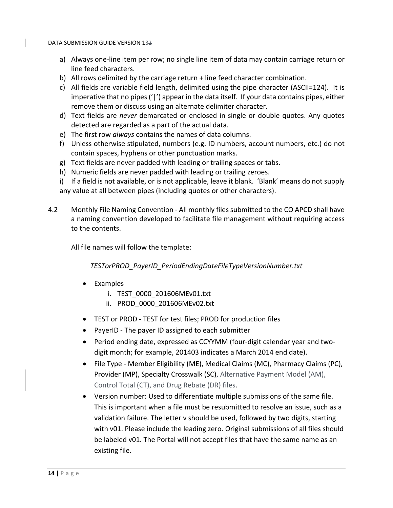- a) Always one-line item per row; no single line item of data may contain carriage return or line feed characters.
- b) All rows delimited by the carriage return + line feed character combination.
- c) All fields are variable field length, delimited using the pipe character (ASCII=124). It is imperative that no pipes('|') appear in the data itself. If your data contains pipes, either remove them or discuss using an alternate delimiter character.
- d) Text fields are *never* demarcated or enclosed in single or double quotes. Any quotes detected are regarded as a part of the actual data.
- e) The first row *always* contains the names of data columns.
- f) Unless otherwise stipulated, numbers (e.g. ID numbers, account numbers, etc.) do not contain spaces, hyphens or other punctuation marks.
- g) Text fields are never padded with leading or trailing spaces or tabs.
- h) Numeric fields are never padded with leading or trailing zeroes.
- i) If a field is not available, or is not applicable, leave it blank. 'Blank' means do not supply any value at all between pipes (including quotes or other characters).
- 4.2 Monthly File Naming Convention ‐ All monthly files submitted to the CO APCD shall have a naming convention developed to facilitate file management without requiring access to the contents.

All file names will follow the template:

*TESTorPROD\_PayerID\_PeriodEndingDateFileTypeVersionNumber.txt*

- Examples
	- i. TEST\_0000\_201606MEv01.txt
	- ii. PROD\_0000\_201606MEv02.txt
- TEST or PROD TEST for test files; PROD for production files
- PayerID The payer ID assigned to each submitter
- Period ending date, expressed as CCYYMM (four-digit calendar year and twodigit month; for example, 201403 indicates a March 2014 end date).
- File Type ‐ Member Eligibility (ME), Medical Claims (MC), Pharmacy Claims (PC), Provider (MP), Specialty Crosswalk (SC), Alternative Payment Model (AM), Control Total (CT), and Drug Rebate (DR) files.
- Version number: Used to differentiate multiple submissions of the same file. This is important when a file must be resubmitted to resolve an issue, such as a validation failure. The letter v should be used, followed by two digits, starting with v01. Please include the leading zero. Original submissions of all files should be labeled v01. The Portal will not accept files that have the same name as an existing file.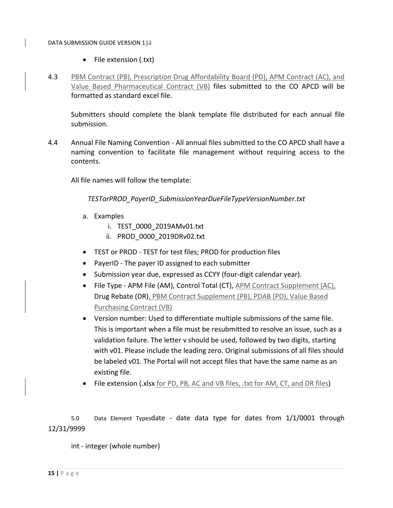- File extension (.txt)
- 4.3 PBM Contract (PB), Prescription Drug Affordability Board (PD), APM Contract (AC), and Value Based Pharmaceutical Contract (VB) files submitted to the CO APCD will be formatted as standard excel file.

Submitters should complete the blank template file distributed for each annual file submission.

4.4 Annual File Naming Convention ‐ All annual files submitted to the CO APCD shall have a naming convention to facilitate file management without requiring access to the contents.

All file names will follow the template:

*TESTorPROD\_PayerID\_SubmissionYearDueFileTypeVersionNumber.txt*

- a. Examples
	- i. TEST\_0000\_2019AMv01.txt
	- ii. PROD\_0000\_2019DRv02.txt
- TEST or PROD TEST for test files; PROD for production files
- PayerID The payer ID assigned to each submitter
- Submission year due, expressed as CCYY (four‐digit calendar year).
- File Type APM File (AM), Control Total (CT), APM Contract Supplement (AC), Drug Rebate (DR), PBM Contract Supplement (PB), PDAB (PD), Value Based Purchasing Contract (VB)
- Version number: Used to differentiate multiple submissions of the same file. This is important when a file must be resubmitted to resolve an issue, such as a validation failure. The letter v should be used, followed by two digits, starting with v01. Please include the leading zero. Original submissions of all files should be labeled v01. The Portal will not accept files that have the same name as an existing file.
- File extension (.xlsx for PD, PB, AC and VB files, .txt for AM, CT, and DR files)

5.0 Data Element Typesdate - date data type for dates from 1/1/0001 through 12/31/9999

int ‐ integer (whole number)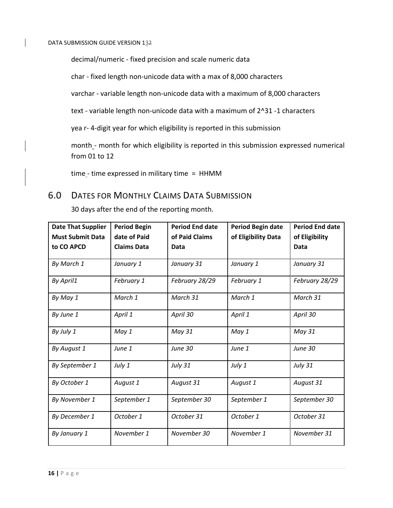decimal/numeric ‐ fixed precision and scale numeric data

char ‐ fixed length non‐unicode data with a max of 8,000 characters

varchar ‐ variable length non‐unicode data with a maximum of 8,000 characters

text - variable length non-unicode data with a maximum of 2^31 -1 characters

yea r‐ 4‐digit year for which eligibility is reported in this submission

month - month for which eligibility is reported in this submission expressed numerical from 01 to 12

 $time$ - time expressed in military time =  $HHMM$ 

# 6.0 DATES FOR MONTHLY CLAIMS DATA SUBMISSION

30 days after the end of the reporting month.

| <b>Date That Supplier</b> | <b>Period Begin</b> | <b>Period End date</b> | <b>Period Begin date</b> | <b>Period End date</b> |
|---------------------------|---------------------|------------------------|--------------------------|------------------------|
| <b>Must Submit Data</b>   | date of Paid        | of Paid Claims         | of Eligibility Data      | of Eligibility         |
| to CO APCD                | <b>Claims Data</b>  | Data                   |                          | Data                   |
| By March 1                | January 1           | January 31             | January 1                | January 31             |
| By April1                 | February 1          | February 28/29         | February 1               | February 28/29         |
| By May 1                  | March 1             | March 31               | March 1                  | March 31               |
| By June 1                 | April 1             | April 30               | April 1                  | April 30               |
| By July 1                 | May 1               | May 31                 | May 1                    | May 31                 |
| By August 1               | June 1              | June 30                | June 1                   | June 30                |
| By September 1            | July 1              | <b>July 31</b>         | July 1                   | <b>July 31</b>         |
| By October 1              | August 1            | August 31              | August 1                 | August 31              |
| By November 1             | September 1         | September 30           | September 1              | September 30           |
| By December 1             | October 1           | October 31             | October 1                | October 31             |
| By January 1              | November 1          | November 30            | November 1               | November 31            |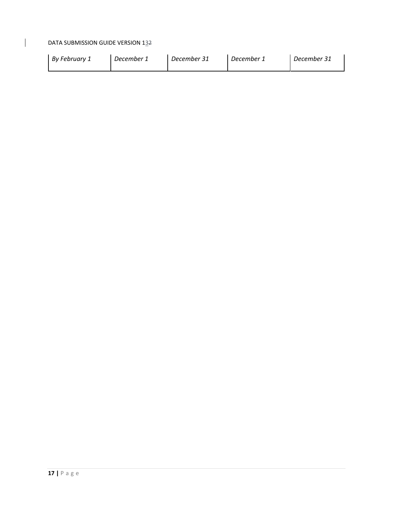$\overline{1}$ 

| By February 1 | December 1 | December 31 | December 1 | December 31 |
|---------------|------------|-------------|------------|-------------|
|---------------|------------|-------------|------------|-------------|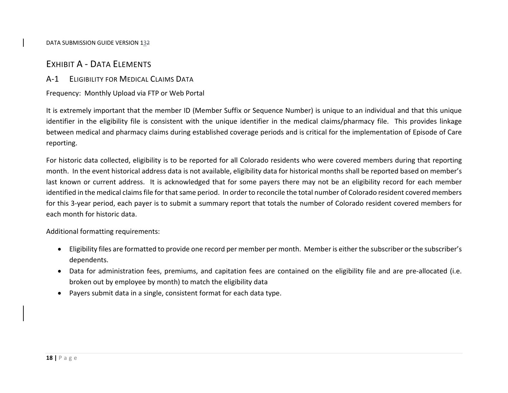## EXHIBIT A ‐ DATA ELEMENTS

## A‐1 ELIGIBILITY FOR MEDICAL CLAIMS DATA

Frequency: Monthly Upload via FTP or Web Portal

It is extremely important that the member ID (Member Suffix or Sequence Number) is unique to an individual and that this unique identifier in the eligibility file is consistent with the unique identifier in the medical claims/pharmacy file. This provides linkage between medical and pharmacy claims during established coverage periods and is critical for the implementation of Episode of Care reporting.

For historic data collected, eligibility is to be reported for all Colorado residents who were covered members during that reporting month. In the event historical address data is not available, eligibility data for historical months shall be reported based on member's last known or current address. It is acknowledged that for some payers there may not be an eligibility record for each member identified in the medical claims file for that same period. In order to reconcile the total number of Colorado resident covered members for this 3‐year period, each payer is to submit <sup>a</sup> summary report that totals the number of Colorado resident covered members for each month for historic data.

Additional formatting requirements:

- Eligibility files are formatted to provide one record per member per month. Member is either the subscriber or the subscriber's dependents.
- Data for administration fees, premiums, and capitation fees are contained on the eligibility file and are pre-allocated (i.e. broken out by employee by month) to match the eligibility data
- Payers submit data in <sup>a</sup> single, consistent format for each data type.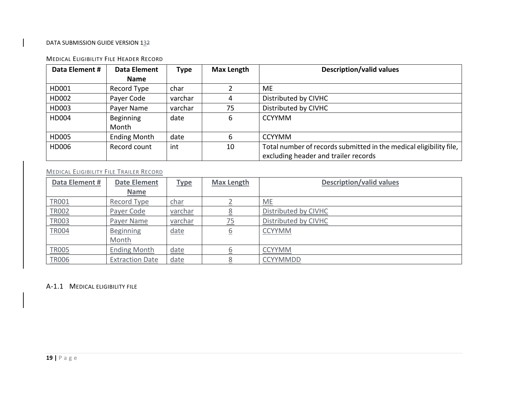#### MEDICAL ELIGIBILITY FILE HEADER RECORD

| Data Element # | Data Element        | <b>Type</b> | <b>Max Length</b> | <b>Description/valid values</b>                                    |
|----------------|---------------------|-------------|-------------------|--------------------------------------------------------------------|
|                | <b>Name</b>         |             |                   |                                                                    |
| HD001          | Record Type         | char        |                   | <b>ME</b>                                                          |
| HD002          | Payer Code          | varchar     | 4                 | Distributed by CIVHC                                               |
| HD003          | Payer Name          | varchar     | 75                | Distributed by CIVHC                                               |
| HD004          | Beginning           | date        | 6                 | <b>CCYYMM</b>                                                      |
|                | Month               |             |                   |                                                                    |
| HD005          | <b>Ending Month</b> | date        | 6                 | <b>CCYYMM</b>                                                      |
| HD006          | Record count        | int         | 10                | Total number of records submitted in the medical eligibility file, |
|                |                     |             |                   | excluding header and trailer records                               |

#### MEDICAL ELIGIBILITY FILE TRAILER RECORD

| Data Element # | <b>Date Element</b>    | <b>Type</b> | <b>Max Length</b>       | <b>Description/valid values</b> |
|----------------|------------------------|-------------|-------------------------|---------------------------------|
|                | <b>Name</b>            |             |                         |                                 |
| TR001          | Record Type            | <u>char</u> |                         | $ME$                            |
| <b>TR002</b>   | Payer Code             | varchar     |                         | Distributed by CIVHC            |
| TR003          | Payer Name             | varchar     | 75                      | Distributed by CIVHC            |
| <b>TR004</b>   | <b>Beginning</b>       | <u>date</u> | $\overline{\mathsf{p}}$ | <b>CCYYMM</b>                   |
|                | Month                  |             |                         |                                 |
| <b>TR005</b>   | <b>Ending Month</b>    | <u>date</u> |                         | <b>CCYYMM</b>                   |
| <b>TR006</b>   | <b>Extraction Date</b> | <u>date</u> |                         | <b>CCYYMMDD</b>                 |

## A‐1.1 MEDICAL ELIGIBILITY FILE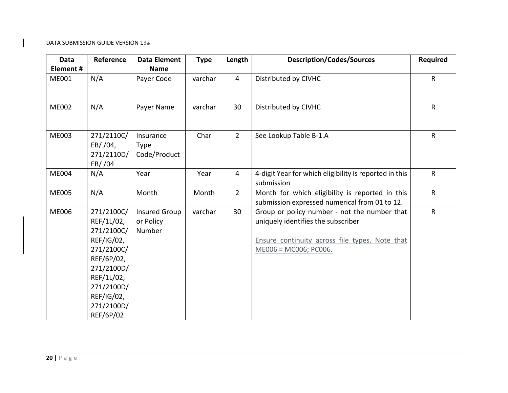| Data<br>Element# | Reference                                                                                                                                                           | <b>Data Element</b><br><b>Name</b>          | <b>Type</b> | Length         | <b>Description/Codes/Sources</b>                                                                                                                              | <b>Required</b> |
|------------------|---------------------------------------------------------------------------------------------------------------------------------------------------------------------|---------------------------------------------|-------------|----------------|---------------------------------------------------------------------------------------------------------------------------------------------------------------|-----------------|
| ME001            | N/A                                                                                                                                                                 | Payer Code                                  | varchar     | $\overline{4}$ | Distributed by CIVHC                                                                                                                                          | $\mathsf{R}$    |
| <b>ME002</b>     | N/A                                                                                                                                                                 | Payer Name                                  | varchar     | 30             | Distributed by CIVHC                                                                                                                                          | $\mathsf{R}$    |
| <b>ME003</b>     | 271/2110C/<br>EB//04,<br>271/2110D/<br>EB//04                                                                                                                       | Insurance<br><b>Type</b><br>Code/Product    | Char        | $\overline{2}$ | See Lookup Table B-1.A                                                                                                                                        | $\mathsf{R}$    |
| <b>ME004</b>     | N/A                                                                                                                                                                 | Year                                        | Year        | $\overline{4}$ | 4-digit Year for which eligibility is reported in this<br>submission                                                                                          | $\mathsf{R}$    |
| <b>ME005</b>     | N/A                                                                                                                                                                 | Month                                       | Month       | $2^{\circ}$    | Month for which eligibility is reported in this<br>submission expressed numerical from 01 to 12.                                                              | $\mathsf R$     |
| <b>ME006</b>     | 271/2100C/<br>REF/1L/02,<br>271/2100C/<br>REF/IG/02,<br>271/2100C/<br>REF/6P/02,<br>271/2100D/<br>REF/1L/02,<br>271/2100D/<br>REF/IG/02,<br>271/2100D/<br>REF/6P/02 | <b>Insured Group</b><br>or Policy<br>Number | varchar     | 30             | Group or policy number - not the number that<br>uniquely identifies the subscriber<br>Ensure continuity across file types. Note that<br>ME006 = MC006; PC006. | $\mathsf{R}$    |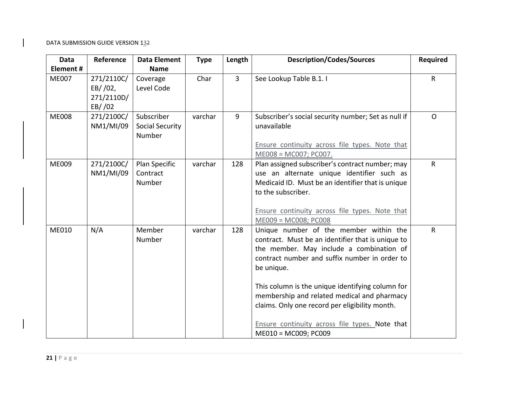| Reference                                     | <b>Data Element</b>                            | <b>Type</b> | Length | <b>Description/Codes/Sources</b>                                                                                                                                                                                                                                                                                                                                                                              | <b>Required</b>                                |
|-----------------------------------------------|------------------------------------------------|-------------|--------|---------------------------------------------------------------------------------------------------------------------------------------------------------------------------------------------------------------------------------------------------------------------------------------------------------------------------------------------------------------------------------------------------------------|------------------------------------------------|
|                                               | <b>Name</b>                                    |             |        |                                                                                                                                                                                                                                                                                                                                                                                                               |                                                |
| 271/2110C/<br>EB/702,<br>271/2110D/<br>EB/702 | Coverage<br>Level Code                         | Char        |        | See Lookup Table B.1. I                                                                                                                                                                                                                                                                                                                                                                                       | $\mathsf{R}$                                   |
| 271/2100C/<br>NM1/MI/09                       | Subscriber<br><b>Social Security</b><br>Number | varchar     | 9      | Subscriber's social security number; Set as null if<br>unavailable<br>Ensure continuity across file types. Note that<br>ME008 = MC007; PC007.                                                                                                                                                                                                                                                                 | $\Omega$                                       |
| 271/2100C/<br>NM1/MI/09                       | Plan Specific<br>Contract<br>Number            | varchar     | 128    | Plan assigned subscriber's contract number; may<br>use an alternate unique identifier such as<br>Medicaid ID. Must be an identifier that is unique<br>to the subscriber.<br>Ensure continuity across file types. Note that                                                                                                                                                                                    | $\mathsf{R}$                                   |
| N/A                                           | Member<br><b>Number</b>                        | varchar     | 128    | Unique number of the member within the<br>contract. Must be an identifier that is unique to<br>the member. May include a combination of<br>contract number and suffix number in order to<br>be unique.<br>This column is the unique identifying column for<br>membership and related medical and pharmacy<br>claims. Only one record per eligibility month.<br>Ensure continuity across file types. Note that | $\mathsf{R}$                                   |
|                                               |                                                |             |        | $\overline{3}$                                                                                                                                                                                                                                                                                                                                                                                                | $ME009 = MC008; PC008$<br>ME010 = MC009; PC009 |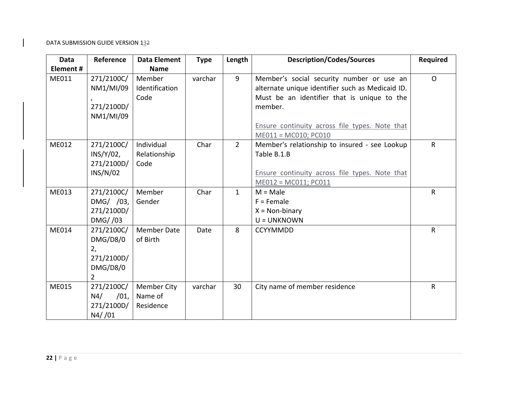| <b>Data</b>  | Reference      | <b>Data Element</b> | <b>Type</b> | Length      | <b>Description/Codes/Sources</b>                 | <b>Required</b> |
|--------------|----------------|---------------------|-------------|-------------|--------------------------------------------------|-----------------|
| Element #    |                | <b>Name</b>         |             |             |                                                  |                 |
| ME011        | 271/2100C/     | Member              | varchar     | 9           | Member's social security number or use an        | $\Omega$        |
|              | NM1/MI/09      | Identification      |             |             | alternate unique identifier such as Medicaid ID. |                 |
|              |                | Code                |             |             | Must be an identifier that is unique to the      |                 |
|              | 271/2100D/     |                     |             |             | member.                                          |                 |
|              | NM1/MI/09      |                     |             |             |                                                  |                 |
|              |                |                     |             |             | Ensure continuity across file types. Note that   |                 |
|              |                |                     |             |             | ME011 = MC010; PC010                             |                 |
| ME012        | 271/2100C/     | Individual          | Char        | $2^{\circ}$ | Member's relationship to insured - see Lookup    | $\mathsf{R}$    |
|              | $INS/Y/02$ ,   | Relationship        |             |             | Table B.1.B                                      |                 |
|              | 271/2100D/     | Code                |             |             |                                                  |                 |
|              | INS/N/02       |                     |             |             | Ensure continuity across file types. Note that   |                 |
|              |                |                     |             |             | ME012 = MC011; PC011                             |                 |
| ME013        | 271/2100C/     | Member              | Char        | $\mathbf 1$ | $M = Male$                                       | $\mathsf{R}$    |
|              | DMG/ /03,      | Gender              |             |             | $F =$ Female                                     |                 |
|              | 271/2100D/     |                     |             |             | $X = Non-binary$                                 |                 |
|              | DMG / 03       |                     |             |             | U = UNKNOWN                                      |                 |
| <b>ME014</b> | 271/2100C/     | <b>Member Date</b>  | Date        | 8           | <b>CCYYMMDD</b>                                  | $\mathsf{R}$    |
|              | DMG/D8/0       | of Birth            |             |             |                                                  |                 |
|              | 2,             |                     |             |             |                                                  |                 |
|              | 271/2100D/     |                     |             |             |                                                  |                 |
|              | DMG/D8/0       |                     |             |             |                                                  |                 |
|              | $\overline{2}$ |                     |             |             |                                                  |                 |
| <b>ME015</b> | 271/2100C/     | Member City         | varchar     | 30          | City name of member residence                    | $\mathsf{R}$    |
|              | N4/<br>/01,    | Name of             |             |             |                                                  |                 |
|              | 271/2100D/     | Residence           |             |             |                                                  |                 |
|              | $N4/$ /01      |                     |             |             |                                                  |                 |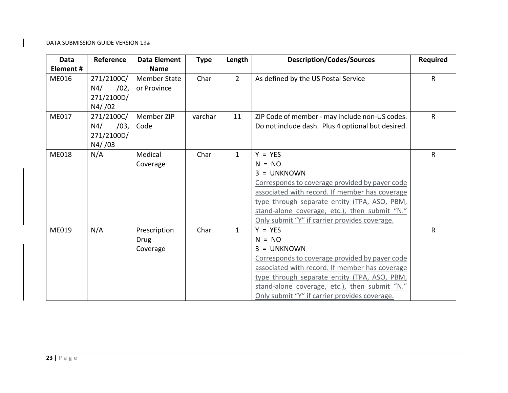| <b>Data</b>  | Reference                                         | <b>Data Element</b>                     | <b>Type</b> | Length       | <b>Description/Codes/Sources</b>                                                                                                                                                                                                                                                             | <b>Required</b> |
|--------------|---------------------------------------------------|-----------------------------------------|-------------|--------------|----------------------------------------------------------------------------------------------------------------------------------------------------------------------------------------------------------------------------------------------------------------------------------------------|-----------------|
| Element#     |                                                   | <b>Name</b>                             |             |              |                                                                                                                                                                                                                                                                                              |                 |
| ME016        | 271/2100C/<br>N4/<br>/02,<br>271/2100D/<br>N4//02 | <b>Member State</b><br>or Province      | Char        | $2^{\circ}$  | As defined by the US Postal Service                                                                                                                                                                                                                                                          | R               |
| ME017        | 271/2100C/<br>N4/<br>/03,<br>271/2100D/<br>N4//03 | Member ZIP<br>Code                      | varchar     | 11           | ZIP Code of member - may include non-US codes.<br>Do not include dash. Plus 4 optional but desired.                                                                                                                                                                                          | R               |
| <b>ME018</b> | N/A                                               | Medical<br>Coverage                     | Char        | $\mathbf{1}$ | $Y = YES$<br>$N = NO$<br>$3 = UNKNOWN$<br>Corresponds to coverage provided by payer code<br>associated with record. If member has coverage<br>type through separate entity (TPA, ASO, PBM,<br>stand-alone coverage, etc.), then submit "N."<br>Only submit "Y" if carrier provides coverage. | R               |
| ME019        | N/A                                               | Prescription<br><b>Drug</b><br>Coverage | Char        | $\mathbf{1}$ | $Y = YES$<br>$N = NO$<br>$3 = UNKNOWN$<br>Corresponds to coverage provided by payer code<br>associated with record. If member has coverage<br>type through separate entity (TPA, ASO, PBM,<br>stand-alone coverage, etc.), then submit "N."<br>Only submit "Y" if carrier provides coverage. | R.              |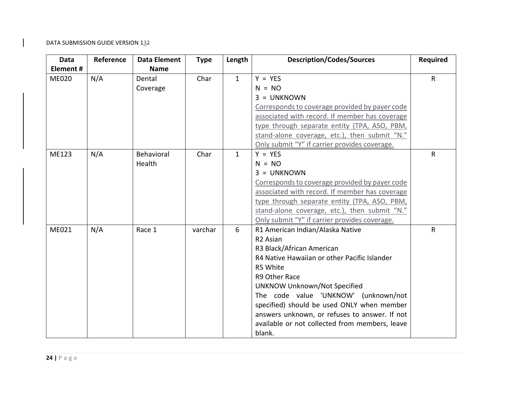| <b>Data</b>  | Reference | <b>Data Element</b> | <b>Type</b> | Length       | <b>Description/Codes/Sources</b>               | <b>Required</b> |
|--------------|-----------|---------------------|-------------|--------------|------------------------------------------------|-----------------|
| Element#     |           | <b>Name</b>         |             |              |                                                |                 |
| <b>ME020</b> | N/A       | Dental              | Char        | $\mathbf{1}$ | $Y = YES$                                      | R               |
|              |           | Coverage            |             |              | $N = NO$                                       |                 |
|              |           |                     |             |              | $3 = UNKNOWN$                                  |                 |
|              |           |                     |             |              | Corresponds to coverage provided by payer code |                 |
|              |           |                     |             |              | associated with record. If member has coverage |                 |
|              |           |                     |             |              | type through separate entity (TPA, ASO, PBM,   |                 |
|              |           |                     |             |              | stand-alone coverage, etc.), then submit "N."  |                 |
|              |           |                     |             |              | Only submit "Y" if carrier provides coverage.  |                 |
| ME123        | N/A       | Behavioral          | Char        | $\mathbf{1}$ | $Y = YES$                                      | R               |
|              |           | Health              |             |              | $N = NO$                                       |                 |
|              |           |                     |             |              | $3 = UNKNOWN$                                  |                 |
|              |           |                     |             |              | Corresponds to coverage provided by payer code |                 |
|              |           |                     |             |              | associated with record. If member has coverage |                 |
|              |           |                     |             |              | type through separate entity (TPA, ASO, PBM,   |                 |
|              |           |                     |             |              | stand-alone coverage, etc.), then submit "N."  |                 |
|              |           |                     |             |              | Only submit "Y" if carrier provides coverage.  |                 |
| ME021        | N/A       | Race 1              | varchar     | 6            | R1 American Indian/Alaska Native               | R               |
|              |           |                     |             |              | R <sub>2</sub> Asian                           |                 |
|              |           |                     |             |              | R3 Black/African American                      |                 |
|              |           |                     |             |              | R4 Native Hawaiian or other Pacific Islander   |                 |
|              |           |                     |             |              | R5 White                                       |                 |
|              |           |                     |             |              | R9 Other Race                                  |                 |
|              |           |                     |             |              | <b>UNKNOW Unknown/Not Specified</b>            |                 |
|              |           |                     |             |              | The code value 'UNKNOW' (unknown/not           |                 |
|              |           |                     |             |              | specified) should be used ONLY when member     |                 |
|              |           |                     |             |              | answers unknown, or refuses to answer. If not  |                 |
|              |           |                     |             |              | available or not collected from members, leave |                 |
|              |           |                     |             |              | blank.                                         |                 |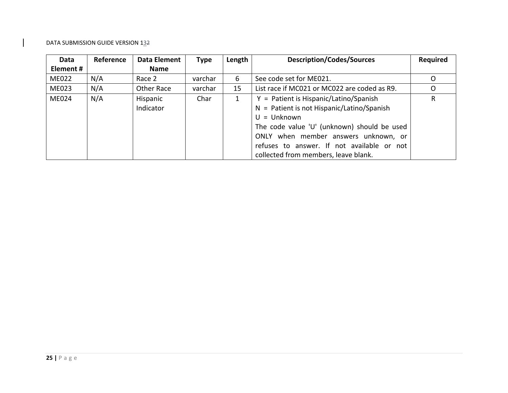| Data         | Reference | Data Element | <b>Type</b> | Length | <b>Description/Codes/Sources</b>             | <b>Required</b> |
|--------------|-----------|--------------|-------------|--------|----------------------------------------------|-----------------|
| Element #    |           | <b>Name</b>  |             |        |                                              |                 |
| <b>ME022</b> | N/A       | Race 2       | varchar     | 6      | See code set for ME021.                      | O               |
| <b>ME023</b> | N/A       | Other Race   | varchar     | 15     | List race if MC021 or MC022 are coded as R9. | O               |
| <b>ME024</b> | N/A       | Hispanic     | Char        |        | $Y =$ Patient is Hispanic/Latino/Spanish     | R               |
|              |           | Indicator    |             |        | $N =$ Patient is not Hispanic/Latino/Spanish |                 |
|              |           |              |             |        | $U =$ Unknown                                |                 |
|              |           |              |             |        | The code value 'U' (unknown) should be used  |                 |
|              |           |              |             |        | ONLY when member answers unknown, or         |                 |
|              |           |              |             |        | refuses to answer. If not available or not   |                 |
|              |           |              |             |        | collected from members, leave blank.         |                 |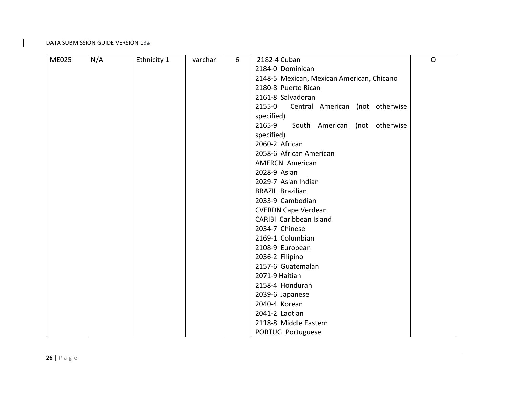| <b>ME025</b> | N/A | Ethnicity 1 | varchar | 6 | 2182-4 Cuban                              | $\Omega$ |
|--------------|-----|-------------|---------|---|-------------------------------------------|----------|
|              |     |             |         |   | 2184-0 Dominican                          |          |
|              |     |             |         |   | 2148-5 Mexican, Mexican American, Chicano |          |
|              |     |             |         |   | 2180-8 Puerto Rican                       |          |
|              |     |             |         |   | 2161-8 Salvadoran                         |          |
|              |     |             |         |   | 2155-0<br>Central American (not otherwise |          |
|              |     |             |         |   | specified)                                |          |
|              |     |             |         |   | 2165-9<br>South American (not otherwise   |          |
|              |     |             |         |   | specified)                                |          |
|              |     |             |         |   | 2060-2 African                            |          |
|              |     |             |         |   | 2058-6 African American                   |          |
|              |     |             |         |   | <b>AMERCN American</b>                    |          |
|              |     |             |         |   | 2028-9 Asian                              |          |
|              |     |             |         |   | 2029-7 Asian Indian                       |          |
|              |     |             |         |   | <b>BRAZIL Brazilian</b>                   |          |
|              |     |             |         |   | 2033-9 Cambodian                          |          |
|              |     |             |         |   | <b>CVERDN Cape Verdean</b>                |          |
|              |     |             |         |   | CARIBI Caribbean Island                   |          |
|              |     |             |         |   | 2034-7 Chinese                            |          |
|              |     |             |         |   | 2169-1 Columbian                          |          |
|              |     |             |         |   | 2108-9 European                           |          |
|              |     |             |         |   | 2036-2 Filipino                           |          |
|              |     |             |         |   | 2157-6 Guatemalan                         |          |
|              |     |             |         |   | 2071-9 Haitian                            |          |
|              |     |             |         |   | 2158-4 Honduran                           |          |
|              |     |             |         |   | 2039-6 Japanese                           |          |
|              |     |             |         |   | 2040-4 Korean                             |          |
|              |     |             |         |   | 2041-2 Laotian                            |          |
|              |     |             |         |   | 2118-8 Middle Eastern                     |          |
|              |     |             |         |   | PORTUG Portuguese                         |          |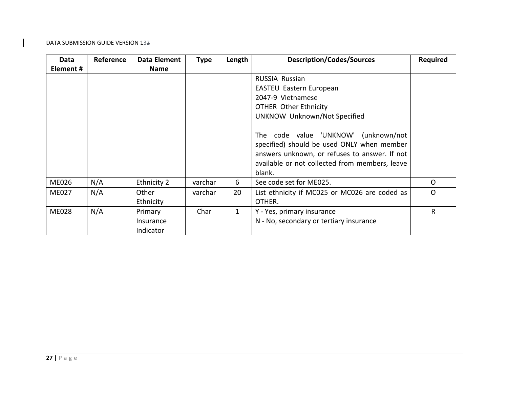| Data         | Reference | Data Element | <b>Type</b> | Length       | <b>Description/Codes/Sources</b>               | <b>Required</b> |
|--------------|-----------|--------------|-------------|--------------|------------------------------------------------|-----------------|
| Element #    |           | <b>Name</b>  |             |              |                                                |                 |
|              |           |              |             |              | <b>RUSSIA Russian</b>                          |                 |
|              |           |              |             |              | <b>EASTEU Eastern European</b>                 |                 |
|              |           |              |             |              | 2047-9 Vietnamese                              |                 |
|              |           |              |             |              | <b>OTHER Other Ethnicity</b>                   |                 |
|              |           |              |             |              | UNKNOW Unknown/Not Specified                   |                 |
|              |           |              |             |              |                                                |                 |
|              |           |              |             |              | The code value 'UNKNOW' (unknown/not           |                 |
|              |           |              |             |              | specified) should be used ONLY when member     |                 |
|              |           |              |             |              | answers unknown, or refuses to answer. If not  |                 |
|              |           |              |             |              | available or not collected from members, leave |                 |
|              |           |              |             |              | blank.                                         |                 |
| <b>ME026</b> | N/A       | Ethnicity 2  | varchar     | 6            | See code set for ME025.                        | O               |
| <b>ME027</b> | N/A       | Other        | varchar     | 20           | List ethnicity if MC025 or MC026 are coded as  | $\circ$         |
|              |           | Ethnicity    |             |              | OTHER.                                         |                 |
| <b>ME028</b> | N/A       | Primary      | Char        | $\mathbf{1}$ | Y - Yes, primary insurance                     | R               |
|              |           | Insurance    |             |              | N - No, secondary or tertiary insurance        |                 |
|              |           | Indicator    |             |              |                                                |                 |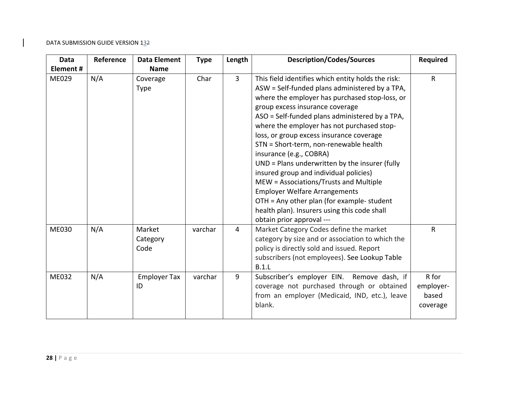| <b>Data</b>  | Reference | <b>Data Element</b>        | <b>Type</b> | Length         | <b>Description/Codes/Sources</b>                                                                                                                                                                                                                                                                                                                                                                                                                                                                                                                                                                                                                                                                                      | <b>Required</b>                         |
|--------------|-----------|----------------------------|-------------|----------------|-----------------------------------------------------------------------------------------------------------------------------------------------------------------------------------------------------------------------------------------------------------------------------------------------------------------------------------------------------------------------------------------------------------------------------------------------------------------------------------------------------------------------------------------------------------------------------------------------------------------------------------------------------------------------------------------------------------------------|-----------------------------------------|
| Element#     |           | <b>Name</b>                |             |                |                                                                                                                                                                                                                                                                                                                                                                                                                                                                                                                                                                                                                                                                                                                       |                                         |
| ME029        | N/A       | Coverage<br>Type           | Char        | $\overline{3}$ | This field identifies which entity holds the risk:<br>ASW = Self-funded plans administered by a TPA,<br>where the employer has purchased stop-loss, or<br>group excess insurance coverage<br>ASO = Self-funded plans administered by a TPA,<br>where the employer has not purchased stop-<br>loss, or group excess insurance coverage<br>STN = Short-term, non-renewable health<br>insurance (e.g., COBRA)<br>$UND = Plans$ underwritten by the insurer (fully<br>insured group and individual policies)<br>MEW = Associations/Trusts and Multiple<br><b>Employer Welfare Arrangements</b><br>OTH = Any other plan (for example- student<br>health plan). Insurers using this code shall<br>obtain prior approval --- | $\mathsf{R}$                            |
| <b>ME030</b> | N/A       | Market<br>Category<br>Code | varchar     | $\overline{4}$ | Market Category Codes define the market<br>category by size and or association to which the<br>policy is directly sold and issued. Report<br>subscribers (not employees). See Lookup Table<br>B.1.L                                                                                                                                                                                                                                                                                                                                                                                                                                                                                                                   | $\mathsf{R}$                            |
| ME032        | N/A       | <b>Employer Tax</b><br>ID  | varchar     | 9              | Subscriber's employer EIN.<br>Remove dash, if<br>coverage not purchased through or obtained<br>from an employer (Medicaid, IND, etc.), leave<br>blank.                                                                                                                                                                                                                                                                                                                                                                                                                                                                                                                                                                | R for<br>employer-<br>based<br>coverage |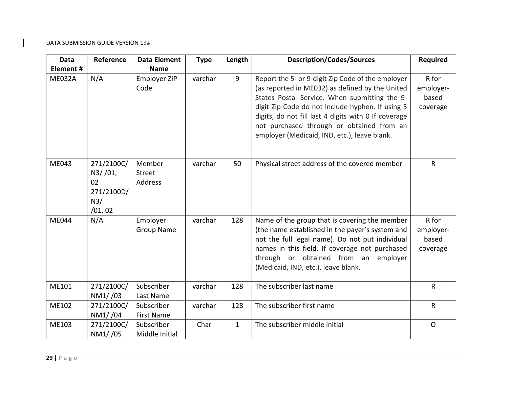| <b>Data</b> | Reference                                                  | <b>Data Element</b>             | <b>Type</b> | Length       | <b>Description/Codes/Sources</b>                                                                                                                                                                                                                                                                                                                               | <b>Required</b>                         |
|-------------|------------------------------------------------------------|---------------------------------|-------------|--------------|----------------------------------------------------------------------------------------------------------------------------------------------------------------------------------------------------------------------------------------------------------------------------------------------------------------------------------------------------------------|-----------------------------------------|
| Element #   |                                                            | <b>Name</b>                     |             |              |                                                                                                                                                                                                                                                                                                                                                                |                                         |
| ME032A      | N/A                                                        | Employer ZIP<br>Code            | varchar     | 9            | Report the 5- or 9-digit Zip Code of the employer<br>(as reported in ME032) as defined by the United<br>States Postal Service. When submitting the 9-<br>digit Zip Code do not include hyphen. If using 5<br>digits, do not fill last 4 digits with 0 If coverage<br>not purchased through or obtained from an<br>employer (Medicaid, IND, etc.), leave blank. | R for<br>employer-<br>based<br>coverage |
| ME043       | 271/2100C/<br>N3//01,<br>02<br>271/2100D/<br>N3/<br>/01,02 | Member<br>Street<br>Address     | varchar     | 50           | Physical street address of the covered member                                                                                                                                                                                                                                                                                                                  | $\mathsf{R}$                            |
| ME044       | N/A                                                        | Employer<br><b>Group Name</b>   | varchar     | 128          | Name of the group that is covering the member<br>(the name established in the payer's system and<br>not the full legal name). Do not put individual<br>names in this field. If coverage not purchased<br>through or obtained from an employer<br>(Medicaid, IND, etc.), leave blank.                                                                           | R for<br>employer-<br>based<br>coverage |
| ME101       | 271/2100C/<br>NM1//03                                      | Subscriber<br>Last Name         | varchar     | 128          | The subscriber last name                                                                                                                                                                                                                                                                                                                                       | R                                       |
| ME102       | 271/2100C/<br>NM1//04                                      | Subscriber<br><b>First Name</b> | varchar     | 128          | The subscriber first name                                                                                                                                                                                                                                                                                                                                      | R                                       |
| ME103       | 271/2100C/<br>NM1//05                                      | Subscriber<br>Middle Initial    | Char        | $\mathbf{1}$ | The subscriber middle initial                                                                                                                                                                                                                                                                                                                                  | $\mathsf{O}$                            |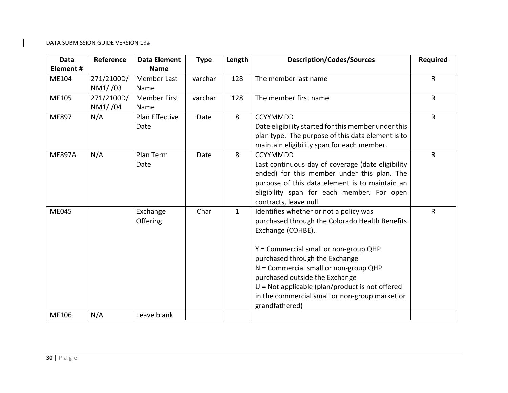| <b>Data</b>   | Reference  | <b>Data Element</b> | <b>Type</b> | Length       | <b>Description/Codes/Sources</b>                    | <b>Required</b> |
|---------------|------------|---------------------|-------------|--------------|-----------------------------------------------------|-----------------|
| Element#      |            | <b>Name</b>         |             |              |                                                     |                 |
| ME104         | 271/2100D/ | <b>Member Last</b>  | varchar     | 128          | The member last name                                | R               |
|               | NM1//03    | Name                |             |              |                                                     |                 |
| ME105         | 271/2100D/ | <b>Member First</b> | varchar     | 128          | The member first name                               | R               |
|               | NM1//04    | Name                |             |              |                                                     |                 |
| ME897         | N/A        | Plan Effective      | Date        | 8            | <b>CCYYMMDD</b>                                     | R               |
|               |            | Date                |             |              | Date eligibility started for this member under this |                 |
|               |            |                     |             |              | plan type. The purpose of this data element is to   |                 |
|               |            |                     |             |              | maintain eligibility span for each member.          |                 |
| <b>ME897A</b> | N/A        | Plan Term           | Date        | 8            | <b>CCYYMMDD</b>                                     | $\mathsf{R}$    |
|               |            | Date                |             |              | Last continuous day of coverage (date eligibility   |                 |
|               |            |                     |             |              | ended) for this member under this plan. The         |                 |
|               |            |                     |             |              | purpose of this data element is to maintain an      |                 |
|               |            |                     |             |              | eligibility span for each member. For open          |                 |
|               |            |                     |             |              | contracts, leave null.                              |                 |
| <b>ME045</b>  |            | Exchange            | Char        | $\mathbf{1}$ | Identifies whether or not a policy was              | R               |
|               |            | Offering            |             |              | purchased through the Colorado Health Benefits      |                 |
|               |            |                     |             |              | Exchange (COHBE).                                   |                 |
|               |            |                     |             |              |                                                     |                 |
|               |            |                     |             |              | Y = Commercial small or non-group QHP               |                 |
|               |            |                     |             |              | purchased through the Exchange                      |                 |
|               |            |                     |             |              | N = Commercial small or non-group QHP               |                 |
|               |            |                     |             |              | purchased outside the Exchange                      |                 |
|               |            |                     |             |              | $U = Not$ applicable (plan/product is not offered   |                 |
|               |            |                     |             |              | in the commercial small or non-group market or      |                 |
|               |            |                     |             |              | grandfathered)                                      |                 |
| ME106         | N/A        | Leave blank         |             |              |                                                     |                 |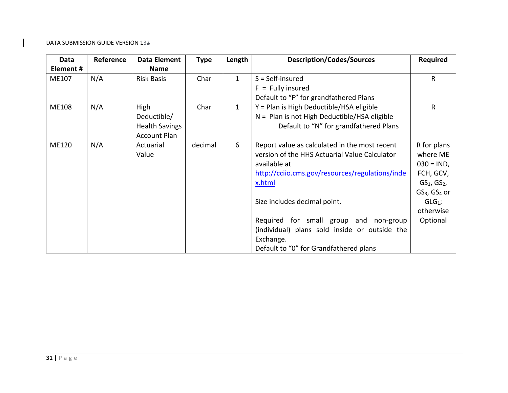| Data         | Reference | <b>Data Element</b>   | <b>Type</b> | Length       | <b>Description/Codes/Sources</b>                | <b>Required</b>  |
|--------------|-----------|-----------------------|-------------|--------------|-------------------------------------------------|------------------|
| Element #    |           | <b>Name</b>           |             |              |                                                 |                  |
| ME107        | N/A       | <b>Risk Basis</b>     | Char        | $\mathbf{1}$ | $S = Self-insured$                              | R                |
|              |           |                       |             |              | $F =$ Fully insured                             |                  |
|              |           |                       |             |              | Default to "F" for grandfathered Plans          |                  |
| <b>ME108</b> | N/A       | High                  | Char        | $\mathbf{1}$ | Y = Plan is High Deductible/HSA eligible        | R                |
|              |           | Deductible/           |             |              | $N =$ Plan is not High Deductible/HSA eligible  |                  |
|              |           | <b>Health Savings</b> |             |              | Default to "N" for grandfathered Plans          |                  |
|              |           | <b>Account Plan</b>   |             |              |                                                 |                  |
| <b>ME120</b> | N/A       | Actuarial             | decimal     | 6            | Report value as calculated in the most recent   | R for plans      |
|              |           | Value                 |             |              | version of the HHS Actuarial Value Calculator   | where ME         |
|              |           |                       |             |              | available at                                    | $030 = IND,$     |
|              |           |                       |             |              | http://cciio.cms.gov/resources/regulations/inde | FCH, GCV,        |
|              |           |                       |             |              | x.html                                          | $GS1$ , $GS2$ ,  |
|              |           |                       |             |              |                                                 | $GS3$ , $GS4$ or |
|              |           |                       |             |              | Size includes decimal point.                    | $GLG_1$ ;        |
|              |           |                       |             |              |                                                 | otherwise        |
|              |           |                       |             |              | Required for small group and non-group          | Optional         |
|              |           |                       |             |              | (individual) plans sold inside or outside the   |                  |
|              |           |                       |             |              | Exchange.                                       |                  |
|              |           |                       |             |              | Default to "0" for Grandfathered plans          |                  |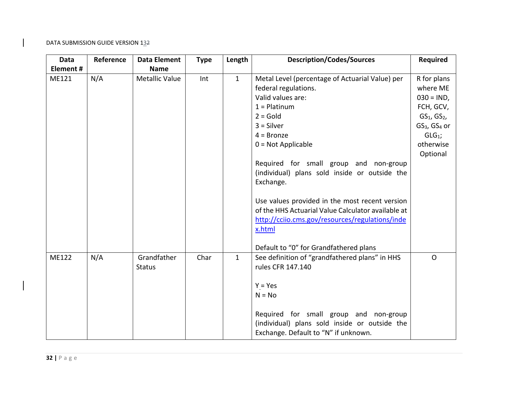| <b>Data</b> | Reference | <b>Data Element</b>          | <b>Type</b> | Length       | <b>Description/Codes/Sources</b>                                                                                                                                                                                                                                                                                                                                                                                                                                  | <b>Required</b>                                                                                                                                      |
|-------------|-----------|------------------------------|-------------|--------------|-------------------------------------------------------------------------------------------------------------------------------------------------------------------------------------------------------------------------------------------------------------------------------------------------------------------------------------------------------------------------------------------------------------------------------------------------------------------|------------------------------------------------------------------------------------------------------------------------------------------------------|
| Element#    |           | <b>Name</b>                  |             |              |                                                                                                                                                                                                                                                                                                                                                                                                                                                                   |                                                                                                                                                      |
| ME121       | N/A       | <b>Metallic Value</b>        | Int         | $\mathbf{1}$ | Metal Level (percentage of Actuarial Value) per<br>federal regulations.<br>Valid values are:<br>$1 =$ Platinum<br>$2 = Gold$<br>$3 =$ Silver<br>$4 = Bronze$<br>$0 = Not Applicable$<br>Required for small group and non-group<br>(individual) plans sold inside or outside the<br>Exchange.<br>Use values provided in the most recent version<br>of the HHS Actuarial Value Calculator available at<br>http://cciio.cms.gov/resources/regulations/inde<br>x.html | R for plans<br>where ME<br>$030 = IND,$<br>FCH, GCV,<br>$GS1$ , $GS2$ ,<br>GS <sub>3</sub> , GS <sub>4</sub> or<br>$GLG1$ ;<br>otherwise<br>Optional |
|             |           |                              |             |              | Default to "0" for Grandfathered plans                                                                                                                                                                                                                                                                                                                                                                                                                            |                                                                                                                                                      |
| ME122       | N/A       | Grandfather<br><b>Status</b> | Char        | $\mathbf{1}$ | See definition of "grandfathered plans" in HHS<br>rules CFR 147.140<br>$Y = Yes$<br>$N = No$<br>Required for small group and non-group<br>(individual) plans sold inside or outside the<br>Exchange. Default to "N" if unknown.                                                                                                                                                                                                                                   | $\mathsf{O}$                                                                                                                                         |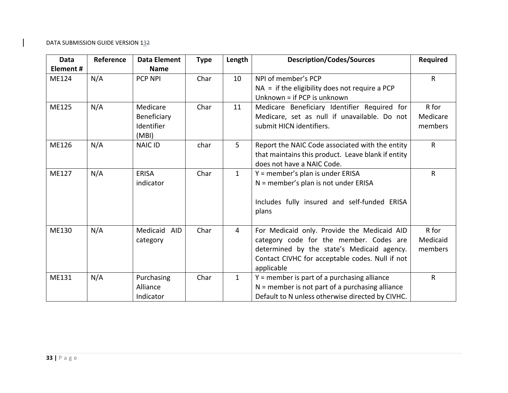| <b>Data</b>  | Reference | <b>Data Element</b> | <b>Type</b> | Length       | <b>Description/Codes/Sources</b>                   | <b>Required</b> |
|--------------|-----------|---------------------|-------------|--------------|----------------------------------------------------|-----------------|
| Element#     |           | <b>Name</b>         |             |              |                                                    |                 |
| ME124        | N/A       | <b>PCP NPI</b>      | Char        | 10           | NPI of member's PCP                                | $\mathsf{R}$    |
|              |           |                     |             |              | $NA = if$ the eligibility does not require a PCP   |                 |
|              |           |                     |             |              | Unknown = if PCP is unknown                        |                 |
| <b>ME125</b> | N/A       | Medicare            | Char        | 11           | Medicare Beneficiary Identifier Required for       | R for           |
|              |           | Beneficiary         |             |              | Medicare, set as null if unavailable. Do not       | Medicare        |
|              |           | Identifier          |             |              | submit HICN identifiers.                           | members         |
|              |           | (MBI)               |             |              |                                                    |                 |
| ME126        | N/A       | NAIC ID             | char        | 5            | Report the NAIC Code associated with the entity    | $\mathsf{R}$    |
|              |           |                     |             |              | that maintains this product. Leave blank if entity |                 |
|              |           |                     |             |              | does not have a NAIC Code.                         |                 |
| <b>ME127</b> | N/A       | <b>ERISA</b>        | Char        | $\mathbf{1}$ | Y = member's plan is under ERISA                   | $\mathsf{R}$    |
|              |           | indicator           |             |              | $N =$ member's plan is not under ERISA             |                 |
|              |           |                     |             |              |                                                    |                 |
|              |           |                     |             |              | Includes fully insured and self-funded ERISA       |                 |
|              |           |                     |             |              | plans                                              |                 |
|              |           |                     |             |              |                                                    |                 |
| ME130        | N/A       | Medicaid<br>AID     | Char        | 4            | For Medicaid only. Provide the Medicaid AID        | R for           |
|              |           | category            |             |              | category code for the member. Codes are            | Medicaid        |
|              |           |                     |             |              | determined by the state's Medicaid agency.         | members         |
|              |           |                     |             |              | Contact CIVHC for acceptable codes. Null if not    |                 |
|              |           |                     |             |              | applicable                                         |                 |
| ME131        | N/A       | Purchasing          | Char        | $\mathbf{1}$ | Y = member is part of a purchasing alliance        | $\mathsf{R}$    |
|              |           | Alliance            |             |              | $N =$ member is not part of a purchasing alliance  |                 |
|              |           | Indicator           |             |              | Default to N unless otherwise directed by CIVHC.   |                 |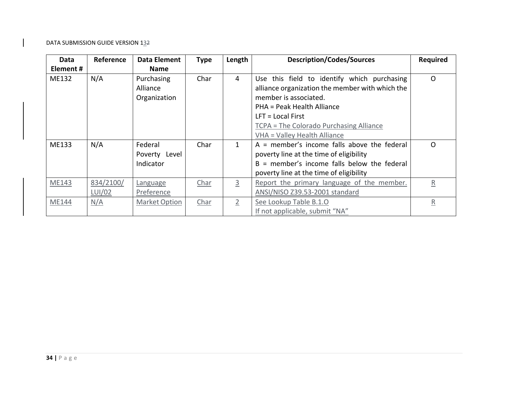| Data      | Reference | <b>Data Element</b> | <b>Type</b> | Length         | <b>Description/Codes/Sources</b>                | Required                |
|-----------|-----------|---------------------|-------------|----------------|-------------------------------------------------|-------------------------|
| Element # |           | <b>Name</b>         |             |                |                                                 |                         |
| ME132     | N/A       | Purchasing          | Char        | 4              | Use this field to identify which purchasing     | $\mathsf{O}$            |
|           |           | Alliance            |             |                | alliance organization the member with which the |                         |
|           |           | Organization        |             |                | member is associated.                           |                         |
|           |           |                     |             |                | PHA = Peak Health Alliance                      |                         |
|           |           |                     |             |                | $LFT = Local First$                             |                         |
|           |           |                     |             |                | TCPA = The Colorado Purchasing Alliance         |                         |
|           |           |                     |             |                | VHA = Valley Health Alliance                    |                         |
| ME133     | N/A       | Federal             | Char        | 1.             | $A =$ member's income falls above the federal   | $\Omega$                |
|           |           | Poverty Level       |             |                | poverty line at the time of eligibility         |                         |
|           |           | Indicator           |             |                | $B =$ member's income falls below the federal   |                         |
|           |           |                     |             |                | poverty line at the time of eligibility         |                         |
| ME143     | 834/2100/ | Language            | Char        | $\overline{3}$ | Report the primary language of the member.      | $\overline{\mathsf{R}}$ |
|           | LUI/02    | Preference          |             |                | ANSI/NISO Z39.53-2001 standard                  |                         |
| ME144     | N/A       | Market Option       | Char        |                | See Lookup Table B.1.O                          | $\overline{\mathsf{R}}$ |
|           |           |                     |             |                | If not applicable, submit "NA"                  |                         |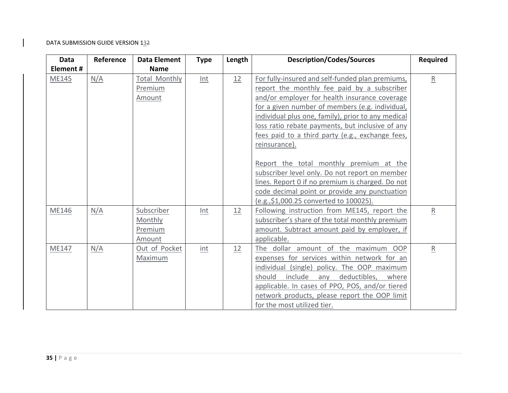| Data      | Reference | <b>Data Element</b>  | <b>Type</b> | Length | <b>Description/Codes/Sources</b>                   | <b>Required</b> |
|-----------|-----------|----------------------|-------------|--------|----------------------------------------------------|-----------------|
| Element # |           | <b>Name</b>          |             |        |                                                    |                 |
| ME145     | N/A       | <b>Total Monthly</b> | Int         | 12     | For fully-insured and self-funded plan premiums,   | $\underline{R}$ |
|           |           | Premium              |             |        | report the monthly fee paid by a subscriber        |                 |
|           |           | Amount               |             |        | and/or employer for health insurance coverage      |                 |
|           |           |                      |             |        | for a given number of members (e.g. individual,    |                 |
|           |           |                      |             |        | individual plus one, family), prior to any medical |                 |
|           |           |                      |             |        | loss ratio rebate payments, but inclusive of any   |                 |
|           |           |                      |             |        | fees paid to a third party (e.g., exchange fees,   |                 |
|           |           |                      |             |        | reinsurance).                                      |                 |
|           |           |                      |             |        |                                                    |                 |
|           |           |                      |             |        | Report the total monthly premium at the            |                 |
|           |           |                      |             |        | subscriber level only. Do not report on member     |                 |
|           |           |                      |             |        | lines. Report 0 if no premium is charged. Do not   |                 |
|           |           |                      |             |        | code decimal point or provide any punctuation      |                 |
|           |           |                      |             |        | (e.g., \$1,000.25 converted to 100025).            |                 |
| ME146     | N/A       | Subscriber           | Int         | 12     | Following instruction from ME145, report the       | $\overline{R}$  |
|           |           | Monthly              |             |        | subscriber's share of the total monthly premium    |                 |
|           |           | Premium              |             |        | amount. Subtract amount paid by employer, if       |                 |
|           |           | Amount               |             |        | applicable.                                        |                 |
| ME147     | N/A       | Out of Pocket        | int         | 12     | The dollar amount of the maximum OOP               | $\overline{R}$  |
|           |           | Maximum              |             |        | expenses for services within network for an        |                 |
|           |           |                      |             |        | individual (single) policy. The OOP maximum        |                 |
|           |           |                      |             |        | include<br>deductibles,<br>should<br>any<br>where  |                 |
|           |           |                      |             |        | applicable. In cases of PPO, POS, and/or tiered    |                 |
|           |           |                      |             |        | network products, please report the OOP limit      |                 |
|           |           |                      |             |        | for the most utilized tier.                        |                 |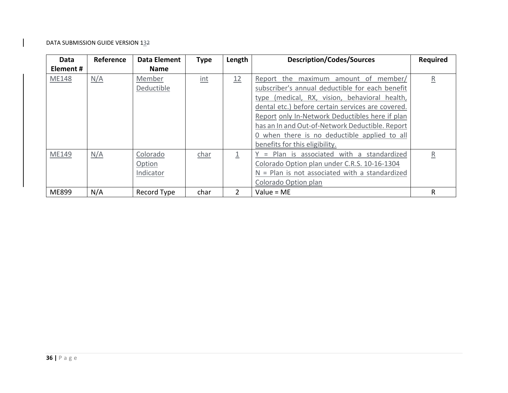| Data         | Reference | <b>Data Element</b> | <b>Type</b>             | Length | <b>Description/Codes/Sources</b>                  | <b>Required</b>         |
|--------------|-----------|---------------------|-------------------------|--------|---------------------------------------------------|-------------------------|
| Element#     |           | <b>Name</b>         |                         |        |                                                   |                         |
| <b>ME148</b> | N/A       | Member              | $\overline{\text{int}}$ | 12     | Report the maximum amount of member/              | $\overline{R}$          |
|              |           | Deductible          |                         |        | subscriber's annual deductible for each benefit   |                         |
|              |           |                     |                         |        | type (medical, RX, vision, behavioral health,     |                         |
|              |           |                     |                         |        | dental etc.) before certain services are covered. |                         |
|              |           |                     |                         |        | Report only In-Network Deductibles here if plan   |                         |
|              |           |                     |                         |        | has an In and Out-of-Network Deductible. Report   |                         |
|              |           |                     |                         |        | 0 when there is no deductible applied to all      |                         |
|              |           |                     |                         |        | benefits for this eligibility.                    |                         |
| ME149        | N/A       | Colorado            | char                    |        | = Plan is associated with a<br>standardized       | $\overline{\mathsf{R}}$ |
|              |           | Option              |                         |        | Colorado Option plan under C.R.S. 10-16-1304      |                         |
|              |           | Indicator           |                         |        | $N =$ Plan is not associated with a standardized  |                         |
|              |           |                     |                         |        | Colorado Option plan                              |                         |
| ME899        | N/A       | Record Type         | char                    |        | Value = $ME$                                      | R                       |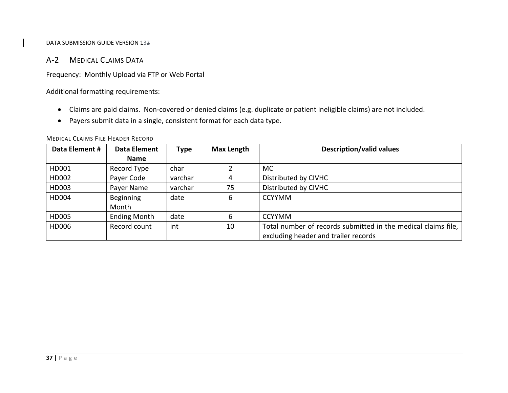# A‐2 MEDICAL CLAIMS DATA

Frequency: Monthly Upload via FTP or Web Portal

Additional formatting requirements:

- Claims are paid claims. Non‐covered or denied claims (e.g. duplicate or patient ineligible claims) are not included.
- Payers submit data in <sup>a</sup> single, consistent format for each data type.

| Data Element # | Data Element        | Type    | <b>Max Length</b> | <b>Description/valid values</b>                               |
|----------------|---------------------|---------|-------------------|---------------------------------------------------------------|
|                | <b>Name</b>         |         |                   |                                                               |
| HD001          | Record Type         | char    |                   | <b>MC</b>                                                     |
| HD002          | Payer Code          | varchar | 4                 | Distributed by CIVHC                                          |
| HD003          | Payer Name          | varchar | 75                | Distributed by CIVHC                                          |
| HD004          | Beginning           | date    | 6                 | <b>CCYYMM</b>                                                 |
|                | Month               |         |                   |                                                               |
| HD005          | <b>Ending Month</b> | date    | 6                 | <b>CCYYMM</b>                                                 |
| HD006          | Record count        | int     | 10                | Total number of records submitted in the medical claims file, |
|                |                     |         |                   | excluding header and trailer records                          |

MEDICAL CLAIMS FILE HEADER RECORD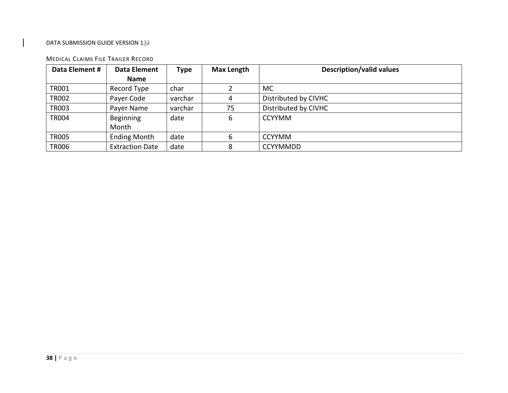#### MEDICAL CLAIMS FILE TRAILER RECORD

| Data Element # | Data Element           | <b>Type</b> | <b>Max Length</b> | <b>Description/valid values</b> |
|----------------|------------------------|-------------|-------------------|---------------------------------|
|                | Name                   |             |                   |                                 |
| TR001          | Record Type            | char        |                   | <b>MC</b>                       |
| <b>TR002</b>   | Payer Code             | varchar     |                   | Distributed by CIVHC            |
| <b>TR003</b>   | Payer Name             | varchar     | 75                | Distributed by CIVHC            |
| <b>TR004</b>   | Beginning              | date        | 6                 | <b>CCYYMM</b>                   |
|                | Month                  |             |                   |                                 |
| <b>TR005</b>   | <b>Ending Month</b>    | date        | 6                 | <b>CCYYMM</b>                   |
| <b>TR006</b>   | <b>Extraction Date</b> | date        | 8                 | <b>CCYYMMDD</b>                 |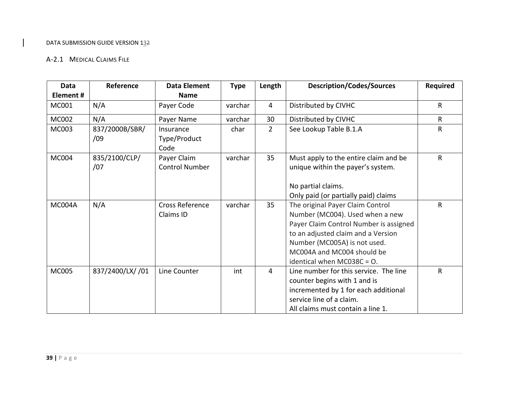# A‐2.1 MEDICAL CLAIMS FILE

| <b>Data</b><br>Element# | Reference             | <b>Data Element</b><br><b>Name</b>   | <b>Type</b> | Length         | <b>Description/Codes/Sources</b>                                                                                                                                                                                                                   | <b>Required</b> |
|-------------------------|-----------------------|--------------------------------------|-------------|----------------|----------------------------------------------------------------------------------------------------------------------------------------------------------------------------------------------------------------------------------------------------|-----------------|
| MC001                   | N/A                   | Payer Code                           | varchar     | $\overline{4}$ | Distributed by CIVHC                                                                                                                                                                                                                               | $\mathsf{R}$    |
| MC002                   | N/A                   | Payer Name                           | varchar     | 30             | Distributed by CIVHC                                                                                                                                                                                                                               | $\mathsf{R}$    |
| MC003                   | 837/2000B/SBR/<br>/09 | Insurance<br>Type/Product<br>Code    | char        | $\overline{2}$ | See Lookup Table B.1.A                                                                                                                                                                                                                             | $\mathsf{R}$    |
| <b>MC004</b>            | 835/2100/CLP/<br>/07  | Payer Claim<br><b>Control Number</b> | varchar     | 35             | Must apply to the entire claim and be<br>unique within the payer's system.<br>No partial claims.<br>Only paid (or partially paid) claims                                                                                                           | $\mathsf{R}$    |
| <b>MC004A</b>           | N/A                   | <b>Cross Reference</b><br>Claims ID  | varchar     | 35             | The original Payer Claim Control<br>Number (MC004). Used when a new<br>Payer Claim Control Number is assigned<br>to an adjusted claim and a Version<br>Number (MC005A) is not used.<br>MC004A and MC004 should be<br>identical when MC038C = $O$ . | $\mathsf{R}$    |
| MC005                   | 837/2400/LX/ /01      | Line Counter                         | int         | $\overline{4}$ | Line number for this service. The line<br>counter begins with 1 and is<br>incremented by 1 for each additional<br>service line of a claim.<br>All claims must contain a line 1.                                                                    | $\mathsf{R}$    |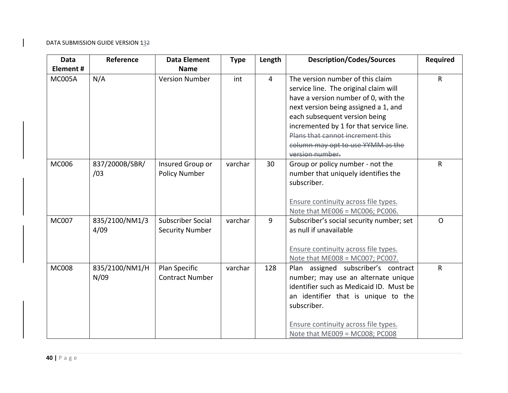| <b>Data</b>   | Reference              | <b>Data Element</b>                                | <b>Type</b> | Length         | <b>Description/Codes/Sources</b>                                                                                                                                                                                                                                                                                                  | <b>Required</b> |
|---------------|------------------------|----------------------------------------------------|-------------|----------------|-----------------------------------------------------------------------------------------------------------------------------------------------------------------------------------------------------------------------------------------------------------------------------------------------------------------------------------|-----------------|
| Element#      |                        | <b>Name</b>                                        |             |                |                                                                                                                                                                                                                                                                                                                                   |                 |
| <b>MC005A</b> | N/A                    | <b>Version Number</b>                              | int         | $\overline{4}$ | The version number of this claim<br>service line. The original claim will<br>have a version number of 0, with the<br>next version being assigned a 1, and<br>each subsequent version being<br>incremented by 1 for that service line.<br>Plans that cannot increment this<br>column may opt to use YYMM as the<br>version number. | $\mathsf{R}$    |
| <b>MC006</b>  | 837/2000B/SBR/<br>/03  | Insured Group or<br><b>Policy Number</b>           | varchar     | 30             | Group or policy number - not the<br>number that uniquely identifies the<br>subscriber.<br>Ensure continuity across file types.<br>Note that ME006 = MC006; PC006.                                                                                                                                                                 | $\mathsf{R}$    |
| <b>MC007</b>  | 835/2100/NM1/3<br>4/09 | <b>Subscriber Social</b><br><b>Security Number</b> | varchar     | $\overline{9}$ | Subscriber's social security number; set<br>as null if unavailable<br>Ensure continuity across file types.<br>Note that ME008 = MC007; PC007.                                                                                                                                                                                     | $\Omega$        |
| <b>MC008</b>  | 835/2100/NM1/H<br>N/09 | Plan Specific<br><b>Contract Number</b>            | varchar     | 128            | Plan assigned subscriber's contract<br>number; may use an alternate unique<br>identifier such as Medicaid ID. Must be<br>an identifier that is unique to the<br>subscriber.<br>Ensure continuity across file types.<br>Note that ME009 = MC008; PC008                                                                             | $\mathsf{R}$    |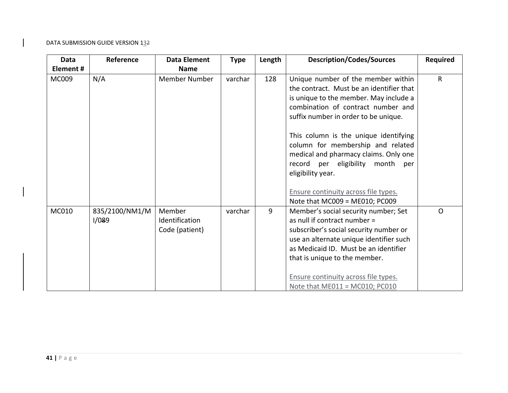| <b>Data</b> | Reference               | <b>Data Element</b>                        | <b>Type</b> | Length | <b>Description/Codes/Sources</b>                                                                                                                                                                                                                                                                                                                                                                                                                                    | <b>Required</b> |
|-------------|-------------------------|--------------------------------------------|-------------|--------|---------------------------------------------------------------------------------------------------------------------------------------------------------------------------------------------------------------------------------------------------------------------------------------------------------------------------------------------------------------------------------------------------------------------------------------------------------------------|-----------------|
| Element #   |                         | <b>Name</b>                                |             |        |                                                                                                                                                                                                                                                                                                                                                                                                                                                                     |                 |
| MC009       | N/A                     | Member Number                              | varchar     | 128    | Unique number of the member within<br>the contract. Must be an identifier that<br>is unique to the member. May include a<br>combination of contract number and<br>suffix number in order to be unique.<br>This column is the unique identifying<br>column for membership and related<br>medical and pharmacy claims. Only one<br>record per eligibility month<br>per<br>eligibility year.<br>Ensure continuity across file types.<br>Note that MC009 = ME010; PC009 | $\mathsf{R}$    |
| MC010       | 835/2100/NM1/M<br>1/089 | Member<br>Identification<br>Code (patient) | varchar     | 9      | Member's social security number; Set<br>as null if contract number =<br>subscriber's social security number or<br>use an alternate unique identifier such<br>as Medicaid ID. Must be an identifier<br>that is unique to the member.<br>Ensure continuity across file types.<br>Note that $ME011 = MC010$ ; $PC010$                                                                                                                                                  | $\mathsf{O}$    |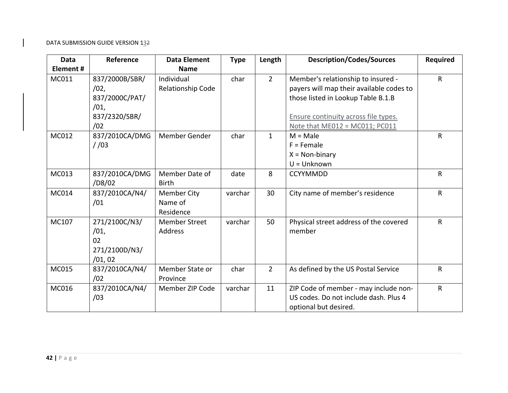| <b>Data</b>  | Reference      | <b>Data Element</b>  | <b>Type</b> | Length       | <b>Description/Codes/Sources</b>         | Required     |
|--------------|----------------|----------------------|-------------|--------------|------------------------------------------|--------------|
| Element#     |                | <b>Name</b>          |             |              |                                          |              |
| MC011        | 837/2000B/SBR/ | Individual           | char        | $2^{\circ}$  | Member's relationship to insured -       | $\mathsf{R}$ |
|              | /02,           | Relationship Code    |             |              | payers will map their available codes to |              |
|              | 837/2000C/PAT/ |                      |             |              | those listed in Lookup Table B.1.B       |              |
|              | /01,           |                      |             |              |                                          |              |
|              | 837/2320/SBR/  |                      |             |              | Ensure continuity across file types.     |              |
|              | /02            |                      |             |              | Note that ME012 = MC011; PC011           |              |
| MC012        | 837/2010CA/DMG | Member Gender        | char        | $\mathbf{1}$ | $M = Male$                               | $\mathsf{R}$ |
|              | 1/03           |                      |             |              | $F =$ Female                             |              |
|              |                |                      |             |              | $X = Non-binary$                         |              |
|              |                |                      |             |              | $U =$ Unknown                            |              |
| MC013        | 837/2010CA/DMG | Member Date of       | date        | 8            | <b>CCYYMMDD</b>                          | $\sf R$      |
|              | /D8/02         | <b>Birth</b>         |             |              |                                          |              |
| <b>MC014</b> | 837/2010CA/N4/ | <b>Member City</b>   | varchar     | 30           | City name of member's residence          | $\mathsf{R}$ |
|              | /01            | Name of              |             |              |                                          |              |
|              |                | Residence            |             |              |                                          |              |
| MC107        | 271/2100C/N3/  | <b>Member Street</b> | varchar     | 50           | Physical street address of the covered   | $\mathsf{R}$ |
|              | /01,           | Address              |             |              | member                                   |              |
|              | 02             |                      |             |              |                                          |              |
|              | 271/2100D/N3/  |                      |             |              |                                          |              |
|              | /01,02         |                      |             |              |                                          |              |
| MC015        | 837/2010CA/N4/ | Member State or      | char        | $2^{\circ}$  | As defined by the US Postal Service      | $\sf R$      |
|              | /02            | Province             |             |              |                                          |              |
| MC016        | 837/2010CA/N4/ | Member ZIP Code      | varchar     | 11           | ZIP Code of member - may include non-    | $\mathsf{R}$ |
|              | /03            |                      |             |              | US codes. Do not include dash. Plus 4    |              |
|              |                |                      |             |              | optional but desired.                    |              |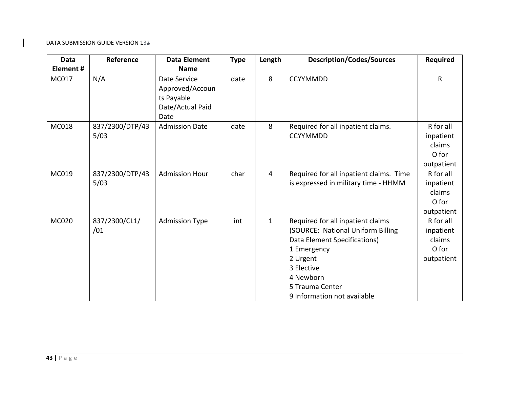| Data         | Reference               | <b>Data Element</b>                                                       | <b>Type</b> | Length         | <b>Description/Codes/Sources</b>                                                                                                                                                                               | <b>Required</b>                                         |
|--------------|-------------------------|---------------------------------------------------------------------------|-------------|----------------|----------------------------------------------------------------------------------------------------------------------------------------------------------------------------------------------------------------|---------------------------------------------------------|
| Element#     |                         | <b>Name</b>                                                               |             |                |                                                                                                                                                                                                                |                                                         |
| MC017        | N/A                     | Date Service<br>Approved/Accoun<br>ts Payable<br>Date/Actual Paid<br>Date | date        | 8              | <b>CCYYMMDD</b>                                                                                                                                                                                                | $\mathsf{R}$                                            |
| MC018        | 837/2300/DTP/43<br>5/03 | <b>Admission Date</b>                                                     | date        | 8              | Required for all inpatient claims.<br><b>CCYYMMDD</b>                                                                                                                                                          | R for all<br>inpatient<br>claims<br>O for<br>outpatient |
| MC019        | 837/2300/DTP/43<br>5/03 | <b>Admission Hour</b>                                                     | char        | $\overline{4}$ | Required for all inpatient claims. Time<br>is expressed in military time - HHMM                                                                                                                                | R for all<br>inpatient<br>claims<br>O for<br>outpatient |
| <b>MC020</b> | 837/2300/CL1/<br>/01    | <b>Admission Type</b>                                                     | int         | $\mathbf{1}$   | Required for all inpatient claims<br>(SOURCE: National Uniform Billing<br>Data Element Specifications)<br>1 Emergency<br>2 Urgent<br>3 Elective<br>4 Newborn<br>5 Trauma Center<br>9 Information not available | R for all<br>inpatient<br>claims<br>O for<br>outpatient |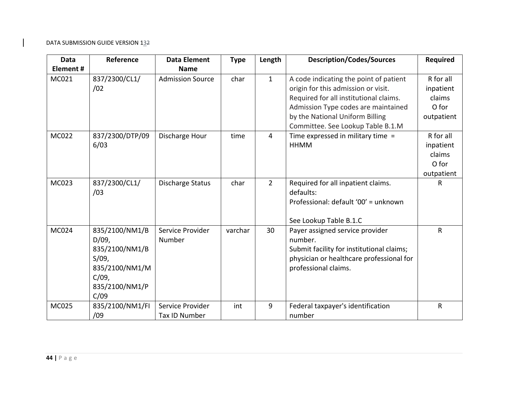| Data     | Reference                                                                                                     | <b>Data Element</b>               | <b>Type</b> | Length         | <b>Description/Codes/Sources</b>                                                                                                                                                                                                       | <b>Required</b>                                         |
|----------|---------------------------------------------------------------------------------------------------------------|-----------------------------------|-------------|----------------|----------------------------------------------------------------------------------------------------------------------------------------------------------------------------------------------------------------------------------------|---------------------------------------------------------|
| Element# |                                                                                                               | <b>Name</b>                       |             |                |                                                                                                                                                                                                                                        |                                                         |
| MC021    | 837/2300/CL1/<br>/02                                                                                          | <b>Admission Source</b>           | char        | $\mathbf{1}$   | A code indicating the point of patient<br>origin for this admission or visit.<br>Required for all institutional claims.<br>Admission Type codes are maintained<br>by the National Uniform Billing<br>Committee. See Lookup Table B.1.M | R for all<br>inpatient<br>claims<br>O for<br>outpatient |
| MC022    | 837/2300/DTP/09<br>6/03                                                                                       | Discharge Hour                    | time        | $\overline{4}$ | Time expressed in military time =<br><b>HHMM</b>                                                                                                                                                                                       | R for all<br>inpatient<br>claims<br>O for<br>outpatient |
| MC023    | 837/2300/CL1/<br>/03                                                                                          | Discharge Status                  | char        | $\overline{2}$ | Required for all inpatient claims.<br>defaults:<br>Professional: default '00' = unknown<br>See Lookup Table B.1.C                                                                                                                      | R                                                       |
| MC024    | 835/2100/NM1/B<br>$D/09$ ,<br>835/2100/NM1/B<br>S/09,<br>835/2100/NM1/M<br>$C/09$ ,<br>835/2100/NM1/P<br>C/09 | Service Provider<br>Number        | varchar     | 30             | Payer assigned service provider<br>number.<br>Submit facility for institutional claims;<br>physician or healthcare professional for<br>professional claims.                                                                            | $\mathsf{R}$                                            |
| MC025    | 835/2100/NM1/FI<br>/09                                                                                        | Service Provider<br>Tax ID Number | int         | 9              | Federal taxpayer's identification<br>number                                                                                                                                                                                            | $\mathsf{R}$                                            |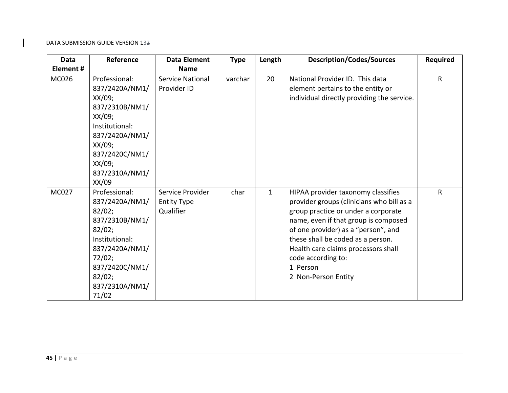| <b>Data</b>  | Reference                                                                                                                                                                        | <b>Data Element</b>                                 | <b>Type</b> | Length       | <b>Description/Codes/Sources</b>                                                                                                                                                                                                                                                                                                           | <b>Required</b> |
|--------------|----------------------------------------------------------------------------------------------------------------------------------------------------------------------------------|-----------------------------------------------------|-------------|--------------|--------------------------------------------------------------------------------------------------------------------------------------------------------------------------------------------------------------------------------------------------------------------------------------------------------------------------------------------|-----------------|
| Element#     |                                                                                                                                                                                  | <b>Name</b>                                         |             |              |                                                                                                                                                                                                                                                                                                                                            |                 |
| MC026        | Professional:<br>837/2420A/NM1/<br>XX/09;<br>837/2310B/NM1/<br>$XX/09$ ;<br>Institutional:<br>837/2420A/NM1/<br>$XX/09$ ;<br>837/2420C/NM1/<br>XX/09;<br>837/2310A/NM1/<br>XX/09 | <b>Service National</b><br>Provider ID              | varchar     | 20           | National Provider ID. This data<br>element pertains to the entity or<br>individual directly providing the service.                                                                                                                                                                                                                         | R               |
| <b>MC027</b> | Professional:<br>837/2420A/NM1/<br>82/02;<br>837/2310B/NM1/<br>82/02;<br>Institutional:<br>837/2420A/NM1/<br>72/02;<br>837/2420C/NM1/<br>82/02;<br>837/2310A/NM1/<br>71/02       | Service Provider<br><b>Entity Type</b><br>Qualifier | char        | $\mathbf{1}$ | HIPAA provider taxonomy classifies<br>provider groups (clinicians who bill as a<br>group practice or under a corporate<br>name, even if that group is composed<br>of one provider) as a "person", and<br>these shall be coded as a person.<br>Health care claims processors shall<br>code according to:<br>1 Person<br>2 Non-Person Entity | $\mathsf{R}$    |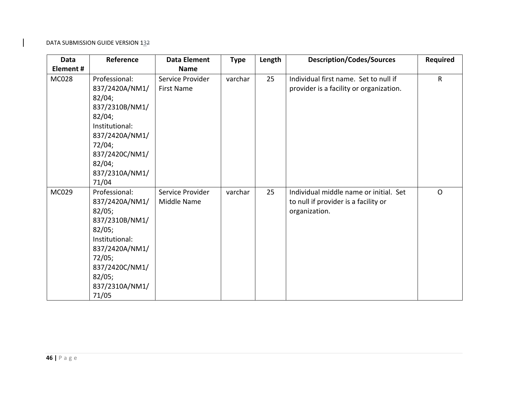| Data         | Reference                                                                                                                                                                  | <b>Data Element</b>                    | <b>Type</b> | Length | <b>Description/Codes/Sources</b>                                                                | <b>Required</b> |
|--------------|----------------------------------------------------------------------------------------------------------------------------------------------------------------------------|----------------------------------------|-------------|--------|-------------------------------------------------------------------------------------------------|-----------------|
| Element#     |                                                                                                                                                                            | <b>Name</b>                            |             |        |                                                                                                 |                 |
| <b>MC028</b> | Professional:<br>837/2420A/NM1/<br>82/04;<br>837/2310B/NM1/<br>82/04;<br>Institutional:<br>837/2420A/NM1/<br>72/04;<br>837/2420C/NM1/<br>82/04;<br>837/2310A/NM1/<br>71/04 | Service Provider<br><b>First Name</b>  | varchar     | 25     | Individual first name. Set to null if<br>provider is a facility or organization.                | $\sf R$         |
| MC029        | Professional:<br>837/2420A/NM1/<br>82/05;<br>837/2310B/NM1/<br>82/05;<br>Institutional:<br>837/2420A/NM1/<br>72/05;<br>837/2420C/NM1/<br>82/05;<br>837/2310A/NM1/<br>71/05 | Service Provider<br><b>Middle Name</b> | varchar     | 25     | Individual middle name or initial. Set<br>to null if provider is a facility or<br>organization. | $\mathsf{O}$    |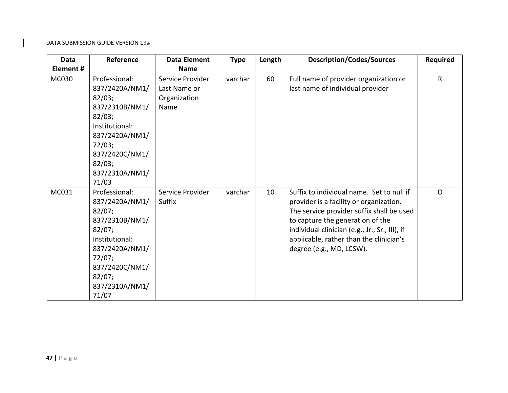| <b>Data</b> | Reference                                                                                                                                                                  | <b>Data Element</b>                                      | <b>Type</b> | Length | <b>Description/Codes/Sources</b>                                                                                                                                                                                                                                                               | <b>Required</b> |
|-------------|----------------------------------------------------------------------------------------------------------------------------------------------------------------------------|----------------------------------------------------------|-------------|--------|------------------------------------------------------------------------------------------------------------------------------------------------------------------------------------------------------------------------------------------------------------------------------------------------|-----------------|
| Element#    |                                                                                                                                                                            | <b>Name</b>                                              |             |        |                                                                                                                                                                                                                                                                                                |                 |
| MC030       | Professional:<br>837/2420A/NM1/<br>82/03;<br>837/2310B/NM1/<br>82/03;<br>Institutional:<br>837/2420A/NM1/<br>72/03;<br>837/2420C/NM1/<br>82/03;<br>837/2310A/NM1/<br>71/03 | Service Provider<br>Last Name or<br>Organization<br>Name | varchar     | 60     | Full name of provider organization or<br>last name of individual provider                                                                                                                                                                                                                      | $\sf R$         |
| MC031       | Professional:<br>837/2420A/NM1/<br>82/07;<br>837/2310B/NM1/<br>82/07;<br>Institutional:<br>837/2420A/NM1/<br>72/07;<br>837/2420C/NM1/<br>82/07;<br>837/2310A/NM1/<br>71/07 | Service Provider<br>Suffix                               | varchar     | 10     | Suffix to individual name. Set to null if<br>provider is a facility or organization.<br>The service provider suffix shall be used<br>to capture the generation of the<br>individual clinician (e.g., Jr., Sr., III), if<br>applicable, rather than the clinician's<br>degree (e.g., MD, LCSW). | $\Omega$        |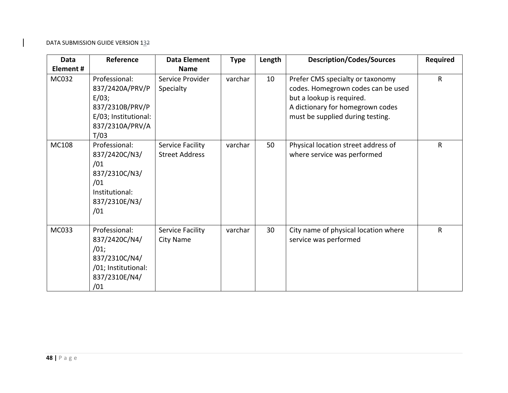| <b>Data</b> | Reference                                                                                                       | <b>Data Element</b>                       | <b>Type</b> | Length | <b>Description/Codes/Sources</b>                                                                                                                                            | <b>Required</b> |
|-------------|-----------------------------------------------------------------------------------------------------------------|-------------------------------------------|-------------|--------|-----------------------------------------------------------------------------------------------------------------------------------------------------------------------------|-----------------|
| Element#    |                                                                                                                 | <b>Name</b>                               |             |        |                                                                                                                                                                             |                 |
| MC032       | Professional:<br>837/2420A/PRV/P<br>E/03;<br>837/2310B/PRV/P<br>E/03; Institutional:<br>837/2310A/PRV/A<br>T/03 | Service Provider<br>Specialty             | varchar     | 10     | Prefer CMS specialty or taxonomy<br>codes. Homegrown codes can be used<br>but a lookup is required.<br>A dictionary for homegrown codes<br>must be supplied during testing. | $\mathsf{R}$    |
| MC108       | Professional:<br>837/2420C/N3/<br>/01<br>837/2310C/N3/<br>/01<br>Institutional:<br>837/2310E/N3/<br>/01         | Service Facility<br><b>Street Address</b> | varchar     | 50     | Physical location street address of<br>where service was performed                                                                                                          | $\mathsf{R}$    |
| MC033       | Professional:<br>837/2420C/N4/<br>/01;<br>837/2310C/N4/<br>/01; Institutional:<br>837/2310E/N4/<br>/01          | Service Facility<br>City Name             | varchar     | 30     | City name of physical location where<br>service was performed                                                                                                               | $\mathsf{R}$    |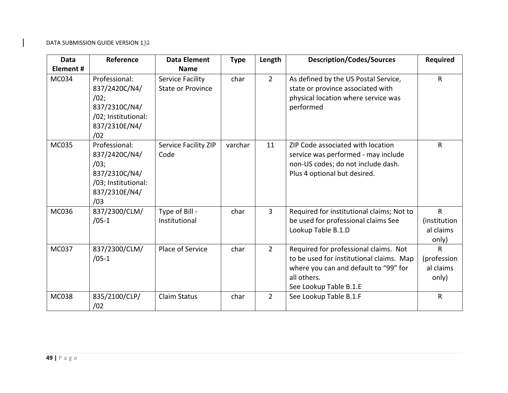| <b>Data</b>  | Reference                                                                                              | <b>Data Element</b>                          | <b>Type</b> | Length         | <b>Description/Codes/Sources</b>                                                                                                                                    | <b>Required</b>                                    |
|--------------|--------------------------------------------------------------------------------------------------------|----------------------------------------------|-------------|----------------|---------------------------------------------------------------------------------------------------------------------------------------------------------------------|----------------------------------------------------|
| Element#     |                                                                                                        | <b>Name</b>                                  |             |                |                                                                                                                                                                     |                                                    |
| MC034        | Professional:<br>837/2420C/N4/<br>/02;<br>837/2310C/N4/<br>/02; Institutional:<br>837/2310E/N4/<br>/02 | Service Facility<br><b>State or Province</b> | char        | $2^{\circ}$    | As defined by the US Postal Service,<br>state or province associated with<br>physical location where service was<br>performed                                       | $\mathsf{R}$                                       |
| MC035        | Professional:<br>837/2420C/N4/<br>/03;<br>837/2310C/N4/<br>/03; Institutional:<br>837/2310E/N4/<br>/03 | Service Facility ZIP<br>Code                 | varchar     | 11             | ZIP Code associated with location<br>service was performed - may include<br>non-US codes; do not include dash.<br>Plus 4 optional but desired.                      | $\mathsf{R}$                                       |
| <b>MC036</b> | 837/2300/CLM/<br>$/05-1$                                                                               | Type of Bill -<br>Institutional              | char        | $\overline{3}$ | Required for institutional claims; Not to<br>be used for professional claims See<br>Lookup Table B.1.D                                                              | $\mathsf{R}$<br>(institution<br>al claims<br>only) |
| MC037        | 837/2300/CLM/<br>$/05-1$                                                                               | Place of Service                             | char        | $2^{\circ}$    | Required for professional claims. Not<br>to be used for institutional claims. Map<br>where you can and default to "99" for<br>all others.<br>See Lookup Table B.1.E | R<br>(profession<br>al claims<br>only)             |
| <b>MC038</b> | 835/2100/CLP/<br>/02                                                                                   | <b>Claim Status</b>                          | char        | $\overline{2}$ | See Lookup Table B.1.F                                                                                                                                              | $\mathsf{R}$                                       |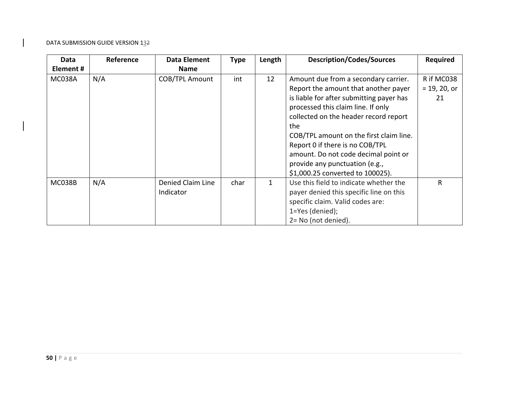| Data          | Reference | Data Element          | <b>Type</b> | Length       | <b>Description/Codes/Sources</b>         | <b>Required</b> |
|---------------|-----------|-----------------------|-------------|--------------|------------------------------------------|-----------------|
| Element#      |           | <b>Name</b>           |             |              |                                          |                 |
| MC038A        | N/A       | <b>COB/TPL Amount</b> | int         | 12           | Amount due from a secondary carrier.     | R if MC038      |
|               |           |                       |             |              | Report the amount that another payer     | $= 19, 20, or$  |
|               |           |                       |             |              | is liable for after submitting payer has | 21              |
|               |           |                       |             |              | processed this claim line. If only       |                 |
|               |           |                       |             |              | collected on the header record report    |                 |
|               |           |                       |             |              | the                                      |                 |
|               |           |                       |             |              | COB/TPL amount on the first claim line.  |                 |
|               |           |                       |             |              | Report 0 if there is no COB/TPL          |                 |
|               |           |                       |             |              | amount. Do not code decimal point or     |                 |
|               |           |                       |             |              | provide any punctuation (e.g.,           |                 |
|               |           |                       |             |              | \$1,000.25 converted to 100025).         |                 |
| <b>MC038B</b> | N/A       | Denied Claim Line     | char        | $\mathbf{1}$ | Use this field to indicate whether the   | R               |
|               |           | Indicator             |             |              | payer denied this specific line on this  |                 |
|               |           |                       |             |              | specific claim. Valid codes are:         |                 |
|               |           |                       |             |              | 1=Yes (denied);                          |                 |
|               |           |                       |             |              | 2= No (not denied).                      |                 |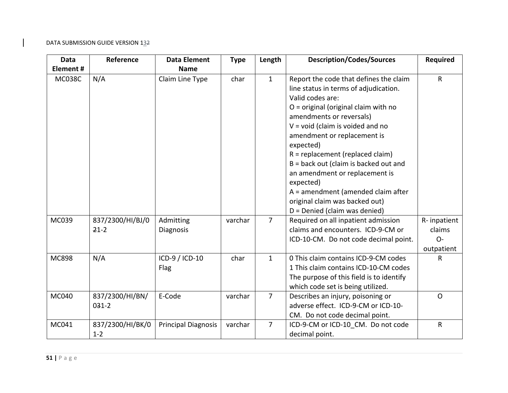| Data          | Reference                   | <b>Data Element</b>           | <b>Type</b> | Length         | <b>Description/Codes/Sources</b>                                                                                                                                                                                                                                                                                                                                                                                                                                                                      | Required                                     |
|---------------|-----------------------------|-------------------------------|-------------|----------------|-------------------------------------------------------------------------------------------------------------------------------------------------------------------------------------------------------------------------------------------------------------------------------------------------------------------------------------------------------------------------------------------------------------------------------------------------------------------------------------------------------|----------------------------------------------|
| Element#      |                             | <b>Name</b>                   |             |                |                                                                                                                                                                                                                                                                                                                                                                                                                                                                                                       |                                              |
| <b>MC038C</b> | N/A                         | Claim Line Type               | char        | $\mathbf{1}$   | Report the code that defines the claim<br>line status in terms of adjudication.<br>Valid codes are:<br>O = original (original claim with no<br>amendments or reversals)<br>$V = void (claim is violated and no)$<br>amendment or replacement is<br>expected)<br>$R = replacement (replaced claim)$<br>B = back out (claim is backed out and<br>an amendment or replacement is<br>expected)<br>A = amendment (amended claim after<br>original claim was backed out)<br>$D = Denied$ (claim was denied) | $\mathsf{R}$                                 |
| MC039         | 837/2300/HI/BJ/0<br>$21-2$  | Admitting<br><b>Diagnosis</b> | varchar     | $\overline{7}$ | Required on all inpatient admission<br>claims and encounters. ICD-9-CM or<br>ICD-10-CM. Do not code decimal point.                                                                                                                                                                                                                                                                                                                                                                                    | R-inpatient<br>claims<br>$O -$<br>outpatient |
| <b>MC898</b>  | N/A                         | ICD-9 / ICD-10<br>Flag        | char        | $\mathbf{1}$   | 0 This claim contains ICD-9-CM codes<br>1 This claim contains ICD-10-CM codes<br>The purpose of this field is to identify<br>which code set is being utilized.                                                                                                                                                                                                                                                                                                                                        | R                                            |
| MC040         | 837/2300/HI/BN/<br>$031-2$  | E-Code                        | varchar     | $\overline{7}$ | Describes an injury, poisoning or<br>adverse effect. ICD-9-CM or ICD-10-<br>CM. Do not code decimal point.                                                                                                                                                                                                                                                                                                                                                                                            | $\mathsf{O}$                                 |
| MC041         | 837/2300/HI/BK/0<br>$1 - 2$ | <b>Principal Diagnosis</b>    | varchar     | $\overline{7}$ | ICD-9-CM or ICD-10 CM. Do not code<br>decimal point.                                                                                                                                                                                                                                                                                                                                                                                                                                                  | $\mathsf R$                                  |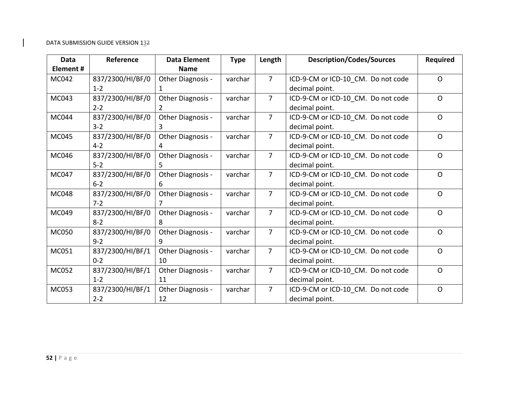| <b>Data</b>  | Reference        | <b>Data Element</b> | <b>Type</b> | Length         | <b>Description/Codes/Sources</b>   | <b>Required</b> |
|--------------|------------------|---------------------|-------------|----------------|------------------------------------|-----------------|
| Element#     |                  | <b>Name</b>         |             |                |                                    |                 |
| <b>MC042</b> | 837/2300/HI/BF/0 | Other Diagnosis -   | varchar     | $\overline{7}$ | ICD-9-CM or ICD-10 CM. Do not code | $\mathsf{O}$    |
|              | $1 - 2$          |                     |             |                | decimal point.                     |                 |
| MC043        | 837/2300/HI/BF/0 | Other Diagnosis -   | varchar     | $\overline{7}$ | ICD-9-CM or ICD-10_CM. Do not code | $\Omega$        |
|              | $2 - 2$          | 2                   |             |                | decimal point.                     |                 |
| <b>MC044</b> | 837/2300/HI/BF/0 | Other Diagnosis -   | varchar     | $\overline{7}$ | ICD-9-CM or ICD-10 CM. Do not code | $\Omega$        |
|              | $3 - 2$          | 3                   |             |                | decimal point.                     |                 |
| MC045        | 837/2300/HI/BF/0 | Other Diagnosis -   | varchar     | $\overline{7}$ | ICD-9-CM or ICD-10 CM. Do not code | $\mathsf{O}$    |
|              | $4 - 2$          | 4                   |             |                | decimal point.                     |                 |
| MC046        | 837/2300/HI/BF/0 | Other Diagnosis -   | varchar     | $\overline{7}$ | ICD-9-CM or ICD-10 CM. Do not code | $\Omega$        |
|              | $5 - 2$          | 5.                  |             |                | decimal point.                     |                 |
| MC047        | 837/2300/HI/BF/0 | Other Diagnosis -   | varchar     | $\overline{7}$ | ICD-9-CM or ICD-10 CM. Do not code | $\mathsf{O}$    |
|              | $6 - 2$          | 6                   |             |                | decimal point.                     |                 |
| <b>MC048</b> | 837/2300/HI/BF/0 | Other Diagnosis -   | varchar     | $\overline{7}$ | ICD-9-CM or ICD-10_CM. Do not code | $\Omega$        |
|              | $7 - 2$          | 7                   |             |                | decimal point.                     |                 |
| MC049        | 837/2300/HI/BF/0 | Other Diagnosis -   | varchar     | $\overline{7}$ | ICD-9-CM or ICD-10 CM. Do not code | $\Omega$        |
|              | $8 - 2$          | 8                   |             |                | decimal point.                     |                 |
| <b>MC050</b> | 837/2300/HI/BF/0 | Other Diagnosis -   | varchar     | $\overline{7}$ | ICD-9-CM or ICD-10_CM. Do not code | $\Omega$        |
|              | $9 - 2$          | 9                   |             |                | decimal point.                     |                 |
| MC051        | 837/2300/HI/BF/1 | Other Diagnosis -   | varchar     | $\overline{7}$ | ICD-9-CM or ICD-10_CM. Do not code | $\Omega$        |
|              | $0 - 2$          | 10                  |             |                | decimal point.                     |                 |
| MC052        | 837/2300/HI/BF/1 | Other Diagnosis -   | varchar     | $\overline{7}$ | ICD-9-CM or ICD-10_CM. Do not code | $\Omega$        |
|              | $1 - 2$          | 11                  |             |                | decimal point.                     |                 |
| MC053        | 837/2300/HI/BF/1 | Other Diagnosis -   | varchar     | $\overline{7}$ | ICD-9-CM or ICD-10 CM. Do not code | $\Omega$        |
|              | $2 - 2$          | 12                  |             |                | decimal point.                     |                 |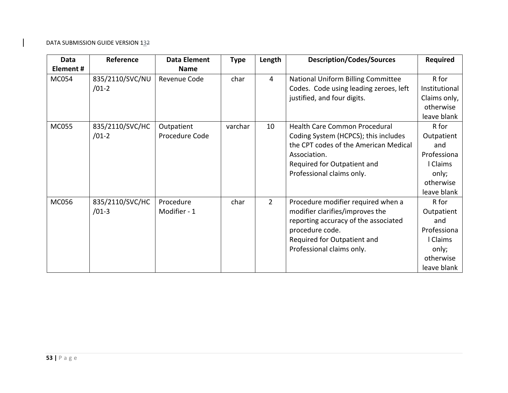| <b>Data</b>      | Reference       | <b>Data Element</b> | <b>Type</b> | Length         | <b>Description/Codes/Sources</b>       | <b>Required</b> |
|------------------|-----------------|---------------------|-------------|----------------|----------------------------------------|-----------------|
| <b>Element #</b> |                 | <b>Name</b>         |             |                |                                        |                 |
| <b>MC054</b>     | 835/2110/SVC/NU | Revenue Code        | char        | 4              | National Uniform Billing Committee     | R for           |
|                  | $/01-2$         |                     |             |                | Codes. Code using leading zeroes, left | Institutional   |
|                  |                 |                     |             |                | justified, and four digits.            | Claims only,    |
|                  |                 |                     |             |                |                                        | otherwise       |
|                  |                 |                     |             |                |                                        | leave blank     |
| <b>MC055</b>     | 835/2110/SVC/HC | Outpatient          | varchar     | 10             | Health Care Common Procedural          | R for           |
|                  | $/01-2$         | Procedure Code      |             |                | Coding System (HCPCS); this includes   | Outpatient      |
|                  |                 |                     |             |                | the CPT codes of the American Medical  | and             |
|                  |                 |                     |             |                | Association.                           | Professiona     |
|                  |                 |                     |             |                | Required for Outpatient and            | Claims          |
|                  |                 |                     |             |                | Professional claims only.              | only;           |
|                  |                 |                     |             |                |                                        | otherwise       |
|                  |                 |                     |             |                |                                        | leave blank     |
| <b>MC056</b>     | 835/2110/SVC/HC | Procedure           | char        | $\overline{2}$ | Procedure modifier required when a     | R for           |
|                  | $/01-3$         | Modifier - 1        |             |                | modifier clarifies/improves the        | Outpatient      |
|                  |                 |                     |             |                | reporting accuracy of the associated   | and             |
|                  |                 |                     |             |                | procedure code.                        | Professiona     |
|                  |                 |                     |             |                | Required for Outpatient and            | Claims          |
|                  |                 |                     |             |                | Professional claims only.              | only;           |
|                  |                 |                     |             |                |                                        | otherwise       |
|                  |                 |                     |             |                |                                        | leave blank     |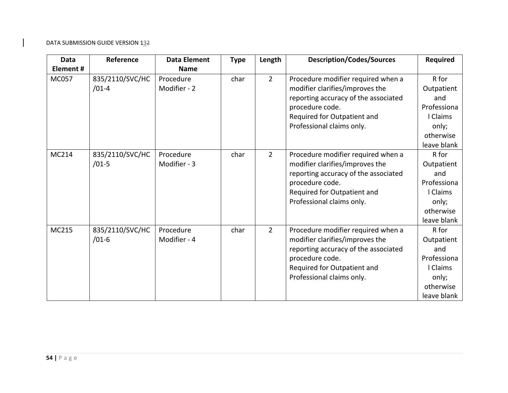| Data         | Reference                  | <b>Data Element</b>       | <b>Type</b> | Length         | <b>Description/Codes/Sources</b>                                                                                                                                                             | <b>Required</b>                                                                            |
|--------------|----------------------------|---------------------------|-------------|----------------|----------------------------------------------------------------------------------------------------------------------------------------------------------------------------------------------|--------------------------------------------------------------------------------------------|
| Element#     |                            | <b>Name</b>               |             |                |                                                                                                                                                                                              |                                                                                            |
| <b>MC057</b> | 835/2110/SVC/HC<br>$/01-4$ | Procedure<br>Modifier - 2 | char        | $2^{\circ}$    | Procedure modifier required when a<br>modifier clarifies/improves the<br>reporting accuracy of the associated<br>procedure code.<br>Required for Outpatient and<br>Professional claims only. | R for<br>Outpatient<br>and<br>Professiona<br>I Claims<br>only;<br>otherwise<br>leave blank |
| MC214        | 835/2110/SVC/HC<br>$/01-5$ | Procedure<br>Modifier - 3 | char        | $\overline{2}$ | Procedure modifier required when a<br>modifier clarifies/improves the<br>reporting accuracy of the associated<br>procedure code.<br>Required for Outpatient and<br>Professional claims only. | R for<br>Outpatient<br>and<br>Professiona<br>I Claims<br>only;<br>otherwise<br>leave blank |
| MC215        | 835/2110/SVC/HC<br>$/01-6$ | Procedure<br>Modifier - 4 | char        | $\overline{2}$ | Procedure modifier required when a<br>modifier clarifies/improves the<br>reporting accuracy of the associated<br>procedure code.<br>Required for Outpatient and<br>Professional claims only. | R for<br>Outpatient<br>and<br>Professiona<br>I Claims<br>only;<br>otherwise<br>leave blank |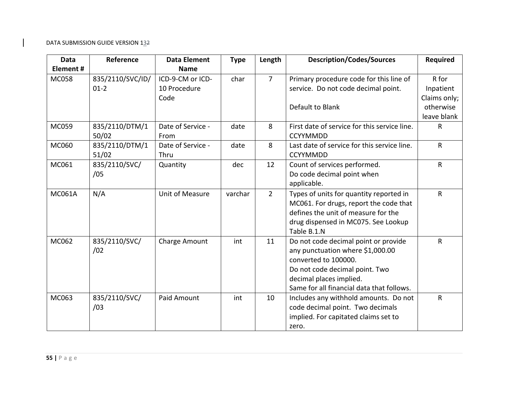| Data          | Reference        | <b>Data Element</b> | <b>Type</b> | Length         | <b>Description/Codes/Sources</b>             | <b>Required</b> |
|---------------|------------------|---------------------|-------------|----------------|----------------------------------------------|-----------------|
| Element #     |                  | <b>Name</b>         |             |                |                                              |                 |
| <b>MC058</b>  | 835/2110/SVC/ID/ | ICD-9-CM or ICD-    | char        | $\overline{7}$ | Primary procedure code for this line of      | R for           |
|               | $01-2$           | 10 Procedure        |             |                | service. Do not code decimal point.          | Inpatient       |
|               |                  | Code                |             |                |                                              | Claims only;    |
|               |                  |                     |             |                | Default to Blank                             | otherwise       |
|               |                  |                     |             |                |                                              | leave blank     |
| MC059         | 835/2110/DTM/1   | Date of Service -   | date        | 8              | First date of service for this service line. | $\mathsf{R}$    |
|               | 50/02            | From                |             |                | <b>CCYYMMDD</b>                              |                 |
| MC060         | 835/2110/DTM/1   | Date of Service -   | date        | 8              | Last date of service for this service line.  | $\mathsf{R}$    |
|               | 51/02            | Thru                |             |                | <b>CCYYMMDD</b>                              |                 |
| MC061         | 835/2110/SVC/    | Quantity            | dec         | 12             | Count of services performed.                 | $\mathsf{R}$    |
|               | /05              |                     |             |                | Do code decimal point when                   |                 |
|               |                  |                     |             |                | applicable.                                  |                 |
| <b>MC061A</b> | N/A              | Unit of Measure     | varchar     | $\overline{2}$ | Types of units for quantity reported in      | $\mathsf{R}$    |
|               |                  |                     |             |                | MC061. For drugs, report the code that       |                 |
|               |                  |                     |             |                | defines the unit of measure for the          |                 |
|               |                  |                     |             |                | drug dispensed in MC075. See Lookup          |                 |
|               |                  |                     |             |                | Table B.1.N                                  |                 |
| MC062         | 835/2110/SVC/    | Charge Amount       | int         | 11             | Do not code decimal point or provide         | $\mathsf{R}$    |
|               | /02              |                     |             |                | any punctuation where \$1,000.00             |                 |
|               |                  |                     |             |                | converted to 100000.                         |                 |
|               |                  |                     |             |                | Do not code decimal point. Two               |                 |
|               |                  |                     |             |                | decimal places implied.                      |                 |
|               |                  |                     |             |                | Same for all financial data that follows.    |                 |
| MC063         | 835/2110/SVC/    | Paid Amount         | int         | 10             | Includes any withhold amounts. Do not        | $\mathsf{R}$    |
|               | /03              |                     |             |                | code decimal point. Two decimals             |                 |
|               |                  |                     |             |                | implied. For capitated claims set to         |                 |
|               |                  |                     |             |                | zero.                                        |                 |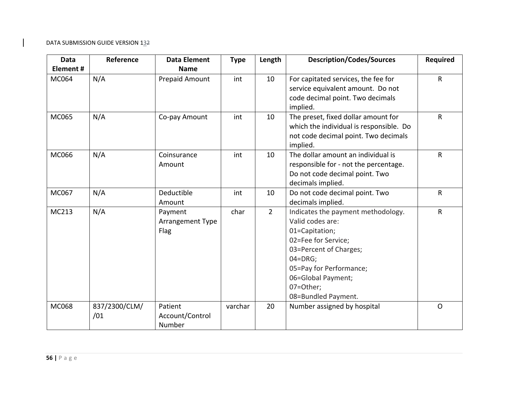| <b>Data</b>  | Reference     | <b>Data Element</b> | <b>Type</b> | Length         | <b>Description/Codes/Sources</b>        | <b>Required</b> |
|--------------|---------------|---------------------|-------------|----------------|-----------------------------------------|-----------------|
| Element#     |               | <b>Name</b>         |             |                |                                         |                 |
| MC064        | N/A           | Prepaid Amount      | int         | 10             | For capitated services, the fee for     | R               |
|              |               |                     |             |                | service equivalent amount. Do not       |                 |
|              |               |                     |             |                | code decimal point. Two decimals        |                 |
|              |               |                     |             |                | implied.                                |                 |
| MC065        | N/A           | Co-pay Amount       | int         | 10             | The preset, fixed dollar amount for     | $\mathsf{R}$    |
|              |               |                     |             |                | which the individual is responsible. Do |                 |
|              |               |                     |             |                | not code decimal point. Two decimals    |                 |
|              |               |                     |             |                | implied.                                |                 |
| MC066        | N/A           | Coinsurance         | int         | 10             | The dollar amount an individual is      | R               |
|              |               | Amount              |             |                | responsible for - not the percentage.   |                 |
|              |               |                     |             |                | Do not code decimal point. Two          |                 |
|              |               |                     |             |                | decimals implied.                       |                 |
| MC067        | N/A           | Deductible          | int         | 10             | Do not code decimal point. Two          | R               |
|              |               | Amount              |             |                | decimals implied.                       |                 |
| MC213        | N/A           | Payment             | char        | $\overline{2}$ | Indicates the payment methodology.      | R               |
|              |               | Arrangement Type    |             |                | Valid codes are:                        |                 |
|              |               | Flag                |             |                | 01=Capitation;                          |                 |
|              |               |                     |             |                | 02=Fee for Service;                     |                 |
|              |               |                     |             |                | 03=Percent of Charges;                  |                 |
|              |               |                     |             |                | $04 = DRG$ ;                            |                 |
|              |               |                     |             |                | 05=Pay for Performance;                 |                 |
|              |               |                     |             |                | 06=Global Payment;                      |                 |
|              |               |                     |             |                | 07=Other;                               |                 |
|              |               |                     |             |                | 08=Bundled Payment.                     |                 |
| <b>MC068</b> | 837/2300/CLM/ | Patient             | varchar     | 20             | Number assigned by hospital             | $\Omega$        |
|              | /01           | Account/Control     |             |                |                                         |                 |
|              |               | Number              |             |                |                                         |                 |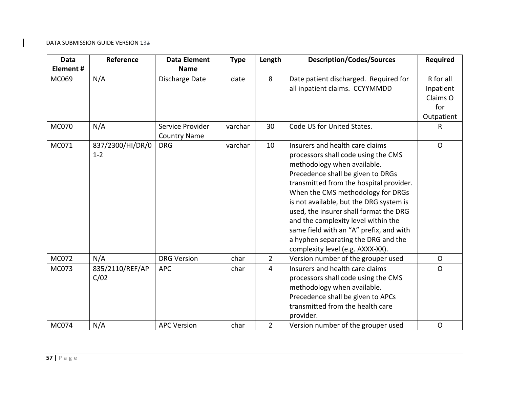| Data         | Reference                   | <b>Data Element</b>                     | <b>Type</b> | Length         | <b>Description/Codes/Sources</b>                                                                                                                                                                                                                                                                                                                                                                                                                                             | <b>Required</b>                                         |
|--------------|-----------------------------|-----------------------------------------|-------------|----------------|------------------------------------------------------------------------------------------------------------------------------------------------------------------------------------------------------------------------------------------------------------------------------------------------------------------------------------------------------------------------------------------------------------------------------------------------------------------------------|---------------------------------------------------------|
| Element#     |                             | <b>Name</b>                             |             |                |                                                                                                                                                                                                                                                                                                                                                                                                                                                                              |                                                         |
| MC069        | N/A                         | Discharge Date                          | date        | 8              | Date patient discharged. Required for<br>all inpatient claims. CCYYMMDD                                                                                                                                                                                                                                                                                                                                                                                                      | R for all<br>Inpatient<br>Claims O<br>for<br>Outpatient |
| <b>MC070</b> | N/A                         | Service Provider<br><b>Country Name</b> | varchar     | 30             | Code US for United States.                                                                                                                                                                                                                                                                                                                                                                                                                                                   | $\mathsf{R}$                                            |
| MC071        | 837/2300/HI/DR/0<br>$1 - 2$ | <b>DRG</b>                              | varchar     | 10             | Insurers and health care claims<br>processors shall code using the CMS<br>methodology when available.<br>Precedence shall be given to DRGs<br>transmitted from the hospital provider.<br>When the CMS methodology for DRGs<br>is not available, but the DRG system is<br>used, the insurer shall format the DRG<br>and the complexity level within the<br>same field with an "A" prefix, and with<br>a hyphen separating the DRG and the<br>complexity level (e.g. AXXX-XX). | $\Omega$                                                |
| MC072        | N/A                         | <b>DRG Version</b>                      | char        | $\overline{2}$ | Version number of the grouper used                                                                                                                                                                                                                                                                                                                                                                                                                                           | $\mathsf{O}$                                            |
| MC073        | 835/2110/REF/AP<br>C/02     | <b>APC</b>                              | char        | $\overline{4}$ | Insurers and health care claims<br>processors shall code using the CMS<br>methodology when available.<br>Precedence shall be given to APCs<br>transmitted from the health care<br>provider.                                                                                                                                                                                                                                                                                  | $\mathsf{O}$                                            |
| MC074        | N/A                         | <b>APC Version</b>                      | char        | $\overline{2}$ | Version number of the grouper used                                                                                                                                                                                                                                                                                                                                                                                                                                           | $\mathsf{O}$                                            |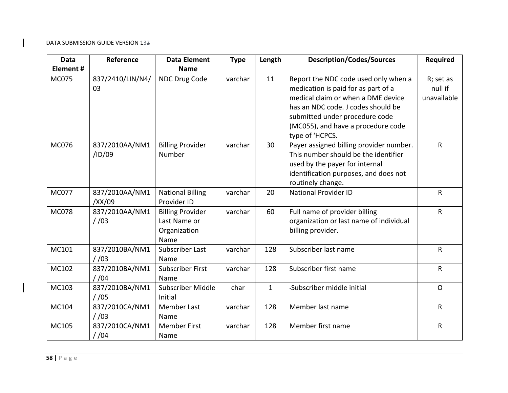| <b>Data</b>  | Reference                 | <b>Data Element</b>                                             | <b>Type</b> | Length       | <b>Description/Codes/Sources</b>                                                                                                                                                                                                                   | <b>Required</b>                     |
|--------------|---------------------------|-----------------------------------------------------------------|-------------|--------------|----------------------------------------------------------------------------------------------------------------------------------------------------------------------------------------------------------------------------------------------------|-------------------------------------|
| Element #    |                           | <b>Name</b>                                                     |             |              |                                                                                                                                                                                                                                                    |                                     |
| <b>MC075</b> | 837/2410/LIN/N4/<br>03    | NDC Drug Code                                                   | varchar     | 11           | Report the NDC code used only when a<br>medication is paid for as part of a<br>medical claim or when a DME device<br>has an NDC code. J codes should be<br>submitted under procedure code<br>(MC055), and have a procedure code<br>type of 'HCPCS. | R; set as<br>null if<br>unavailable |
| <b>MC076</b> | 837/2010AA/NM1<br>/ID/09  | <b>Billing Provider</b><br>Number                               | varchar     | 30           | Payer assigned billing provider number.<br>This number should be the identifier<br>used by the payer for internal<br>identification purposes, and does not<br>routinely change.                                                                    | $\mathsf{R}$                        |
| <b>MC077</b> | 837/2010AA/NM1<br>/XX/09  | <b>National Billing</b><br>Provider ID                          | varchar     | 20           | <b>National Provider ID</b>                                                                                                                                                                                                                        | $\mathsf{R}$                        |
| <b>MC078</b> | 837/2010AA/NM1<br>1/03    | <b>Billing Provider</b><br>Last Name or<br>Organization<br>Name | varchar     | 60           | Full name of provider billing<br>organization or last name of individual<br>billing provider.                                                                                                                                                      | $\mathsf{R}$                        |
| MC101        | 837/2010BA/NM1<br>/ 03    | Subscriber Last<br>Name                                         | varchar     | 128          | Subscriber last name                                                                                                                                                                                                                               | $\sf R$                             |
| MC102        | 837/2010BA/NM1<br>$/$ /04 | <b>Subscriber First</b><br>Name                                 | varchar     | 128          | Subscriber first name                                                                                                                                                                                                                              | $\mathsf{R}$                        |
| MC103        | 837/2010BA/NM1<br>$/$ /05 | Subscriber Middle<br>Initial                                    | char        | $\mathbf{1}$ | -Subscriber middle initial                                                                                                                                                                                                                         | $\Omega$                            |
| MC104        | 837/2010CA/NM1<br>$/$ /03 | <b>Member Last</b><br>Name                                      | varchar     | 128          | Member last name                                                                                                                                                                                                                                   | $\mathsf{R}$                        |
| MC105        | 837/2010CA/NM1<br>1/04    | <b>Member First</b><br>Name                                     | varchar     | 128          | Member first name                                                                                                                                                                                                                                  | R                                   |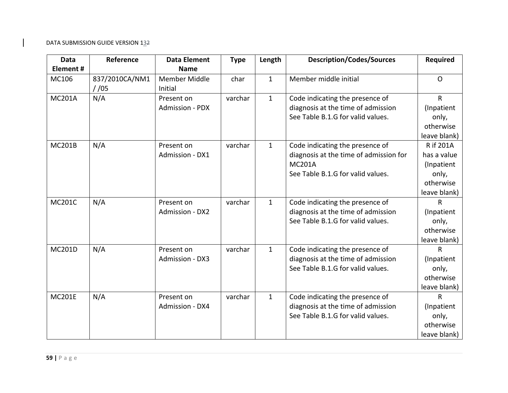| Data            | Reference               | <b>Data Element</b>      | <b>Type</b> | Length       | <b>Description/Codes/Sources</b>       | <b>Required</b> |
|-----------------|-------------------------|--------------------------|-------------|--------------|----------------------------------------|-----------------|
| <b>Element#</b> |                         | <b>Name</b>              |             |              |                                        |                 |
| MC106           | 837/2010CA/NM1<br>/ 105 | Member Middle<br>Initial | char        | $\mathbf{1}$ | Member middle initial                  | $\Omega$        |
| <b>MC201A</b>   | N/A                     | Present on               | varchar     | $\mathbf{1}$ | Code indicating the presence of        | $\mathsf{R}$    |
|                 |                         | <b>Admission - PDX</b>   |             |              | diagnosis at the time of admission     | (Inpatient      |
|                 |                         |                          |             |              | See Table B.1.G for valid values.      | only,           |
|                 |                         |                          |             |              |                                        | otherwise       |
|                 |                         |                          |             |              |                                        | leave blank)    |
| <b>MC201B</b>   | N/A                     | Present on               | varchar     | $\mathbf{1}$ | Code indicating the presence of        | R if 201A       |
|                 |                         | Admission - DX1          |             |              | diagnosis at the time of admission for | has a value     |
|                 |                         |                          |             |              | <b>MC201A</b>                          | (Inpatient      |
|                 |                         |                          |             |              | See Table B.1.G for valid values.      | only,           |
|                 |                         |                          |             |              |                                        | otherwise       |
|                 |                         |                          |             |              |                                        | leave blank)    |
| <b>MC201C</b>   | N/A                     | Present on               | varchar     | $\mathbf{1}$ | Code indicating the presence of        | R               |
|                 |                         | Admission - DX2          |             |              | diagnosis at the time of admission     | (Inpatient      |
|                 |                         |                          |             |              | See Table B.1.G for valid values.      | only,           |
|                 |                         |                          |             |              |                                        | otherwise       |
|                 |                         |                          |             |              |                                        | leave blank)    |
| <b>MC201D</b>   | N/A                     | Present on               | varchar     | $\mathbf{1}$ | Code indicating the presence of        | R               |
|                 |                         | Admission - DX3          |             |              | diagnosis at the time of admission     | (Inpatient      |
|                 |                         |                          |             |              | See Table B.1.G for valid values.      | only,           |
|                 |                         |                          |             |              |                                        | otherwise       |
|                 |                         |                          |             |              |                                        | leave blank)    |
| <b>MC201E</b>   | N/A                     | Present on               | varchar     | $\mathbf{1}$ | Code indicating the presence of        | $\mathsf{R}$    |
|                 |                         | Admission - DX4          |             |              | diagnosis at the time of admission     | (Inpatient      |
|                 |                         |                          |             |              | See Table B.1.G for valid values.      | only,           |
|                 |                         |                          |             |              |                                        | otherwise       |
|                 |                         |                          |             |              |                                        | leave blank)    |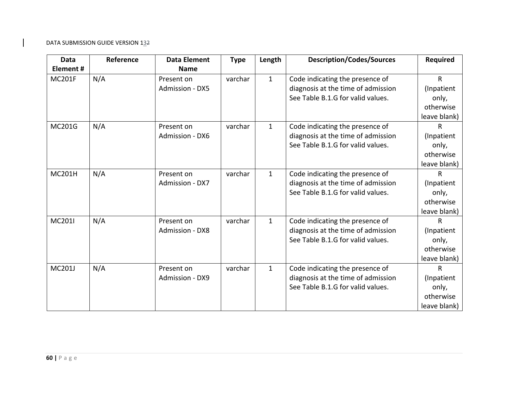| <b>Data</b>   | Reference | <b>Data Element</b>    | <b>Type</b> | Length       | <b>Description/Codes/Sources</b>   | <b>Required</b> |
|---------------|-----------|------------------------|-------------|--------------|------------------------------------|-----------------|
| Element#      |           | <b>Name</b>            |             |              |                                    |                 |
| <b>MC201F</b> | N/A       | Present on             | varchar     | $\mathbf{1}$ | Code indicating the presence of    | $\mathsf{R}$    |
|               |           | <b>Admission - DX5</b> |             |              | diagnosis at the time of admission | (Inpatient      |
|               |           |                        |             |              | See Table B.1.G for valid values.  | only,           |
|               |           |                        |             |              |                                    | otherwise       |
|               |           |                        |             |              |                                    | leave blank)    |
| MC201G        | N/A       | Present on             | varchar     | $\mathbf{1}$ | Code indicating the presence of    | R               |
|               |           | Admission - DX6        |             |              | diagnosis at the time of admission | (Inpatient      |
|               |           |                        |             |              | See Table B.1.G for valid values.  | only,           |
|               |           |                        |             |              |                                    | otherwise       |
|               |           |                        |             |              |                                    | leave blank)    |
| <b>MC201H</b> | N/A       | Present on             | varchar     | $\mathbf{1}$ | Code indicating the presence of    | $\mathsf{R}$    |
|               |           | Admission - DX7        |             |              | diagnosis at the time of admission | (Inpatient      |
|               |           |                        |             |              | See Table B.1.G for valid values.  | only,           |
|               |           |                        |             |              |                                    | otherwise       |
|               |           |                        |             |              |                                    | leave blank)    |
| <b>MC201I</b> | N/A       | Present on             | varchar     | $\mathbf{1}$ | Code indicating the presence of    | $\mathsf{R}$    |
|               |           | <b>Admission - DX8</b> |             |              | diagnosis at the time of admission | (Inpatient      |
|               |           |                        |             |              | See Table B.1.G for valid values.  | only,           |
|               |           |                        |             |              |                                    | otherwise       |
|               |           |                        |             |              |                                    | leave blank)    |
| <b>MC201J</b> | N/A       | Present on             | varchar     | $\mathbf{1}$ | Code indicating the presence of    | $\mathsf{R}$    |
|               |           | <b>Admission - DX9</b> |             |              | diagnosis at the time of admission | (Inpatient      |
|               |           |                        |             |              | See Table B.1.G for valid values.  | only,           |
|               |           |                        |             |              |                                    | otherwise       |
|               |           |                        |             |              |                                    | leave blank)    |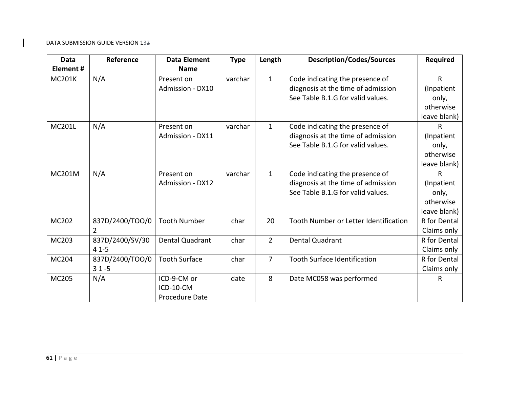| Data          | Reference       | <b>Data Element</b>    | <b>Type</b> | Length         | <b>Description/Codes/Sources</b>      | <b>Required</b> |
|---------------|-----------------|------------------------|-------------|----------------|---------------------------------------|-----------------|
| Element#      |                 | <b>Name</b>            |             |                |                                       |                 |
| <b>MC201K</b> | N/A             | Present on             | varchar     | $\mathbf{1}$   | Code indicating the presence of       | $\mathsf{R}$    |
|               |                 | Admission - DX10       |             |                | diagnosis at the time of admission    | (Inpatient      |
|               |                 |                        |             |                | See Table B.1.G for valid values.     | only,           |
|               |                 |                        |             |                |                                       | otherwise       |
|               |                 |                        |             |                |                                       | leave blank)    |
| <b>MC201L</b> | N/A             | Present on             | varchar     | $\mathbf{1}$   | Code indicating the presence of       | R               |
|               |                 | Admission - DX11       |             |                | diagnosis at the time of admission    | (Inpatient      |
|               |                 |                        |             |                | See Table B.1.G for valid values.     | only,           |
|               |                 |                        |             |                |                                       | otherwise       |
|               |                 |                        |             |                |                                       | leave blank)    |
| <b>MC201M</b> | N/A             | Present on             | varchar     | $\mathbf{1}$   | Code indicating the presence of       | R               |
|               |                 | Admission - DX12       |             |                | diagnosis at the time of admission    | (Inpatient      |
|               |                 |                        |             |                | See Table B.1.G for valid values.     | only,           |
|               |                 |                        |             |                |                                       | otherwise       |
|               |                 |                        |             |                |                                       | leave blank)    |
| MC202         | 837D/2400/TOO/0 | <b>Tooth Number</b>    | char        | 20             | Tooth Number or Letter Identification | R for Dental    |
|               | $\overline{2}$  |                        |             |                |                                       | Claims only     |
| MC203         | 837D/2400/SV/30 | <b>Dental Quadrant</b> | char        | $\overline{2}$ | Dental Quadrant                       | R for Dental    |
|               | $41 - 5$        |                        |             |                |                                       | Claims only     |
| MC204         | 837D/2400/TOO/0 | <b>Tooth Surface</b>   | char        | $\overline{7}$ | <b>Tooth Surface Identification</b>   | R for Dental    |
|               | $31 - 5$        |                        |             |                |                                       | Claims only     |
| MC205         | N/A             | ICD-9-CM or            | date        | 8              | Date MC058 was performed              | R               |
|               |                 | ICD-10-CM              |             |                |                                       |                 |
|               |                 | Procedure Date         |             |                |                                       |                 |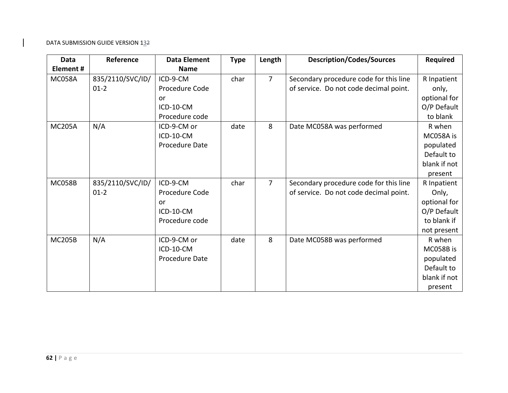| <b>Data</b>   | Reference        | <b>Data Element</b> | <b>Type</b> | Length         | <b>Description/Codes/Sources</b>       | <b>Required</b> |
|---------------|------------------|---------------------|-------------|----------------|----------------------------------------|-----------------|
| Element#      |                  | <b>Name</b>         |             |                |                                        |                 |
| <b>MC058A</b> | 835/2110/SVC/ID/ | ICD-9-CM            | char        | $\overline{7}$ | Secondary procedure code for this line | R Inpatient     |
|               | $01-2$           | Procedure Code      |             |                | of service. Do not code decimal point. | only,           |
|               |                  | or                  |             |                |                                        | optional for    |
|               |                  | ICD-10-CM           |             |                |                                        | O/P Default     |
|               |                  | Procedure code      |             |                |                                        | to blank        |
| <b>MC205A</b> | N/A              | ICD-9-CM or         | date        | 8              | Date MC058A was performed              | R when          |
|               |                  | ICD-10-CM           |             |                |                                        | MC058A is       |
|               |                  | Procedure Date      |             |                |                                        | populated       |
|               |                  |                     |             |                |                                        | Default to      |
|               |                  |                     |             |                |                                        | blank if not    |
|               |                  |                     |             |                |                                        | present         |
| <b>MC058B</b> | 835/2110/SVC/ID/ | ICD-9-CM            | char        | $\overline{7}$ | Secondary procedure code for this line | R Inpatient     |
|               | $01-2$           | Procedure Code      |             |                | of service. Do not code decimal point. | Only,           |
|               |                  | or                  |             |                |                                        | optional for    |
|               |                  | ICD-10-CM           |             |                |                                        | O/P Default     |
|               |                  | Procedure code      |             |                |                                        | to blank if     |
|               |                  |                     |             |                |                                        | not present     |
| <b>MC205B</b> | N/A              | ICD-9-CM or         | date        | 8              | Date MC058B was performed              | R when          |
|               |                  | ICD-10-CM           |             |                |                                        | MC058B is       |
|               |                  | Procedure Date      |             |                |                                        | populated       |
|               |                  |                     |             |                |                                        | Default to      |
|               |                  |                     |             |                |                                        | blank if not    |
|               |                  |                     |             |                |                                        | present         |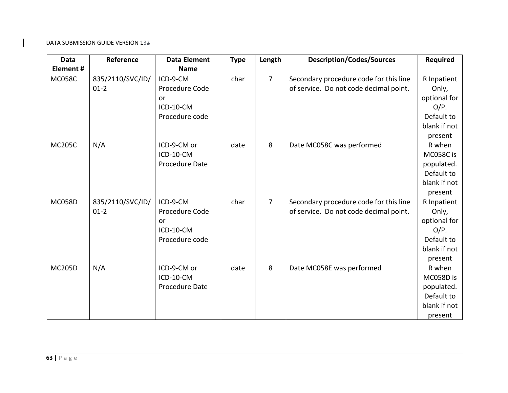| Data          | Reference        | <b>Data Element</b> | <b>Type</b> | Length         | <b>Description/Codes/Sources</b>       | <b>Required</b> |
|---------------|------------------|---------------------|-------------|----------------|----------------------------------------|-----------------|
| Element#      |                  | <b>Name</b>         |             |                |                                        |                 |
| <b>MC058C</b> | 835/2110/SVC/ID/ | ICD-9-CM            | char        | $\overline{7}$ | Secondary procedure code for this line | R Inpatient     |
|               | $01-2$           | Procedure Code      |             |                | of service. Do not code decimal point. | Only,           |
|               |                  | or                  |             |                |                                        | optional for    |
|               |                  | ICD-10-CM           |             |                |                                        | $O/P$ .         |
|               |                  | Procedure code      |             |                |                                        | Default to      |
|               |                  |                     |             |                |                                        | blank if not    |
|               |                  |                     |             |                |                                        | present         |
| <b>MC205C</b> | N/A              | ICD-9-CM or         | date        | 8              | Date MC058C was performed              | R when          |
|               |                  | ICD-10-CM           |             |                |                                        | MC058C is       |
|               |                  | Procedure Date      |             |                |                                        | populated.      |
|               |                  |                     |             |                |                                        | Default to      |
|               |                  |                     |             |                |                                        | blank if not    |
|               |                  |                     |             |                |                                        | present         |
| <b>MC058D</b> | 835/2110/SVC/ID/ | ICD-9-CM            | char        | $\overline{7}$ | Secondary procedure code for this line | R Inpatient     |
|               | $01 - 2$         | Procedure Code      |             |                | of service. Do not code decimal point. | Only,           |
|               |                  | or                  |             |                |                                        | optional for    |
|               |                  | ICD-10-CM           |             |                |                                        | $O/P$ .         |
|               |                  | Procedure code      |             |                |                                        | Default to      |
|               |                  |                     |             |                |                                        | blank if not    |
|               |                  |                     |             |                |                                        | present         |
| <b>MC205D</b> | N/A              | ICD-9-CM or         | date        | 8              | Date MC058E was performed              | R when          |
|               |                  | ICD-10-CM           |             |                |                                        | MC058D is       |
|               |                  | Procedure Date      |             |                |                                        | populated.      |
|               |                  |                     |             |                |                                        | Default to      |
|               |                  |                     |             |                |                                        | blank if not    |
|               |                  |                     |             |                |                                        | present         |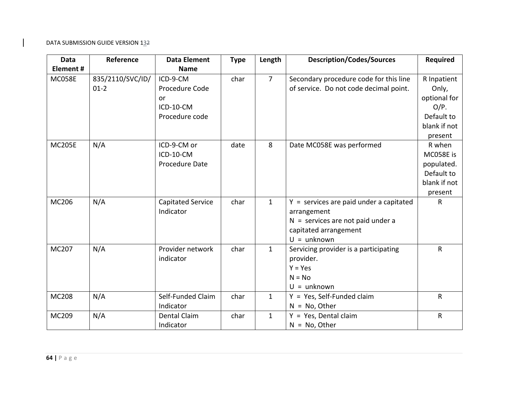| Data          | Reference                  | <b>Data Element</b>                                             | <b>Type</b> | Length         | <b>Description/Codes/Sources</b>                                                                                                          | <b>Required</b>                                                                          |
|---------------|----------------------------|-----------------------------------------------------------------|-------------|----------------|-------------------------------------------------------------------------------------------------------------------------------------------|------------------------------------------------------------------------------------------|
| Element#      |                            | <b>Name</b>                                                     |             |                |                                                                                                                                           |                                                                                          |
| <b>MC058E</b> | 835/2110/SVC/ID/<br>$01-2$ | ICD-9-CM<br>Procedure Code<br>or<br>ICD-10-CM<br>Procedure code | char        | $\overline{7}$ | Secondary procedure code for this line<br>of service. Do not code decimal point.                                                          | R Inpatient<br>Only,<br>optional for<br>$O/P$ .<br>Default to<br>blank if not<br>present |
| <b>MC205E</b> | N/A                        | ICD-9-CM or<br>ICD-10-CM<br>Procedure Date                      | date        | 8              | Date MC058E was performed                                                                                                                 | R when<br>MC058E is<br>populated.<br>Default to<br>blank if not<br>present               |
| MC206         | N/A                        | <b>Capitated Service</b><br>Indicator                           | char        | $\mathbf{1}$   | $Y =$ services are paid under a capitated<br>arrangement<br>$N =$ services are not paid under a<br>capitated arrangement<br>$U =$ unknown | $\mathsf{R}$                                                                             |
| MC207         | N/A                        | Provider network<br>indicator                                   | char        | $\mathbf{1}$   | Servicing provider is a participating<br>provider.<br>$Y = Yes$<br>$N = No$<br>$U =$ unknown                                              | $\mathsf{R}$                                                                             |
| <b>MC208</b>  | N/A                        | Self-Funded Claim<br>Indicator                                  | char        | $\mathbf{1}$   | $Y = Yes$ , Self-Funded claim<br>$N = No$ , Other                                                                                         | $\mathsf{R}$                                                                             |
| MC209         | N/A                        | <b>Dental Claim</b><br>Indicator                                | char        | $\mathbf{1}$   | Y = Yes, Dental claim<br>$N = No$ , Other                                                                                                 | $\mathsf{R}$                                                                             |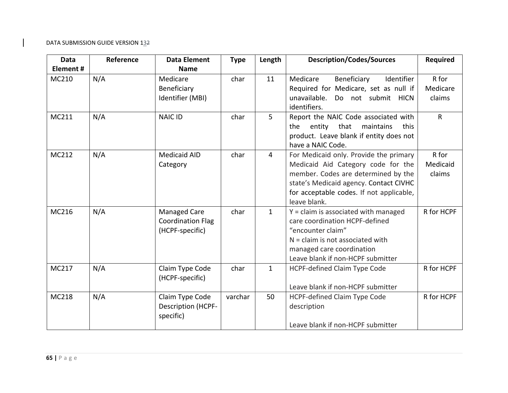| Data         | Reference | <b>Data Element</b>                                                | <b>Type</b> | Length         | <b>Description/Codes/Sources</b>                                                                                                                                                                                          | <b>Required</b>             |
|--------------|-----------|--------------------------------------------------------------------|-------------|----------------|---------------------------------------------------------------------------------------------------------------------------------------------------------------------------------------------------------------------------|-----------------------------|
| Element#     |           | <b>Name</b>                                                        |             |                |                                                                                                                                                                                                                           |                             |
| MC210        | N/A       | Medicare<br>Beneficiary<br>Identifier (MBI)                        | char        | 11             | Medicare<br>Beneficiary<br>Identifier<br>Required for Medicare, set as null if<br>unavailable.<br>Do not submit HICN<br>identifiers.                                                                                      | R for<br>Medicare<br>claims |
| MC211        | N/A       | <b>NAIC ID</b>                                                     | char        | 5              | Report the NAIC Code associated with<br>entity that<br>maintains<br>the<br>this<br>product. Leave blank if entity does not<br>have a NAIC Code.                                                                           | $\mathsf{R}$                |
| MC212        | N/A       | <b>Medicaid AID</b><br>Category                                    | char        | $\overline{4}$ | For Medicaid only. Provide the primary<br>Medicaid Aid Category code for the<br>member. Codes are determined by the<br>state's Medicaid agency. Contact CIVHC<br>for acceptable codes. If not applicable,<br>leave blank. | R for<br>Medicaid<br>claims |
| MC216        | N/A       | <b>Managed Care</b><br><b>Coordination Flag</b><br>(HCPF-specific) | char        | $\mathbf{1}$   | $Y = claim$ is associated with managed<br>care coordination HCPF-defined<br>"encounter claim"<br>$N =$ claim is not associated with<br>managed care coordination<br>Leave blank if non-HCPF submitter                     | R for HCPF                  |
| MC217        | N/A       | Claim Type Code<br>(HCPF-specific)                                 | char        | $\mathbf{1}$   | <b>HCPF-defined Claim Type Code</b><br>Leave blank if non-HCPF submitter                                                                                                                                                  | R for HCPF                  |
| <b>MC218</b> | N/A       | Claim Type Code<br><b>Description (HCPF-</b><br>specific)          | varchar     | 50             | <b>HCPF-defined Claim Type Code</b><br>description<br>Leave blank if non-HCPF submitter                                                                                                                                   | R for HCPF                  |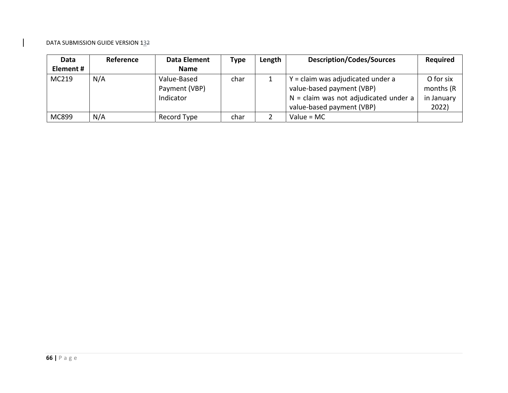| Data      | Reference | Data Element  | <b>Type</b> | Length | <b>Description/Codes/Sources</b>        | <b>Required</b> |
|-----------|-----------|---------------|-------------|--------|-----------------------------------------|-----------------|
| Element # |           | <b>Name</b>   |             |        |                                         |                 |
| MC219     | N/A       | Value-Based   | char        |        | $Y = claim$ was adjudicated under a     | O for six       |
|           |           | Payment (VBP) |             |        | value-based payment (VBP)               | months (R)      |
|           |           | Indicator     |             |        | $N =$ claim was not adjudicated under a | in January      |
|           |           |               |             |        | value-based payment (VBP)               | 2022)           |
| MC899     | N/A       | Record Type   | char        |        | Value = $MC$                            |                 |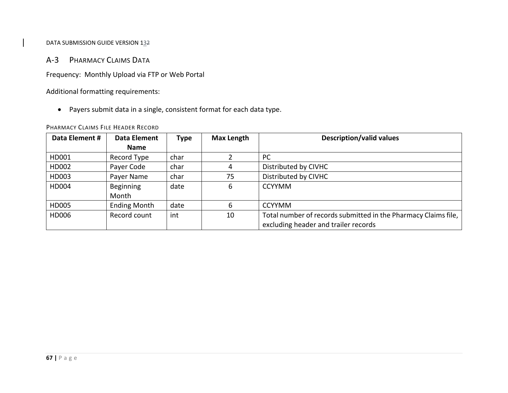# A‐3 PHARMACY CLAIMS DATA

Frequency: Monthly Upload via FTP or Web Portal

Additional formatting requirements:

Payers submit data in <sup>a</sup> single, consistent format for each data type.

#### PHARMACY CLAIMS FILE HEADER RECORD

| Data Element # | Data Element        | Type | <b>Max Length</b> | <b>Description/valid values</b>                                |
|----------------|---------------------|------|-------------------|----------------------------------------------------------------|
|                | Name                |      |                   |                                                                |
| HD001          | Record Type         | char |                   | <b>PC</b>                                                      |
| HD002          | Payer Code          | char | 4                 | Distributed by CIVHC                                           |
| HD003          | Payer Name          | char | 75                | Distributed by CIVHC                                           |
| HD004          | Beginning           | date | 6                 | <b>CCYYMM</b>                                                  |
|                | Month               |      |                   |                                                                |
| HD005          | <b>Ending Month</b> | date | 6                 | <b>CCYYMM</b>                                                  |
| HD006          | Record count        | int  | 10                | Total number of records submitted in the Pharmacy Claims file, |
|                |                     |      |                   | excluding header and trailer records                           |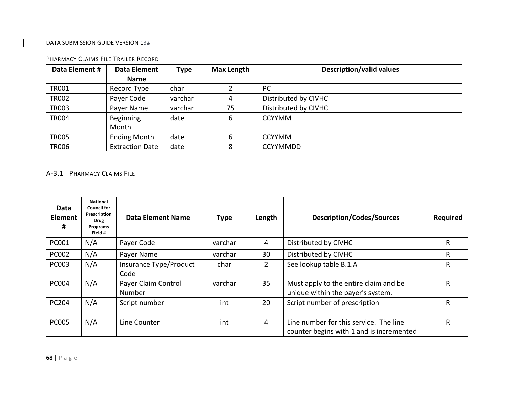| Data Element # | Data Element           | <b>Type</b> | <b>Max Length</b> | <b>Description/valid values</b> |
|----------------|------------------------|-------------|-------------------|---------------------------------|
|                | <b>Name</b>            |             |                   |                                 |
| <b>TR001</b>   | Record Type            | char        |                   | PC                              |
| <b>TR002</b>   | Payer Code             | varchar     |                   | Distributed by CIVHC            |
| <b>TR003</b>   | Payer Name             | varchar     | 75                | Distributed by CIVHC            |
| <b>TR004</b>   | Beginning              | date        | 6                 | <b>CCYYMM</b>                   |
|                | Month                  |             |                   |                                 |
| <b>TR005</b>   | <b>Ending Month</b>    | date        | 6                 | <b>CCYYMM</b>                   |
| <b>TR006</b>   | <b>Extraction Date</b> | date        | 8                 | <b>CCYYMMDD</b>                 |

#### PHARMACY CLAIMS FILE TRAILER RECORD

# A‐3.1 PHARMACY CLAIMS FILE

| Data<br><b>Element</b><br># | <b>National</b><br><b>Council for</b><br>Prescription<br><b>Drug</b><br>Programs<br>Field # | Data Element Name              | <b>Type</b> | Length         | <b>Description/Codes/Sources</b>                                                   | <b>Required</b> |
|-----------------------------|---------------------------------------------------------------------------------------------|--------------------------------|-------------|----------------|------------------------------------------------------------------------------------|-----------------|
| <b>PC001</b>                | N/A                                                                                         | Payer Code                     | varchar     | 4              | Distributed by CIVHC                                                               | R               |
| <b>PC002</b>                | N/A                                                                                         | Payer Name                     | varchar     | 30             | Distributed by CIVHC                                                               | R.              |
| <b>PC003</b>                | N/A                                                                                         | Insurance Type/Product<br>Code | char        | $\overline{2}$ | See lookup table B.1.A                                                             | R               |
| <b>PC004</b>                | N/A                                                                                         | Payer Claim Control<br>Number  | varchar     | 35             | Must apply to the entire claim and be<br>unique within the payer's system.         | R               |
| <b>PC204</b>                | N/A                                                                                         | Script number                  | int         | 20             | Script number of prescription                                                      | R               |
| <b>PC005</b>                | N/A                                                                                         | Line Counter                   | int         | 4              | Line number for this service. The line<br>counter begins with 1 and is incremented | R               |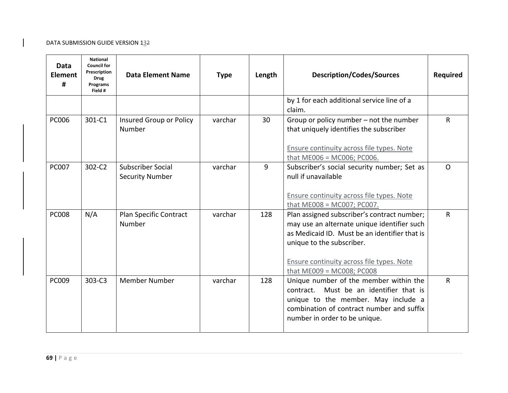| Data<br><b>Element</b><br># | <b>National</b><br><b>Council for</b><br>Prescription<br><b>Drug</b><br>Programs<br>Field # | <b>Data Element Name</b>                    | <b>Type</b> | Length | <b>Description/Codes/Sources</b>                                                                                                                                                                          | <b>Required</b> |
|-----------------------------|---------------------------------------------------------------------------------------------|---------------------------------------------|-------------|--------|-----------------------------------------------------------------------------------------------------------------------------------------------------------------------------------------------------------|-----------------|
|                             |                                                                                             |                                             |             |        | by 1 for each additional service line of a<br>claim.                                                                                                                                                      |                 |
| <b>PC006</b>                | 301-C1                                                                                      | Insured Group or Policy<br>Number           | varchar     | 30     | Group or policy number $-$ not the number<br>that uniquely identifies the subscriber<br>Ensure continuity across file types. Note                                                                         | $\mathsf{R}$    |
|                             |                                                                                             |                                             |             |        | that $ME006 = MC006$ ; PC006.                                                                                                                                                                             |                 |
| <b>PC007</b>                | 302-C2                                                                                      | Subscriber Social<br><b>Security Number</b> | varchar     | 9      | Subscriber's social security number; Set as<br>null if unavailable<br>Ensure continuity across file types. Note                                                                                           | $\Omega$        |
|                             |                                                                                             |                                             |             |        | that ME008 = MC007; PC007.                                                                                                                                                                                |                 |
| <b>PC008</b>                | N/A                                                                                         | Plan Specific Contract<br>Number            | varchar     | 128    | Plan assigned subscriber's contract number;<br>may use an alternate unique identifier such<br>as Medicaid ID. Must be an identifier that is<br>unique to the subscriber.                                  | $\mathsf{R}$    |
|                             |                                                                                             |                                             |             |        | Ensure continuity across file types. Note<br>that $ME009 = MC008$ ; $PC008$                                                                                                                               |                 |
| <b>PC009</b>                | $303 - C3$                                                                                  | <b>Member Number</b>                        | varchar     | 128    | Unique number of the member within the<br>Must be an identifier that is<br>contract.<br>unique to the member. May include a<br>combination of contract number and suffix<br>number in order to be unique. | R               |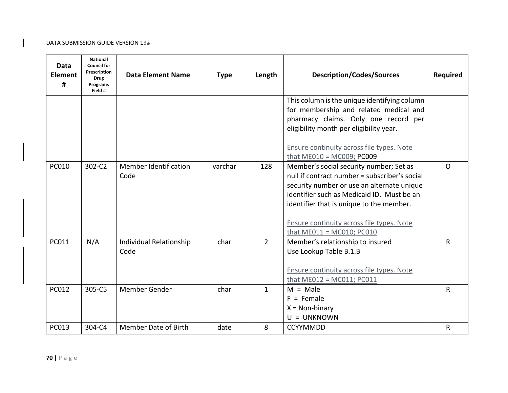| Data<br><b>Element</b><br># | <b>National</b><br><b>Council for</b><br>Prescription<br><b>Drug</b><br>Programs<br>Field # | <b>Data Element Name</b>        | <b>Type</b> | Length         | <b>Description/Codes/Sources</b>                                                                                                                                                                                                                                                                                | <b>Required</b> |
|-----------------------------|---------------------------------------------------------------------------------------------|---------------------------------|-------------|----------------|-----------------------------------------------------------------------------------------------------------------------------------------------------------------------------------------------------------------------------------------------------------------------------------------------------------------|-----------------|
|                             |                                                                                             |                                 |             |                | This column is the unique identifying column<br>for membership and related medical and<br>pharmacy claims. Only one record per<br>eligibility month per eligibility year.<br>Ensure continuity across file types. Note<br>that $ME010 = MC009$ ; $PC009$                                                        |                 |
| <b>PC010</b>                | 302-C2                                                                                      | Member Identification<br>Code   | varchar     | 128            | Member's social security number; Set as<br>null if contract number = subscriber's social<br>security number or use an alternate unique<br>identifier such as Medicaid ID. Must be an<br>identifier that is unique to the member.<br>Ensure continuity across file types. Note<br>that $ME011 = MC010$ ; $PC010$ | $\Omega$        |
| <b>PC011</b>                | N/A                                                                                         | Individual Relationship<br>Code | char        | $\overline{2}$ | Member's relationship to insured<br>Use Lookup Table B.1.B<br>Ensure continuity across file types. Note<br>that $ME012 = MC011$ ; $PC011$                                                                                                                                                                       | R               |
| PC012                       | 305-C5                                                                                      | Member Gender                   | char        | $\mathbf{1}$   | $M = Male$<br>$F =$ Female<br>$X = Non-binary$<br>$U = UNKNOWN$                                                                                                                                                                                                                                                 | R               |
| <b>PC013</b>                | 304-C4                                                                                      | <b>Member Date of Birth</b>     | date        | 8              | <b>CCYYMMDD</b>                                                                                                                                                                                                                                                                                                 | $\mathsf{R}$    |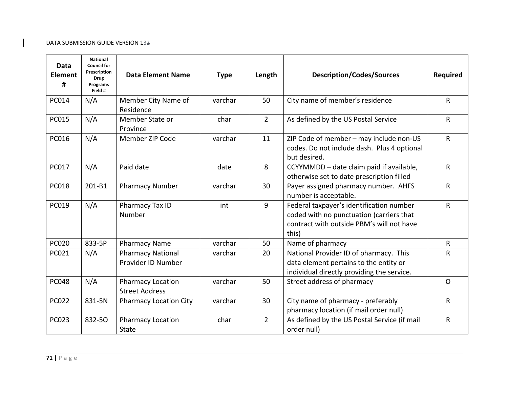| <b>Data</b><br><b>Element</b><br># | <b>National</b><br><b>Council for</b><br>Prescription<br><b>Drug</b><br>Programs<br>Field # | <b>Data Element Name</b>                          | <b>Type</b> | Length         | <b>Description/Codes/Sources</b>                                                                                                           | <b>Required</b> |
|------------------------------------|---------------------------------------------------------------------------------------------|---------------------------------------------------|-------------|----------------|--------------------------------------------------------------------------------------------------------------------------------------------|-----------------|
| <b>PC014</b>                       | N/A                                                                                         | Member City Name of<br>Residence                  | varchar     | 50             | City name of member's residence                                                                                                            | $\mathsf{R}$    |
| <b>PC015</b>                       | N/A                                                                                         | Member State or<br>Province                       | char        | $\overline{2}$ | As defined by the US Postal Service                                                                                                        | $\mathsf{R}$    |
| PC016                              | N/A                                                                                         | Member ZIP Code                                   | varchar     | 11             | ZIP Code of member - may include non-US<br>codes. Do not include dash. Plus 4 optional<br>but desired.                                     | $\mathsf{R}$    |
| <b>PC017</b>                       | N/A                                                                                         | Paid date                                         | date        | 8              | CCYYMMDD - date claim paid if available,<br>otherwise set to date prescription filled                                                      | $\mathsf{R}$    |
| <b>PC018</b>                       | 201-B1                                                                                      | <b>Pharmacy Number</b>                            | varchar     | 30             | Payer assigned pharmacy number. AHFS<br>number is acceptable.                                                                              | R               |
| PC019                              | N/A                                                                                         | Pharmacy Tax ID<br>Number                         | int         | 9              | Federal taxpayer's identification number<br>coded with no punctuation (carriers that<br>contract with outside PBM's will not have<br>this) | $\mathsf{R}$    |
| <b>PC020</b>                       | 833-5P                                                                                      | <b>Pharmacy Name</b>                              | varchar     | 50             | Name of pharmacy                                                                                                                           | $\mathsf{R}$    |
| PC021                              | N/A                                                                                         | <b>Pharmacy National</b><br>Provider ID Number    | varchar     | 20             | National Provider ID of pharmacy. This<br>data element pertains to the entity or<br>individual directly providing the service.             | $\mathsf{R}$    |
| <b>PC048</b>                       | N/A                                                                                         | <b>Pharmacy Location</b><br><b>Street Address</b> | varchar     | 50             | Street address of pharmacy                                                                                                                 | $\mathsf{O}$    |
| <b>PC022</b>                       | 831-5N                                                                                      | <b>Pharmacy Location City</b>                     | varchar     | 30             | City name of pharmacy - preferably<br>pharmacy location (if mail order null)                                                               | R               |
| <b>PC023</b>                       | 832-50                                                                                      | <b>Pharmacy Location</b><br><b>State</b>          | char        | $\overline{2}$ | As defined by the US Postal Service (if mail<br>order null)                                                                                | $\sf R$         |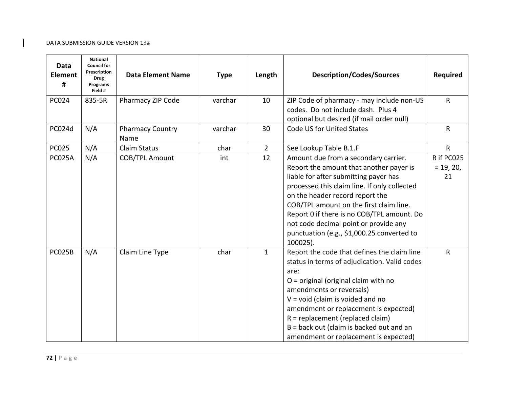| Data<br><b>Element</b><br># | <b>National</b><br><b>Council for</b><br>Prescription<br><b>Drug</b><br>Programs<br>Field # | <b>Data Element Name</b>        | <b>Type</b> | Length         | <b>Description/Codes/Sources</b>                                                                                                                                                                                                                                                                                                                                                                        | <b>Required</b>                 |
|-----------------------------|---------------------------------------------------------------------------------------------|---------------------------------|-------------|----------------|---------------------------------------------------------------------------------------------------------------------------------------------------------------------------------------------------------------------------------------------------------------------------------------------------------------------------------------------------------------------------------------------------------|---------------------------------|
| <b>PC024</b>                | 835-5R                                                                                      | Pharmacy ZIP Code               | varchar     | 10             | ZIP Code of pharmacy - may include non-US<br>codes. Do not include dash. Plus 4<br>optional but desired (if mail order null)                                                                                                                                                                                                                                                                            | R                               |
| PC024d                      | N/A                                                                                         | <b>Pharmacy Country</b><br>Name | varchar     | 30             | Code US for United States                                                                                                                                                                                                                                                                                                                                                                               | R                               |
| <b>PC025</b>                | N/A                                                                                         | <b>Claim Status</b>             | char        | $\overline{2}$ | See Lookup Table B.1.F                                                                                                                                                                                                                                                                                                                                                                                  | $\mathsf{R}$                    |
| <b>PC025A</b>               | N/A                                                                                         | <b>COB/TPL Amount</b>           | int         | 12             | Amount due from a secondary carrier.<br>Report the amount that another payer is<br>liable for after submitting payer has<br>processed this claim line. If only collected<br>on the header record report the<br>COB/TPL amount on the first claim line.<br>Report 0 if there is no COB/TPL amount. Do<br>not code decimal point or provide any<br>punctuation (e.g., \$1,000.25 converted to<br>100025). | R if PC025<br>$= 19, 20,$<br>21 |
| PC025B                      | N/A                                                                                         | Claim Line Type                 | char        | $\mathbf{1}$   | Report the code that defines the claim line<br>status in terms of adjudication. Valid codes<br>are:<br>$O =$ original (original claim with no<br>amendments or reversals)<br>$V = void (claim is violated and no)$<br>amendment or replacement is expected)<br>$R = replacement (replaced claim)$<br>$B =$ back out (claim is backed out and an<br>amendment or replacement is expected)                | R                               |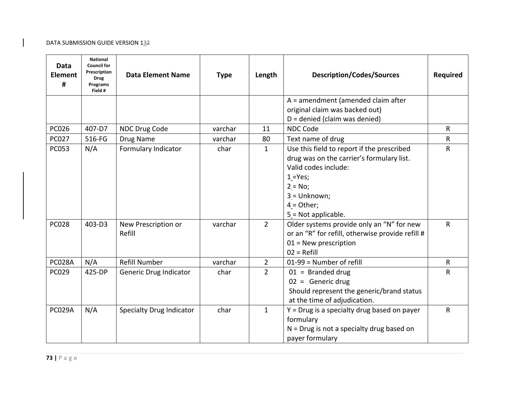| Data<br><b>Element</b><br># | <b>National</b><br><b>Council for</b><br>Prescription<br><b>Drug</b><br>Programs<br>Field # | <b>Data Element Name</b>        | <b>Type</b> | <b>Description/Codes/Sources</b><br>Length |                                                  | <b>Required</b> |
|-----------------------------|---------------------------------------------------------------------------------------------|---------------------------------|-------------|--------------------------------------------|--------------------------------------------------|-----------------|
|                             |                                                                                             |                                 |             |                                            | A = amendment (amended claim after               |                 |
|                             |                                                                                             |                                 |             |                                            | original claim was backed out)                   |                 |
|                             |                                                                                             |                                 |             |                                            | $D =$ denied (claim was denied)                  |                 |
| <b>PC026</b>                | 407-D7                                                                                      | NDC Drug Code                   | varchar     | 11                                         | <b>NDC Code</b>                                  | R               |
| <b>PC027</b>                | 516-FG                                                                                      | Drug Name                       | varchar     | 80                                         | Text name of drug                                | R               |
| <b>PC053</b>                | N/A                                                                                         | Formulary Indicator             | char        | $\mathbf{1}$                               | Use this field to report if the prescribed       | ${\sf R}$       |
|                             |                                                                                             |                                 |             |                                            | drug was on the carrier's formulary list.        |                 |
|                             |                                                                                             |                                 |             |                                            | Valid codes include:                             |                 |
|                             |                                                                                             |                                 |             |                                            | $1 = Yes;$                                       |                 |
|                             |                                                                                             |                                 |             |                                            | $2 = No;$                                        |                 |
|                             |                                                                                             |                                 |             |                                            | 3 = Unknown;                                     |                 |
|                             |                                                                                             |                                 |             |                                            | $4 = Other;$                                     |                 |
|                             |                                                                                             |                                 |             |                                            | 5 = Not applicable.                              |                 |
| <b>PC028</b>                | 403-D3                                                                                      | New Prescription or             | varchar     | $\overline{2}$                             | Older systems provide only an "N" for new        | ${\sf R}$       |
|                             |                                                                                             | Refill                          |             |                                            | or an "R" for refill, otherwise provide refill # |                 |
|                             |                                                                                             |                                 |             |                                            | $01$ = New prescription                          |                 |
|                             |                                                                                             |                                 |             |                                            | $02 = Refill$                                    |                 |
| PC028A                      | N/A                                                                                         | Refill Number                   | varchar     | $\overline{2}$                             | 01-99 = Number of refill                         | $\mathsf{R}$    |
| <b>PC029</b>                | 425-DP                                                                                      | Generic Drug Indicator          | char        | $\overline{2}$                             | $01 =$ Branded drug                              | $\mathsf{R}$    |
|                             |                                                                                             |                                 |             |                                            | $02 =$ Generic drug                              |                 |
|                             |                                                                                             |                                 |             |                                            | Should represent the generic/brand status        |                 |
|                             |                                                                                             |                                 |             |                                            | at the time of adjudication.                     |                 |
| <b>PC029A</b>               | N/A                                                                                         | <b>Specialty Drug Indicator</b> | char        | $\mathbf{1}$                               | $Y = Drug$ is a specialty drug based on payer    | $\mathsf{R}$    |
|                             |                                                                                             |                                 |             |                                            | formulary                                        |                 |
|                             |                                                                                             |                                 |             |                                            | $N = Drug$ is not a specialty drug based on      |                 |
|                             |                                                                                             |                                 |             |                                            | payer formulary                                  |                 |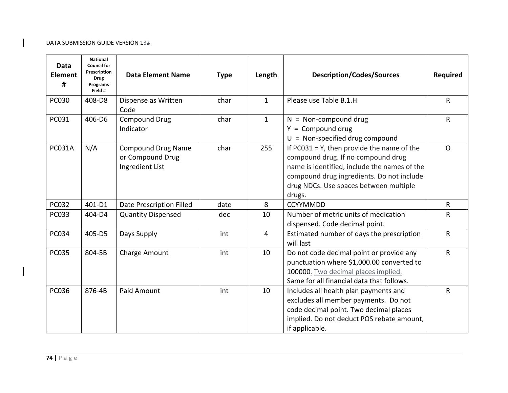| Data<br><b>Element</b><br># | <b>National</b><br><b>Council for</b><br>Prescription<br><b>Drug</b><br>Programs<br>Field # | <b>Data Element Name</b>                                         | <b>Type</b> | Length                                                                                                                                                                                                                                      | <b>Description/Codes/Sources</b>                                                                                                                                                       | <b>Required</b> |
|-----------------------------|---------------------------------------------------------------------------------------------|------------------------------------------------------------------|-------------|---------------------------------------------------------------------------------------------------------------------------------------------------------------------------------------------------------------------------------------------|----------------------------------------------------------------------------------------------------------------------------------------------------------------------------------------|-----------------|
| <b>PC030</b>                | 408-D8                                                                                      | Dispense as Written<br>Code                                      | char        | $\mathbf{1}$                                                                                                                                                                                                                                | Please use Table B.1.H                                                                                                                                                                 | $\mathsf{R}$    |
| PC031                       | 406-D6                                                                                      | <b>Compound Drug</b><br>Indicator                                | char        | $\mathbf{1}$                                                                                                                                                                                                                                | $N = Non-compound drug$<br>$Y = Compound drug$<br>$U = Non-specified drug compound$                                                                                                    | $\mathsf{R}$    |
| <b>PC031A</b>               | N/A                                                                                         | <b>Compound Drug Name</b><br>or Compound Drug<br>Ingredient List | char        | If $PC031 = Y$ , then provide the name of the<br>255<br>compound drug. If no compound drug<br>name is identified, include the names of the<br>compound drug ingredients. Do not include<br>drug NDCs. Use spaces between multiple<br>drugs. |                                                                                                                                                                                        | $\Omega$        |
| <b>PC032</b>                | 401-D1                                                                                      | Date Prescription Filled                                         | date        | 8                                                                                                                                                                                                                                           | <b>CCYYMMDD</b>                                                                                                                                                                        | $\mathsf{R}$    |
| <b>PC033</b>                | 404-D4                                                                                      | <b>Quantity Dispensed</b>                                        | dec         | 10                                                                                                                                                                                                                                          | Number of metric units of medication<br>dispensed. Code decimal point.                                                                                                                 | $\mathsf{R}$    |
| <b>PC034</b>                | 405-D5                                                                                      | Days Supply                                                      | int         | $\overline{4}$                                                                                                                                                                                                                              | Estimated number of days the prescription<br>will last                                                                                                                                 | $\mathsf{R}$    |
| <b>PC035</b>                | 804-5B                                                                                      | Charge Amount                                                    | int         | 10                                                                                                                                                                                                                                          | Do not code decimal point or provide any<br>punctuation where \$1,000.00 converted to<br>100000. Two decimal places implied.<br>Same for all financial data that follows.              | $\mathsf{R}$    |
| <b>PC036</b>                | 876-4B                                                                                      | Paid Amount                                                      | int         | 10                                                                                                                                                                                                                                          | Includes all health plan payments and<br>excludes all member payments. Do not<br>code decimal point. Two decimal places<br>implied. Do not deduct POS rebate amount,<br>if applicable. | $\mathsf{R}$    |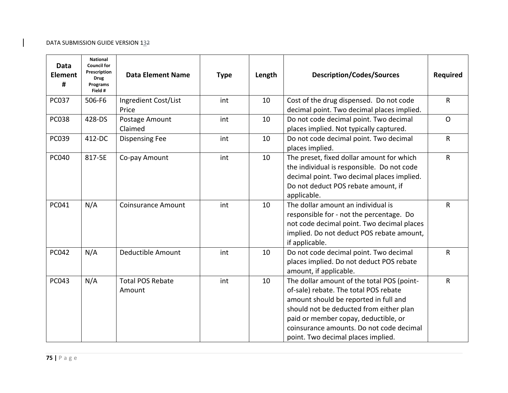| Data<br><b>Element</b><br># | <b>National</b><br><b>Council for</b><br>Prescription<br><b>Drug</b><br>Programs<br>Field # | <b>Data Element Name</b>          | <b>Type</b> | Length | <b>Description/Codes/Sources</b>                                                                                                                                                                                                                                                                  | <b>Required</b> |
|-----------------------------|---------------------------------------------------------------------------------------------|-----------------------------------|-------------|--------|---------------------------------------------------------------------------------------------------------------------------------------------------------------------------------------------------------------------------------------------------------------------------------------------------|-----------------|
| <b>PC037</b>                | 506-F6                                                                                      | Ingredient Cost/List<br>Price     | int         | 10     | Cost of the drug dispensed. Do not code<br>decimal point. Two decimal places implied.                                                                                                                                                                                                             | $\mathsf{R}$    |
| <b>PC038</b>                | 428-DS                                                                                      | Postage Amount<br>Claimed         | int         | 10     | Do not code decimal point. Two decimal<br>places implied. Not typically captured.                                                                                                                                                                                                                 | $\mathsf{O}$    |
| PC039                       | 412-DC                                                                                      | <b>Dispensing Fee</b>             | int         | 10     | Do not code decimal point. Two decimal<br>places implied.                                                                                                                                                                                                                                         | $\mathsf{R}$    |
| <b>PC040</b>                | 817-5E                                                                                      | Co-pay Amount                     | int         | 10     | The preset, fixed dollar amount for which<br>the individual is responsible. Do not code<br>decimal point. Two decimal places implied.<br>Do not deduct POS rebate amount, if<br>applicable.                                                                                                       |                 |
| PC041                       | N/A                                                                                         | <b>Coinsurance Amount</b>         | int         | 10     | The dollar amount an individual is<br>responsible for - not the percentage. Do<br>not code decimal point. Two decimal places<br>implied. Do not deduct POS rebate amount,<br>if applicable.                                                                                                       | $\mathsf{R}$    |
| <b>PC042</b>                | N/A                                                                                         | Deductible Amount                 | int         | 10     | Do not code decimal point. Two decimal<br>places implied. Do not deduct POS rebate<br>amount, if applicable.                                                                                                                                                                                      | $\mathsf{R}$    |
| <b>PC043</b>                | N/A                                                                                         | <b>Total POS Rebate</b><br>Amount | int         | 10     | The dollar amount of the total POS (point-<br>of-sale) rebate. The total POS rebate<br>amount should be reported in full and<br>should not be deducted from either plan<br>paid or member copay, deductible, or<br>coinsurance amounts. Do not code decimal<br>point. Two decimal places implied. | $\mathsf{R}$    |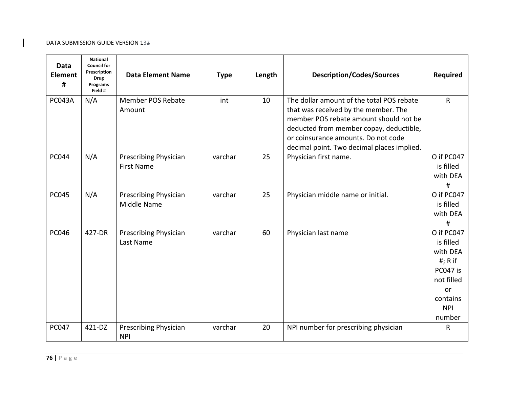| <b>Data</b><br><b>Element</b><br># | <b>National</b><br><b>Council for</b><br>Prescription<br><b>Drug</b><br>Programs<br>Field # | <b>Data Element Name</b>                          | <b>Type</b> | Length | <b>Description/Codes/Sources</b>                                                                                                                                                                                                                            | <b>Required</b>                                                                                                      |
|------------------------------------|---------------------------------------------------------------------------------------------|---------------------------------------------------|-------------|--------|-------------------------------------------------------------------------------------------------------------------------------------------------------------------------------------------------------------------------------------------------------------|----------------------------------------------------------------------------------------------------------------------|
| <b>PC043A</b>                      | N/A                                                                                         | Member POS Rebate<br>Amount                       | int         | 10     | The dollar amount of the total POS rebate<br>that was received by the member. The<br>member POS rebate amount should not be<br>deducted from member copay, deductible,<br>or coinsurance amounts. Do not code<br>decimal point. Two decimal places implied. | $\mathsf{R}$                                                                                                         |
| <b>PC044</b>                       | N/A                                                                                         | <b>Prescribing Physician</b><br><b>First Name</b> | varchar     | 25     | Physician first name.                                                                                                                                                                                                                                       | O if PC047<br>is filled<br>with DEA<br>#                                                                             |
| <b>PC045</b>                       | N/A                                                                                         | Prescribing Physician<br>Middle Name              | varchar     | 25     | Physician middle name or initial.                                                                                                                                                                                                                           | O if PC047<br>is filled<br>with DEA<br>#                                                                             |
| <b>PC046</b>                       | 427-DR                                                                                      | Prescribing Physician<br>Last Name                | varchar     | 60     | Physician last name                                                                                                                                                                                                                                         | O if PC047<br>is filled<br>with DEA<br>$#; R$ if<br>PC047 is<br>not filled<br>or<br>contains<br><b>NPI</b><br>number |
| <b>PC047</b>                       | 421-DZ                                                                                      | Prescribing Physician<br><b>NPI</b>               | varchar     | 20     | NPI number for prescribing physician                                                                                                                                                                                                                        | $\mathsf{R}$                                                                                                         |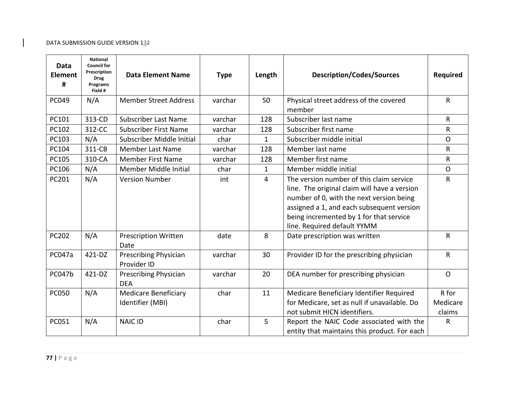| <b>Data</b><br><b>Element</b><br># | <b>National</b><br><b>Council for</b><br>Prescription<br><b>Drug</b><br>Programs<br>Field # | <b>Data Element Name</b>                        | <b>Type</b> | Length       | <b>Description/Codes/Sources</b>                                                                                                                                                                                                                            | <b>Required</b>             |
|------------------------------------|---------------------------------------------------------------------------------------------|-------------------------------------------------|-------------|--------------|-------------------------------------------------------------------------------------------------------------------------------------------------------------------------------------------------------------------------------------------------------------|-----------------------------|
| PC049                              | N/A                                                                                         | <b>Member Street Address</b>                    | varchar     | 50           | Physical street address of the covered<br>member                                                                                                                                                                                                            | R                           |
| PC101                              | 313-CD                                                                                      | <b>Subscriber Last Name</b>                     | varchar     | 128          | Subscriber last name                                                                                                                                                                                                                                        | $\mathsf{R}$                |
| PC102                              | 312-CC                                                                                      | <b>Subscriber First Name</b>                    | varchar     | 128          | Subscriber first name                                                                                                                                                                                                                                       | $\mathsf{R}$                |
| PC103                              | N/A                                                                                         | Subscriber Middle Initial                       | char        | $\mathbf{1}$ | Subscriber middle initial                                                                                                                                                                                                                                   | $\overline{O}$              |
| PC104                              | 311-CB                                                                                      | <b>Member Last Name</b>                         | varchar     | 128          | Member last name                                                                                                                                                                                                                                            | R                           |
| PC105                              | 310-CA                                                                                      | <b>Member First Name</b>                        | varchar     | 128          | Member first name                                                                                                                                                                                                                                           | $\mathsf{R}$                |
| PC106                              | N/A                                                                                         | Member Middle Initial                           | char        | $\mathbf{1}$ | Member middle initial                                                                                                                                                                                                                                       | $\Omega$                    |
| PC201                              | N/A                                                                                         | <b>Version Number</b>                           | int         | 4            | The version number of this claim service<br>line. The original claim will have a version<br>number of 0, with the next version being<br>assigned a 1, and each subsequent version<br>being incremented by 1 for that service<br>line. Required default YYMM | $\mathsf{R}$                |
| PC202                              | N/A                                                                                         | <b>Prescription Written</b><br>Date             | date        | 8            | Date prescription was written                                                                                                                                                                                                                               | $\mathsf{R}$                |
| <b>PC047a</b>                      | 421-DZ                                                                                      | Prescribing Physician<br>Provider ID            | varchar     | 30           | Provider ID for the prescribing physician                                                                                                                                                                                                                   | R                           |
| <b>PC047b</b>                      | 421-DZ                                                                                      | Prescribing Physician<br><b>DEA</b>             | varchar     | 20           | DEA number for prescribing physician                                                                                                                                                                                                                        | $\mathsf{O}$                |
| <b>PC050</b>                       | N/A                                                                                         | <b>Medicare Beneficiary</b><br>Identifier (MBI) | char        | 11           | Medicare Beneficiary Identifier Required<br>for Medicare, set as null if unavailable. Do<br>not submit HICN identifiers.                                                                                                                                    | R for<br>Medicare<br>claims |
| PC051                              | N/A                                                                                         | <b>NAIC ID</b>                                  | char        | 5            | Report the NAIC Code associated with the<br>entity that maintains this product. For each                                                                                                                                                                    | R                           |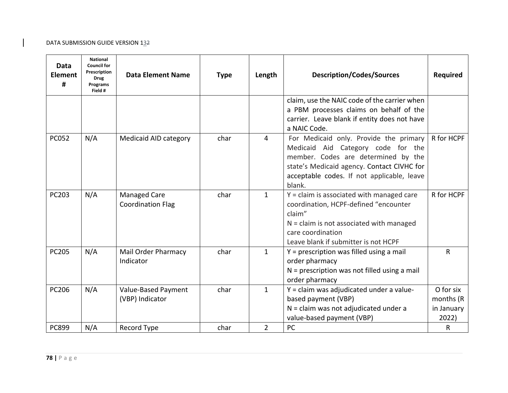| Data<br><b>Element</b><br># | <b>National</b><br><b>Council for</b><br>Prescription<br><b>Drug</b><br>Programs<br>Field # | <b>Data Element Name</b>                        | <b>Type</b>                                                                                                                                                                                                                                         | Length<br><b>Description/Codes/Sources</b> |                                                                                                                                                                                                           | <b>Required</b> |
|-----------------------------|---------------------------------------------------------------------------------------------|-------------------------------------------------|-----------------------------------------------------------------------------------------------------------------------------------------------------------------------------------------------------------------------------------------------------|--------------------------------------------|-----------------------------------------------------------------------------------------------------------------------------------------------------------------------------------------------------------|-----------------|
|                             |                                                                                             |                                                 |                                                                                                                                                                                                                                                     |                                            | claim, use the NAIC code of the carrier when<br>a PBM processes claims on behalf of the<br>carrier. Leave blank if entity does not have<br>a NAIC Code.                                                   |                 |
| <b>PC052</b>                | N/A                                                                                         | Medicaid AID category                           | For Medicaid only. Provide the primary<br>char<br>$\overline{4}$<br>Medicaid Aid Category code for the<br>member. Codes are determined by the<br>state's Medicaid agency. Contact CIVHC for<br>acceptable codes. If not applicable, leave<br>blank. |                                            | R for HCPF                                                                                                                                                                                                |                 |
| PC203                       | N/A                                                                                         | <b>Managed Care</b><br><b>Coordination Flag</b> | char                                                                                                                                                                                                                                                | $\mathbf{1}$                               | $Y = claim$ is associated with managed care<br>coordination, HCPF-defined "encounter<br>claim"<br>$N =$ claim is not associated with managed<br>care coordination<br>Leave blank if submitter is not HCPF | R for HCPF      |
| <b>PC205</b>                | N/A                                                                                         | Mail Order Pharmacy<br>Indicator                | char                                                                                                                                                                                                                                                | $\mathbf{1}$                               | $Y =$ prescription was filled using a mail<br>order pharmacy<br>$N =$ prescription was not filled using a mail<br>order pharmacy                                                                          | $\mathsf{R}$    |
| <b>PC206</b>                | N/A                                                                                         | Value-Based Payment<br>(VBP) Indicator          | Y = claim was adjudicated under a value-<br>char<br>$\mathbf{1}$<br>based payment (VBP)<br>$N =$ claim was not adjudicated under a<br>value-based payment (VBP)                                                                                     |                                            | O for six<br>months (R<br>in January<br>2022)                                                                                                                                                             |                 |
| <b>PC899</b>                | N/A                                                                                         | Record Type                                     | char                                                                                                                                                                                                                                                | $\overline{2}$                             | PC                                                                                                                                                                                                        | ${\sf R}$       |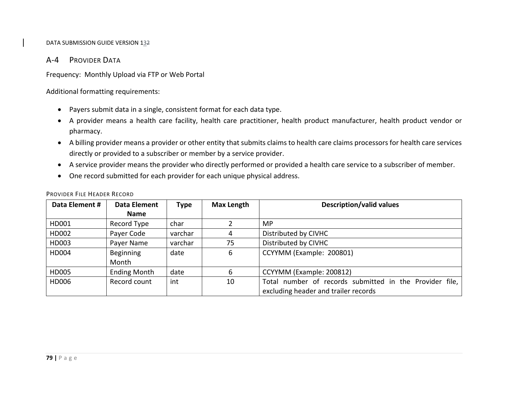# A‐4 PROVIDER DATA

Frequency: Monthly Upload via FTP or Web Portal

Additional formatting requirements:

- Payers submit data in <sup>a</sup> single, consistent format for each data type.
- A provider means <sup>a</sup> health care facility, health care practitioner, health product manufacturer, health product vendor or pharmacy.
- A billing provider means <sup>a</sup> provider or other entity that submits claims to health care claims processors for health care services directly or provided to <sup>a</sup> subscriber or member by <sup>a</sup> service provider.
- A service provider means the provider who directly performed or provided <sup>a</sup> health care service to <sup>a</sup> subscriber of member.
- One record submitted for each provider for each unique physical address.

| Data Element # | Data Element        | <b>Type</b> | <b>Max Length</b> | <b>Description/valid values</b>                                                                 |  |
|----------------|---------------------|-------------|-------------------|-------------------------------------------------------------------------------------------------|--|
|                | <b>Name</b>         |             |                   |                                                                                                 |  |
| HD001          | Record Type         | char        |                   | MP.                                                                                             |  |
| HD002          | Payer Code          | varchar     |                   | Distributed by CIVHC                                                                            |  |
| HD003          | Payer Name          | varchar     | 75                | Distributed by CIVHC                                                                            |  |
| HD004          | Beginning<br>Month  | date        | 6                 | CCYYMM (Example: 200801)                                                                        |  |
| HD005          | <b>Ending Month</b> | date        | 6                 | CCYYMM (Example: 200812)                                                                        |  |
| HD006          | Record count        | int         | 10                | Total number of records submitted in the Provider file,<br>excluding header and trailer records |  |

## PROVIDER FILE HEADER RECORD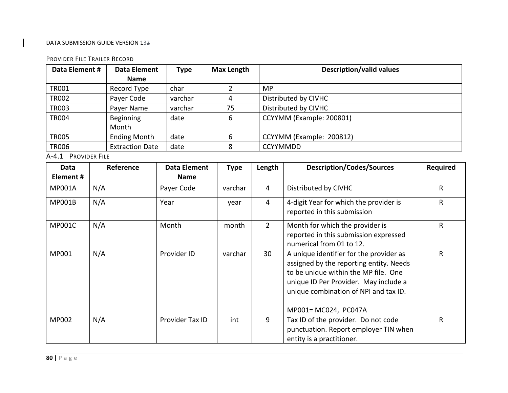#### PROVIDER FILE TRAILER RECORD

| Data Element # | Data Element           | <b>Type</b> | <b>Max Length</b> | <b>Description/valid values</b> |
|----------------|------------------------|-------------|-------------------|---------------------------------|
|                | Name                   |             |                   |                                 |
| <b>TR001</b>   | Record Type            | char        |                   | MP.                             |
| <b>TR002</b>   | Payer Code             | varchar     |                   | Distributed by CIVHC            |
| <b>TR003</b>   | Payer Name             | varchar     | 75                | Distributed by CIVHC            |
| <b>TR004</b>   | Beginning              | date        | 6                 | CCYYMM (Example: 200801)        |
|                | Month                  |             |                   |                                 |
| <b>TR005</b>   | <b>Ending Month</b>    | date        | 6                 | CCYYMM (Example: 200812)        |
| <b>TR006</b>   | <b>Extraction Date</b> | date        |                   | <b>CCYYMMDD</b>                 |

A‐4.1 PROVIDER FILE

| Data<br>Element# | Reference | Data Element<br><b>Name</b> | Type    | Length                                                                                                                                                                                                                                     | <b>Description/Codes/Sources</b>                                                                          | Required |
|------------------|-----------|-----------------------------|---------|--------------------------------------------------------------------------------------------------------------------------------------------------------------------------------------------------------------------------------------------|-----------------------------------------------------------------------------------------------------------|----------|
| <b>MP001A</b>    | N/A       | Payer Code                  | varchar | 4                                                                                                                                                                                                                                          | Distributed by CIVHC                                                                                      | R        |
| <b>MP001B</b>    | N/A       | Year                        | year    | 4                                                                                                                                                                                                                                          | 4-digit Year for which the provider is<br>reported in this submission                                     | R        |
| <b>MP001C</b>    | N/A       | Month                       | month   | $\overline{2}$<br>Month for which the provider is<br>reported in this submission expressed<br>numerical from 01 to 12.                                                                                                                     |                                                                                                           | R        |
| MP001            | N/A       | Provider ID                 | varchar | 30<br>A unique identifier for the provider as<br>assigned by the reporting entity. Needs<br>to be unique within the MP file. One<br>unique ID Per Provider. May include a<br>unique combination of NPI and tax ID.<br>MP001= MC024, PC047A |                                                                                                           | R        |
| MP002            | N/A       | Provider Tax ID             | int     | 9                                                                                                                                                                                                                                          | Tax ID of the provider. Do not code<br>punctuation. Report employer TIN when<br>entity is a practitioner. | R        |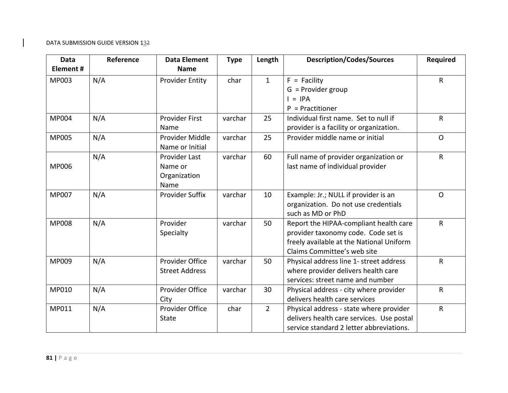| <b>Data</b><br>Element# | Reference | <b>Data Element</b>    | <b>Type</b> | Length         | <b>Description/Codes/Sources</b>          | <b>Required</b> |
|-------------------------|-----------|------------------------|-------------|----------------|-------------------------------------------|-----------------|
|                         |           | <b>Name</b>            |             |                |                                           |                 |
| MP003                   | N/A       | <b>Provider Entity</b> | char        | $\mathbf{1}$   | $F =$ Facility                            | R               |
|                         |           |                        |             |                | $G =$ Provider group                      |                 |
|                         |           |                        |             |                | $=$ IPA                                   |                 |
|                         |           |                        |             |                | $P =$ Practitioner                        |                 |
| <b>MP004</b>            | N/A       | <b>Provider First</b>  | varchar     | 25             | Individual first name. Set to null if     | R               |
|                         |           | Name                   |             |                | provider is a facility or organization.   |                 |
| MP005                   | N/A       | Provider Middle        | varchar     | 25             | Provider middle name or initial           | $\mathsf{O}$    |
|                         |           | Name or Initial        |             |                |                                           |                 |
|                         | N/A       | <b>Provider Last</b>   | varchar     | 60             | Full name of provider organization or     | R               |
| MP006                   |           | Name or                |             |                | last name of individual provider          |                 |
|                         |           | Organization           |             |                |                                           |                 |
|                         |           | Name                   |             |                |                                           |                 |
| MP007                   | N/A       | <b>Provider Suffix</b> | varchar     | 10             | Example: Jr.; NULL if provider is an      | $\mathsf{O}$    |
|                         |           |                        |             |                | organization. Do not use credentials      |                 |
|                         |           |                        |             |                | such as MD or PhD                         |                 |
| <b>MP008</b>            | N/A       | Provider               | varchar     | 50             | Report the HIPAA-compliant health care    | R               |
|                         |           | Specialty              |             |                | provider taxonomy code. Code set is       |                 |
|                         |           |                        |             |                | freely available at the National Uniform  |                 |
|                         |           |                        |             |                | Claims Committee's web site               |                 |
| MP009                   | N/A       | Provider Office        | varchar     | 50             | Physical address line 1- street address   | R               |
|                         |           | <b>Street Address</b>  |             |                | where provider delivers health care       |                 |
|                         |           |                        |             |                | services: street name and number          |                 |
| MP010                   | N/A       | Provider Office        | varchar     | 30             | Physical address - city where provider    | R               |
|                         |           | City                   |             |                | delivers health care services             |                 |
| MP011                   | N/A       | Provider Office        | char        | $\overline{2}$ | Physical address - state where provider   | R               |
|                         |           | <b>State</b>           |             |                | delivers health care services. Use postal |                 |
|                         |           |                        |             |                | service standard 2 letter abbreviations.  |                 |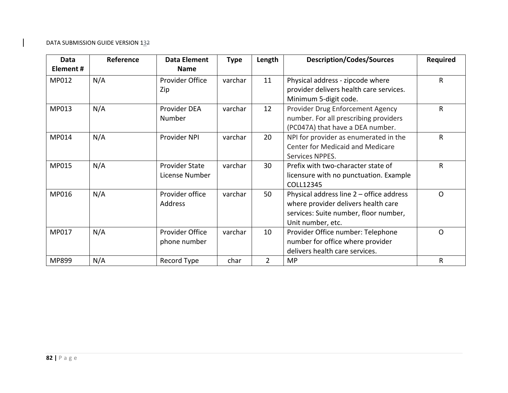| <b>Data</b> | Reference | <b>Data Element</b>    | <b>Type</b> | Length         | <b>Description/Codes/Sources</b>         | <b>Required</b> |
|-------------|-----------|------------------------|-------------|----------------|------------------------------------------|-----------------|
| Element#    |           | <b>Name</b>            |             |                |                                          |                 |
| MP012       | N/A       | <b>Provider Office</b> | varchar     | 11             | Physical address - zipcode where         | $\mathsf{R}$    |
|             |           | Zip                    |             |                | provider delivers health care services.  |                 |
|             |           |                        |             |                | Minimum 5-digit code.                    |                 |
| MP013       | N/A       | Provider DEA           | varchar     | 12             | Provider Drug Enforcement Agency         | R               |
|             |           | Number                 |             |                | number. For all prescribing providers    |                 |
|             |           |                        |             |                | (PC047A) that have a DEA number.         |                 |
| MP014       | N/A       | Provider NPI           | varchar     | 20             | NPI for provider as enumerated in the    | R               |
|             |           |                        |             |                | <b>Center for Medicaid and Medicare</b>  |                 |
|             |           |                        |             |                | Services NPPES.                          |                 |
| MP015       | N/A       | <b>Provider State</b>  | varchar     | 30             | Prefix with two-character state of       | $\mathsf{R}$    |
|             |           | License Number         |             |                | licensure with no punctuation. Example   |                 |
|             |           |                        |             |                | COLL12345                                |                 |
| MP016       | N/A       | Provider office        | varchar     | 50             | Physical address line 2 - office address | $\mathsf{O}$    |
|             |           | <b>Address</b>         |             |                | where provider delivers health care      |                 |
|             |           |                        |             |                | services: Suite number, floor number,    |                 |
|             |           |                        |             |                | Unit number, etc.                        |                 |
| MP017       | N/A       | Provider Office        | varchar     | 10             | Provider Office number: Telephone        | $\Omega$        |
|             |           | phone number           |             |                | number for office where provider         |                 |
|             |           |                        |             |                | delivers health care services.           |                 |
| MP899       | N/A       | Record Type            | char        | $\overline{2}$ | <b>MP</b>                                | $\mathsf R$     |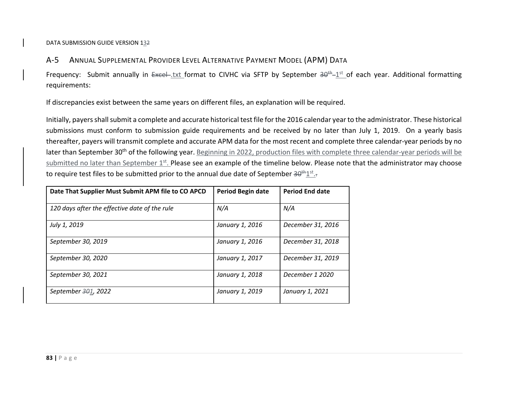#### A‐5ANNUAL SUPPLEMENTAL PROVIDER LEVEL ALTERNATIVE PAYMENT MODEL (APM) DATA

Frequency: Submit annually in  $Exce$ -txt format to CIVHC via SFTP by September  $30<sup>th</sup>-1<sup>st</sup>$  of each year. Additional formatting requirements:

If discrepancies exist between the same years on different files, an explanation will be required.

Initially, payers shall submit a complete and accurate historical test file for the 2016 calendar year to the administrator. These historical submissions must conform to submission guide requirements and be received by no later than July 1, 2019. On <sup>a</sup> yearly basis thereafter, payers will transmit complete and accurate APM data for the most recent and complete three calendar‐year periods by no later than September 30<sup>th</sup> of the following year. <u>Beginning in 2022, production files with complete three calendar-year periods will be</u> submitted no later than September 1<sup>st</sup>. Please see an example of the timeline below. Please note that the administrator may choose to require test files to be submitted prior to the annual due date of September <del>30<sup>th</sup>1st<sub>.</sub>.</del>

| Date That Supplier Must Submit APM file to CO APCD | Period Begin date | <b>Period End date</b> |
|----------------------------------------------------|-------------------|------------------------|
| 120 days after the effective date of the rule      | N/A               | N/A                    |
| July 1, 2019                                       | January 1, 2016   | December 31, 2016      |
| September 30, 2019                                 | January 1, 2016   | December 31, 2018      |
| September 30, 2020                                 | January 1, 2017   | December 31, 2019      |
| September 30, 2021                                 | January 1, 2018   | December 1 2020        |
| September 301, 2022                                | January 1, 2019   | January 1, 2021        |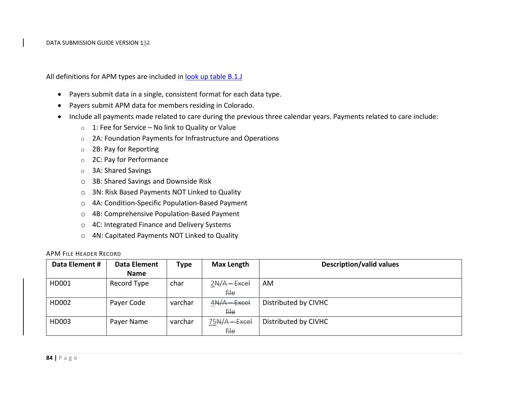All definitions for APM types are included in <u>look up table B.1.J</u>

- Payers submit data in <sup>a</sup> single, consistent format for each data type.
- $\bullet$ Payers submit APM data for members residing in Colorado.
- $\bullet$  Include all payments made related to care during the previous three calendar years. Payments related to care include:
	- $\circ$  1: Fee for Service No link to Quality or Value
	- $\circ$  2A: Foundation Payments for Infrastructure and Operations
	- o2B: Pay for Reporting
	- o 2C: Pay for Performance
	- o 3A: Shared Savings
	- o 3B: Shared Savings and Downside Risk
	- o 3N: Risk Based Payments NOT Linked to Quality
	- o 4A: Condition‐Specific Population‐Based Payment
	- o4B: Comprehensive Population‐Based Payment
	- o 4C: Integrated Finance and Delivery Systems
	- o 4N: Capitated Payments NOT Linked to Quality

#### APM FILE HEADER RECORD

| Data Element # | <b>Data Element</b> | <b>Type</b> | <b>Max Length</b> | <b>Description/valid values</b> |
|----------------|---------------------|-------------|-------------------|---------------------------------|
|                | <b>Name</b>         |             |                   |                                 |
| HD001          | Record Type         | char        | $2N/A - Excel$    | AM.                             |
|                |                     |             | <del>file</del>   |                                 |
| HD002          | Payer Code          | varchar     | $4N/A - Excel$    | Distributed by CIVHC            |
|                |                     |             | <del>file</del>   |                                 |
| HD003          | Payer Name          | varchar     | $75A/A - Excel$   | Distributed by CIVHC            |
|                |                     |             | <del>file</del>   |                                 |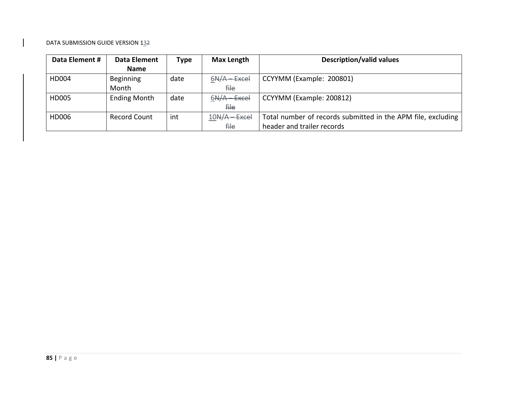| Data Element # | <b>Data Element</b> | <b>Type</b> | <b>Max Length</b> | <b>Description/valid values</b>                              |
|----------------|---------------------|-------------|-------------------|--------------------------------------------------------------|
|                | <b>Name</b>         |             |                   |                                                              |
| HD004          | <b>Beginning</b>    | date        | $6N/A - Excel$    | CCYYMM (Example: 200801)                                     |
|                | Month               |             | file.             |                                                              |
| <b>HD005</b>   | <b>Ending Month</b> | date        | $6N/A - Excel$    | CCYYMM (Example: 200812)                                     |
|                |                     |             | <del>file</del>   |                                                              |
| HD006          | <b>Record Count</b> | int         | $10N/A - Excel$   | Total number of records submitted in the APM file, excluding |
|                |                     |             | file              | header and trailer records                                   |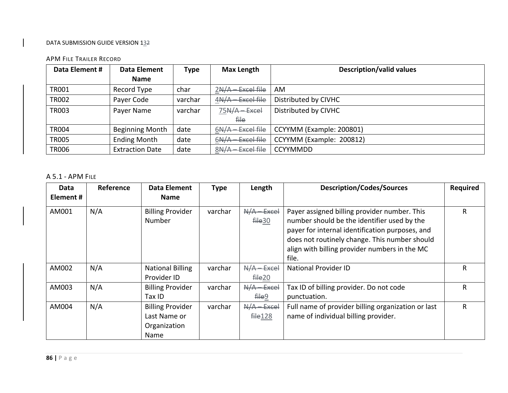#### APM FILE TRAILER RECORD

| Data Element # | <b>Data Element</b>    | <b>Type</b> | <b>Max Length</b>   | <b>Description/valid values</b> |
|----------------|------------------------|-------------|---------------------|---------------------------------|
|                | <b>Name</b>            |             |                     |                                 |
| <b>TR001</b>   | Record Type            | char        | $2N/A - Excel file$ | AM                              |
| <b>TR002</b>   | Payer Code             | varchar     | $4N/A - Excel file$ | Distributed by CIVHC            |
| <b>TR003</b>   | Payer Name             | varchar     | $75N/A - Excel$     | Distributed by CIVHC            |
|                |                        |             | <del>file</del>     |                                 |
| <b>TR004</b>   | <b>Beginning Month</b> | date        | $6N/A - Excel file$ | CCYYMM (Example: 200801)        |
| <b>TR005</b>   | <b>Ending Month</b>    | date        | $6N/A - Excel file$ | CCYYMM (Example: 200812)        |
| <b>TR006</b>   | <b>Extraction Date</b> | date        | 8N/A - Excel file   | <b>CCYYMMDD</b>                 |

#### A 5.1 ‐ APM FILE

| Data     | Reference | Data Element                                                    | <b>Type</b> | Length                                   | <b>Description/Codes/Sources</b>                                                                                                                                                                                                                          | <b>Required</b> |
|----------|-----------|-----------------------------------------------------------------|-------------|------------------------------------------|-----------------------------------------------------------------------------------------------------------------------------------------------------------------------------------------------------------------------------------------------------------|-----------------|
| Element# |           | <b>Name</b>                                                     |             |                                          |                                                                                                                                                                                                                                                           |                 |
| AM001    | N/A       | <b>Billing Provider</b><br>Number                               | varchar     | $N/A - Excel$<br><b>file30</b>           | Payer assigned billing provider number. This<br>number should be the identifier used by the<br>payer for internal identification purposes, and<br>does not routinely change. This number should<br>align with billing provider numbers in the MC<br>file. | R               |
| AM002    | N/A       | <b>National Billing</b>                                         | varchar     | $N/A - Excel$                            | <b>National Provider ID</b>                                                                                                                                                                                                                               | R               |
| AM003    | N/A       | Provider ID<br><b>Billing Provider</b><br>Tax ID                | varchar     | <b>file 20</b><br>$N/A - Excel$<br>file9 | Tax ID of billing provider. Do not code<br>punctuation.                                                                                                                                                                                                   | R               |
| AM004    | N/A       | <b>Billing Provider</b><br>Last Name or<br>Organization<br>Name | varchar     | $N/A$ - Excel<br>file128                 | Full name of provider billing organization or last<br>name of individual billing provider.                                                                                                                                                                | R               |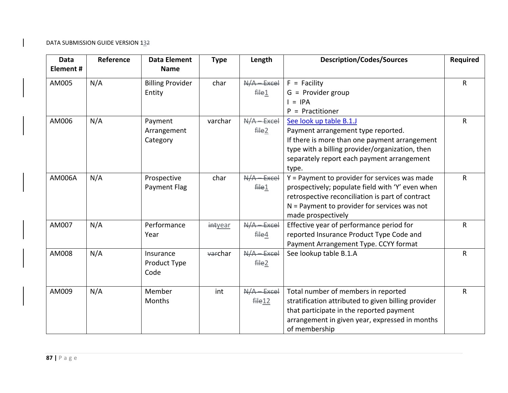| <b>Data</b><br>Element# | Reference | <b>Data Element</b><br><b>Name</b> | <b>Type</b> | Length                    | <b>Description/Codes/Sources</b>                                                                                                                                                                                              | <b>Required</b> |
|-------------------------|-----------|------------------------------------|-------------|---------------------------|-------------------------------------------------------------------------------------------------------------------------------------------------------------------------------------------------------------------------------|-----------------|
| AM005                   | N/A       | <b>Billing Provider</b><br>Entity  | char        | $N/A - Excel$<br>file1    | $F =$ Facility<br>$G =$ Provider group<br>$=$ IPA<br>$P =$ Practitioner                                                                                                                                                       | R               |
| AM006                   | N/A       | Payment<br>Arrangement<br>Category | varchar     | $N/A - Excel$<br>file2    | See look up table B.1.J<br>Payment arrangement type reported.<br>If there is more than one payment arrangement<br>type with a billing provider/organization, then<br>separately report each payment arrangement<br>type.      | R               |
| <b>AM006A</b>           | N/A       | Prospective<br>Payment Flag        | char        | $N/A - Excel$<br>file1    | Y = Payment to provider for services was made<br>prospectively; populate field with 'Y' even when<br>retrospective reconciliation is part of contract<br>$N =$ Payment to provider for services was not<br>made prospectively | R               |
| AM007                   | N/A       | Performance<br>Year                | intyear     | $N/A$ - Excel<br>$f$ ile4 | Effective year of performance period for<br>reported Insurance Product Type Code and<br>Payment Arrangement Type. CCYY format                                                                                                 | R               |
| AM008                   | N/A       | Insurance<br>Product Type<br>Code  | warchar     | $N/A$ - Excel<br>file2    | See lookup table B.1.A                                                                                                                                                                                                        | R               |
| AM009                   | N/A       | Member<br>Months                   | int         | $N/A$ - Excel<br>file12   | Total number of members in reported<br>stratification attributed to given billing provider<br>that participate in the reported payment<br>arrangement in given year, expressed in months<br>of membership                     | R               |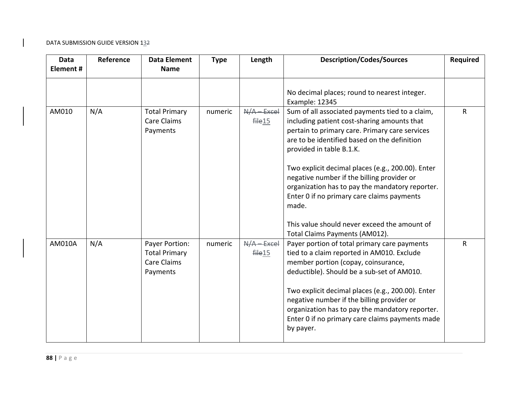| <b>Data</b><br>Element # | Reference | <b>Data Element</b><br><b>Name</b>                                       | <b>Type</b> | Length                  | <b>Description/Codes/Sources</b>                                                                                                                                                                                                                                                                                                                                                                                                        | <b>Required</b> |
|--------------------------|-----------|--------------------------------------------------------------------------|-------------|-------------------------|-----------------------------------------------------------------------------------------------------------------------------------------------------------------------------------------------------------------------------------------------------------------------------------------------------------------------------------------------------------------------------------------------------------------------------------------|-----------------|
|                          |           |                                                                          |             |                         | No decimal places; round to nearest integer.<br>Example: 12345                                                                                                                                                                                                                                                                                                                                                                          |                 |
| AM010                    | N/A       | <b>Total Primary</b><br><b>Care Claims</b><br>Payments                   | numeric     | $N/A - Excel$<br>file15 | Sum of all associated payments tied to a claim,<br>including patient cost-sharing amounts that<br>pertain to primary care. Primary care services<br>are to be identified based on the definition<br>provided in table B.1.K.<br>Two explicit decimal places (e.g., 200.00). Enter                                                                                                                                                       | ${\sf R}$       |
|                          |           |                                                                          |             |                         | negative number if the billing provider or<br>organization has to pay the mandatory reporter.<br>Enter 0 if no primary care claims payments<br>made.<br>This value should never exceed the amount of                                                                                                                                                                                                                                    |                 |
| AM010A                   | N/A       | Payer Portion:<br><b>Total Primary</b><br><b>Care Claims</b><br>Payments | numeric     | $N/A - Excel$<br>file15 | Total Claims Payments (AM012).<br>Payer portion of total primary care payments<br>tied to a claim reported in AM010. Exclude<br>member portion (copay, coinsurance,<br>deductible). Should be a sub-set of AM010.<br>Two explicit decimal places (e.g., 200.00). Enter<br>negative number if the billing provider or<br>organization has to pay the mandatory reporter.<br>Enter 0 if no primary care claims payments made<br>by payer. | R               |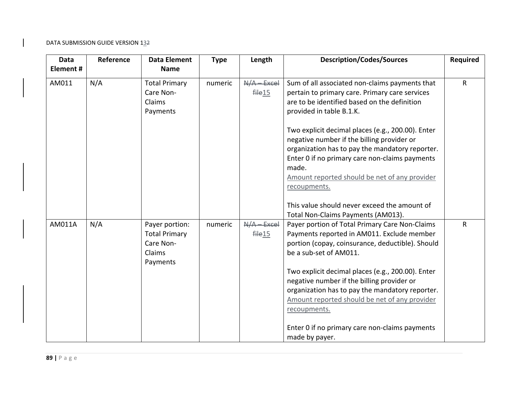| <b>Data</b><br>Element# | Reference | <b>Data Element</b><br><b>Name</b>                                        | <b>Type</b> | Length                                  | <b>Description/Codes/Sources</b>                                                                                                                                                                                                                                                                                                                                                                  | Required     |
|-------------------------|-----------|---------------------------------------------------------------------------|-------------|-----------------------------------------|---------------------------------------------------------------------------------------------------------------------------------------------------------------------------------------------------------------------------------------------------------------------------------------------------------------------------------------------------------------------------------------------------|--------------|
| AM011                   | N/A       | <b>Total Primary</b><br>Care Non-<br>Claims<br>Payments                   | numeric     | $N/A - Excel$<br>$f$ $He$ <sup>15</sup> | Sum of all associated non-claims payments that<br>pertain to primary care. Primary care services<br>are to be identified based on the definition<br>provided in table B.1.K.                                                                                                                                                                                                                      | $\mathsf{R}$ |
|                         |           |                                                                           |             |                                         | Two explicit decimal places (e.g., 200.00). Enter<br>negative number if the billing provider or<br>organization has to pay the mandatory reporter.<br>Enter 0 if no primary care non-claims payments<br>made.<br>Amount reported should be net of any provider<br>recoupments.                                                                                                                    |              |
|                         |           |                                                                           |             |                                         | This value should never exceed the amount of<br>Total Non-Claims Payments (AM013).                                                                                                                                                                                                                                                                                                                |              |
| AM011A                  | N/A       | Payer portion:<br><b>Total Primary</b><br>Care Non-<br>Claims<br>Payments | numeric     | $N/A - Excel$<br>file15                 | Payer portion of Total Primary Care Non-Claims<br>Payments reported in AM011. Exclude member<br>portion (copay, coinsurance, deductible). Should<br>be a sub-set of AM011.<br>Two explicit decimal places (e.g., 200.00). Enter<br>negative number if the billing provider or<br>organization has to pay the mandatory reporter.<br>Amount reported should be net of any provider<br>recoupments. | $\mathsf{R}$ |
|                         |           |                                                                           |             |                                         | Enter 0 if no primary care non-claims payments<br>made by payer.                                                                                                                                                                                                                                                                                                                                  |              |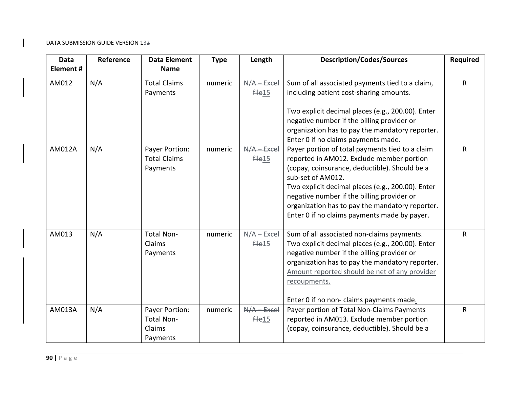| Data<br>Element# | Reference | <b>Data Element</b><br><b>Name</b>                 | <b>Type</b> | Length                              | <b>Description/Codes/Sources</b>                                                                                                                                                                                                                                                                                                                                         | <b>Required</b> |
|------------------|-----------|----------------------------------------------------|-------------|-------------------------------------|--------------------------------------------------------------------------------------------------------------------------------------------------------------------------------------------------------------------------------------------------------------------------------------------------------------------------------------------------------------------------|-----------------|
| AM012            | N/A       | <b>Total Claims</b><br>Payments                    | numeric     | $N/A$ - Excel<br>file15             | Sum of all associated payments tied to a claim,<br>including patient cost-sharing amounts.                                                                                                                                                                                                                                                                               | R               |
|                  |           |                                                    |             |                                     | Two explicit decimal places (e.g., 200.00). Enter<br>negative number if the billing provider or<br>organization has to pay the mandatory reporter.<br>Enter 0 if no claims payments made.                                                                                                                                                                                |                 |
| AM012A           | N/A       | Payer Portion:<br><b>Total Claims</b><br>Payments  | numeric     | N/A-Excel<br>$f$ ile 15             | Payer portion of total payments tied to a claim<br>reported in AM012. Exclude member portion<br>(copay, coinsurance, deductible). Should be a<br>sub-set of AM012.<br>Two explicit decimal places (e.g., 200.00). Enter<br>negative number if the billing provider or<br>organization has to pay the mandatory reporter.<br>Enter 0 if no claims payments made by payer. | $\mathsf{R}$    |
| AM013            | N/A       | <b>Total Non-</b><br>Claims<br>Payments            | numeric     | $N/A$ - Excel<br>$f$ ile $15$       | Sum of all associated non-claims payments.<br>Two explicit decimal places (e.g., 200.00). Enter<br>negative number if the billing provider or<br>organization has to pay the mandatory reporter.<br>Amount reported should be net of any provider<br>recoupments.<br>Enter 0 if no non- claims payments made.                                                            | $\mathsf{R}$    |
| AM013A           | N/A       | Payer Portion:<br>Total Non-<br>Claims<br>Payments | numeric     | $N/A - Excel$<br>file <sub>15</sub> | Payer portion of Total Non-Claims Payments<br>reported in AM013. Exclude member portion<br>(copay, coinsurance, deductible). Should be a                                                                                                                                                                                                                                 | $\mathsf{R}$    |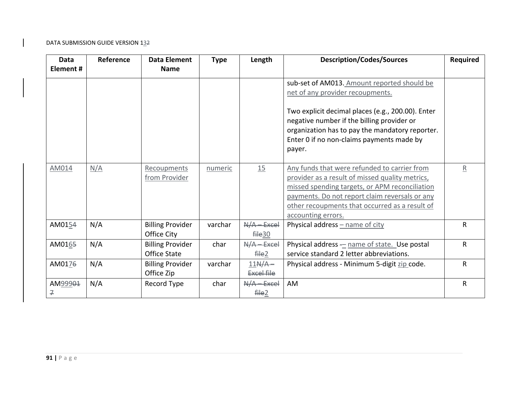| Data<br>Element# | Reference | <b>Data Element</b><br><b>Name</b>      | <b>Type</b> | Length                                | <b>Description/Codes/Sources</b>                                                                                                                                                                                                                                            | Required     |
|------------------|-----------|-----------------------------------------|-------------|---------------------------------------|-----------------------------------------------------------------------------------------------------------------------------------------------------------------------------------------------------------------------------------------------------------------------------|--------------|
|                  |           |                                         |             |                                       | sub-set of AM013. Amount reported should be<br>net of any provider recoupments.                                                                                                                                                                                             |              |
|                  |           |                                         |             |                                       | Two explicit decimal places (e.g., 200.00). Enter<br>negative number if the billing provider or<br>organization has to pay the mandatory reporter.<br>Enter 0 if no non-claims payments made by<br>payer.                                                                   |              |
| AM014            | N/A       | Recoupments<br>from Provider            | numeric     | 15                                    | Any funds that were refunded to carrier from<br>provider as a result of missed quality metrics,<br>missed spending targets, or APM reconciliation<br>payments. Do not report claim reversals or any<br>other recoupments that occurred as a result of<br>accounting errors. | R            |
| AM0154           | N/A       | <b>Billing Provider</b><br>Office City  | varchar     | $N/A - Excel$<br>file30               | Physical address - name of city                                                                                                                                                                                                                                             | $\mathsf{R}$ |
| AM0165           | N/A       | <b>Billing Provider</b><br>Office State | char        | $N/A - Excel$<br>$f$ ile <sup>2</sup> | Physical address - name of state. Use postal<br>service standard 2 letter abbreviations.                                                                                                                                                                                    | R            |
| AM0176           | N/A       | <b>Billing Provider</b><br>Office Zip   | varchar     | $11N/A -$<br><b>Excel file</b>        | Physical address - Minimum 5-digit zip code.                                                                                                                                                                                                                                | $\mathsf{R}$ |
| AM99901<br>구     | N/A       | Record Type                             | char        | $N/A - Excel$<br>fHe2                 | AM                                                                                                                                                                                                                                                                          | $\mathsf{R}$ |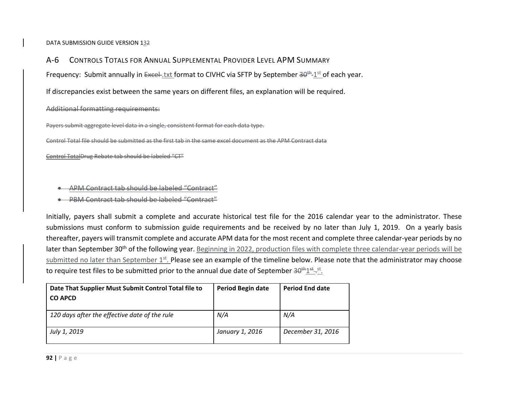$A - 6$ CONTROLS TOTALS FOR ANNUAL SUPPLEMENTAL PROVIDER LEVEL APM SUMMARY

Frequency: Submit annually in Excel-txt format to CIVHC via SFTP by September 30<sup>th</sup>-1st of each year.

If discrepancies exist between the same years on different files, an explanation will be required.

Additional formatting requirements:

Payers submit aggregate level data in <sup>a</sup> single, consistent format for each data type.

Control Total file should be submitted as the first tab in the same excel document as the APM Contract data

Control TotalDrug Rebate tab should be labeled "CT"

- ٠ APM Contract tab should be labeled "Contract"
- 0 PBM Contract tab should be labeled "Contract"

Initially, payers shall submit <sup>a</sup> complete and accurate historical test file for the 2016 calendar year to the administrator. These submissions must conform to submission guide requirements and be received by no later than July 1, 2019. On <sup>a</sup> yearly basis thereafter, payers will transmit complete and accurate APM data for the most recent and complete three calendar‐year periods by no later than September 30<sup>th</sup> of the following year. <u>Beginning in 2022, production files with complete three calendar-year periods will be</u> submitted no later than September 1st. Please see an example of the timeline below. Please note that the administrator may choose to require test files to be submitted prior to the annual due date of September 30<sup>th</sup>1st<sub>-5</sub>st.

| Date That Supplier Must Submit Control Total file to<br><b>CO APCD</b> | <b>Period Begin date</b> | <b>Period End date</b> |
|------------------------------------------------------------------------|--------------------------|------------------------|
| 120 days after the effective date of the rule                          | N/A                      | N/A                    |
| July 1, 2019                                                           | January 1, 2016          | December 31, 2016      |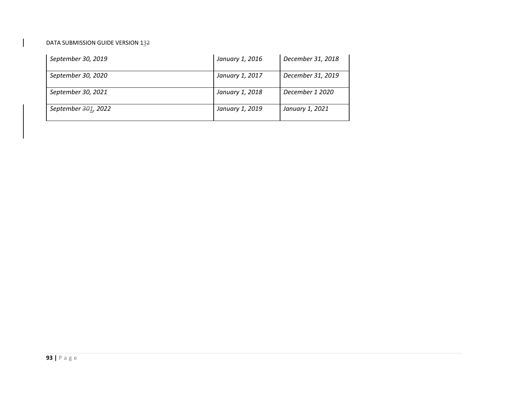| September 30, 2019              | January 1, 2016 | December 31, 2018 |
|---------------------------------|-----------------|-------------------|
| September 30, 2020              | January 1, 2017 | December 31, 2019 |
| September 30, 2021              | January 1, 2018 | December 1 2020   |
| September <del>30</del> 1, 2022 | January 1, 2019 | January 1, 2021   |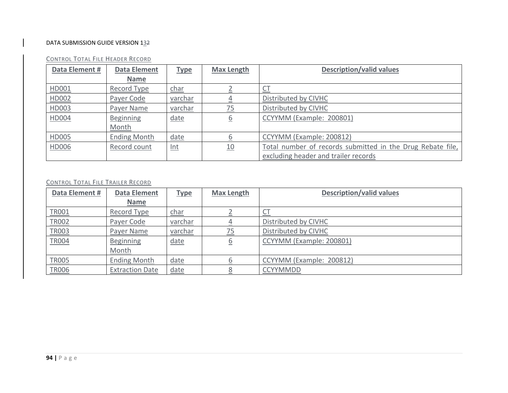| Data Element # | <b>Data Element</b> | <b>Type</b>    | <b>Max Length</b> | <b>Description/valid values</b>                            |
|----------------|---------------------|----------------|-------------------|------------------------------------------------------------|
|                | <b>Name</b>         |                |                   |                                                            |
| HD001          | Record Type         | <u>char</u>    |                   |                                                            |
| HD002          | Payer Code          | <u>varchar</u> |                   | Distributed by CIVHC                                       |
| HD003          | Payer Name          | varchar        | <u>75</u>         | Distributed by CIVHC                                       |
| <b>HD004</b>   | <b>Beginning</b>    | date           | 6                 | CCYYMM (Example: 200801)                                   |
|                | Month               |                |                   |                                                            |
| HD005          | <b>Ending Month</b> | date           |                   | CCYYMM (Example: 200812)                                   |
| <b>HD006</b>   | Record count        | <u>Int</u>     | 10                | Total number of records submitted in the Drug Rebate file, |
|                |                     |                |                   | excluding header and trailer records                       |

#### CONTROL TOTAL FILE HEADER RECORD

#### CONTROL TOTAL FILE TRAILER RECORD

| Data Element # | <b>Data Element</b>    | <b>Type</b> | <b>Max Length</b> | <b>Description/valid values</b> |
|----------------|------------------------|-------------|-------------------|---------------------------------|
|                | <b>Name</b>            |             |                   |                                 |
| <b>TRO01</b>   | Record Type            | <u>char</u> |                   | U                               |
| <b>TR002</b>   | Payer Code             | varchar     |                   | Distributed by CIVHC            |
| TR003          | Payer Name             | varchar     | <u>75</u>         | Distributed by CIVHC            |
| <b>TR004</b>   | <b>Beginning</b>       | date        | <u>6</u>          | CCYYMM (Example: 200801)        |
|                | Month                  |             |                   |                                 |
| <b>TR005</b>   | <b>Ending Month</b>    | date        |                   | CCYYMM (Example: 200812)        |
| <b>TR006</b>   | <b>Extraction Date</b> | date        | 8                 | <b>CCYYMMDD</b>                 |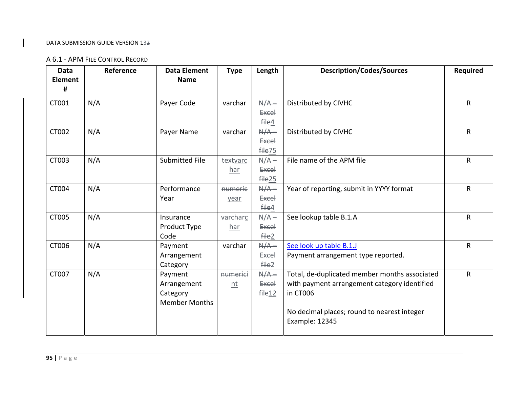# A 6.1 ‐ APM FILE CONTROL RECORD

| <b>Data</b><br><b>Element</b><br># | Reference | <b>Data Element</b><br><b>Name</b>                         | <b>Type</b>     | Length                                        | <b>Description/Codes/Sources</b>                                                                                                                                           | <b>Required</b> |
|------------------------------------|-----------|------------------------------------------------------------|-----------------|-----------------------------------------------|----------------------------------------------------------------------------------------------------------------------------------------------------------------------------|-----------------|
| CT001                              | N/A       | Payer Code                                                 | varchar         | $A/A -$<br><b>Excel</b><br>file4              | Distributed by CIVHC                                                                                                                                                       | $\mathsf{R}$    |
| CT002                              | N/A       | Payer Name                                                 | varchar         | $N/A -$<br><b>Excel</b><br>file <sub>75</sub> | Distributed by CIVHC                                                                                                                                                       | $\mathsf{R}$    |
| CT003                              | N/A       | Submitted File                                             | textvarc<br>har | $N/A -$<br><b>Excel</b><br><b>file25</b>      | File name of the APM file                                                                                                                                                  | $\mathsf{R}$    |
| CT004                              | N/A       | Performance<br>Year                                        | numerie<br>year | $N/A -$<br><b>Excel</b><br>file4              | Year of reporting, submit in YYYY format                                                                                                                                   | $\mathsf{R}$    |
| CT005                              | N/A       | Insurance<br>Product Type<br>Code                          | varcharc<br>har | $N/A -$<br><b>Excel</b><br>file2              | See lookup table B.1.A                                                                                                                                                     | $\mathsf{R}$    |
| CT006                              | N/A       | Payment<br>Arrangement<br>Category                         | varchar         | $N/A -$<br><b>Excel</b><br>file2              | See look up table B.1.J<br>Payment arrangement type reported.                                                                                                              | $\mathsf{R}$    |
| CT007                              | N/A       | Payment<br>Arrangement<br>Category<br><b>Member Months</b> | numerici<br>n t | $A/A -$<br><b>Excel</b><br>file 12            | Total, de-duplicated member months associated<br>with payment arrangement category identified<br>in CT006<br>No decimal places; round to nearest integer<br>Example: 12345 | $\mathsf{R}$    |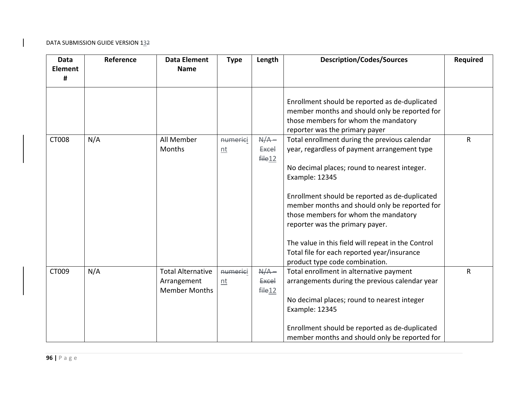| <b>Data</b><br><b>Element</b><br># | Reference | <b>Data Element</b><br><b>Name</b>                              | <b>Type</b>      | Length                             | <b>Description/Codes/Sources</b>                                                                                                                                                                                                                                                                                                                                                                                                                                                     | <b>Required</b> |
|------------------------------------|-----------|-----------------------------------------------------------------|------------------|------------------------------------|--------------------------------------------------------------------------------------------------------------------------------------------------------------------------------------------------------------------------------------------------------------------------------------------------------------------------------------------------------------------------------------------------------------------------------------------------------------------------------------|-----------------|
|                                    |           |                                                                 |                  |                                    | Enrollment should be reported as de-duplicated<br>member months and should only be reported for<br>those members for whom the mandatory<br>reporter was the primary payer                                                                                                                                                                                                                                                                                                            |                 |
| <b>CT008</b>                       | N/A       | All Member<br>Months                                            | numeriei<br>$nt$ | $A/A -$<br><b>Excel</b><br>file 12 | Total enrollment during the previous calendar<br>year, regardless of payment arrangement type<br>No decimal places; round to nearest integer.<br>Example: 12345<br>Enrollment should be reported as de-duplicated<br>member months and should only be reported for<br>those members for whom the mandatory<br>reporter was the primary payer.<br>The value in this field will repeat in the Control<br>Total file for each reported year/insurance<br>product type code combination. | $\mathsf{R}$    |
| CT009                              | N/A       | <b>Total Alternative</b><br>Arrangement<br><b>Member Months</b> | numerici<br>$nt$ | $N/A -$<br><b>Excel</b><br>file 12 | Total enrollment in alternative payment<br>arrangements during the previous calendar year<br>No decimal places; round to nearest integer<br>Example: 12345<br>Enrollment should be reported as de-duplicated<br>member months and should only be reported for                                                                                                                                                                                                                        | R               |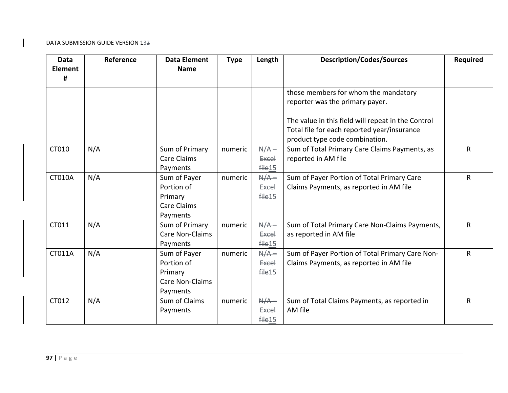| <b>Data</b><br><b>Element</b><br># | Reference | <b>Data Element</b><br><b>Name</b>                                   | <b>Type</b> | Length                                            | <b>Description/Codes/Sources</b>                                                                                                    | Required |
|------------------------------------|-----------|----------------------------------------------------------------------|-------------|---------------------------------------------------|-------------------------------------------------------------------------------------------------------------------------------------|----------|
|                                    |           |                                                                      |             |                                                   | those members for whom the mandatory<br>reporter was the primary payer.                                                             |          |
|                                    |           |                                                                      |             |                                                   | The value in this field will repeat in the Control<br>Total file for each reported year/insurance<br>product type code combination. |          |
| CT010                              | N/A       | Sum of Primary<br><b>Care Claims</b><br>Payments                     | numeric     | $A/A -$<br><b>Excel</b><br>file15                 | Sum of Total Primary Care Claims Payments, as<br>reported in AM file                                                                | R        |
| <b>CT010A</b>                      | N/A       | Sum of Payer<br>Portion of<br>Primary<br>Care Claims<br>Payments     | numeric     | $N/A -$<br><b>Excel</b><br>file15                 | Sum of Payer Portion of Total Primary Care<br>Claims Payments, as reported in AM file                                               | R        |
| CT011                              | N/A       | Sum of Primary<br>Care Non-Claims<br>Payments                        | numeric     | $N/A -$<br><b>Excel</b><br>file15                 | Sum of Total Primary Care Non-Claims Payments,<br>as reported in AM file                                                            | R        |
| CT011A                             | N/A       | Sum of Payer<br>Portion of<br>Primary<br>Care Non-Claims<br>Payments | numeric     | $N/A -$<br><b>Excel</b><br>$f$ $He$ <sup>15</sup> | Sum of Payer Portion of Total Primary Care Non-<br>Claims Payments, as reported in AM file                                          | R        |
| CT012                              | N/A       | Sum of Claims<br>Payments                                            | numeric     | $A/A -$<br><b>Excel</b><br>file15                 | Sum of Total Claims Payments, as reported in<br>AM file                                                                             | R        |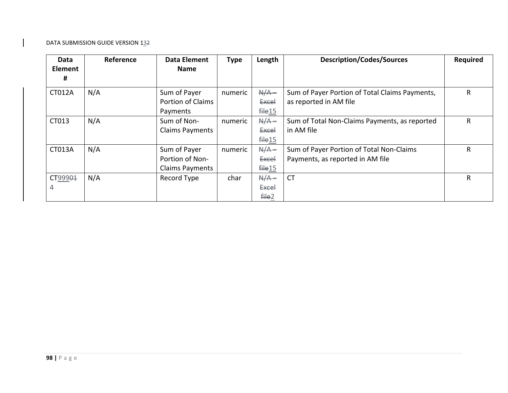| Data                | Reference | <b>Data Element</b>    | <b>Type</b> | Length             | <b>Description/Codes/Sources</b>               | <b>Required</b> |
|---------------------|-----------|------------------------|-------------|--------------------|------------------------------------------------|-----------------|
| <b>Element</b>      |           | <b>Name</b>            |             |                    |                                                |                 |
| #                   |           |                        |             |                    |                                                |                 |
| <b>CT012A</b>       | N/A       | Sum of Payer           | numeric     | $N/A -$            | Sum of Payer Portion of Total Claims Payments, | R               |
|                     |           | Portion of Claims      |             | <b>Excel</b>       | as reported in AM file                         |                 |
|                     |           | Payments               |             | $f\neq 15$         |                                                |                 |
| CT013               | N/A       | Sum of Non-            | numeric     | $A/A -$            | Sum of Total Non-Claims Payments, as reported  | R               |
|                     |           | <b>Claims Payments</b> |             | <b>Excel</b>       | in AM file                                     |                 |
|                     |           |                        |             | file15             |                                                |                 |
| CT013A              | N/A       | Sum of Payer           | numeric     | $A/A -$            | Sum of Payer Portion of Total Non-Claims       | R               |
|                     |           | Portion of Non-        |             | <b>Excel</b>       | Payments, as reported in AM file               |                 |
|                     |           | <b>Claims Payments</b> |             | <del>file</del> 15 |                                                |                 |
| CT999 <del>01</del> | N/A       | Record Type            | char        | $A/A -$            | <b>CT</b>                                      | R               |
| 4                   |           |                        |             | <b>Excel</b>       |                                                |                 |
|                     |           |                        |             | file2              |                                                |                 |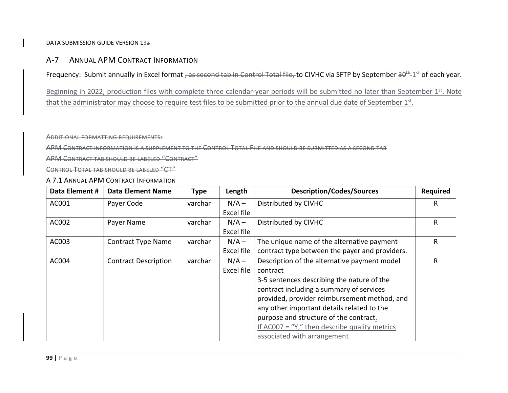# A‐7 ANNUAL APM CONTRACT INFORMATION

Frequency: Submit annually in Excel format , as second tab in Control Total file, to CIVHC via SFTP by September 30<sup>th</sup> 1st of each year.

Beginning in 2022, production files with complete three calendar-year periods will be submitted no later than September 1st. Note that the administrator may choose to require test files to be submitted prior to the annual due date of September  $1<sup>st</sup>$ .

ADDITIONAL FORMATTING REQUIREMENTS:

APM CONTRACT INFORMATION IS A SUPPLEMENT TO THE CONTROL TOTAL FILE AND SHOULD BE SUBMITTED AS A SECOND TAB

APM CONTRACT TAB SHOULD BE LABELED "CONTRACT"

CONTROL TOTAL TAB SHOULD BE LABELED "CT"

A 7.1 ANNUAL APM CONTRACT INFORMATION

| Data Element # | <b>Data Element Name</b>    | <b>Type</b> | Length     | <b>Description/Codes/Sources</b>                  | Required |
|----------------|-----------------------------|-------------|------------|---------------------------------------------------|----------|
| AC001          | Payer Code                  | varchar     | $N/A -$    | Distributed by CIVHC                              | R        |
|                |                             |             | Excel file |                                                   |          |
| AC002          | Payer Name                  | varchar     | $N/A -$    | Distributed by CIVHC                              | R        |
|                |                             |             | Excel file |                                                   |          |
| AC003          | <b>Contract Type Name</b>   | varchar     | $N/A -$    | The unique name of the alternative payment        | R        |
|                |                             |             | Excel file | contract type between the payer and providers.    |          |
| AC004          | <b>Contract Description</b> | varchar     | $N/A -$    | Description of the alternative payment model      | R        |
|                |                             |             | Excel file | contract                                          |          |
|                |                             |             |            | 3-5 sentences describing the nature of the        |          |
|                |                             |             |            | contract including a summary of services          |          |
|                |                             |             |            | provided, provider reimbursement method, and      |          |
|                |                             |             |            | any other important details related to the        |          |
|                |                             |             |            | purpose and structure of the contract.            |          |
|                |                             |             |            | If AC007 = " $Y$ ," then describe quality metrics |          |
|                |                             |             |            | associated with arrangement                       |          |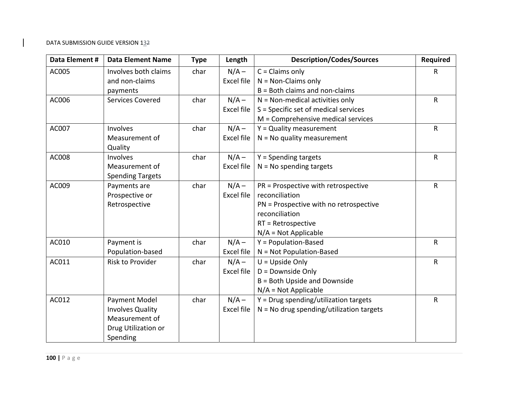| Data Element # | <b>Data Element Name</b> | <b>Type</b> | Length     | <b>Description/Codes/Sources</b>           | Required     |
|----------------|--------------------------|-------------|------------|--------------------------------------------|--------------|
| AC005          | Involves both claims     | char        | $N/A -$    | $C = Claims$ only                          | $\mathsf{R}$ |
|                | and non-claims           |             | Excel file | $N = Non-Clains only$                      |              |
|                | payments                 |             |            | $B =$ Both claims and non-claims           |              |
| AC006          | <b>Services Covered</b>  | char        | $N/A -$    | $N = Non-mediated activities only$         | R            |
|                |                          |             | Excel file | S = Specific set of medical services       |              |
|                |                          |             |            | M = Comprehensive medical services         |              |
| AC007          | Involves                 | char        | $N/A -$    | $Y =$ Quality measurement                  | $\mathsf{R}$ |
|                | Measurement of           |             | Excel file | $N = No$ quality measurement               |              |
|                | Quality                  |             |            |                                            |              |
| AC008          | Involves                 | char        | $N/A -$    | Y = Spending targets                       | $\mathsf{R}$ |
|                | Measurement of           |             | Excel file | $N = No$ spending targets                  |              |
|                | <b>Spending Targets</b>  |             |            |                                            |              |
| AC009          | Payments are             | char        | $N/A -$    | PR = Prospective with retrospective        | $\mathsf{R}$ |
|                | Prospective or           |             | Excel file | reconciliation                             |              |
|                | Retrospective            |             |            | PN = Prospective with no retrospective     |              |
|                |                          |             |            | reconciliation                             |              |
|                |                          |             |            | $RT = Retrospective$                       |              |
|                |                          |             |            | $N/A = Not Applicable$                     |              |
| AC010          | Payment is               | char        | $N/A -$    | $Y = Population-Based$                     | R            |
|                | Population-based         |             | Excel file | N = Not Population-Based                   |              |
| AC011          | Risk to Provider         | char        | $N/A -$    | $U = Upside Only$                          | R            |
|                |                          |             | Excel file | D = Downside Only                          |              |
|                |                          |             |            | B = Both Upside and Downside               |              |
|                |                          |             |            | $N/A = Not Applicable$                     |              |
| AC012          | Payment Model            | char        | $N/A -$    | $Y = Drug$ spending/utilization targets    | $\mathsf{R}$ |
|                | <b>Involves Quality</b>  |             | Excel file | $N = No$ drug spending/utilization targets |              |
|                | Measurement of           |             |            |                                            |              |
|                | Drug Utilization or      |             |            |                                            |              |
|                | Spending                 |             |            |                                            |              |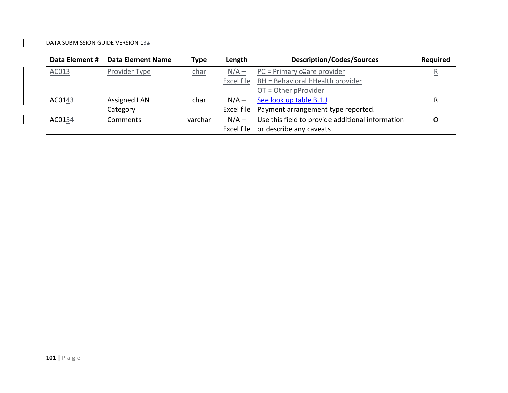| Data Element # | <b>Data Element Name</b> | <b>Type</b> | Length     | <b>Description/Codes/Sources</b>                 | <b>Required</b>         |
|----------------|--------------------------|-------------|------------|--------------------------------------------------|-------------------------|
| AC013          | Provider Type            | char        | $N/A -$    | $PC = Primary$ ceare provider                    | $\overline{\mathsf{R}}$ |
|                |                          |             | Excel file | BH = Behavioral hHealth provider                 |                         |
|                |                          |             |            | $OT = Other$ pProvider                           |                         |
| AC0143         | <b>Assigned LAN</b>      | char        | $N/A -$    | See look up table B.1.J                          | R                       |
|                | Category                 |             | Excel file | Payment arrangement type reported.               |                         |
| AC0154         | Comments                 | varchar     | $N/A -$    | Use this field to provide additional information |                         |
|                |                          |             | Excel file | or describe any caveats                          |                         |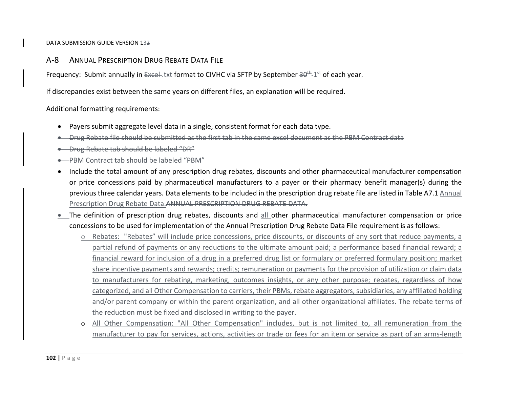A‐8ANNUAL PRESCRIPTION DRUG REBATE DATA FILE

Frequency: Submit annually in Excel-txt format to CIVHC via SFTP by September 30<sup>th</sup>-1st of each year.

If discrepancies exist between the same years on different files, an explanation will be required.

Additional formatting requirements:

- $\bullet$ Payers submit aggregate level data in <sup>a</sup> single, consistent format for each data type.
- $\bullet$ Drug Rebate file should be submitted as the first tab in the same excel document as the PBM Contract data
- . Drug Rebate tab should be labeled "DR"
- 0 PBM Contract tab should be labeled "PBM"
- . Include the total amount of any prescription drug rebates, discounts and other pharmaceutical manufacturer compensation or price concessions paid by pharmaceutical manufacturers to <sup>a</sup> payer or their pharmacy benefit manager(s) during the previous three calendar years. Data elements to be included in the prescription drug rebate file are listed in Table A7.1 Annual Prescription Drug Rebate Data.ANNUAL PRESCRIPTION DRUG REBATE DATA.
- **•** The definition of prescription drug rebates, discounts and all other pharmaceutical manufacturer compensation or price concessions to be used for implementation of the Annual Prescription Drug Rebate Data File requirement is as follows:
	- $\circ$  Rebates: "Rebates" will include price concessions, price discounts, or discounts of any sort that reduce payments, a partial refund of payments or any reductions to the ultimate amount paid; <sup>a</sup> performance based financial reward; <sup>a</sup> financial reward for inclusion of <sup>a</sup> drug in <sup>a</sup> preferred drug list or formulary or preferred formulary position; market share incentive payments and rewards; credits; remuneration or payments for the provision of utilization or claim data to manufacturers for rebating, marketing, outcomes insights, or any other purpose; rebates, regardless of how categorized, and all Other Compensation to carriers, their PBMs, rebate aggregators, subsidiaries, any affiliated holding and/or parent company or within the parent organization, and all other organizational affiliates. The rebate terms of the reduction must be fixed and disclosed in writing to the payer.
	- o All Other Compensation: "All Other Compensation" includes, but is not limited to, all remuneration from the manufacturer to pay for services, actions, activities or trade or fees for an item or service as part of an arms‐length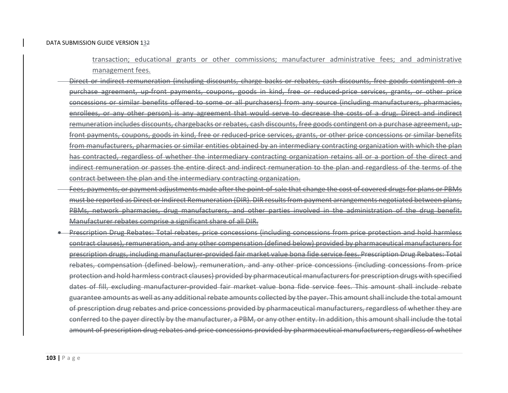transaction; educational grants or other commissions; manufacturer administrative fees; and administrative management fees.

- Direct or indirect remuneration (including discounts, charge backs or rebates, cash discounts, free goods contingent on <sup>a</sup> purchase agreement, up-front payments, coupons, goods in kind, free or reduced-price services, grants, or other concessions or similar benefits offered to some or all purchasers) from any source (including manufacturers, pharmacies, enrollees, or any other person) is any agreement that would serve to decrease the costs of <sup>a</sup> drug. Direct and indirect remuneration includes discounts, chargebacks or rebates, cash discounts, free goods contingent on <sup>a</sup> purchase agreement, up‐ front payments, coupons, goods in kind, free or reduced‐price services, grants, or other price concessions or similar benefits from manufacturers, pharmacies or similar entities obtained by an intermediary contracting organization with which the plan has contracted, regardless of whether the intermediary contracting organization retains all or <sup>a</sup> portion of the direct and indirect remuneration or passes the entire direct and indirect remuneration to the plan and regardless of the terms of the contract between the plan and the intermediary contracting organization.
- Fees, payments, or payment adjustments made after the point of sale that change the cost of covered drugs for plans or PBMs must be reported as Direct or Indirect Remuneration (DIR). DIR resultsfrom payment arrangements negotiated between plans, PBMs, network pharmacies, drug manufacturers, and other parties involved in the administration of the drug benefit. Manufacturer rebates comprise <sup>a</sup> significant share of all DIR.
- 0 Prescription Drug Rebates: Total rebates, price concessions (including concessions from price protection and hold harmless contract clauses), remuneration, and any other compensation (defined below) provided by pharmaceutical manufacturers for prescription drugs, including manufacturer‐provided fair market value bona fide service fees. Prescription Drug Rebates: Total rebates, compensation (defined below), remuneration, and any other price concessions (including concessions from price protection and hold harmless contract clauses) provided by pharmaceutical manufacturersfor prescription drugs with specified dates of fill, excluding manufacturer‐provided fair market value bona fide service fees. This amount shall include rebate guarantee amounts as well as any additional rebate amounts collected by the payer. This amountshall include the total amount of prescription drug rebates and price concessions provided by pharmaceutical manufacturers, regardless of whether they are conferred to the payer directly by the manufacturer, <sup>a</sup> PBM, or any other entity. In addition, this amount shall include the total amount of prescription drug rebates and price concessions provided by pharmaceutical manufacturers, regardless of whether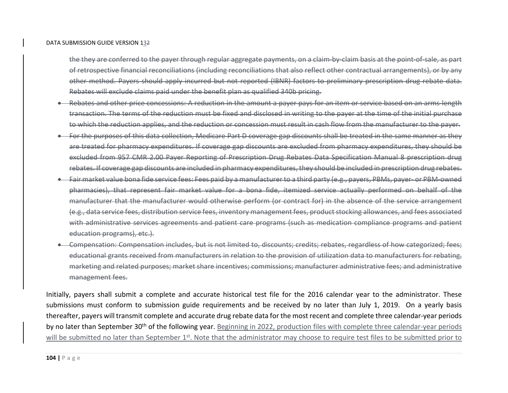the they are conferred to the payer through regular aggregate payments, on a claim‐by‐claim basis at the point‐of‐sale, as part of retrospective financial reconciliations (including reconciliations that also reflect other contractual arrangements), or by any other method. Payers should apply incurred but not reported (IBNR) factors to preliminary prescription drug rebate data. Rebates will exclude claims paid under the benefit plan as qualified 340b pricing.

- 0 ● Rebates and other price concessions: A reduction in the amount a payer pays for an item or service based on an arms-length transaction. The terms of the reduction must be fixed and disclosed in writing to the payer at the time of the initial purchase to which the reduction applies, and the reduction or concession must result in cash flow from the manufacturer to the payer.
- ٠ For the purposes of this data collection, Medicare Part D coverage gap discounts shall be treated in the same manner as they are treated for pharmacy expenditures. If coverage gap discounts are excluded from pharmacy expenditures, they should be excluded from 957 CMR 2.00 Payer Reporting of Prescription Drug Rebates Data Specification Manual 8 prescription drug rebates. If coverage gap discounts are included in pharmacy expenditures, they should be included in prescription drug rebates.
- ٠ ● Fair market value bona fide service fees: Fees paid by a manufacturer to a third party (e.g., payers, PBMs, payer–or PBM-owned pharmacies), that represent fair market value for <sup>a</sup> bona fide, itemized service actually performed on behalf of the manufacturer that the manufacturer would otherwise perform (or contract for) in the absence of the service arrangement (e.g., data service fees, distribution service fees, inventory management fees, product stocking allowances, and fees associated with administrative services agreements and patient care programs (such as medication compliance programs and patient education programs), etc.).
- 0 Compensation: Compensation includes, but is not limited to, discounts; credits; rebates, regardless of how categorized; fees; educational grants received from manufacturers in relation to the provision of utilization data to manufacturers for rebating, marketing and related purposes; market share incentives; commissions; manufacturer administrative fees; and administrative management fees.

Initially, payers shall submit <sup>a</sup> complete and accurate historical test file for the 2016 calendar year to the administrator. These submissions must conform to submission guide requirements and be received by no later than July 1, 2019. On <sup>a</sup> yearly basis thereafter, payers will transmit complete and accurate drug rebate data for the most recent and complete three calendar‐year periods by no later than September 30<sup>th</sup> of the following year. Beginning in 2022, production files with complete three calendar-year periods will be submitted no later than September 1<sup>st</sup>. Note that the administrator may choose to require test files to be submitted prior to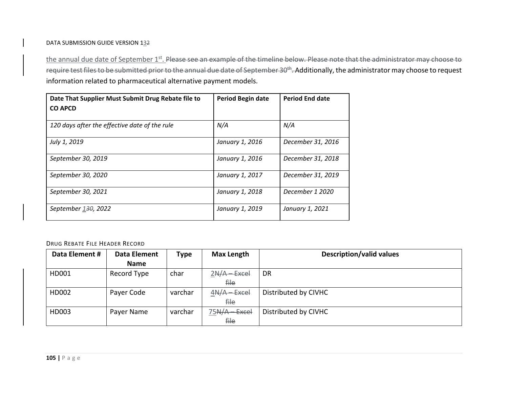the annual due date of September 1<sup>st</sup>. <del>Please see an example of the timeline below. Please note that the administrator may choose to</del> require test files to be submitted prior to the annual due date of September 30<sup>th</sup>. Additionally, the administrator may choose to request information related to pharmaceutical alternative payment models.

| Date That Supplier Must Submit Drug Rebate file to<br><b>CO APCD</b> | Period Begin date | <b>Period End date</b> |
|----------------------------------------------------------------------|-------------------|------------------------|
| 120 days after the effective date of the rule                        | N/A               | N/A                    |
| July 1, 2019                                                         | January 1, 2016   | December 31, 2016      |
| September 30, 2019                                                   | January 1, 2016   | December 31, 2018      |
| September 30, 2020                                                   | January 1, 2017   | December 31, 2019      |
| September 30, 2021                                                   | January 1, 2018   | December 1 2020        |
| September 130, 2022                                                  | January 1, 2019   | January 1, 2021        |

#### DRUG REBATE FILE HEADER RECORD

| Data Element # | <b>Data Element</b> | Type    | <b>Max Length</b> | <b>Description/valid values</b> |
|----------------|---------------------|---------|-------------------|---------------------------------|
|                | <b>Name</b>         |         |                   |                                 |
| HD001          | Record Type         | char    | $2N/A - Excel$    | <b>DR</b>                       |
|                |                     |         | <del>file</del>   |                                 |
| HD002          | Payer Code          | varchar | $4N/A - Excel$    | Distributed by CIVHC            |
|                |                     |         | <del>file</del>   |                                 |
| HD003          | Payer Name          | varchar | $75A/A - Excel$   | Distributed by CIVHC            |
|                |                     |         | file              |                                 |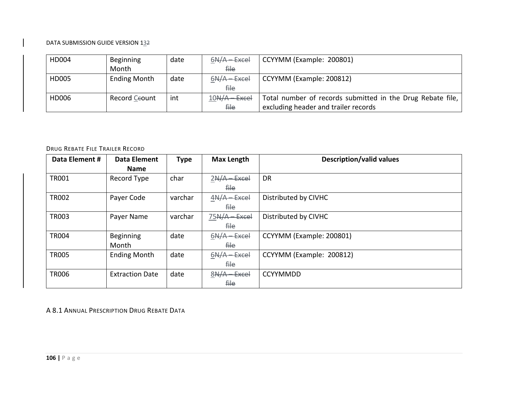| HD004 | Beginning           | date | $6N/A - Excel$  | CCYYMM (Example: 200801)                                   |
|-------|---------------------|------|-----------------|------------------------------------------------------------|
|       | Month               |      | <del>file</del> |                                                            |
| HD005 | <b>Ending Month</b> | date | $6N/A - Excel$  | CCYYMM (Example: 200812)                                   |
|       |                     |      | <del>file</del> |                                                            |
| HD006 | Record Ceount       | int  | $10N/A - Excel$ | Total number of records submitted in the Drug Rebate file, |
|       |                     |      | <del>file</del> | excluding header and trailer records                       |

#### DRUG REBATE FILE TRAILER RECORD

| Data Element # | <b>Data Element</b>    | <b>Type</b> | <b>Max Length</b> | <b>Description/valid values</b> |
|----------------|------------------------|-------------|-------------------|---------------------------------|
|                | <b>Name</b>            |             |                   |                                 |
| <b>TR001</b>   | Record Type            | char        | $2N/A$ Excel      | <b>DR</b>                       |
|                |                        |             | <del>file</del>   |                                 |
| <b>TR002</b>   | Payer Code             | varchar     | $4N/A - Excel$    | Distributed by CIVHC            |
|                |                        |             | <del>file</del>   |                                 |
| <b>TR003</b>   | Payer Name             | varchar     | 75N/A - Excel     | Distributed by CIVHC            |
|                |                        |             | <del>file</del>   |                                 |
| <b>TR004</b>   | <b>Beginning</b>       | date        | $6N/A - Excel$    | CCYYMM (Example: 200801)        |
|                | Month                  |             | <del>file</del>   |                                 |
| <b>TR005</b>   | <b>Ending Month</b>    | date        | $6N/A - Excel$    | CCYYMM (Example: 200812)        |
|                |                        |             | <del>file</del>   |                                 |
| <b>TR006</b>   | <b>Extraction Date</b> | date        | $8N/A - Excel$    | <b>CCYYMMDD</b>                 |
|                |                        |             | <del>file</del>   |                                 |

A 8.1 ANNUAL PRESCRIPTION DRUG REBATE DATA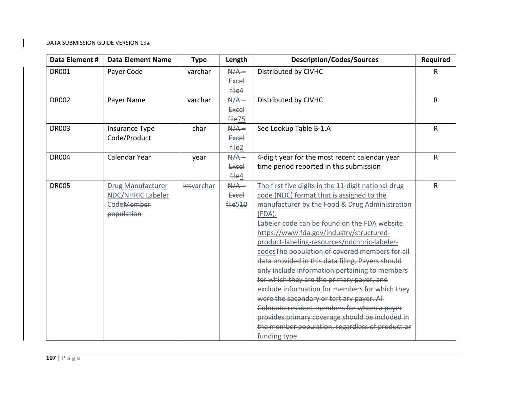| Data Element # | <b>Data Element Name</b> | <b>Type</b> | Length       | <b>Description/Codes/Sources</b>                    | <b>Required</b> |
|----------------|--------------------------|-------------|--------------|-----------------------------------------------------|-----------------|
| <b>DR001</b>   | Payer Code               | varchar     | $A/A -$      | Distributed by CIVHC                                | R               |
|                |                          |             | <b>Excel</b> |                                                     |                 |
|                |                          |             | file4        |                                                     |                 |
| <b>DR002</b>   | Payer Name               | varchar     | $A/A -$      | Distributed by CIVHC                                | $\mathsf{R}$    |
|                |                          |             | <b>Excel</b> |                                                     |                 |
|                |                          |             | file75       |                                                     |                 |
| <b>DR003</b>   | Insurance Type           | char        | $A/A -$      | See Lookup Table B-1.A                              | R               |
|                | Code/Product             |             | <b>Excel</b> |                                                     |                 |
|                |                          |             | file2        |                                                     |                 |
| <b>DR004</b>   | Calendar Year            | year        | $A/A -$      | 4-digit year for the most recent calendar year      | $\mathsf{R}$    |
|                |                          |             | <b>Excel</b> | time period reported in this submission             |                 |
|                |                          |             | file4        |                                                     |                 |
| <b>DR005</b>   | Drug Manufacturer        | intvarchar  | $A/A -$      | The first five digits in the 11-digit national drug | $\mathsf{R}$    |
|                | NDC/NHRIC Labeler        |             | <b>Excel</b> | code (NDC) format that is assigned to the           |                 |
|                | CodeMember               |             | file 510     | manufacturer by the Food & Drug Administration      |                 |
|                | population               |             |              | $(FDA)$ .                                           |                 |
|                |                          |             |              | Labeler code can be found on the FDA website.       |                 |
|                |                          |             |              | https://www.fda.gov/industry/structured-            |                 |
|                |                          |             |              | product-labeling-resources/ndcnhric-labeler-        |                 |
|                |                          |             |              | codes The population of covered members for all     |                 |
|                |                          |             |              | data provided in this data filing. Payers should    |                 |
|                |                          |             |              | only include information pertaining to members      |                 |
|                |                          |             |              | for which they are the primary payer, and           |                 |
|                |                          |             |              | exclude information for members for which they      |                 |
|                |                          |             |              | were the secondary or tertiary payer. All           |                 |
|                |                          |             |              | Colorado resident members for whom a payer          |                 |
|                |                          |             |              | provides primary coverage should be included in     |                 |
|                |                          |             |              | the member population, regardless of product or     |                 |
|                |                          |             |              | funding type.                                       |                 |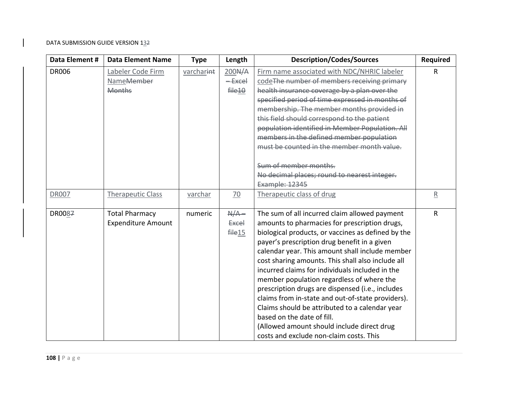| Data Element # | <b>Data Element Name</b>  | <b>Type</b> | Length             | <b>Description/Codes/Sources</b>                   | <b>Required</b>         |
|----------------|---------------------------|-------------|--------------------|----------------------------------------------------|-------------------------|
| <b>DR006</b>   | Labeler Code Firm         | varcharint  | 200 <del>N/A</del> | Firm name associated with NDC/NHRIC labeler        | R                       |
|                | Name <del>Member</del>    |             | <del>Excel</del>   | code The number of members receiving primary       |                         |
|                | <b>Months</b>             |             | file <sub>10</sub> | health insurance coverage by a plan over the       |                         |
|                |                           |             |                    | specified period of time expressed in months of    |                         |
|                |                           |             |                    | membership. The member months provided in          |                         |
|                |                           |             |                    | this field should correspond to the patient        |                         |
|                |                           |             |                    | population identified in Member Population. All    |                         |
|                |                           |             |                    | members in the defined member population           |                         |
|                |                           |             |                    | must be counted in the member month value.         |                         |
|                |                           |             |                    | Sum of member months.                              |                         |
|                |                           |             |                    | No decimal places; round to nearest integer.       |                         |
|                |                           |             |                    | Example: 12345                                     |                         |
| <b>DR007</b>   | <b>Therapeutic Class</b>  | varchar     | 70                 | Therapeutic class of drug                          | $\overline{\mathsf{R}}$ |
|                |                           |             |                    |                                                    |                         |
| DR0087         | <b>Total Pharmacy</b>     | numeric     | $A/A -$            | The sum of all incurred claim allowed payment      | R                       |
|                | <b>Expenditure Amount</b> |             | <b>Excel</b>       | amounts to pharmacies for prescription drugs,      |                         |
|                |                           |             | file15             | biological products, or vaccines as defined by the |                         |
|                |                           |             |                    | payer's prescription drug benefit in a given       |                         |
|                |                           |             |                    | calendar year. This amount shall include member    |                         |
|                |                           |             |                    | cost sharing amounts. This shall also include all  |                         |
|                |                           |             |                    | incurred claims for individuals included in the    |                         |
|                |                           |             |                    | member population regardless of where the          |                         |
|                |                           |             |                    | prescription drugs are dispensed (i.e., includes   |                         |
|                |                           |             |                    | claims from in-state and out-of-state providers).  |                         |
|                |                           |             |                    | Claims should be attributed to a calendar year     |                         |
|                |                           |             |                    | based on the date of fill.                         |                         |
|                |                           |             |                    | (Allowed amount should include direct drug         |                         |
|                |                           |             |                    | costs and exclude non-claim costs. This            |                         |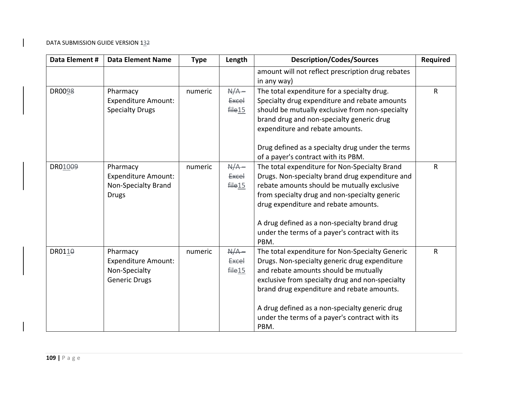| Data Element #          | <b>Data Element Name</b>                                                        | <b>Type</b> | Length                            | <b>Description/Codes/Sources</b>                                                                                                                                                                                                           | <b>Required</b> |
|-------------------------|---------------------------------------------------------------------------------|-------------|-----------------------------------|--------------------------------------------------------------------------------------------------------------------------------------------------------------------------------------------------------------------------------------------|-----------------|
|                         |                                                                                 |             |                                   | amount will not reflect prescription drug rebates<br>in any way)                                                                                                                                                                           |                 |
| DR0098                  | Pharmacy<br><b>Expenditure Amount:</b><br><b>Specialty Drugs</b>                | numeric     | $N/A -$<br><b>Excel</b><br>file15 | The total expenditure for a specialty drug.<br>Specialty drug expenditure and rebate amounts<br>should be mutually exclusive from non-specialty<br>brand drug and non-specialty generic drug<br>expenditure and rebate amounts.            | R               |
|                         |                                                                                 |             |                                   | Drug defined as a specialty drug under the terms<br>of a payer's contract with its PBM.                                                                                                                                                    |                 |
| DR01009<br><b>Drugs</b> | Pharmacy<br><b>Expenditure Amount:</b><br><b>Non-Specialty Brand</b>            | numeric     | $A/A -$<br><b>Excel</b><br>file15 | The total expenditure for Non-Specialty Brand<br>Drugs. Non-specialty brand drug expenditure and<br>rebate amounts should be mutually exclusive<br>from specialty drug and non-specialty generic<br>drug expenditure and rebate amounts.   | R               |
|                         |                                                                                 |             |                                   | A drug defined as a non-specialty brand drug<br>under the terms of a payer's contract with its<br>PBM.                                                                                                                                     |                 |
| DR0110                  | Pharmacy<br><b>Expenditure Amount:</b><br>Non-Specialty<br><b>Generic Drugs</b> | numeric     | $N/A -$<br><b>Excel</b><br>file15 | The total expenditure for Non-Specialty Generic<br>Drugs. Non-specialty generic drug expenditure<br>and rebate amounts should be mutually<br>exclusive from specialty drug and non-specialty<br>brand drug expenditure and rebate amounts. | R               |
|                         |                                                                                 |             |                                   | A drug defined as a non-specialty generic drug<br>under the terms of a payer's contract with its<br>PBM.                                                                                                                                   |                 |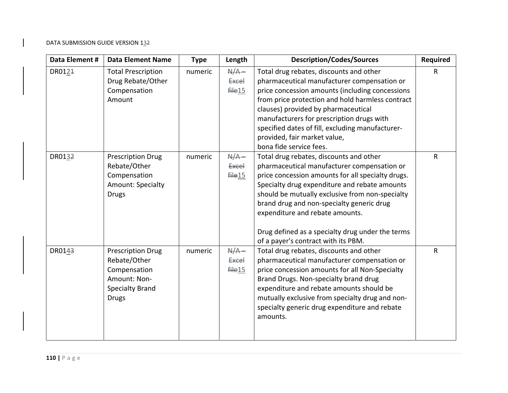| Data Element #     | <b>Data Element Name</b>                                                                                           | <b>Type</b> | Length                                        | <b>Description/Codes/Sources</b>                                                                                                                                                                                                                                                                                                                                                                                           | Required     |
|--------------------|--------------------------------------------------------------------------------------------------------------------|-------------|-----------------------------------------------|----------------------------------------------------------------------------------------------------------------------------------------------------------------------------------------------------------------------------------------------------------------------------------------------------------------------------------------------------------------------------------------------------------------------------|--------------|
| DR0124             | <b>Total Prescription</b><br>Drug Rebate/Other<br>Compensation<br>Amount                                           | numeric     | $A/A -$<br><b>Excel</b><br>file15             | Total drug rebates, discounts and other<br>pharmaceutical manufacturer compensation or<br>price concession amounts (including concessions<br>from price protection and hold harmless contract<br>clauses) provided by pharmaceutical<br>manufacturers for prescription drugs with<br>specified dates of fill, excluding manufacturer-<br>provided, fair market value,<br>bona fide service fees.                           | $\mathsf{R}$ |
| DR013 <del>2</del> | <b>Prescription Drug</b><br>Rebate/Other<br>Compensation<br><b>Amount: Specialty</b><br><b>Drugs</b>               | numeric     | $A/A -$<br><b>Excel</b><br>file <sub>15</sub> | Total drug rebates, discounts and other<br>pharmaceutical manufacturer compensation or<br>price concession amounts for all specialty drugs.<br>Specialty drug expenditure and rebate amounts<br>should be mutually exclusive from non-specialty<br>brand drug and non-specialty generic drug<br>expenditure and rebate amounts.<br>Drug defined as a specialty drug under the terms<br>of a payer's contract with its PBM. | $\mathsf{R}$ |
| DR014 <del>3</del> | <b>Prescription Drug</b><br>Rebate/Other<br>Compensation<br>Amount: Non-<br><b>Specialty Brand</b><br><b>Drugs</b> | numeric     | $A/A -$<br><b>Excel</b><br>file <sub>15</sub> | Total drug rebates, discounts and other<br>pharmaceutical manufacturer compensation or<br>price concession amounts for all Non-Specialty<br>Brand Drugs. Non-specialty brand drug<br>expenditure and rebate amounts should be<br>mutually exclusive from specialty drug and non-<br>specialty generic drug expenditure and rebate<br>amounts.                                                                              | $\mathsf{R}$ |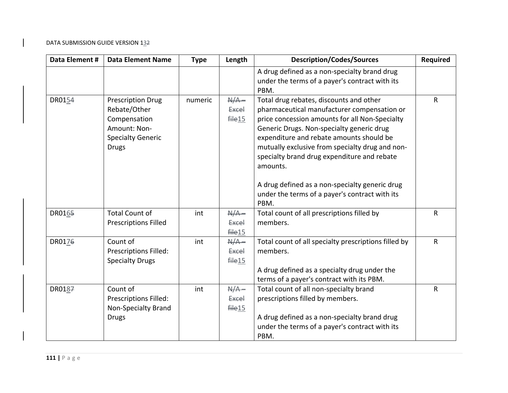| Data Element # | <b>Data Element Name</b>     | <b>Type</b> | Length             | <b>Description/Codes/Sources</b>                     | <b>Required</b> |
|----------------|------------------------------|-------------|--------------------|------------------------------------------------------|-----------------|
|                |                              |             |                    | A drug defined as a non-specialty brand drug         |                 |
|                |                              |             |                    | under the terms of a payer's contract with its       |                 |
|                |                              |             |                    | PBM.                                                 |                 |
| DR0154         | <b>Prescription Drug</b>     | numeric     | $A/A -$            | Total drug rebates, discounts and other              | $\mathsf{R}$    |
|                | Rebate/Other                 |             | Excel              | pharmaceutical manufacturer compensation or          |                 |
|                | Compensation                 |             | file15             | price concession amounts for all Non-Specialty       |                 |
|                | Amount: Non-                 |             |                    | Generic Drugs. Non-specialty generic drug            |                 |
|                | <b>Specialty Generic</b>     |             |                    | expenditure and rebate amounts should be             |                 |
|                | <b>Drugs</b>                 |             |                    | mutually exclusive from specialty drug and non-      |                 |
|                |                              |             |                    | specialty brand drug expenditure and rebate          |                 |
|                |                              |             |                    | amounts.                                             |                 |
|                |                              |             |                    | A drug defined as a non-specialty generic drug       |                 |
|                |                              |             |                    | under the terms of a payer's contract with its       |                 |
|                |                              |             |                    | PBM.                                                 |                 |
| DR0165         | <b>Total Count of</b>        | int         | $A/A -$            | Total count of all prescriptions filled by           | $\mathsf{R}$    |
|                | <b>Prescriptions Filled</b>  |             | <b>Excel</b>       | members.                                             |                 |
|                |                              |             | file <sub>15</sub> |                                                      |                 |
| DR0176         | Count of                     | int         | $A/A -$            | Total count of all specialty prescriptions filled by | $\mathsf{R}$    |
|                | Prescriptions Filled:        |             | <b>Excel</b>       | members.                                             |                 |
|                | <b>Specialty Drugs</b>       |             | file15             |                                                      |                 |
|                |                              |             |                    | A drug defined as a specialty drug under the         |                 |
|                |                              |             |                    | terms of a payer's contract with its PBM.            |                 |
| DR0187         | Count of                     | int         | $A/A -$            | Total count of all non-specialty brand               | $\mathsf{R}$    |
|                | <b>Prescriptions Filled:</b> |             | <b>Excel</b>       | prescriptions filled by members.                     |                 |
|                | Non-Specialty Brand          |             | file15             |                                                      |                 |
|                | <b>Drugs</b>                 |             |                    | A drug defined as a non-specialty brand drug         |                 |
|                |                              |             |                    | under the terms of a payer's contract with its       |                 |
|                |                              |             |                    | PBM.                                                 |                 |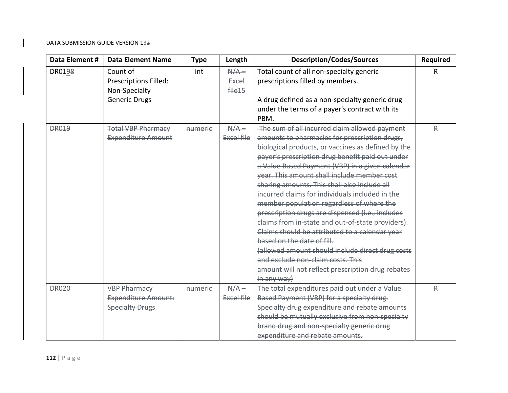| Data Element #     | <b>Data Element Name</b>     | <b>Type</b> | Length       | <b>Description/Codes/Sources</b>                   | <b>Required</b> |
|--------------------|------------------------------|-------------|--------------|----------------------------------------------------|-----------------|
| DR019 <del>8</del> | Count of                     | int         | $A/A -$      | Total count of all non-specialty generic           | R               |
|                    | <b>Prescriptions Filled:</b> |             | <b>Excel</b> | prescriptions filled by members.                   |                 |
|                    | Non-Specialty                |             | file15       |                                                    |                 |
|                    | <b>Generic Drugs</b>         |             |              | A drug defined as a non-specialty generic drug     |                 |
|                    |                              |             |              | under the terms of a payer's contract with its     |                 |
|                    |                              |             |              | PBM.                                               |                 |
| <b>DR019</b>       | <b>Total VBP Pharmacy</b>    | numerie     | $A/A -$      | The sum of all incurred claim allowed payment      | ₽               |
|                    | <b>Expenditure Amount</b>    |             | Excel file   | amounts to pharmacies for prescription drugs,      |                 |
|                    |                              |             |              | biological products, or vaccines as defined by the |                 |
|                    |                              |             |              | payer's prescription drug benefit paid out under   |                 |
|                    |                              |             |              | a Value Based Payment (VBP) in a given calendar    |                 |
|                    |                              |             |              | year. This amount shall include member cost        |                 |
|                    |                              |             |              | sharing amounts. This shall also include all       |                 |
|                    |                              |             |              | incurred claims for individuals included in the    |                 |
|                    |                              |             |              | member population regardless of where the          |                 |
|                    |                              |             |              | prescription drugs are dispensed (i.e., includes   |                 |
|                    |                              |             |              | claims from in-state and out-of-state providers).  |                 |
|                    |                              |             |              | Claims should be attributed to a calendar year     |                 |
|                    |                              |             |              | based on the date of fill.                         |                 |
|                    |                              |             |              | (allowed amount should include direct drug costs   |                 |
|                    |                              |             |              | and exclude non-claim costs. This                  |                 |
|                    |                              |             |              | amount will not reflect prescription drug rebates  |                 |
|                    |                              |             |              | in any way)                                        |                 |
| <b>DR020</b>       | <b>VBP Pharmacy</b>          | numerie     | $A/A -$      | The total expenditures paid out under a Value      | ₽               |
|                    | <b>Expenditure Amount:</b>   |             | Excel file   | Based Payment (VBP) for a specialty drug.          |                 |
|                    | <b>Specialty Drugs</b>       |             |              | Specialty drug expenditure and rebate amounts      |                 |
|                    |                              |             |              | should be mutually exclusive from non-specialty    |                 |
|                    |                              |             |              | brand drug and non-specialty generic drug          |                 |
|                    |                              |             |              | expenditure and rebate amounts.                    |                 |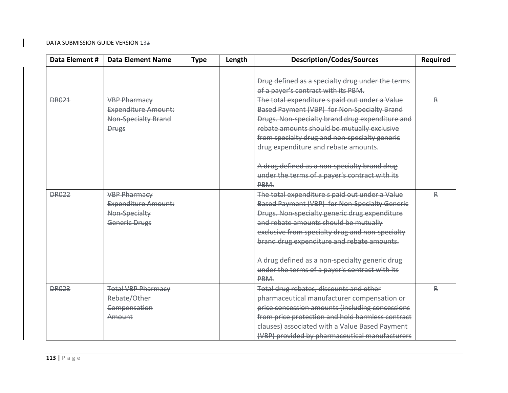| Data Element # | <b>Data Element Name</b>   | <b>Type</b> | Length | <b>Description/Codes/Sources</b>                     | Required |
|----------------|----------------------------|-------------|--------|------------------------------------------------------|----------|
|                |                            |             |        |                                                      |          |
|                |                            |             |        | Drug defined as a specialty drug under the terms     |          |
|                |                            |             |        | of a payer's contract with its PBM.                  |          |
| <b>DR021</b>   | <b>VBP Pharmacy</b>        |             |        | The total expenditure s paid out under a Value       | ₽        |
|                | <b>Expenditure Amount:</b> |             |        | Based Payment (VBP) for Non-Specialty Brand          |          |
|                | Non-Specialty Brand        |             |        | Drugs. Non-specialty brand drug expenditure and      |          |
|                | <b>Drugs</b>               |             |        | rebate amounts should be mutually exclusive          |          |
|                |                            |             |        | from specialty drug and non-specialty generic        |          |
|                |                            |             |        | drug expenditure and rebate amounts.                 |          |
|                |                            |             |        | A drug defined as a non-specialty brand drug         |          |
|                |                            |             |        | under the terms of a payer's contract with its       |          |
|                |                            |             |        | PBM.                                                 |          |
| <b>DR022</b>   | <b>VBP Pharmacy</b>        |             |        | The total expenditure s paid out under a Value       | ₽        |
|                | <b>Expenditure Amount:</b> |             |        | <b>Based Payment (VBP) for Non-Specialty Generic</b> |          |
|                | Non-Specialty              |             |        | Drugs. Non-specialty generic drug expenditure        |          |
|                | <b>Generic Drugs</b>       |             |        | and rebate amounts should be mutually                |          |
|                |                            |             |        | exclusive from specialty drug and non-specialty      |          |
|                |                            |             |        | brand drug expenditure and rebate amounts.           |          |
|                |                            |             |        |                                                      |          |
|                |                            |             |        | A drug defined as a non-specialty generic drug       |          |
|                |                            |             |        | under the terms of a payer's contract with its       |          |
|                |                            |             |        | PBM.                                                 |          |
| <b>DR023</b>   | <b>Total VBP Pharmacy</b>  |             |        | Total drug rebates, discounts and other              | ₽        |
|                | Rebate/Other               |             |        | pharmaceutical manufacturer compensation or          |          |
|                | Compensation               |             |        | price concession amounts (including concessions      |          |
|                | Amount                     |             |        | from price protection and hold harmless contract     |          |
|                |                            |             |        | clauses) associated with a Value Based Payment       |          |
|                |                            |             |        | (VBP) provided by pharmaceutical manufacturers       |          |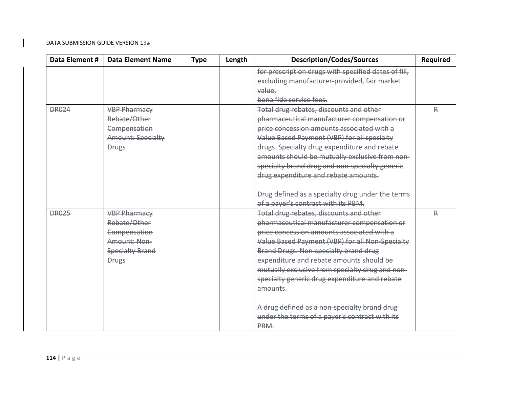| Data Element # | <b>Data Element Name</b> | <b>Type</b> | Length | <b>Description/Codes/Sources</b>                     | <b>Required</b> |
|----------------|--------------------------|-------------|--------|------------------------------------------------------|-----------------|
|                |                          |             |        | for prescription drugs with specified dates of fill, |                 |
|                |                          |             |        | excluding manufacturer provided, fair market         |                 |
|                |                          |             |        | value,                                               |                 |
|                |                          |             |        | bona fide service fees.                              |                 |
| <b>DR024</b>   | <b>VBP Pharmacy</b>      |             |        | Total drug rebates, discounts and other              | ₽               |
|                | Rebate/Other             |             |        | pharmaceutical manufacturer compensation or          |                 |
|                | Compensation             |             |        | price concession amounts associated with a           |                 |
|                | <b>Amount: Specialty</b> |             |        | Value Based Payment (VBP) for all specialty          |                 |
|                | <b>Drugs</b>             |             |        | drugs. Specialty drug expenditure and rebate         |                 |
|                |                          |             |        | amounts should be mutually exclusive from non-       |                 |
|                |                          |             |        | specialty brand drug and non-specialty generic       |                 |
|                |                          |             |        | drug expenditure and rebate amounts.                 |                 |
|                |                          |             |        |                                                      |                 |
|                |                          |             |        | Drug defined as a specialty drug under the terms     |                 |
|                |                          |             |        | of a payer's contract with its PBM.                  |                 |
| <b>DR025</b>   | <b>VBP Pharmacy</b>      |             |        | Total drug rebates, discounts and other              | ₽               |
|                | Rebate/Other             |             |        | pharmaceutical manufacturer compensation or          |                 |
|                | Compensation             |             |        | price concession amounts associated with a           |                 |
|                | Amount: Non-             |             |        | Value Based Payment (VBP) for all Non-Specialty      |                 |
|                | <b>Specialty Brand</b>   |             |        | Brand Drugs. Non-specialty brand drug                |                 |
|                | <b>Drugs</b>             |             |        | expenditure and rebate amounts should be             |                 |
|                |                          |             |        | mutually exclusive from specialty drug and non-      |                 |
|                |                          |             |        | specialty generic drug expenditure and rebate        |                 |
|                |                          |             |        | amounts.                                             |                 |
|                |                          |             |        | A drug defined as a non-specialty brand drug         |                 |
|                |                          |             |        | under the terms of a payer's contract with its       |                 |
|                |                          |             |        | PBM.                                                 |                 |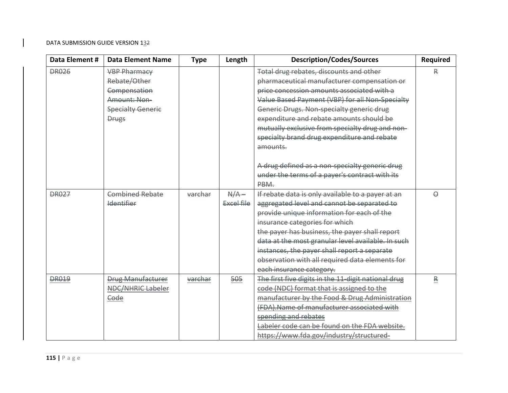| Data Element # | <b>Data Element Name</b> | <b>Type</b> | Length     | <b>Description/Codes/Sources</b>                    | <b>Required</b> |
|----------------|--------------------------|-------------|------------|-----------------------------------------------------|-----------------|
| <b>DR026</b>   | <b>VBP Pharmacy</b>      |             |            | Total drug rebates, discounts and other             | ₽               |
|                | Rebate/Other             |             |            | pharmaceutical manufacturer compensation or         |                 |
|                | Compensation             |             |            | price concession amounts associated with a          |                 |
|                | Amount: Non-             |             |            | Value Based Payment (VBP) for all Non-Specialty     |                 |
|                | <b>Specialty Generic</b> |             |            | Generic Drugs. Non-specialty generic drug           |                 |
|                | <b>Drugs</b>             |             |            | expenditure and rebate amounts should be            |                 |
|                |                          |             |            | mutually exclusive from specialty drug and non-     |                 |
|                |                          |             |            | specialty brand drug expenditure and rebate         |                 |
|                |                          |             |            | amounts.                                            |                 |
|                |                          |             |            |                                                     |                 |
|                |                          |             |            | A drug defined as a non-specialty generic drug      |                 |
|                |                          |             |            | under the terms of a payer's contract with its      |                 |
|                |                          |             |            | PBM.                                                |                 |
| <b>DR027</b>   | <b>Combined Rebate</b>   | varchar     | $A/A -$    | If rebate data is only available to a payer at an   | $\Theta$        |
|                | <b>Identifier</b>        |             | Excel file | aggregated level and cannot be separated to         |                 |
|                |                          |             |            | provide unique information for each of the          |                 |
|                |                          |             |            | insurance categories for which                      |                 |
|                |                          |             |            | the payer has business, the payer shall report      |                 |
|                |                          |             |            | data at the most granular level available. In such  |                 |
|                |                          |             |            | instances, the payer shall report a separate        |                 |
|                |                          |             |            | observation with all required data elements for     |                 |
|                |                          |             |            | each insurance category.                            |                 |
| <b>DR019</b>   | <b>Drug Manufacturer</b> | varchar     | 505        | The first five digits in the 11 digit national drug | ₽               |
|                | <b>NDC/NHRIC Labeler</b> |             |            | code (NDC) format that is assigned to the           |                 |
|                | Code                     |             |            | manufacturer by the Food & Drug Administration      |                 |
|                |                          |             |            | (FDA). Name of manufacturer associated with         |                 |
|                |                          |             |            | spending and rebates                                |                 |
|                |                          |             |            | Labeler code can be found on the FDA website.       |                 |
|                |                          |             |            | https://www.fda.gov/industry/structured-            |                 |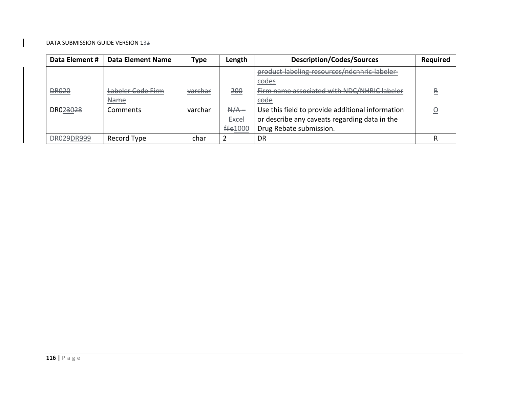| Data Element #        | <b>Data Element Name</b> | Type    | Length          | <b>Description/Codes/Sources</b>                 | <b>Required</b> |
|-----------------------|--------------------------|---------|-----------------|--------------------------------------------------|-----------------|
|                       |                          |         |                 | product labeling resources/ndenhric labeler      |                 |
|                       |                          |         |                 | eodes                                            |                 |
| <b>DR020</b>          | Labeler Code Firm        | varchar | <u> 200</u>     | Firm name associated with NDC/NHRIC labeler      | 导               |
|                       | <b>Name</b>              |         |                 | eode                                             |                 |
| DR02 <del>3</del> 028 | Comments                 | varchar | $A/A -$         | Use this field to provide additional information |                 |
|                       |                          |         | <b>Excel</b>    | or describe any caveats regarding data in the    |                 |
|                       |                          |         | <b>file1000</b> | Drug Rebate submission.                          |                 |
| <b>DR029DR999</b>     | Record Type              | char    |                 | DR                                               |                 |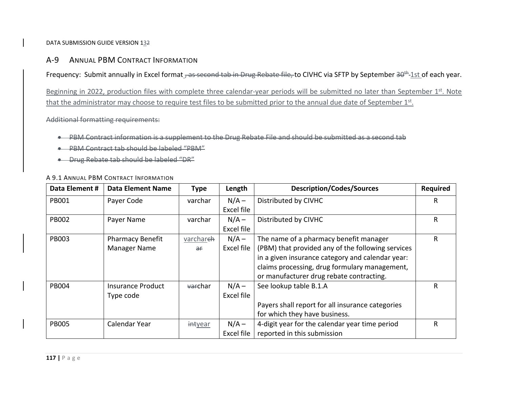A‐9**9 ANNUAL PBM CONTRACT INFORMATION** 

Frequency: Submit annually in Excel format , as second tab in Drug Rebate file, to CIVHC via SFTP by September 30<sup>th</sup>-1st of each year.

Beginning in 2022, production files with complete three calendar-year periods will be submitted no later than September 1st. Note that the administrator may choose to require test files to be submitted prior to the annual due date of September  $1<sup>st</sup>$ .

Additional formatting requirements:

- 0 PBM Contract information is <sup>a</sup> supplement to the Drug Rebate File and should be submitted as <sup>a</sup> second tab
- ٠ PBM Contract tab should be labeled "PBM"
- Drug Rebate tab should be labeled "DR"

### A 9.1 ANNUAL PBM CONTRACT INFORMATION

| Data Element # | <b>Data Element Name</b> | <b>Type</b>         | Length     | <b>Description/Codes/Sources</b>                  | <b>Required</b> |
|----------------|--------------------------|---------------------|------------|---------------------------------------------------|-----------------|
| <b>PB001</b>   | Payer Code               | varchar             | $N/A -$    | Distributed by CIVHC                              | R               |
|                |                          |                     | Excel file |                                                   |                 |
| <b>PB002</b>   | Payer Name               | varchar             | $N/A -$    | Distributed by CIVHC                              | R               |
|                |                          |                     | Excel file |                                                   |                 |
| <b>PB003</b>   | <b>Pharmacy Benefit</b>  | varchareh           | $N/A -$    | The name of a pharmacy benefit manager            | R               |
|                | Manager Name             | $\theta$            | Excel file | (PBM) that provided any of the following services |                 |
|                |                          |                     |            | in a given insurance category and calendar year:  |                 |
|                |                          |                     |            | claims processing, drug formulary management,     |                 |
|                |                          |                     |            | or manufacturer drug rebate contracting.          |                 |
| <b>PB004</b>   | <b>Insurance Product</b> | <del>var</del> char | $N/A -$    | See lookup table B.1.A                            | R               |
|                | Type code                |                     | Excel file |                                                   |                 |
|                |                          |                     |            | Payers shall report for all insurance categories  |                 |
|                |                          |                     |            | for which they have business.                     |                 |
| <b>PB005</b>   | Calendar Year            | intyear             | $N/A -$    | 4-digit year for the calendar year time period    | R               |
|                |                          |                     | Excel file | reported in this submission                       |                 |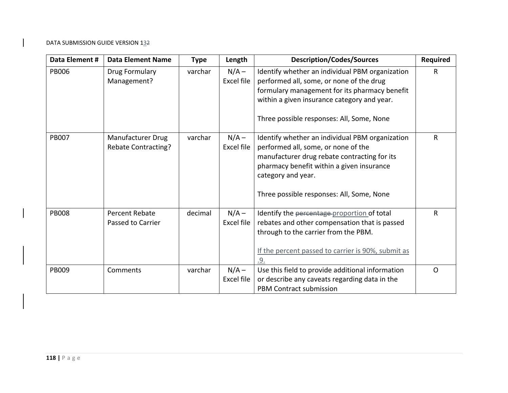| Data Element # | <b>Data Element Name</b>                          | <b>Type</b> | Length                | <b>Description/Codes/Sources</b>                                                                                                                                                                                                                       | <b>Required</b> |
|----------------|---------------------------------------------------|-------------|-----------------------|--------------------------------------------------------------------------------------------------------------------------------------------------------------------------------------------------------------------------------------------------------|-----------------|
| <b>PB006</b>   | Drug Formulary<br>Management?                     | varchar     | $N/A -$<br>Excel file | Identify whether an individual PBM organization<br>performed all, some, or none of the drug<br>formulary management for its pharmacy benefit<br>within a given insurance category and year.<br>Three possible responses: All, Some, None               | R               |
| <b>PB007</b>   | Manufacturer Drug<br><b>Rebate Contracting?</b>   | varchar     | $N/A -$<br>Excel file | Identify whether an individual PBM organization<br>performed all, some, or none of the<br>manufacturer drug rebate contracting for its<br>pharmacy benefit within a given insurance<br>category and year.<br>Three possible responses: All, Some, None | R               |
| <b>PB008</b>   | <b>Percent Rebate</b><br><b>Passed to Carrier</b> | decimal     | $N/A -$<br>Excel file | Identify the percentage proportion of total<br>rebates and other compensation that is passed<br>through to the carrier from the PBM.<br>If the percent passed to carrier is 90%, submit as<br>.9.                                                      | R               |
| <b>PB009</b>   | Comments                                          | varchar     | $N/A -$<br>Excel file | Use this field to provide additional information<br>or describe any caveats regarding data in the<br><b>PBM Contract submission</b>                                                                                                                    | $\mathsf{O}$    |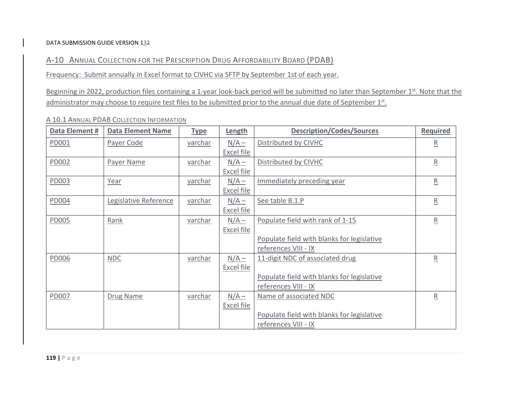A‐10 ANNUAL COLLECTION FOR THE PRESCRIPTION DRUG AFFORDABILITY BOARD (PDAB)

Frequency: Submit annually in Excel format to CIVHC via SFTP by September 1st of each year.

Beginning in 2022, production files containing a 1-year look-back period will be submitted no later than September 1<sup>st</sup>. Note that the administrator may choose to require test files to be submitted prior to the annual due date of September  $1<sup>st</sup>$ .

| Data Element # | <b>Data Element Name</b> | <b>Type</b>    | <b>Length</b>     | <b>Description/Codes/Sources</b>           | Required                 |
|----------------|--------------------------|----------------|-------------------|--------------------------------------------|--------------------------|
| PD001          | Payer Code               | <u>varchar</u> | $N/A -$           | Distributed by CIVHC                       | $\overline{\mathsf{R}}$  |
|                |                          |                | Excel file        |                                            |                          |
| PD002          | Payer Name               | varchar        | $N/A -$           | Distributed by CIVHC                       | $\underline{\mathsf{R}}$ |
|                |                          |                | Excel file        |                                            |                          |
| PD003          | Year                     | varchar        | $N/A -$           | Immediately preceding year                 | $\underline{\mathsf{R}}$ |
|                |                          |                | Excel file        |                                            |                          |
| PD004          | Legislative Reference    | varchar        | $N/A -$           | See table B.1.P                            | $\overline{\mathrm{R}}$  |
|                |                          |                | Excel file        |                                            |                          |
| <b>PD005</b>   | Rank                     | varchar        | $N/A -$           | Populate field with rank of 1-15           | $\underline{\mathsf{R}}$ |
|                |                          |                | Excel file        |                                            |                          |
|                |                          |                |                   | Populate field with blanks for legislative |                          |
|                |                          |                |                   | references VIII - IX                       |                          |
| <b>PD006</b>   | NDC                      | varchar        | $N/A -$           | 11-digit NDC of associated drug            | ${\sf R}$                |
|                |                          |                | <b>Excel file</b> |                                            |                          |
|                |                          |                |                   | Populate field with blanks for legislative |                          |
|                |                          |                |                   | references VIII - IX                       |                          |
| <b>PD007</b>   | Drug Name                | varchar        | $N/A -$           | Name of associated NDC                     | $\overline{R}$           |
|                |                          |                | <b>Excel file</b> |                                            |                          |
|                |                          |                |                   | Populate field with blanks for legislative |                          |
|                |                          |                |                   | references VIII - IX                       |                          |

## A 10.1 ANNUAL PDAB COLLECTION INFORMATION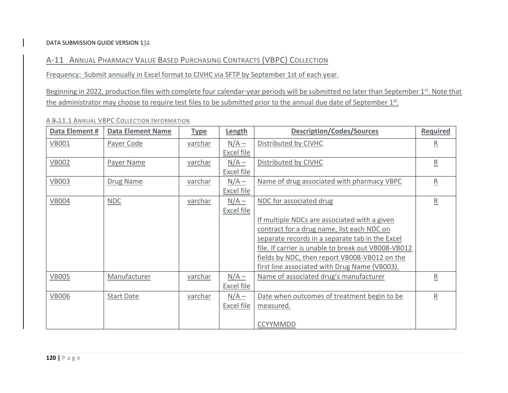A‐11 ANNUAL PHARMACY VALUE BASED PURCHASING CONTRACTS (VBPC) COLLECTION

Frequency: Submit annually in Excel format to CIVHC via SFTP by September 1st of each year.

Beginning in 2022, production files with complete four calendar-year periods will be submitted no later than September 1<sup>st</sup>. Note that the administrator may choose to require test files to be submitted prior to the annual due date of September 1st.

| Data Element # | <b>Data Element Name</b> | <b>Type</b>    | Length            | <b>Description/Codes/Sources</b>                    | <b>Required</b>          |
|----------------|--------------------------|----------------|-------------------|-----------------------------------------------------|--------------------------|
| <b>VB001</b>   | Payer Code               | varchar        | $N/A -$           | Distributed by CIVHC                                | R                        |
|                |                          |                | Excel file        |                                                     |                          |
| <b>VB002</b>   | Payer Name               | <u>varchar</u> | $N/A -$           | Distributed by CIVHC                                | $\underline{\mathsf{R}}$ |
|                |                          |                | <b>Excel file</b> |                                                     |                          |
| <b>VB003</b>   | Drug Name                | varchar        | $N/A -$           | Name of drug associated with pharmacy VBPC          | $\underline{\mathsf{R}}$ |
|                |                          |                | <b>Excel file</b> |                                                     |                          |
| <b>VB004</b>   | NDC                      | <u>varchar</u> | $N/A -$           | NDC for associated drug                             | $\overline{\mathrm{R}}$  |
|                |                          |                | <b>Excel file</b> |                                                     |                          |
|                |                          |                |                   | If multiple NDCs are associated with a given        |                          |
|                |                          |                |                   | contract for a drug name, list each NDC on          |                          |
|                |                          |                |                   | separate records in a separate tab in the Excel     |                          |
|                |                          |                |                   | file. If carrier is unable to break out VB008-VB012 |                          |
|                |                          |                |                   | fields by NDC, then report VB008-VB012 on the       |                          |
|                |                          |                |                   | first line associated with Drug Name (VB003).       |                          |
| <b>VB005</b>   | Manufacturer             | varchar        | $N/A -$           | Name of associated drug's manufacturer              | $\overline{\mathsf{R}}$  |
|                |                          |                | <b>Excel file</b> |                                                     |                          |
|                |                          |                |                   |                                                     |                          |
| <b>VB006</b>   | <b>Start Date</b>        | <u>varchar</u> | $N/A -$           | Date when outcomes of treatment begin to be         | $\overline{\mathsf{R}}$  |
|                |                          |                | Excel file        | measured.                                           |                          |
|                |                          |                |                   |                                                     |                          |
|                |                          |                |                   | <b>CCYYMMDD</b>                                     |                          |

## A <del>9.</del>11.1 Annual VBPC Collection Information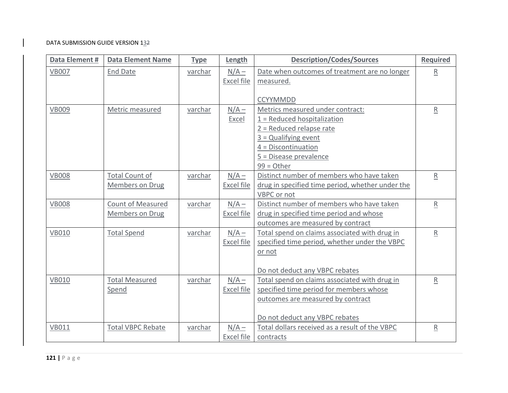| Data Element # | <b>Data Element Name</b> | <b>Type</b> | Length            | <b>Description/Codes/Sources</b>                 | <b>Required</b>            |
|----------------|--------------------------|-------------|-------------------|--------------------------------------------------|----------------------------|
| <b>VB007</b>   | <b>End Date</b>          | varchar     | $N/A -$           | Date when outcomes of treatment are no longer    | $\overline{R}$             |
|                |                          |             | Excel file        | measured.                                        |                            |
|                |                          |             |                   | <b>CCYYMMDD</b>                                  |                            |
| <b>VB009</b>   | Metric measured          | varchar     | $N/A -$           | Metrics measured under contract:                 | $\underline{R}$            |
|                |                          |             | <b>Excel</b>      | $1$ = Reduced hospitalization                    |                            |
|                |                          |             |                   | $2$ = Reduced relapse rate                       |                            |
|                |                          |             |                   | $3 =$ Qualifying event                           |                            |
|                |                          |             |                   | $4 = Discontinuation$                            |                            |
|                |                          |             |                   | 5 = Disease prevalence                           |                            |
|                |                          |             |                   | $99 = Other$                                     |                            |
| <b>VB008</b>   | <b>Total Count of</b>    | varchar     | $N/A -$           | Distinct number of members who have taken        | R                          |
|                | <b>Members on Drug</b>   |             | <b>Excel file</b> | drug in specified time period, whether under the |                            |
|                |                          |             |                   | VBPC or not                                      |                            |
| <b>VB008</b>   | <b>Count of Measured</b> | varchar     | $N/A -$           | Distinct number of members who have taken        | $\underline{R}$            |
|                | <b>Members on Drug</b>   |             | <b>Excel file</b> | drug in specified time period and whose          |                            |
|                |                          |             |                   | outcomes are measured by contract                |                            |
| <b>VB010</b>   | <b>Total Spend</b>       | varchar     | $N/A -$           | Total spend on claims associated with drug in    | $\overline{R}$             |
|                |                          |             | Excel file        | specified time period, whether under the VBPC    |                            |
|                |                          |             |                   | or not                                           |                            |
|                |                          |             |                   |                                                  |                            |
|                |                          |             |                   | Do not deduct any VBPC rebates                   |                            |
| <b>VB010</b>   | <b>Total Measured</b>    | varchar     | $N/A -$           | Total spend on claims associated with drug in    | ${\underline{\mathsf{R}}}$ |
|                | Spend                    |             | <b>Excel file</b> | specified time period for members whose          |                            |
|                |                          |             |                   | outcomes are measured by contract                |                            |
|                |                          |             |                   | Do not deduct any VBPC rebates                   |                            |
| <b>VB011</b>   | <b>Total VBPC Rebate</b> | varchar     | $N/A -$           | Total dollars received as a result of the VBPC   | $\underline{\mathsf{R}}$   |
|                |                          |             | <b>Excel file</b> | contracts                                        |                            |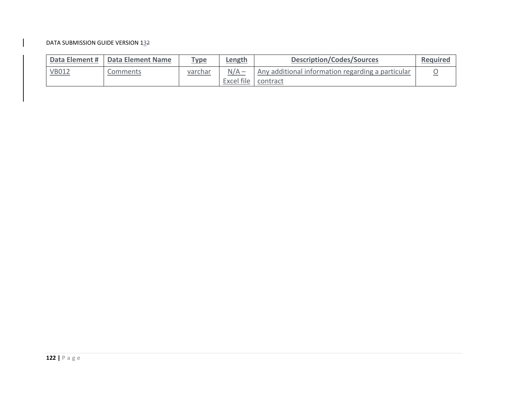|              | Data Element #   Data Element Name | Type    | Length                           | <b>Description/Codes/Sources</b>                  | Required |
|--------------|------------------------------------|---------|----------------------------------|---------------------------------------------------|----------|
| <b>VB012</b> | Comments                           | varchar | $N/A -$<br>Excel file   contract | Any additional information regarding a particular |          |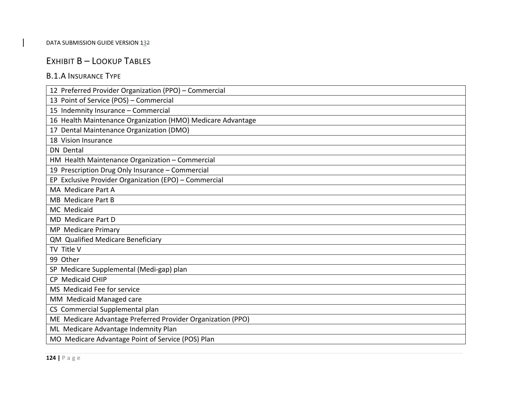# EXHIBIT B – LOOKUP TABLES

# B.1.A INSURANCE TYPE

| 12 Preferred Provider Organization (PPO) - Commercial       |
|-------------------------------------------------------------|
| 13 Point of Service (POS) - Commercial                      |
| 15 Indemnity Insurance - Commercial                         |
| 16 Health Maintenance Organization (HMO) Medicare Advantage |
| Dental Maintenance Organization (DMO)<br>17                 |
| 18 Vision Insurance                                         |
| <b>DN</b> Dental                                            |
| HM Health Maintenance Organization - Commercial             |
| 19 Prescription Drug Only Insurance - Commercial            |
| EP Exclusive Provider Organization (EPO) - Commercial       |
| MA Medicare Part A                                          |
| <b>MB</b> Medicare Part B                                   |
| MC Medicaid                                                 |
| MD Medicare Part D                                          |
| MP Medicare Primary                                         |
| QM Qualified Medicare Beneficiary                           |
| TV Title V                                                  |
| 99 Other                                                    |
| SP Medicare Supplemental (Medi-gap) plan                    |
| CP Medicaid CHIP                                            |
| MS Medicaid Fee for service                                 |
| MM Medicaid Managed care                                    |
| CS Commercial Supplemental plan                             |
| ME Medicare Advantage Preferred Provider Organization (PPO) |
| ML Medicare Advantage Indemnity Plan                        |
| MO Medicare Advantage Point of Service (POS) Plan           |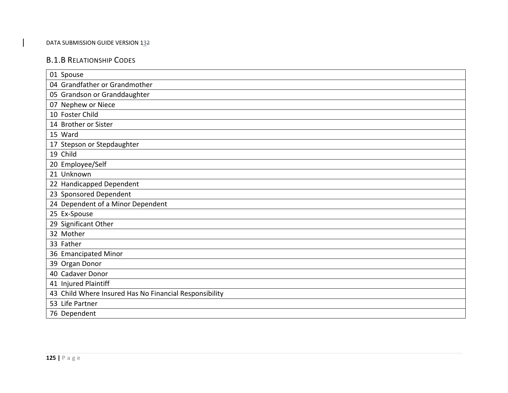## B.1.B RELATIONSHIP CODES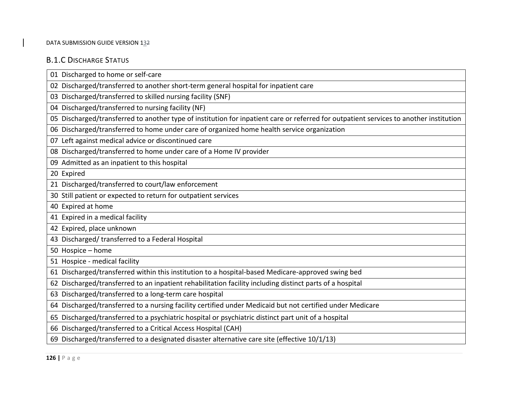# B.1.C DISCHARGE STATUS

| 01 Discharged to home or self-care                                                                                                     |
|----------------------------------------------------------------------------------------------------------------------------------------|
| 02 Discharged/transferred to another short-term general hospital for inpatient care                                                    |
| 03 Discharged/transferred to skilled nursing facility (SNF)                                                                            |
| 04 Discharged/transferred to nursing facility (NF)                                                                                     |
| 05 Discharged/transferred to another type of institution for inpatient care or referred for outpatient services to another institution |
| 06 Discharged/transferred to home under care of organized home health service organization                                             |
| 07 Left against medical advice or discontinued care                                                                                    |
| 08 Discharged/transferred to home under care of a Home IV provider                                                                     |
| 09 Admitted as an inpatient to this hospital                                                                                           |
| 20 Expired                                                                                                                             |
| 21 Discharged/transferred to court/law enforcement                                                                                     |
| 30 Still patient or expected to return for outpatient services                                                                         |
| 40 Expired at home                                                                                                                     |
| 41 Expired in a medical facility                                                                                                       |
| 42 Expired, place unknown                                                                                                              |
| 43 Discharged/ transferred to a Federal Hospital                                                                                       |
| 50 Hospice - home                                                                                                                      |
| 51 Hospice - medical facility                                                                                                          |
| 61 Discharged/transferred within this institution to a hospital-based Medicare-approved swing bed                                      |
| 62 Discharged/transferred to an inpatient rehabilitation facility including distinct parts of a hospital                               |
| 63 Discharged/transferred to a long-term care hospital                                                                                 |
| 64 Discharged/transferred to a nursing facility certified under Medicaid but not certified under Medicare                              |
| 65 Discharged/transferred to a psychiatric hospital or psychiatric distinct part unit of a hospital                                    |
| 66 Discharged/transferred to a Critical Access Hospital (CAH)                                                                          |
| 69 Discharged/transferred to a designated disaster alternative care site (effective 10/1/13)                                           |
|                                                                                                                                        |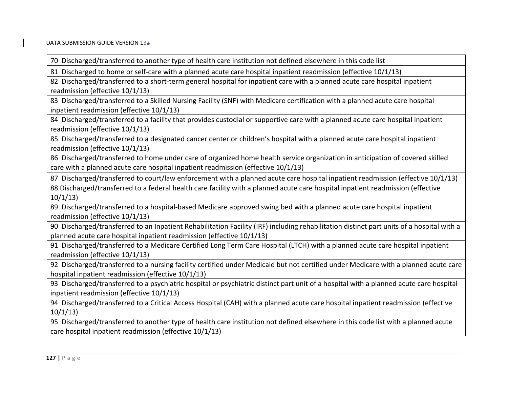70 Discharged/transferred to another type of health care institution not defined elsewhere in this code list

81 Discharged to home or self‐care with <sup>a</sup> planned acute care hospital inpatient readmission (effective 10/1/13)

82 Discharged/transferred to <sup>a</sup> short‐term general hospital for inpatient care with <sup>a</sup> planned acute care hospital inpatient readmission (effective 10/1/13)

83 Discharged/transferred to <sup>a</sup> Skilled Nursing Facility (SNF) with Medicare certification with <sup>a</sup> planned acute care hospital inpatient readmission (effective 10/1/13)

84 Discharged/transferred to <sup>a</sup> facility that provides custodial or supportive care with <sup>a</sup> planned acute care hospital inpatient readmission (effective 10/1/13)

85 Discharged/transferred to <sup>a</sup> designated cancer center or children's hospital with <sup>a</sup> planned acute care hospital inpatient readmission (effective 10/1/13)

86 Discharged/transferred to home under care of organized home health service organization in anticipation of covered skilled care with <sup>a</sup> planned acute care hospital inpatient readmission (effective 10/1/13)

87 Discharged/transferred to court/law enforcement with <sup>a</sup> planned acute care hospital inpatient readmission (effective 10/1/13)

88 Discharged/transferred to <sup>a</sup> federal health care facility with <sup>a</sup> planned acute care hospital inpatient readmission (effective 10/1/13)

89 Discharged/transferred to <sup>a</sup> hospital‐based Medicare approved swing bed with <sup>a</sup> planned acute care hospital inpatient readmission (effective 10/1/13)

90 Discharged/transferred to an Inpatient Rehabilitation Facility (IRF) including rehabilitation distinct part units of <sup>a</sup> hospital with <sup>a</sup> planned acute care hospital inpatient readmission (effective 10/1/13)

91 Discharged/transferred to <sup>a</sup> Medicare Certified Long Term Care Hospital (LTCH) with <sup>a</sup> planned acute care hospital inpatient readmission (effective 10/1/13)

92 Discharged/transferred to <sup>a</sup> nursing facility certified under Medicaid but not certified under Medicare with <sup>a</sup> planned acute care hospital inpatient readmission (effective 10/1/13)

93 Discharged/transferred to <sup>a</sup> psychiatric hospital or psychiatric distinct part unit of <sup>a</sup> hospital with <sup>a</sup> planned acute care hospital inpatient readmission (effective 10/1/13)

94 Discharged/transferred to <sup>a</sup> Critical Access Hospital (CAH) with <sup>a</sup> planned acute care hospital inpatient readmission (effective 10/1/13)

95 Discharged/transferred to another type of health care institution not defined elsewhere in this code list with <sup>a</sup> planned acute care hospital inpatient readmission (effective 10/1/13)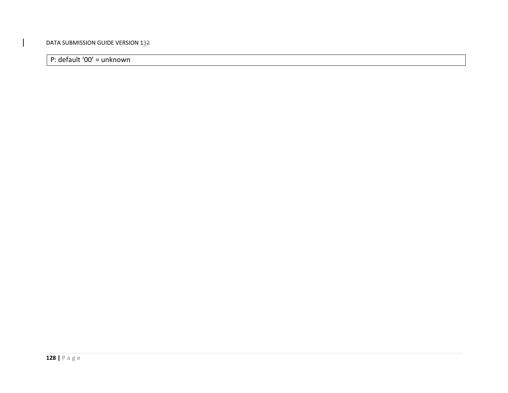P: default '00' <sup>=</sup> unknown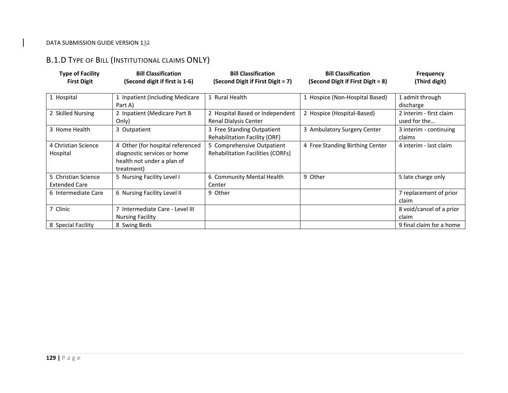## B.1.D TYPE OF BILL (INSTITUTIONAL CLAIMS ONLY)

| <b>Type of Facility</b><br><b>First Digit</b> | <b>Bill Classification</b><br>(Second digit if first is 1-6)                                                | <b>Bill Classification</b><br>(Second Digit if First Digit = 7)        | <b>Bill Classification</b><br>(Second Digit if First Digit = 8) | <b>Frequency</b><br>(Third digit)       |
|-----------------------------------------------|-------------------------------------------------------------------------------------------------------------|------------------------------------------------------------------------|-----------------------------------------------------------------|-----------------------------------------|
| 1 Hospital                                    | 1 Inpatient (Including Medicare<br>Part A)                                                                  | 1 Rural Health                                                         | 1 Hospice (Non-Hospital Based)                                  | 1 admit through<br>discharge            |
| 2 Skilled Nursing                             | 2 Inpatient (Medicare Part B<br>Only)                                                                       | 2 Hospital Based or Independent<br>Renal Dialysis Center               | 2 Hospice (Hospital-Based)                                      | 2 interim - first claim<br>used for the |
| 3 Home Health                                 | 3 Outpatient                                                                                                | 3 Free Standing Outpatient<br><b>Rehabilitation Facility (ORF)</b>     | 3 Ambulatory Surgery Center                                     | 3 interim - continuing<br>claims        |
| 4 Christian Science<br>Hospital               | 4 Other (for hospital referenced<br>diagnostic services or home<br>health not under a plan of<br>treatment) | 5 Comprehensive Outpatient<br><b>Rehabilitation Facilities (CORFs)</b> | 4 Free Standing Birthing Center                                 | 4 interim - last claim                  |
| 5 Christian Science<br><b>Extended Care</b>   | 5 Nursing Facility Level I                                                                                  | 6 Community Mental Health<br>Center                                    | 9 Other                                                         | 5 late charge only                      |
| 6 Intermediate Care                           | 6 Nursing Facility Level II                                                                                 | 9 Other                                                                |                                                                 | 7 replacement of prior<br>claim         |
| 7 Clinic                                      | 7 Intermediate Care - Level III<br><b>Nursing Facility</b>                                                  |                                                                        |                                                                 | 8 void/cancel of a prior<br>claim       |
| 8 Special Facility                            | 8 Swing Beds                                                                                                |                                                                        |                                                                 | 9 final claim for a home                |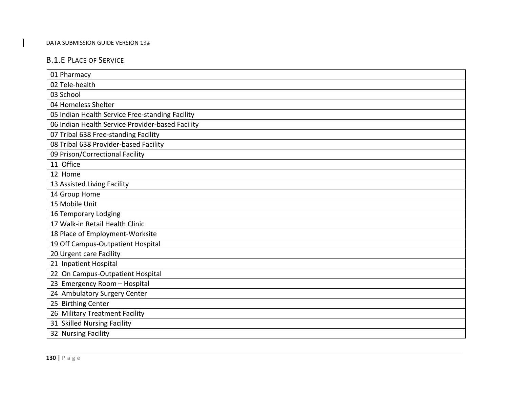## B.1.E PLACE OF SERVICE

| 01 Pharmacy                                      |
|--------------------------------------------------|
| 02 Tele-health                                   |
| 03 School                                        |
| 04 Homeless Shelter                              |
| 05 Indian Health Service Free-standing Facility  |
| 06 Indian Health Service Provider-based Facility |
| 07 Tribal 638 Free-standing Facility             |
| 08 Tribal 638 Provider-based Facility            |
| 09 Prison/Correctional Facility                  |
| 11 Office                                        |
| 12 Home                                          |
| 13 Assisted Living Facility                      |
| 14 Group Home                                    |
| 15 Mobile Unit                                   |
| 16 Temporary Lodging                             |
| 17 Walk-in Retail Health Clinic                  |
| 18 Place of Employment-Worksite                  |
| 19 Off Campus-Outpatient Hospital                |
| 20 Urgent care Facility                          |
| 21 Inpatient Hospital                            |
| 22 On Campus-Outpatient Hospital                 |
| 23 Emergency Room - Hospital                     |
| 24 Ambulatory Surgery Center                     |
| 25 Birthing Center                               |
| 26 Military Treatment Facility                   |
| 31 Skilled Nursing Facility                      |
| 32 Nursing Facility                              |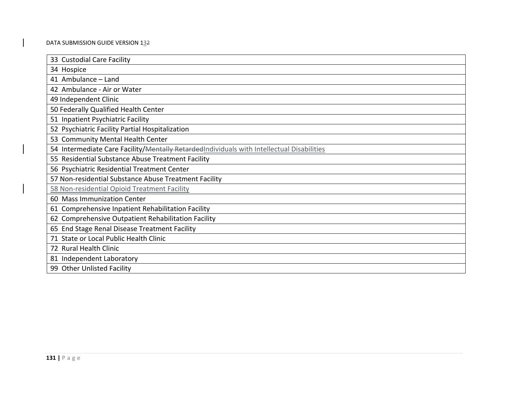| 33 Custodial Care Facility                                                                |
|-------------------------------------------------------------------------------------------|
| 34 Hospice                                                                                |
| 41 Ambulance - Land                                                                       |
| 42 Ambulance - Air or Water                                                               |
| 49 Independent Clinic                                                                     |
| 50 Federally Qualified Health Center                                                      |
| 51 Inpatient Psychiatric Facility                                                         |
| 52 Psychiatric Facility Partial Hospitalization                                           |
| 53 Community Mental Health Center                                                         |
| 54 Intermediate Care Facility/Mentally RetardedIndividuals with Intellectual Disabilities |
| 55 Residential Substance Abuse Treatment Facility                                         |
| 56 Psychiatric Residential Treatment Center                                               |
| 57 Non-residential Substance Abuse Treatment Facility                                     |
| 58 Non-residential Opioid Treatment Facility                                              |
| 60 Mass Immunization Center                                                               |
| 61 Comprehensive Inpatient Rehabilitation Facility                                        |
| 62 Comprehensive Outpatient Rehabilitation Facility                                       |
| 65 End Stage Renal Disease Treatment Facility                                             |
| 71 State or Local Public Health Clinic                                                    |
| 72 Rural Health Clinic                                                                    |
| 81 Independent Laboratory                                                                 |
| 99 Other Unlisted Facility                                                                |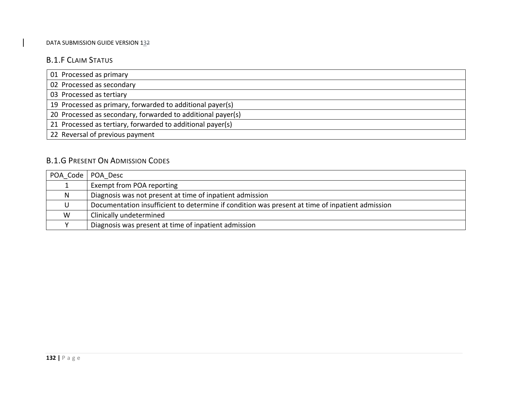## B.1.F CLAIM STATUS

# B.1.G PRESENT ON ADMISSION CODES

| POA Code   POA Desc |                                                                                                 |
|---------------------|-------------------------------------------------------------------------------------------------|
|                     | Exempt from POA reporting                                                                       |
| N                   | Diagnosis was not present at time of inpatient admission                                        |
|                     | Documentation insufficient to determine if condition was present at time of inpatient admission |
| W                   | Clinically undetermined                                                                         |
|                     | Diagnosis was present at time of inpatient admission                                            |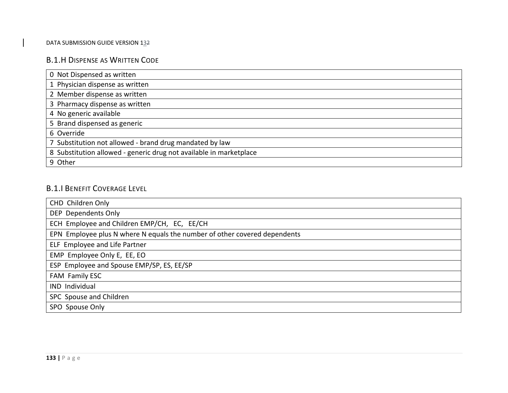## B.1.H DISPENSE AS WRITTEN CODE

| 0 Not Dispensed as written                                         |
|--------------------------------------------------------------------|
| 1 Physician dispense as written                                    |
| 2 Member dispense as written                                       |
| 3 Pharmacy dispense as written                                     |
| 4 No generic available                                             |
| 5 Brand dispensed as generic                                       |
| 6 Override                                                         |
| 7 Substitution not allowed - brand drug mandated by law            |
| 8 Substitution allowed - generic drug not available in marketplace |
| 9 Other                                                            |

# B.1.I BENEFIT COVERAGE LEVEL

| CHD Children Only                                                         |
|---------------------------------------------------------------------------|
| DEP Dependents Only                                                       |
| ECH Employee and Children EMP/CH, EC, EE/CH                               |
| EPN Employee plus N where N equals the number of other covered dependents |
| ELF Employee and Life Partner                                             |
| EMP Employee Only E, EE, EO                                               |
| ESP Employee and Spouse EMP/SP, ES, EE/SP                                 |
| FAM Family ESC                                                            |
| IND Individual                                                            |
| SPC Spouse and Children                                                   |
| SPO Spouse Only                                                           |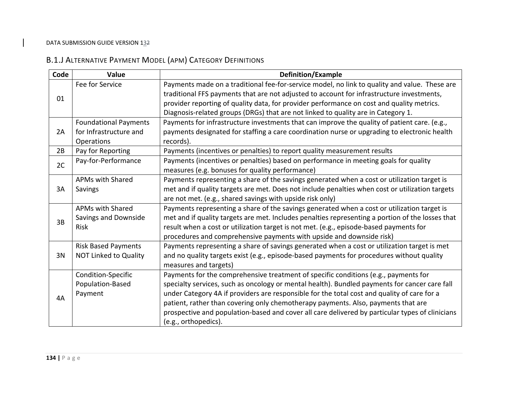# B.1.J ALTERNATIVE PAYMENT MODEL (APM) CATEGORY DEFINITIONS

| Code | Value                        | <b>Definition/Example</b>                                                                        |
|------|------------------------------|--------------------------------------------------------------------------------------------------|
| 01   | Fee for Service              | Payments made on a traditional fee-for-service model, no link to quality and value. These are    |
|      |                              | traditional FFS payments that are not adjusted to account for infrastructure investments,        |
|      |                              | provider reporting of quality data, for provider performance on cost and quality metrics.        |
|      |                              | Diagnosis-related groups (DRGs) that are not linked to quality are in Category 1.                |
|      | <b>Foundational Payments</b> | Payments for infrastructure investments that can improve the quality of patient care. (e.g.,     |
| 2A   | for Infrastructure and       | payments designated for staffing a care coordination nurse or upgrading to electronic health     |
|      | Operations                   | records).                                                                                        |
| 2B   | Pay for Reporting            | Payments (incentives or penalties) to report quality measurement results                         |
| 2C   | Pay-for-Performance          | Payments (incentives or penalties) based on performance in meeting goals for quality             |
|      |                              | measures (e.g. bonuses for quality performance)                                                  |
|      | <b>APMs with Shared</b>      | Payments representing a share of the savings generated when a cost or utilization target is      |
| 3A   | Savings                      | met and if quality targets are met. Does not include penalties when cost or utilization targets  |
|      |                              | are not met. (e.g., shared savings with upside risk only)                                        |
|      | <b>APMs with Shared</b>      | Payments representing a share of the savings generated when a cost or utilization target is      |
| 3B   | Savings and Downside         | met and if quality targets are met. Includes penalties representing a portion of the losses that |
|      | <b>Risk</b>                  | result when a cost or utilization target is not met. (e.g., episode-based payments for           |
|      |                              | procedures and comprehensive payments with upside and downside risk)                             |
|      | <b>Risk Based Payments</b>   | Payments representing a share of savings generated when a cost or utilization target is met      |
| 3N   | <b>NOT Linked to Quality</b> | and no quality targets exist (e.g., episode-based payments for procedures without quality        |
|      |                              | measures and targets)                                                                            |
|      | Condition-Specific           | Payments for the comprehensive treatment of specific conditions (e.g., payments for              |
|      | Population-Based             | specialty services, such as oncology or mental health). Bundled payments for cancer care fall    |
| 4A   | Payment                      | under Category 4A if providers are responsible for the total cost and quality of care for a      |
|      |                              | patient, rather than covering only chemotherapy payments. Also, payments that are                |
|      |                              | prospective and population-based and cover all care delivered by particular types of clinicians  |
|      |                              | (e.g., orthopedics).                                                                             |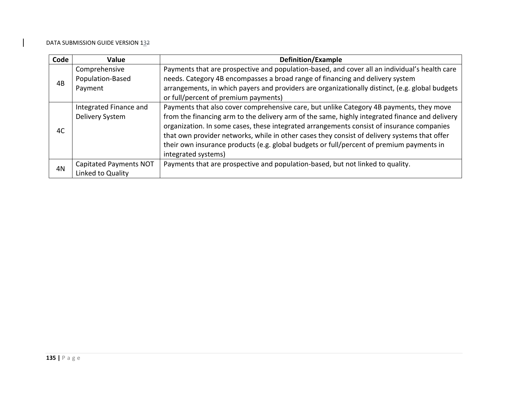| Code | Value                         | <b>Definition/Example</b>                                                                       |
|------|-------------------------------|-------------------------------------------------------------------------------------------------|
| 4B   | Comprehensive                 | Payments that are prospective and population-based, and cover all an individual's health care   |
|      | Population-Based              | needs. Category 4B encompasses a broad range of financing and delivery system                   |
|      | Payment                       | arrangements, in which payers and providers are organizationally distinct, (e.g. global budgets |
|      |                               | or full/percent of premium payments)                                                            |
|      | Integrated Finance and        | Payments that also cover comprehensive care, but unlike Category 4B payments, they move         |
|      | Delivery System               | from the financing arm to the delivery arm of the same, highly integrated finance and delivery  |
| 4C   |                               | organization. In some cases, these integrated arrangements consist of insurance companies       |
|      |                               | that own provider networks, while in other cases they consist of delivery systems that offer    |
|      |                               | their own insurance products (e.g. global budgets or full/percent of premium payments in        |
|      |                               | integrated systems)                                                                             |
| 4N   | <b>Capitated Payments NOT</b> | Payments that are prospective and population-based, but not linked to quality.                  |
|      | Linked to Quality             |                                                                                                 |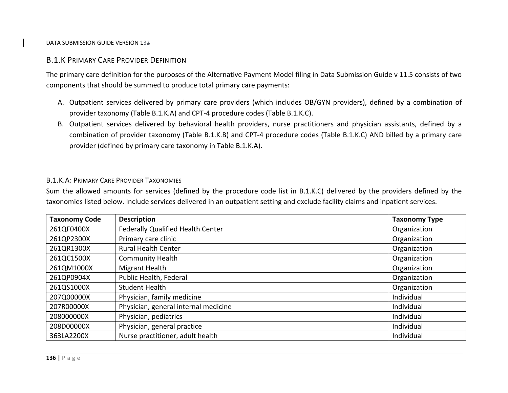# B.1.K PRIMARY CARE PROVIDER DEFINITION

The primary care definition for the purposes of the Alternative Payment Model filing in Data Submission Guide <sup>v</sup> 11.5 consists of two components that should be summed to produce total primary care payments:

- A. Outpatient services delivered by primary care providers (which includes OB/GYN providers), defined by <sup>a</sup> combination of provider taxonomy (Table B.1.K.A) and CPT‐4 procedure codes (Table B.1.K.C).
- B. Outpatient services delivered by behavioral health providers, nurse practitioners and physician assistants, defined by <sup>a</sup> combination of provider taxonomy (Table B.1.K.B) and CPT‐4 procedure codes (Table B.1.K.C) AND billed by <sup>a</sup> primary care provider (defined by primary care taxonomy in Table B.1.K.A).

## B.1.K.A: PRIMARY CARE PROVIDER TAXONOMIES

Sum the allowed amounts for services (defined by the procedure code list in B.1.K.C) delivered by the providers defined by the taxonomies listed below. Include services delivered in an outpatient setting and exclude facility claims and inpatient services.

| <b>Taxonomy Code</b> | <b>Description</b>                   | <b>Taxonomy Type</b> |
|----------------------|--------------------------------------|----------------------|
| 261QF0400X           | Federally Qualified Health Center    | Organization         |
| 261QP2300X           | Primary care clinic                  | Organization         |
| 261QR1300X           | <b>Rural Health Center</b>           | Organization         |
| 261QC1500X           | <b>Community Health</b>              | Organization         |
| 261QM1000X           | Migrant Health                       | Organization         |
| 261QP0904X           | Public Health, Federal               | Organization         |
| 261QS1000X           | <b>Student Health</b>                | Organization         |
| 207Q00000X           | Physician, family medicine           | Individual           |
| 207R00000X           | Physician, general internal medicine | Individual           |
| 208000000X           | Physician, pediatrics                | Individual           |
| 208D00000X           | Physician, general practice          | Individual           |
| 363LA2200X           | Nurse practitioner, adult health     | Individual           |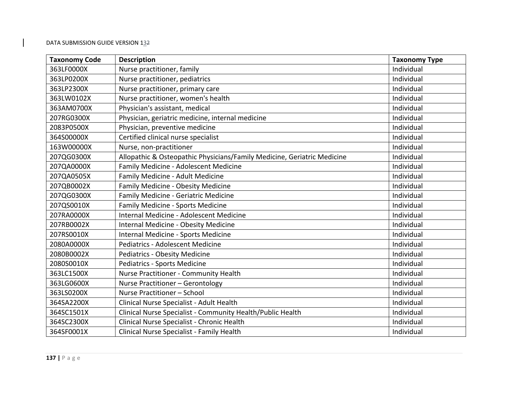| <b>Taxonomy Code</b> | <b>Description</b>                                                      | <b>Taxonomy Type</b> |
|----------------------|-------------------------------------------------------------------------|----------------------|
| 363LF0000X           | Nurse practitioner, family                                              | Individual           |
| 363LP0200X           | Nurse practitioner, pediatrics                                          | Individual           |
| 363LP2300X           | Nurse practitioner, primary care                                        | Individual           |
| 363LW0102X           | Nurse practitioner, women's health                                      | Individual           |
| 363AM0700X           | Physician's assistant, medical                                          | Individual           |
| 207RG0300X           | Physician, geriatric medicine, internal medicine                        | Individual           |
| 2083P0500X           | Physician, preventive medicine                                          | Individual           |
| 364S00000X           | Certified clinical nurse specialist                                     | Individual           |
| 163W00000X           | Nurse, non-practitioner                                                 | Individual           |
| 207QG0300X           | Allopathic & Osteopathic Physicians/Family Medicine, Geriatric Medicine | Individual           |
| 207QA0000X           | Family Medicine - Adolescent Medicine                                   | Individual           |
| 207QA0505X           | Family Medicine - Adult Medicine                                        | Individual           |
| 207QB0002X           | Family Medicine - Obesity Medicine                                      | Individual           |
| 207QG0300X           | Family Medicine - Geriatric Medicine                                    | Individual           |
| 207QS0010X           | Family Medicine - Sports Medicine                                       | Individual           |
| 207RA0000X           | Internal Medicine - Adolescent Medicine                                 | Individual           |
| 207RB0002X           | Internal Medicine - Obesity Medicine                                    | Individual           |
| 207RS0010X           | Internal Medicine - Sports Medicine                                     | Individual           |
| 2080A0000X           | <b>Pediatrics - Adolescent Medicine</b>                                 | Individual           |
| 2080B0002X           | <b>Pediatrics - Obesity Medicine</b>                                    | Individual           |
| 2080S0010X           | <b>Pediatrics - Sports Medicine</b>                                     | Individual           |
| 363LC1500X           | Nurse Practitioner - Community Health                                   | Individual           |
| 363LG0600X           | Nurse Practitioner - Gerontology                                        | Individual           |
| 363LS0200X           | Nurse Practitioner - School                                             | Individual           |
| 364SA2200X           | Clinical Nurse Specialist - Adult Health                                | Individual           |
| 364SC1501X           | Clinical Nurse Specialist - Community Health/Public Health              | Individual           |
| 364SC2300X           | Clinical Nurse Specialist - Chronic Health                              | Individual           |
| 364SF0001X           | Clinical Nurse Specialist - Family Health                               | Individual           |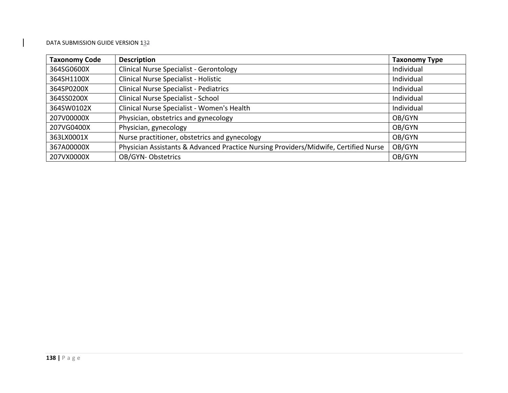| <b>Taxonomy Code</b> | <b>Description</b>                                                                  | <b>Taxonomy Type</b> |
|----------------------|-------------------------------------------------------------------------------------|----------------------|
| 364SG0600X           | <b>Clinical Nurse Specialist - Gerontology</b>                                      | Individual           |
| 364SH1100X           | Clinical Nurse Specialist - Holistic                                                | Individual           |
| 364SP0200X           | <b>Clinical Nurse Specialist - Pediatrics</b>                                       | Individual           |
| 364SS0200X           | Clinical Nurse Specialist - School                                                  | Individual           |
| 364SW0102X           | Clinical Nurse Specialist - Women's Health                                          | Individual           |
| 207V00000X           | Physician, obstetrics and gynecology                                                | OB/GYN               |
| 207VG0400X           | Physician, gynecology                                                               | OB/GYN               |
| 363LX0001X           | Nurse practitioner, obstetrics and gynecology                                       | OB/GYN               |
| 367A00000X           | Physician Assistants & Advanced Practice Nursing Providers/Midwife, Certified Nurse | OB/GYN               |
| 207VX0000X           | OB/GYN-Obstetrics                                                                   | OB/GYN               |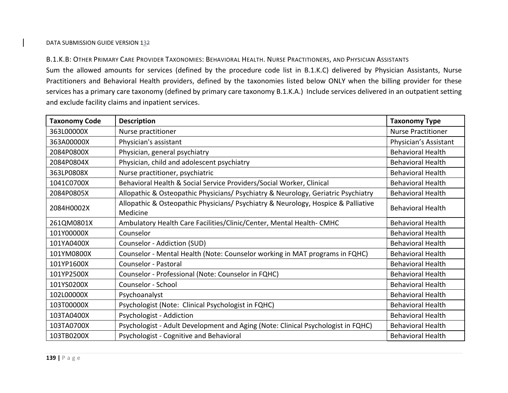B.1.K.B: OTHER PRIMARY CARE PROVIDER TAXONOMIES: BEHAVIORAL HEALTH. NURSE PRACTITIONERS, AND PHYSICIAN ASSISTANTS Sum the allowed amounts for services (defined by the procedure code list in B.1.K.C) delivered by Physician Assistants, Nurse Practitioners and Behavioral Health providers, defined by the taxonomies listed below ONLY when the billing provider for these services has <sup>a</sup> primary care taxonomy (defined by primary care taxonomy B.1.K.A.) Include services delivered in an outpatient setting and exclude facility claims and inpatient services.

| <b>Taxonomy Code</b> | <b>Description</b>                                                                            | <b>Taxonomy Type</b>      |
|----------------------|-----------------------------------------------------------------------------------------------|---------------------------|
| 363L00000X           | Nurse practitioner                                                                            | <b>Nurse Practitioner</b> |
| 363A00000X           | Physician's assistant                                                                         | Physician's Assistant     |
| 2084P0800X           | Physician, general psychiatry                                                                 | <b>Behavioral Health</b>  |
| 2084P0804X           | Physician, child and adolescent psychiatry                                                    | <b>Behavioral Health</b>  |
| 363LP0808X           | Nurse practitioner, psychiatric                                                               | <b>Behavioral Health</b>  |
| 1041C0700X           | Behavioral Health & Social Service Providers/Social Worker, Clinical                          | <b>Behavioral Health</b>  |
| 2084P0805X           | Allopathic & Osteopathic Physicians/ Psychiatry & Neurology, Geriatric Psychiatry             | <b>Behavioral Health</b>  |
| 2084H0002X           | Allopathic & Osteopathic Physicians/ Psychiatry & Neurology, Hospice & Palliative<br>Medicine | <b>Behavioral Health</b>  |
| 261QM0801X           | Ambulatory Health Care Facilities/Clinic/Center, Mental Health-CMHC                           | <b>Behavioral Health</b>  |
| 101Y00000X           | Counselor                                                                                     | <b>Behavioral Health</b>  |
| 101YA0400X           | Counselor - Addiction (SUD)                                                                   | <b>Behavioral Health</b>  |
| 101YM0800X           | Counselor - Mental Health (Note: Counselor working in MAT programs in FQHC)                   | <b>Behavioral Health</b>  |
| 101YP1600X           | Counselor - Pastoral                                                                          | <b>Behavioral Health</b>  |
| 101YP2500X           | Counselor - Professional (Note: Counselor in FQHC)                                            | <b>Behavioral Health</b>  |
| 101YS0200X           | Counselor - School                                                                            | <b>Behavioral Health</b>  |
| 102L00000X           | Psychoanalyst                                                                                 | <b>Behavioral Health</b>  |
| 103T00000X           | Psychologist (Note: Clinical Psychologist in FQHC)                                            | <b>Behavioral Health</b>  |
| 103TA0400X           | Psychologist - Addiction                                                                      | <b>Behavioral Health</b>  |
| 103TA0700X           | Psychologist - Adult Development and Aging (Note: Clinical Psychologist in FQHC)              | <b>Behavioral Health</b>  |
| 103TB0200X           | Psychologist - Cognitive and Behavioral                                                       | <b>Behavioral Health</b>  |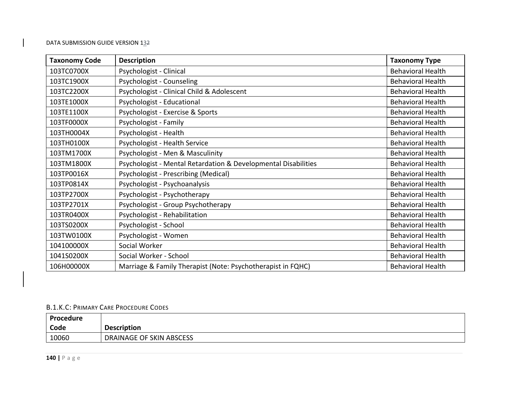| <b>Taxonomy Code</b> | <b>Description</b>                                             | <b>Taxonomy Type</b>     |
|----------------------|----------------------------------------------------------------|--------------------------|
| 103TC0700X           | Psychologist - Clinical                                        | <b>Behavioral Health</b> |
| 103TC1900X           | Psychologist - Counseling                                      | <b>Behavioral Health</b> |
| 103TC2200X           | Psychologist - Clinical Child & Adolescent                     | <b>Behavioral Health</b> |
| 103TE1000X           | Psychologist - Educational                                     | <b>Behavioral Health</b> |
| 103TE1100X           | Psychologist - Exercise & Sports                               | <b>Behavioral Health</b> |
| 103TF0000X           | Psychologist - Family                                          | <b>Behavioral Health</b> |
| 103TH0004X           | Psychologist - Health                                          | <b>Behavioral Health</b> |
| 103TH0100X           | Psychologist - Health Service                                  | <b>Behavioral Health</b> |
| 103TM1700X           | Psychologist - Men & Masculinity                               | <b>Behavioral Health</b> |
| 103TM1800X           | Psychologist - Mental Retardation & Developmental Disabilities | <b>Behavioral Health</b> |
| 103TP0016X           | Psychologist - Prescribing (Medical)                           | <b>Behavioral Health</b> |
| 103TP0814X           | Psychologist - Psychoanalysis                                  | <b>Behavioral Health</b> |
| 103TP2700X           | Psychologist - Psychotherapy                                   | <b>Behavioral Health</b> |
| 103TP2701X           | Psychologist - Group Psychotherapy                             | <b>Behavioral Health</b> |
| 103TR0400X           | Psychologist - Rehabilitation                                  | <b>Behavioral Health</b> |
| 103TS0200X           | Psychologist - School                                          | <b>Behavioral Health</b> |
| 103TW0100X           | Psychologist - Women                                           | <b>Behavioral Health</b> |
| 104100000X           | Social Worker                                                  | <b>Behavioral Health</b> |
| 1041S0200X           | Social Worker - School                                         | <b>Behavioral Health</b> |
| 106H00000X           | Marriage & Family Therapist (Note: Psychotherapist in FQHC)    | <b>Behavioral Health</b> |

### B.1.K.C: PRIMARY CARE PROCEDURE CODES

| <b>Procedure</b> |                          |
|------------------|--------------------------|
| Code             | <b>Description</b>       |
| 10060            | DRAINAGE OF SKIN ABSCESS |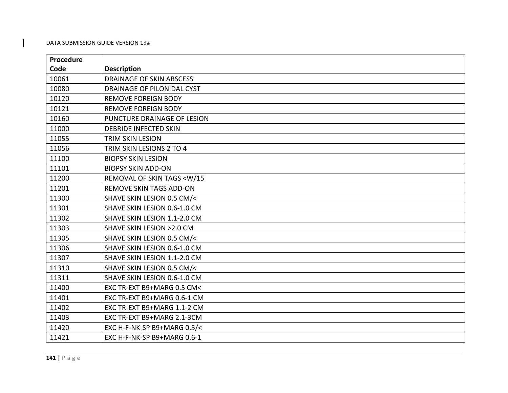| Procedure |                                           |
|-----------|-------------------------------------------|
| Code      | <b>Description</b>                        |
| 10061     | <b>DRAINAGE OF SKIN ABSCESS</b>           |
| 10080     | DRAINAGE OF PILONIDAL CYST                |
| 10120     | <b>REMOVE FOREIGN BODY</b>                |
| 10121     | <b>REMOVE FOREIGN BODY</b>                |
| 10160     | PUNCTURE DRAINAGE OF LESION               |
| 11000     | <b>DEBRIDE INFECTED SKIN</b>              |
| 11055     | <b>TRIM SKIN LESION</b>                   |
| 11056     | TRIM SKIN LESIONS 2 TO 4                  |
| 11100     | <b>BIOPSY SKIN LESION</b>                 |
| 11101     | <b>BIOPSY SKIN ADD-ON</b>                 |
| 11200     | REMOVAL OF SKIN TAGS <w 15<="" td=""></w> |
| 11201     | <b>REMOVE SKIN TAGS ADD-ON</b>            |
| 11300     | SHAVE SKIN LESION 0.5 CM/<                |
| 11301     | SHAVE SKIN LESION 0.6-1.0 CM              |
| 11302     | SHAVE SKIN LESION 1.1-2.0 CM              |
| 11303     | SHAVE SKIN LESION > 2.0 CM                |
| 11305     | SHAVE SKIN LESION 0.5 CM/<                |
| 11306     | SHAVE SKIN LESION 0.6-1.0 CM              |
| 11307     | SHAVE SKIN LESION 1.1-2.0 CM              |
| 11310     | SHAVE SKIN LESION 0.5 CM/<                |
| 11311     | SHAVE SKIN LESION 0.6-1.0 CM              |
| 11400     | EXC TR-EXT B9+MARG 0.5 CM<                |
| 11401     | EXC TR-EXT B9+MARG 0.6-1 CM               |
| 11402     | EXC TR-EXT B9+MARG 1.1-2 CM               |
| 11403     | EXC TR-EXT B9+MARG 2.1-3CM                |
| 11420     | EXC H-F-NK-SP B9+MARG 0.5/<               |
| 11421     | EXC H-F-NK-SP B9+MARG 0.6-1               |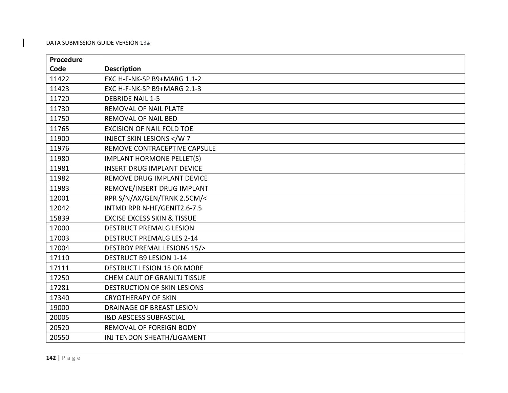| Procedure |                                        |
|-----------|----------------------------------------|
| Code      | <b>Description</b>                     |
| 11422     | EXC H-F-NK-SP B9+MARG 1.1-2            |
| 11423     | EXC H-F-NK-SP B9+MARG 2.1-3            |
| 11720     | <b>DEBRIDE NAIL 1-5</b>                |
| 11730     | REMOVAL OF NAIL PLATE                  |
| 11750     | <b>REMOVAL OF NAIL BED</b>             |
| 11765     | <b>EXCISION OF NAIL FOLD TOE</b>       |
| 11900     | <b>INJECT SKIN LESIONS </b>            |
| 11976     | REMOVE CONTRACEPTIVE CAPSULE           |
| 11980     | <b>IMPLANT HORMONE PELLET(S)</b>       |
| 11981     | <b>INSERT DRUG IMPLANT DEVICE</b>      |
| 11982     | REMOVE DRUG IMPLANT DEVICE             |
| 11983     | REMOVE/INSERT DRUG IMPLANT             |
| 12001     | RPR S/N/AX/GEN/TRNK 2.5CM/<            |
| 12042     | INTMD RPR N-HF/GENIT2.6-7.5            |
| 15839     | <b>EXCISE EXCESS SKIN &amp; TISSUE</b> |
| 17000     | <b>DESTRUCT PREMALG LESION</b>         |
| 17003     | <b>DESTRUCT PREMALG LES 2-14</b>       |
| 17004     | DESTROY PREMAL LESIONS 15/>            |
| 17110     | <b>DESTRUCT B9 LESION 1-14</b>         |
| 17111     | DESTRUCT LESION 15 OR MORE             |
| 17250     | <b>CHEM CAUT OF GRANLTJ TISSUE</b>     |
| 17281     | <b>DESTRUCTION OF SKIN LESIONS</b>     |
| 17340     | <b>CRYOTHERAPY OF SKIN</b>             |
| 19000     | DRAINAGE OF BREAST LESION              |
| 20005     | <b>I&amp;D ABSCESS SUBFASCIAL</b>      |
| 20520     | REMOVAL OF FOREIGN BODY                |
| 20550     | INJ TENDON SHEATH/LIGAMENT             |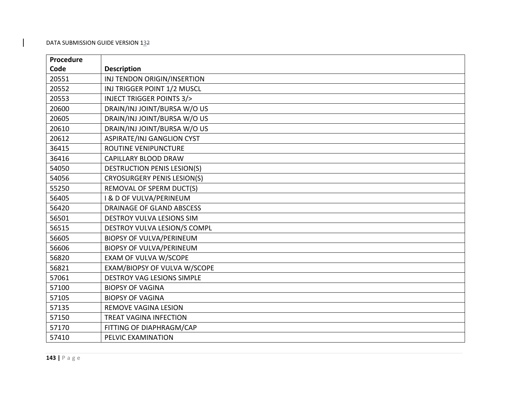| Procedure |                                     |
|-----------|-------------------------------------|
| Code      | <b>Description</b>                  |
| 20551     | INJ TENDON ORIGIN/INSERTION         |
| 20552     | INJ TRIGGER POINT 1/2 MUSCL         |
| 20553     | <b>INJECT TRIGGER POINTS 3/&gt;</b> |
| 20600     | DRAIN/INJ JOINT/BURSA W/O US        |
| 20605     | DRAIN/INJ JOINT/BURSA W/O US        |
| 20610     | DRAIN/INJ JOINT/BURSA W/O US        |
| 20612     | ASPIRATE/INJ GANGLION CYST          |
| 36415     | ROUTINE VENIPUNCTURE                |
| 36416     | <b>CAPILLARY BLOOD DRAW</b>         |
| 54050     | <b>DESTRUCTION PENIS LESION(S)</b>  |
| 54056     | <b>CRYOSURGERY PENIS LESION(S)</b>  |
| 55250     | REMOVAL OF SPERM DUCT(S)            |
| 56405     | I & D OF VULVA/PERINEUM             |
| 56420     | DRAINAGE OF GLAND ABSCESS           |
| 56501     | DESTROY VULVA LESIONS SIM           |
| 56515     | DESTROY VULVA LESION/S COMPL        |
| 56605     | <b>BIOPSY OF VULVA/PERINEUM</b>     |
| 56606     | <b>BIOPSY OF VULVA/PERINEUM</b>     |
| 56820     | <b>EXAM OF VULVA W/SCOPE</b>        |
| 56821     | EXAM/BIOPSY OF VULVA W/SCOPE        |
| 57061     | <b>DESTROY VAG LESIONS SIMPLE</b>   |
| 57100     | <b>BIOPSY OF VAGINA</b>             |
| 57105     | <b>BIOPSY OF VAGINA</b>             |
| 57135     | <b>REMOVE VAGINA LESION</b>         |
| 57150     | <b>TREAT VAGINA INFECTION</b>       |
| 57170     | FITTING OF DIAPHRAGM/CAP            |
| 57410     | PELVIC EXAMINATION                  |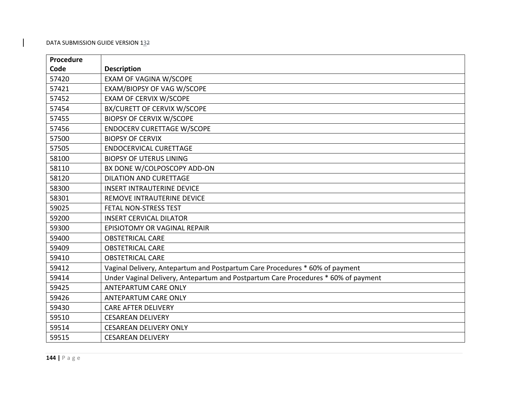| Procedure |                                                                                    |
|-----------|------------------------------------------------------------------------------------|
| Code      | <b>Description</b>                                                                 |
| 57420     | <b>EXAM OF VAGINA W/SCOPE</b>                                                      |
| 57421     | EXAM/BIOPSY OF VAG W/SCOPE                                                         |
| 57452     | <b>EXAM OF CERVIX W/SCOPE</b>                                                      |
| 57454     | BX/CURETT OF CERVIX W/SCOPE                                                        |
| 57455     | <b>BIOPSY OF CERVIX W/SCOPE</b>                                                    |
| 57456     | <b>ENDOCERV CURETTAGE W/SCOPE</b>                                                  |
| 57500     | <b>BIOPSY OF CERVIX</b>                                                            |
| 57505     | <b>ENDOCERVICAL CURETTAGE</b>                                                      |
| 58100     | <b>BIOPSY OF UTERUS LINING</b>                                                     |
| 58110     | BX DONE W/COLPOSCOPY ADD-ON                                                        |
| 58120     | <b>DILATION AND CURETTAGE</b>                                                      |
| 58300     | <b>INSERT INTRAUTERINE DEVICE</b>                                                  |
| 58301     | REMOVE INTRAUTERINE DEVICE                                                         |
| 59025     | FETAL NON-STRESS TEST                                                              |
| 59200     | <b>INSERT CERVICAL DILATOR</b>                                                     |
| 59300     | <b>EPISIOTOMY OR VAGINAL REPAIR</b>                                                |
| 59400     | <b>OBSTETRICAL CARE</b>                                                            |
| 59409     | <b>OBSTETRICAL CARE</b>                                                            |
| 59410     | <b>OBSTETRICAL CARE</b>                                                            |
| 59412     | Vaginal Delivery, Antepartum and Postpartum Care Procedures * 60% of payment       |
| 59414     | Under Vaginal Delivery, Antepartum and Postpartum Care Procedures * 60% of payment |
| 59425     | <b>ANTEPARTUM CARE ONLY</b>                                                        |
| 59426     | <b>ANTEPARTUM CARE ONLY</b>                                                        |
| 59430     | <b>CARE AFTER DELIVERY</b>                                                         |
| 59510     | <b>CESAREAN DELIVERY</b>                                                           |
| 59514     | <b>CESAREAN DELIVERY ONLY</b>                                                      |
| 59515     | <b>CESAREAN DELIVERY</b>                                                           |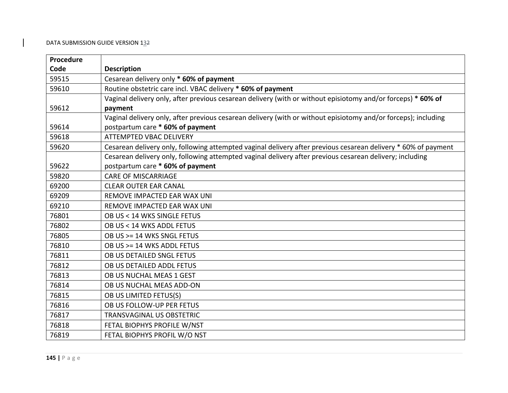| Procedure |                                                                                                                |
|-----------|----------------------------------------------------------------------------------------------------------------|
| Code      | <b>Description</b>                                                                                             |
| 59515     | Cesarean delivery only * 60% of payment                                                                        |
| 59610     | Routine obstetric care incl. VBAC delivery * 60% of payment                                                    |
|           | Vaginal delivery only, after previous cesarean delivery (with or without episiotomy and/or forceps) * 60% of   |
| 59612     | payment                                                                                                        |
|           | Vaginal delivery only, after previous cesarean delivery (with or without episiotomy and/or forceps); including |
| 59614     | postpartum care * 60% of payment                                                                               |
| 59618     | <b>ATTEMPTED VBAC DELIVERY</b>                                                                                 |
| 59620     | Cesarean delivery only, following attempted vaginal delivery after previous cesarean delivery * 60% of payment |
|           | Cesarean delivery only, following attempted vaginal delivery after previous cesarean delivery; including       |
| 59622     | postpartum care * 60% of payment                                                                               |
| 59820     | <b>CARE OF MISCARRIAGE</b>                                                                                     |
| 69200     | <b>CLEAR OUTER EAR CANAL</b>                                                                                   |
| 69209     | <b>REMOVE IMPACTED EAR WAX UNI</b>                                                                             |
| 69210     | REMOVE IMPACTED EAR WAX UNI                                                                                    |
| 76801     | OB US < 14 WKS SINGLE FETUS                                                                                    |
| 76802     | OB US < 14 WKS ADDL FETUS                                                                                      |
| 76805     | OB US >= 14 WKS SNGL FETUS                                                                                     |
| 76810     | OB US >= 14 WKS ADDL FETUS                                                                                     |
| 76811     | OB US DETAILED SNGL FETUS                                                                                      |
| 76812     | OB US DETAILED ADDL FETUS                                                                                      |
| 76813     | OB US NUCHAL MEAS 1 GEST                                                                                       |
| 76814     | OB US NUCHAL MEAS ADD-ON                                                                                       |
| 76815     | OB US LIMITED FETUS(S)                                                                                         |
| 76816     | OB US FOLLOW-UP PER FETUS                                                                                      |
| 76817     | <b>TRANSVAGINAL US OBSTETRIC</b>                                                                               |
| 76818     | FETAL BIOPHYS PROFILE W/NST                                                                                    |
| 76819     | FETAL BIOPHYS PROFIL W/O NST                                                                                   |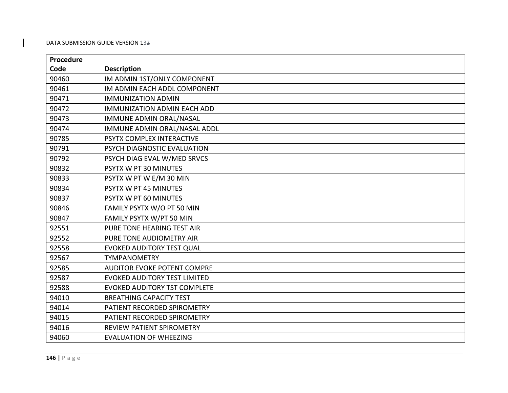| Procedure |                                     |
|-----------|-------------------------------------|
| Code      | <b>Description</b>                  |
| 90460     | IM ADMIN 1ST/ONLY COMPONENT         |
| 90461     | IM ADMIN EACH ADDL COMPONENT        |
| 90471     | <b>IMMUNIZATION ADMIN</b>           |
| 90472     | <b>IMMUNIZATION ADMIN EACH ADD</b>  |
| 90473     | IMMUNE ADMIN ORAL/NASAL             |
| 90474     | IMMUNE ADMIN ORAL/NASAL ADDL        |
| 90785     | PSYTX COMPLEX INTERACTIVE           |
| 90791     | PSYCH DIAGNOSTIC EVALUATION         |
| 90792     | PSYCH DIAG EVAL W/MED SRVCS         |
| 90832     | PSYTX W PT 30 MINUTES               |
| 90833     | PSYTX W PT W E/M 30 MIN             |
| 90834     | PSYTX W PT 45 MINUTES               |
| 90837     | PSYTX W PT 60 MINUTES               |
| 90846     | FAMILY PSYTX W/O PT 50 MIN          |
| 90847     | FAMILY PSYTX W/PT 50 MIN            |
| 92551     | PURE TONE HEARING TEST AIR          |
| 92552     | PURE TONE AUDIOMETRY AIR            |
| 92558     | EVOKED AUDITORY TEST QUAL           |
| 92567     | <b>TYMPANOMETRY</b>                 |
| 92585     | <b>AUDITOR EVOKE POTENT COMPRE</b>  |
| 92587     | <b>EVOKED AUDITORY TEST LIMITED</b> |
| 92588     | <b>EVOKED AUDITORY TST COMPLETE</b> |
| 94010     | <b>BREATHING CAPACITY TEST</b>      |
| 94014     | PATIENT RECORDED SPIROMETRY         |
| 94015     | PATIENT RECORDED SPIROMETRY         |
| 94016     | <b>REVIEW PATIENT SPIROMETRY</b>    |
| 94060     | <b>EVALUATION OF WHEEZING</b>       |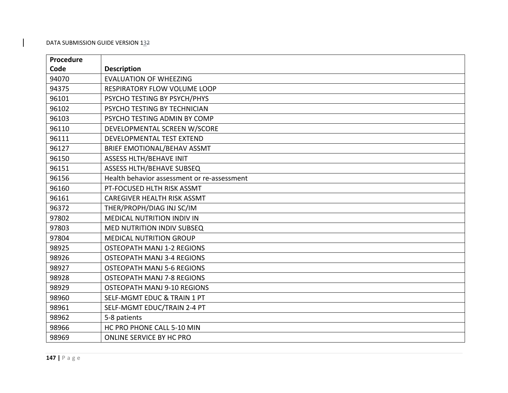| Procedure |                                             |
|-----------|---------------------------------------------|
| Code      | <b>Description</b>                          |
| 94070     | <b>EVALUATION OF WHEEZING</b>               |
| 94375     | RESPIRATORY FLOW VOLUME LOOP                |
| 96101     | PSYCHO TESTING BY PSYCH/PHYS                |
| 96102     | PSYCHO TESTING BY TECHNICIAN                |
| 96103     | PSYCHO TESTING ADMIN BY COMP                |
| 96110     | DEVELOPMENTAL SCREEN W/SCORE                |
| 96111     | DEVELOPMENTAL TEST EXTEND                   |
| 96127     | BRIEF EMOTIONAL/BEHAV ASSMT                 |
| 96150     | <b>ASSESS HLTH/BEHAVE INIT</b>              |
| 96151     | ASSESS HLTH/BEHAVE SUBSEQ                   |
| 96156     | Health behavior assessment or re-assessment |
| 96160     | PT-FOCUSED HLTH RISK ASSMT                  |
| 96161     | CAREGIVER HEALTH RISK ASSMT                 |
| 96372     | THER/PROPH/DIAG INJ SC/IM                   |
| 97802     | MEDICAL NUTRITION INDIV IN                  |
| 97803     | <b>MED NUTRITION INDIV SUBSEQ</b>           |
| 97804     | <b>MEDICAL NUTRITION GROUP</b>              |
| 98925     | <b>OSTEOPATH MANJ 1-2 REGIONS</b>           |
| 98926     | <b>OSTEOPATH MANJ 3-4 REGIONS</b>           |
| 98927     | <b>OSTEOPATH MANJ 5-6 REGIONS</b>           |
| 98928     | <b>OSTEOPATH MANJ 7-8 REGIONS</b>           |
| 98929     | <b>OSTEOPATH MANJ 9-10 REGIONS</b>          |
| 98960     | <b>SELF-MGMT EDUC &amp; TRAIN 1 PT</b>      |
| 98961     | SELF-MGMT EDUC/TRAIN 2-4 PT                 |
| 98962     | 5-8 patients                                |
| 98966     | HC PRO PHONE CALL 5-10 MIN                  |
| 98969     | ONLINE SERVICE BY HC PRO                    |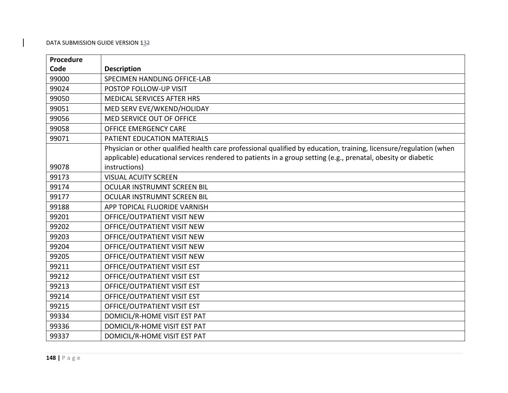| Procedure |                                                                                                                    |
|-----------|--------------------------------------------------------------------------------------------------------------------|
| Code      | <b>Description</b>                                                                                                 |
| 99000     | SPECIMEN HANDLING OFFICE-LAB                                                                                       |
| 99024     | POSTOP FOLLOW-UP VISIT                                                                                             |
| 99050     | MEDICAL SERVICES AFTER HRS                                                                                         |
| 99051     | MED SERV EVE/WKEND/HOLIDAY                                                                                         |
| 99056     | MED SERVICE OUT OF OFFICE                                                                                          |
| 99058     | <b>OFFICE EMERGENCY CARE</b>                                                                                       |
| 99071     | PATIENT EDUCATION MATERIALS                                                                                        |
|           | Physician or other qualified health care professional qualified by education, training, licensure/regulation (when |
|           | applicable) educational services rendered to patients in a group setting (e.g., prenatal, obesity or diabetic      |
| 99078     | instructions)                                                                                                      |
| 99173     | <b>VISUAL ACUITY SCREEN</b>                                                                                        |
| 99174     | OCULAR INSTRUMNT SCREEN BIL                                                                                        |
| 99177     | OCULAR INSTRUMNT SCREEN BIL                                                                                        |
| 99188     | APP TOPICAL FLUORIDE VARNISH                                                                                       |
| 99201     | OFFICE/OUTPATIENT VISIT NEW                                                                                        |
| 99202     | OFFICE/OUTPATIENT VISIT NEW                                                                                        |
| 99203     | OFFICE/OUTPATIENT VISIT NEW                                                                                        |
| 99204     | OFFICE/OUTPATIENT VISIT NEW                                                                                        |
| 99205     | OFFICE/OUTPATIENT VISIT NEW                                                                                        |
| 99211     | OFFICE/OUTPATIENT VISIT EST                                                                                        |
| 99212     | OFFICE/OUTPATIENT VISIT EST                                                                                        |
| 99213     | OFFICE/OUTPATIENT VISIT EST                                                                                        |
| 99214     | OFFICE/OUTPATIENT VISIT EST                                                                                        |
| 99215     | OFFICE/OUTPATIENT VISIT EST                                                                                        |
| 99334     | DOMICIL/R-HOME VISIT EST PAT                                                                                       |
| 99336     | DOMICIL/R-HOME VISIT EST PAT                                                                                       |
| 99337     | DOMICIL/R-HOME VISIT EST PAT                                                                                       |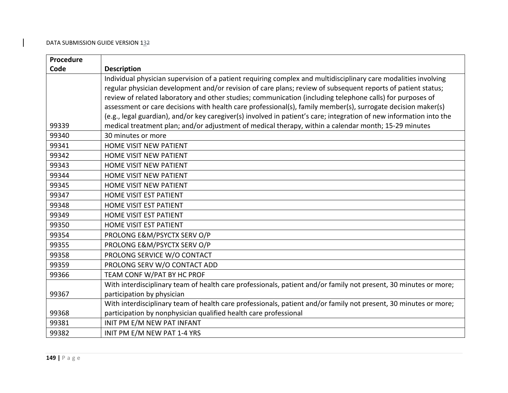| Procedure |                                                                                                                     |
|-----------|---------------------------------------------------------------------------------------------------------------------|
| Code      | <b>Description</b>                                                                                                  |
|           | Individual physician supervision of a patient requiring complex and multidisciplinary care modalities involving     |
|           | regular physician development and/or revision of care plans; review of subsequent reports of patient status;        |
|           | review of related laboratory and other studies; communication (including telephone calls) for purposes of           |
|           | assessment or care decisions with health care professional(s), family member(s), surrogate decision maker(s)        |
|           | (e.g., legal guardian), and/or key caregiver(s) involved in patient's care; integration of new information into the |
| 99339     | medical treatment plan; and/or adjustment of medical therapy, within a calendar month; 15-29 minutes                |
| 99340     | 30 minutes or more                                                                                                  |
| 99341     | HOME VISIT NEW PATIENT                                                                                              |
| 99342     | HOME VISIT NEW PATIENT                                                                                              |
| 99343     | <b>HOME VISIT NEW PATIENT</b>                                                                                       |
| 99344     | <b>HOME VISIT NEW PATIENT</b>                                                                                       |
| 99345     | <b>HOME VISIT NEW PATIENT</b>                                                                                       |
| 99347     | <b>HOME VISIT EST PATIENT</b>                                                                                       |
| 99348     | HOME VISIT EST PATIENT                                                                                              |
| 99349     | HOME VISIT EST PATIENT                                                                                              |
| 99350     | HOME VISIT EST PATIENT                                                                                              |
| 99354     | PROLONG E&M/PSYCTX SERV O/P                                                                                         |
| 99355     | PROLONG E&M/PSYCTX SERV O/P                                                                                         |
| 99358     | PROLONG SERVICE W/O CONTACT                                                                                         |
| 99359     | PROLONG SERV W/O CONTACT ADD                                                                                        |
| 99366     | TEAM CONF W/PAT BY HC PROF                                                                                          |
|           | With interdisciplinary team of health care professionals, patient and/or family not present, 30 minutes or more;    |
| 99367     | participation by physician                                                                                          |
|           | With interdisciplinary team of health care professionals, patient and/or family not present, 30 minutes or more;    |
| 99368     | participation by nonphysician qualified health care professional                                                    |
| 99381     | INIT PM E/M NEW PAT INFANT                                                                                          |
| 99382     | INIT PM E/M NEW PAT 1-4 YRS                                                                                         |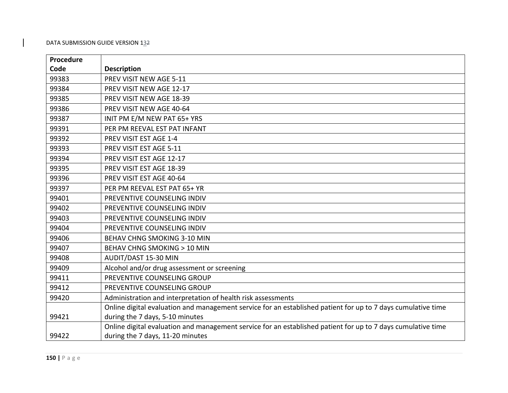| Procedure |                                                                                                              |
|-----------|--------------------------------------------------------------------------------------------------------------|
| Code      | <b>Description</b>                                                                                           |
| 99383     | PREV VISIT NEW AGE 5-11                                                                                      |
| 99384     | PREV VISIT NEW AGE 12-17                                                                                     |
| 99385     | PREV VISIT NEW AGE 18-39                                                                                     |
| 99386     | PREV VISIT NEW AGE 40-64                                                                                     |
| 99387     | INIT PM E/M NEW PAT 65+ YRS                                                                                  |
| 99391     | PER PM REEVAL EST PAT INFANT                                                                                 |
| 99392     | PREV VISIT EST AGE 1-4                                                                                       |
| 99393     | PREV VISIT EST AGE 5-11                                                                                      |
| 99394     | PREV VISIT EST AGE 12-17                                                                                     |
| 99395     | PREV VISIT EST AGE 18-39                                                                                     |
| 99396     | PREV VISIT EST AGE 40-64                                                                                     |
| 99397     | PER PM REEVAL EST PAT 65+ YR                                                                                 |
| 99401     | PREVENTIVE COUNSELING INDIV                                                                                  |
| 99402     | PREVENTIVE COUNSELING INDIV                                                                                  |
| 99403     | PREVENTIVE COUNSELING INDIV                                                                                  |
| 99404     | PREVENTIVE COUNSELING INDIV                                                                                  |
| 99406     | BEHAV CHNG SMOKING 3-10 MIN                                                                                  |
| 99407     | <b>BEHAV CHNG SMOKING &gt; 10 MIN</b>                                                                        |
| 99408     | AUDIT/DAST 15-30 MIN                                                                                         |
| 99409     | Alcohol and/or drug assessment or screening                                                                  |
| 99411     | PREVENTIVE COUNSELING GROUP                                                                                  |
| 99412     | PREVENTIVE COUNSELING GROUP                                                                                  |
| 99420     | Administration and interpretation of health risk assessments                                                 |
|           | Online digital evaluation and management service for an established patient for up to 7 days cumulative time |
| 99421     | during the 7 days, 5-10 minutes                                                                              |
|           | Online digital evaluation and management service for an established patient for up to 7 days cumulative time |
| 99422     | during the 7 days, 11-20 minutes                                                                             |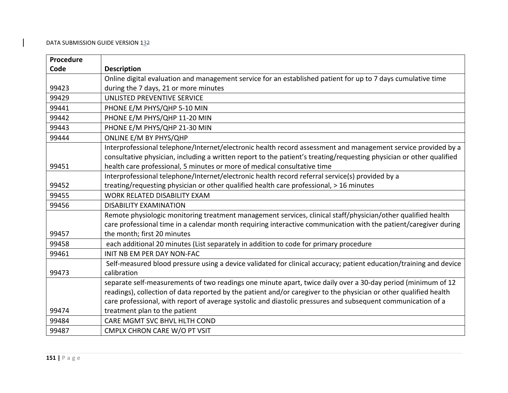| Procedure |                                                                                                                      |
|-----------|----------------------------------------------------------------------------------------------------------------------|
| Code      | <b>Description</b>                                                                                                   |
|           | Online digital evaluation and management service for an established patient for up to 7 days cumulative time         |
| 99423     | during the 7 days, 21 or more minutes                                                                                |
| 99429     | UNLISTED PREVENTIVE SERVICE                                                                                          |
| 99441     | PHONE E/M PHYS/QHP 5-10 MIN                                                                                          |
| 99442     | PHONE E/M PHYS/QHP 11-20 MIN                                                                                         |
| 99443     | PHONE E/M PHYS/QHP 21-30 MIN                                                                                         |
| 99444     | ONLINE E/M BY PHYS/QHP                                                                                               |
|           | Interprofessional telephone/Internet/electronic health record assessment and management service provided by a        |
|           | consultative physician, including a written report to the patient's treating/requesting physician or other qualified |
| 99451     | health care professional, 5 minutes or more of medical consultative time                                             |
|           | Interprofessional telephone/Internet/electronic health record referral service(s) provided by a                      |
| 99452     | treating/requesting physician or other qualified health care professional, > 16 minutes                              |
| 99455     | <b>WORK RELATED DISABILITY EXAM</b>                                                                                  |
| 99456     | <b>DISABILITY EXAMINATION</b>                                                                                        |
|           | Remote physiologic monitoring treatment management services, clinical staff/physician/other qualified health         |
|           | care professional time in a calendar month requiring interactive communication with the patient/caregiver during     |
| 99457     | the month; first 20 minutes                                                                                          |
| 99458     | each additional 20 minutes (List separately in addition to code for primary procedure                                |
| 99461     | <b>INIT NB EM PER DAY NON-FAC</b>                                                                                    |
|           | Self-measured blood pressure using a device validated for clinical accuracy; patient education/training and device   |
| 99473     | calibration                                                                                                          |
|           | separate self-measurements of two readings one minute apart, twice daily over a 30-day period (minimum of 12         |
|           | readings), collection of data reported by the patient and/or caregiver to the physician or other qualified health    |
|           | care professional, with report of average systolic and diastolic pressures and subsequent communication of a         |
| 99474     | treatment plan to the patient                                                                                        |
| 99484     | CARE MGMT SVC BHVL HLTH COND                                                                                         |
| 99487     | CMPLX CHRON CARE W/O PT VSIT                                                                                         |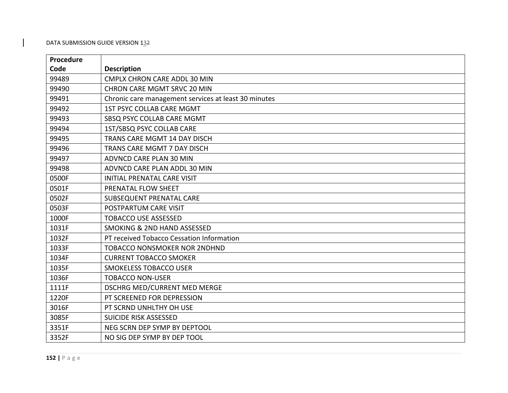| Procedure |                                                      |
|-----------|------------------------------------------------------|
| Code      | <b>Description</b>                                   |
| 99489     | <b>CMPLX CHRON CARE ADDL 30 MIN</b>                  |
| 99490     | <b>CHRON CARE MGMT SRVC 20 MIN</b>                   |
| 99491     | Chronic care management services at least 30 minutes |
| 99492     | 1ST PSYC COLLAB CARE MGMT                            |
| 99493     | SBSQ PSYC COLLAB CARE MGMT                           |
| 99494     | 1ST/SBSQ PSYC COLLAB CARE                            |
| 99495     | TRANS CARE MGMT 14 DAY DISCH                         |
| 99496     | TRANS CARE MGMT 7 DAY DISCH                          |
| 99497     | ADVNCD CARE PLAN 30 MIN                              |
| 99498     | ADVNCD CARE PLAN ADDL 30 MIN                         |
| 0500F     | <b>INITIAL PRENATAL CARE VISIT</b>                   |
| 0501F     | PRENATAL FLOW SHEET                                  |
| 0502F     | SUBSEQUENT PRENATAL CARE                             |
| 0503F     | POSTPARTUM CARE VISIT                                |
| 1000F     | <b>TOBACCO USE ASSESSED</b>                          |
| 1031F     | <b>SMOKING &amp; 2ND HAND ASSESSED</b>               |
| 1032F     | PT received Tobacco Cessation Information            |
| 1033F     | <b>TOBACCO NONSMOKER NOR 2NDHND</b>                  |
| 1034F     | <b>CURRENT TOBACCO SMOKER</b>                        |
| 1035F     | <b>SMOKELESS TOBACCO USER</b>                        |
| 1036F     | <b>TOBACCO NON-USER</b>                              |
| 1111F     | DSCHRG MED/CURRENT MED MERGE                         |
| 1220F     | PT SCREENED FOR DEPRESSION                           |
| 3016F     | PT SCRND UNHLTHY OH USE                              |
| 3085F     | <b>SUICIDE RISK ASSESSED</b>                         |
| 3351F     | NEG SCRN DEP SYMP BY DEPTOOL                         |
| 3352F     | NO SIG DEP SYMP BY DEP TOOL                          |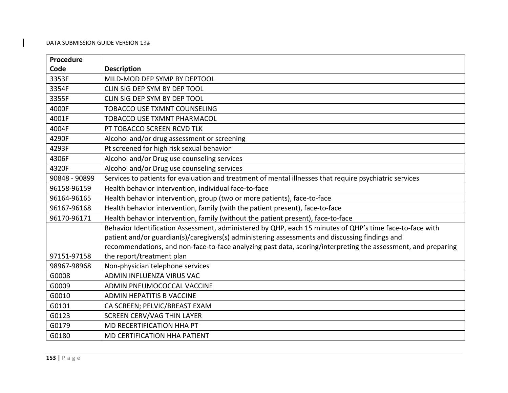| Procedure     |                                                                                                               |
|---------------|---------------------------------------------------------------------------------------------------------------|
| Code          | <b>Description</b>                                                                                            |
| 3353F         | MILD-MOD DEP SYMP BY DEPTOOL                                                                                  |
| 3354F         | CLIN SIG DEP SYM BY DEP TOOL                                                                                  |
| 3355F         | CLIN SIG DEP SYM BY DEP TOOL                                                                                  |
| 4000F         | <b>TOBACCO USE TXMNT COUNSELING</b>                                                                           |
| 4001F         | <b>TOBACCO USE TXMNT PHARMACOL</b>                                                                            |
| 4004F         | PT TOBACCO SCREEN RCVD TLK                                                                                    |
| 4290F         | Alcohol and/or drug assessment or screening                                                                   |
| 4293F         | Pt screened for high risk sexual behavior                                                                     |
| 4306F         | Alcohol and/or Drug use counseling services                                                                   |
| 4320F         | Alcohol and/or Drug use counseling services                                                                   |
| 90848 - 90899 | Services to patients for evaluation and treatment of mental illnesses that require psychiatric services       |
| 96158-96159   | Health behavior intervention, individual face-to-face                                                         |
| 96164-96165   | Health behavior intervention, group (two or more patients), face-to-face                                      |
| 96167-96168   | Health behavior intervention, family (with the patient present), face-to-face                                 |
| 96170-96171   | Health behavior intervention, family (without the patient present), face-to-face                              |
|               | Behavior Identification Assessment, administered by QHP, each 15 minutes of QHP's time face-to-face with      |
|               | patient and/or guardian(s)/caregivers(s) administering assessments and discussing findings and                |
|               | recommendations, and non-face-to-face analyzing past data, scoring/interpreting the assessment, and preparing |
| 97151-97158   | the report/treatment plan                                                                                     |
| 98967-98968   | Non-physician telephone services                                                                              |
| G0008         | ADMIN INFLUENZA VIRUS VAC                                                                                     |
| G0009         | ADMIN PNEUMOCOCCAL VACCINE                                                                                    |
| G0010         | ADMIN HEPATITIS B VACCINE                                                                                     |
| G0101         | CA SCREEN; PELVIC/BREAST EXAM                                                                                 |
| G0123         | SCREEN CERV/VAG THIN LAYER                                                                                    |
| G0179         | MD RECERTIFICATION HHA PT                                                                                     |
| G0180         | MD CERTIFICATION HHA PATIENT                                                                                  |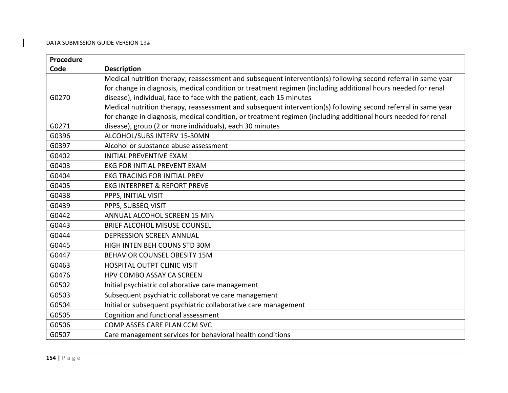| Procedure |                                                                                                               |
|-----------|---------------------------------------------------------------------------------------------------------------|
| Code      | <b>Description</b>                                                                                            |
|           | Medical nutrition therapy; reassessment and subsequent intervention(s) following second referral in same year |
|           | for change in diagnosis, medical condition or treatment regimen (including additional hours needed for renal  |
| G0270     | disease), individual, face to face with the patient, each 15 minutes                                          |
|           | Medical nutrition therapy, reassessment and subsequent intervention(s) following second referral in same year |
|           | for change in diagnosis, medical condition, or treatment regimen (including additional hours needed for renal |
| G0271     | disease), group (2 or more individuals), each 30 minutes                                                      |
| G0396     | ALCOHOL/SUBS INTERV 15-30MN                                                                                   |
| G0397     | Alcohol or substance abuse assessment                                                                         |
| G0402     | <b>INITIAL PREVENTIVE EXAM</b>                                                                                |
| G0403     | EKG FOR INITIAL PREVENT EXAM                                                                                  |
| G0404     | <b>EKG TRACING FOR INITIAL PREV</b>                                                                           |
| G0405     | <b>EKG INTERPRET &amp; REPORT PREVE</b>                                                                       |
| G0438     | PPPS, INITIAL VISIT                                                                                           |
| G0439     | PPPS, SUBSEQ VISIT                                                                                            |
| G0442     | ANNUAL ALCOHOL SCREEN 15 MIN                                                                                  |
| G0443     | <b>BRIEF ALCOHOL MISUSE COUNSEL</b>                                                                           |
| G0444     | <b>DEPRESSION SCREEN ANNUAL</b>                                                                               |
| G0445     | HIGH INTEN BEH COUNS STD 30M                                                                                  |
| G0447     | <b>BEHAVIOR COUNSEL OBESITY 15M</b>                                                                           |
| G0463     | <b>HOSPITAL OUTPT CLINIC VISIT</b>                                                                            |
| G0476     | HPV COMBO ASSAY CA SCREEN                                                                                     |
| G0502     | Initial psychiatric collaborative care management                                                             |
| G0503     | Subsequent psychiatric collaborative care management                                                          |
| G0504     | Initial or subsequent psychiatric collaborative care management                                               |
| G0505     | Cognition and functional assessment                                                                           |
| G0506     | COMP ASSES CARE PLAN CCM SVC                                                                                  |
| G0507     | Care management services for behavioral health conditions                                                     |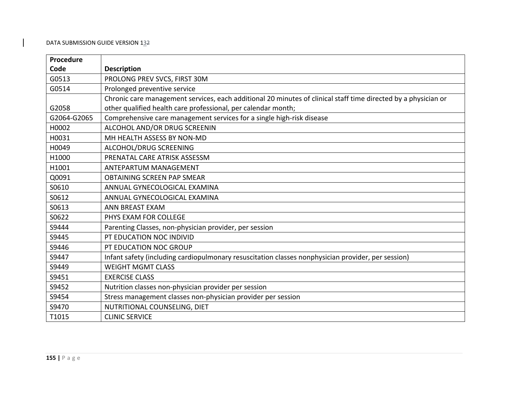| Procedure   |                                                                                                                |
|-------------|----------------------------------------------------------------------------------------------------------------|
| Code        | <b>Description</b>                                                                                             |
| G0513       | PROLONG PREV SVCS, FIRST 30M                                                                                   |
| G0514       | Prolonged preventive service                                                                                   |
|             | Chronic care management services, each additional 20 minutes of clinical staff time directed by a physician or |
| G2058       | other qualified health care professional, per calendar month;                                                  |
| G2064-G2065 | Comprehensive care management services for a single high-risk disease                                          |
| H0002       | ALCOHOL AND/OR DRUG SCREENIN                                                                                   |
| H0031       | MH HEALTH ASSESS BY NON-MD                                                                                     |
| H0049       | ALCOHOL/DRUG SCREENING                                                                                         |
| H1000       | PRENATAL CARE ATRISK ASSESSM                                                                                   |
| H1001       | <b>ANTEPARTUM MANAGEMENT</b>                                                                                   |
| Q0091       | <b>OBTAINING SCREEN PAP SMEAR</b>                                                                              |
| S0610       | ANNUAL GYNECOLOGICAL EXAMINA                                                                                   |
| S0612       | ANNUAL GYNECOLOGICAL EXAMINA                                                                                   |
| S0613       | <b>ANN BREAST EXAM</b>                                                                                         |
| S0622       | PHYS EXAM FOR COLLEGE                                                                                          |
| S9444       | Parenting Classes, non-physician provider, per session                                                         |
| S9445       | PT EDUCATION NOC INDIVID                                                                                       |
| S9446       | PT EDUCATION NOC GROUP                                                                                         |
| S9447       | Infant safety (including cardiopulmonary resuscitation classes nonphysician provider, per session)             |
| S9449       | <b>WEIGHT MGMT CLASS</b>                                                                                       |
| S9451       | <b>EXERCISE CLASS</b>                                                                                          |
| S9452       | Nutrition classes non-physician provider per session                                                           |
| S9454       | Stress management classes non-physician provider per session                                                   |
| S9470       | NUTRITIONAL COUNSELING, DIET                                                                                   |
| T1015       | <b>CLINIC SERVICE</b>                                                                                          |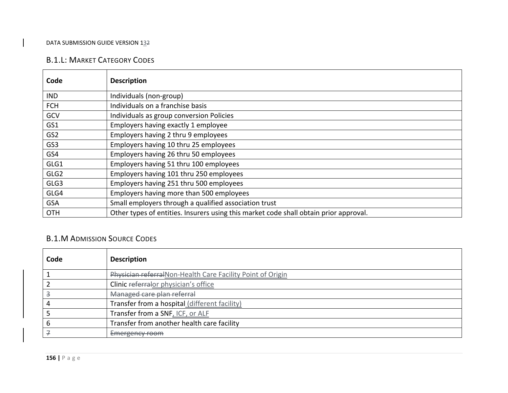## B.1.L: MARKET CATEGORY CODES

| Code             | <b>Description</b>                                                                    |
|------------------|---------------------------------------------------------------------------------------|
| <b>IND</b>       | Individuals (non-group)                                                               |
| <b>FCH</b>       | Individuals on a franchise basis                                                      |
| GCV              | Individuals as group conversion Policies                                              |
| GS1              | Employers having exactly 1 employee                                                   |
| GS <sub>2</sub>  | Employers having 2 thru 9 employees                                                   |
| GS3              | Employers having 10 thru 25 employees                                                 |
| GS4              | Employers having 26 thru 50 employees                                                 |
| GLG1             | Employers having 51 thru 100 employees                                                |
| GLG <sub>2</sub> | Employers having 101 thru 250 employees                                               |
| GLG3             | Employers having 251 thru 500 employees                                               |
| GLG4             | Employers having more than 500 employees                                              |
| <b>GSA</b>       | Small employers through a qualified association trust                                 |
| <b>OTH</b>       | Other types of entities. Insurers using this market code shall obtain prior approval. |

# B.1.M ADMISSION SOURCE CODES

| Code | <b>Description</b>                                          |
|------|-------------------------------------------------------------|
|      | Physician referral Non-Health Care Facility Point of Origin |
|      | Clinic referrator physician's office                        |
|      | Managed care plan referral                                  |
|      | Transfer from a hospital (different facility)               |
|      | Transfer from a SNF, ICF, or ALF                            |
|      | Transfer from another health care facility                  |
|      | Emergency room                                              |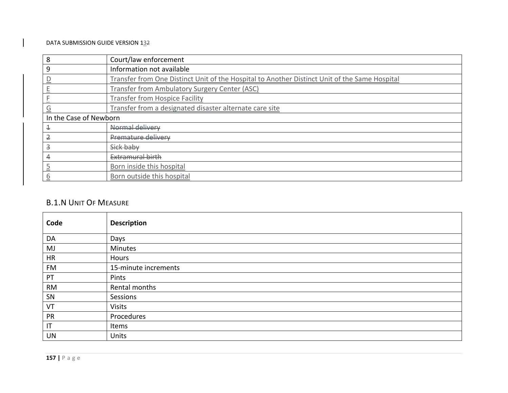| 8                       | Court/law enforcement                                                                         |
|-------------------------|-----------------------------------------------------------------------------------------------|
| 9                       | Information not available                                                                     |
|                         | Transfer from One Distinct Unit of the Hospital to Another Distinct Unit of the Same Hospital |
|                         | Transfer from Ambulatory Surgery Center (ASC)                                                 |
|                         | <b>Transfer from Hospice Facility</b>                                                         |
| G                       | Transfer from a designated disaster alternate care site                                       |
| In the Case of Newborn  |                                                                                               |
| 4                       | Normal delivery                                                                               |
| 2                       | <b>Premature delivery</b>                                                                     |
| $\overline{\mathbf{3}}$ | Sick baby                                                                                     |
|                         | Extramural birth                                                                              |
|                         | Born inside this hospital                                                                     |
| b                       | Born outside this hospital                                                                    |

## B.1.N UNIT OF MEASURE

| Code                   | <b>Description</b>   |
|------------------------|----------------------|
| DA                     | Days                 |
| MJ                     | <b>Minutes</b>       |
| <b>HR</b>              | Hours                |
| <b>FM</b>              | 15-minute increments |
| PT                     | Pints                |
| <b>RM</b>              | Rental months        |
| SN                     | Sessions             |
| VT                     | <b>Visits</b>        |
| PR                     | Procedures           |
| $\mathsf{I}\mathsf{T}$ | Items                |
| UN                     | Units                |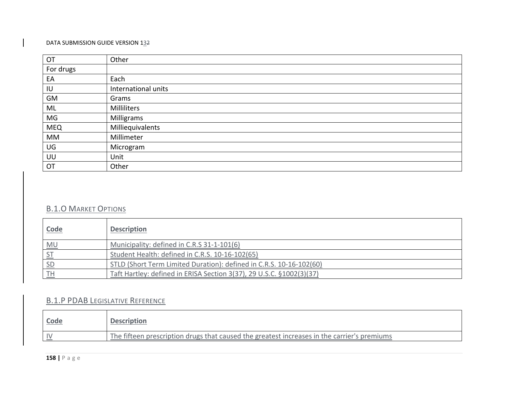| OT         | Other               |
|------------|---------------------|
| For drugs  |                     |
| EA         | Each                |
| IU         | International units |
| GM         | Grams               |
| ML         | Milliliters         |
| MG         | Milligrams          |
| <b>MEQ</b> | Milliequivalents    |
| MM         | Millimeter          |
| UG         | Microgram           |
| UU         | Unit                |
| OT         | Other               |

## B.1.O MARKET OPTIONS

| <u>Code</u>    | <b>Description</b>                                                   |
|----------------|----------------------------------------------------------------------|
| MU             | Municipality: defined in C.R.S 31-1-101(6)                           |
| S <sub>T</sub> | Student Health: defined in C.R.S. 10-16-102(65)                      |
| SD             | STLD (Short Term Limited Duration): defined in C.R.S. 10-16-102(60)  |
|                | Taft Hartley: defined in ERISA Section 3(37), 29 U.S.C. §1002(3)(37) |

# B.1.P PDAB LEGISLATIVE REFERENCE

| <b>Code</b>  | <b>Description</b>                                                                          |
|--------------|---------------------------------------------------------------------------------------------|
| $\mathbf{v}$ | The fifteen prescription drugs that caused the greatest increases in the carrier's premiums |